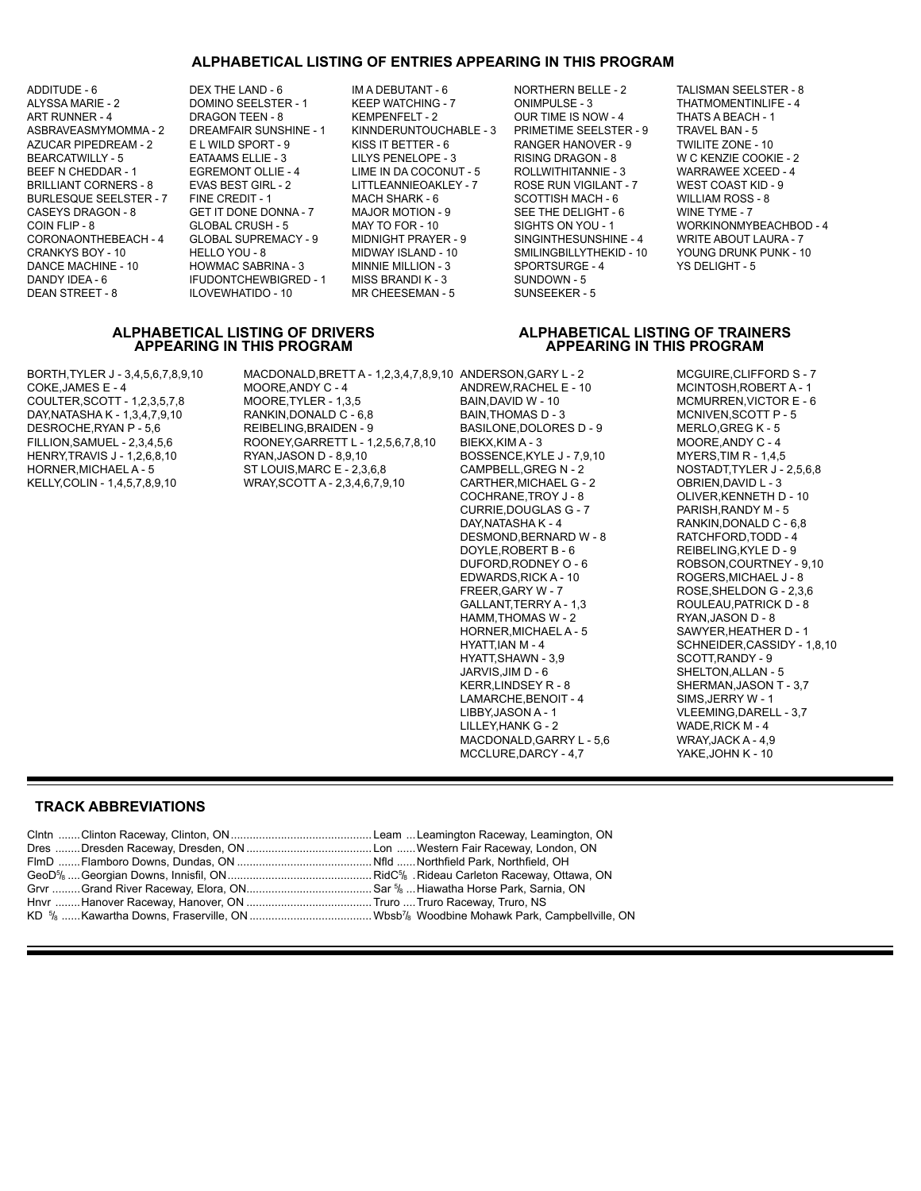### **ALPHABETICAL LISTING OF ENTRIES APPEARING IN THIS PROGRAM**

ADDITUDE - 6 CHAND - 6 CHAND - 6 IM A DEBUTANT - 6 NORTHERN BELLE - 2 CHALISMAN SEELSTER - 8 CORONAONTHEBEACH - 4

ALYSSA MARIE - 2 COMINO SEELSTER - 1 KEEP WATCHING - 7 COMINDULSE - 3 THATMOMENTINLIFE - 4 ART RUNNER - 4 DRAGON TEEN - 8 KEMPENFELT - 2 OUR TIME IS NOW - 4 THATS A BEACH - 1 AZUCAR PIPEDREAM - 2 E L WILD SPORT - 9 KISS IT BETTER - 6 RANGER HANOVER - 9 TWILITE ZONE - 10 BEARCATWILLY - 5 EATAAMS ELLIE - 3 LILYS PENELOPE - 3 RISING DRAGON - 8 W C KENZIE COOKIE - 2 BRILLIANT CORNERS - 8 EVAS BEST GIRL - 2 LITTLEANNIEOAKLEY - 7 ROSE RUN VIGILANT - 7 WEST COAST KID - 9 BURLESQUE SEELSTER - 7 FINE CREDIT - 1 MACH SHARK - 6 SCOTTISH MACH - 6 WILLIAM ROSS - 8<br>CASEYS DRAGON - 8 GET IT DONE DONNA - 7 MAJOR MOTION - 9 SEE THE DELIGHT - 6 WINE TYME - 7 CASEYS DRAGON - 8 GET IT DONE DONNA - 7 MAJOR MOTION - 9 SEE THE DELIGHT - 6 WINE TYME - 7 CRANKYS BOY - 10 HELLO YOU - 8 MIDWAY ISLAND - 10 SMILINGBILLYTHEKID - 10 YOUNG DRUNK PUNK - 10<br>DANCE MACHINE - 10 HOWMAC SABRINA - 3 MINNIE MILLION - 3 SPORTSURGE - 4 YS DELIGHT - 5 DANCE MACHINE - 10 HOWMAC SABRINA - 3 MINNIE MILLION - 3 SPORTSURGE - 4 YS DELIGHT - 5 IFUDONTCHEWBIGRED - 1 DEAN STREET - 8 ILOVEWHATIDO - 10 MR CHEESEMAN - 5 SUNSEEKER - 5

KINNDERUNTOUCHABLE - 3 LIME IN DA COCONUT - 5

**APPEARING IN THIS PROGRAM APPEARING IN THIS PROGRAM**

COIN FLIP - 8 GLOBAL CRUSH - 5 MAY TO FOR - 10 SIGHTS ON YOU - 1 WORKINONMYBEACHBOD - 4

## **ALPHABETICAL LISTING OF DRIVERS ALPHABETICAL LISTING OF TRAINERS**

BORTH,TYLER J - 3,4,5,6,7,8,9,10 MACDONALD,BRETT A - 1,2,3,4,7,8,9,10 ANDERSON,GARY L - 2 MCGUIRE,CLIFFORD S - 7<br>1 ANDREW,RACHEL E - 10 MCINTOSH,ROBERT A - 1

MOORE,ANDY C - 4 ANDREW,RACHEL E - 10 MCINTOSH,ROBERT A - 1<br>MOORE,TYLER - 1.3.5 BAIN,DAVID W - 10 MCMURREN,VICTOR E - 6 COULTER,SCOTT - 1,2,3,5,7,8 MOORE,TYLER - 1,3,5 BAIN,DAVID W - 10 MCMURREN,VICTOR E - 6 DAY,NATASHA K - 1,3,4,7,9,10 RANKIN,DONALD C - 6,8 BAIN,THOMAS D - 3 MCNIVEN,SCOTT P<br>DESROCHE,RYAN P - 5,6 REIBELING,BRAIDEN - 9 BASILONE,DOLORES D - 9 MERLO,GREG K - 5 FILLION,SAMUEL - 2,3,4,5,6 ROONEY,GARRETT L - 1,2,5,6,7,8,10 BIEKX,KIM A - 3 MOORE,ANDY C - 4<br>HENRY,TRAVIS J - 1,2,6,8,10 RYAN,JASON D - 8,9,10 BOSSENCE,KYLE J - 7,9,10 MYERS,TIM R - 1,4,5 HENRY,TRAVIS J - 1,2,6,8,10 RYAN,JASON D - 8,9,10 BOSSENCE,KYLE J - 7,9<br>HORNER,MICHAEL A - 5 ST LOUIS,MARC E - 2.3.6.8 CAMPBELL,GREG N - 2

BASILONE,DOLORES D - 9 MERLO,GREG K - 5<br>BIEKX.KIM A - 3 MOORE,ANDY C - 4 KELLY,COLIN - 1,4,5,7,8,9,10 WRAY,SCOTT A - 2,3,4,6,7,9,10 CARTHER,MICHAEL G - 2 OBRIEN,DAVID L - 3<br>COCHRANE,TROY J - 8 OLIVER,KENNETH D CURRIE,DOUGLAS G - 7<br>DAY,NATASHA K - 4 DESMOND, BERNARD W - 8 DOYLE,ROBERT B - 6 REIBELING,KYLE D - 9 DUFORD, RODNEY O - 6 ROBSON, COURTNEY - 9,10<br>EDWARDS, RICK A - 10 ROGERS, MICHAEL J - 8 EDWARDS,RICK A - 10 ROGERS,MICHAEL J - 8 FREER,GARY W - 7 ROSE,SHELDON G - 2,3,6 HAMM,THOMAS W - 2<br>HORNER,MICHAEL A - 5 HYATT,SHAWN - 3,9<br>JARVIS,JIM D - 6 SHELTON,ALLAN -JARVIS,JIM D - 6 SHELTON,ALLAN - 5<br>KERR,LINDSEY R - 8 SHERMAN,JASON T LAMARCHE, BENOIT - 4 LIBBY,JASON A - 1 VLEEMING,DARELL - 3,7<br>LILLEY,HANK G - 2 VADE,RICK M - 4 LILLEY,HANK G - 2 WADE,RICK M - 4<br>MACDONALD,GARRY L - 5.6 WRAY,JACK A - 4.9 MACDONALD,GARRY L - 5,6 WRAY,JACK A - 4,9<br>MCCLURE,DARCY - 4,7 YAKE,JOHN K - 10 MCCLURE, DARCY - 4,7

NOSTADT,TYLER J - 2,5,6,8 OLIVER, KENNETH D - 10<br>PARISH, RANDY M - 5 RANKIN,DONALD C - 6,8<br>RATCHFORD,TODD - 4 ROULEAU, PATRICK D - 8<br>RYAN, JASON D - 8 SAWYER, HEATHER D - 1 HYATT,IAN M - 4 SCHNEIDER,CASSIDY - 1,8,10 SHERMAN,JASON T - 3,7<br>SIMS,JERRY W - 1

### **TRACK ABBREVIATIONS**

| FlmD …….Flamboro Downs, Dundas, ON ……………………………………….Nfld ……Northfield Park, Northfield, OH          |  |
|----------------------------------------------------------------------------------------------------|--|
|                                                                                                    |  |
|                                                                                                    |  |
| Hnvr ……Hanover Raceway, Hanover, ON …………………………………… Truro …. Truro Raceway, Truro, NS               |  |
| KD % ……Kawartha Downs, Fraserville, ON ……………………………………Wbsb¼ Woodbine Mohawk Park, Campbellville, ON |  |
|                                                                                                    |  |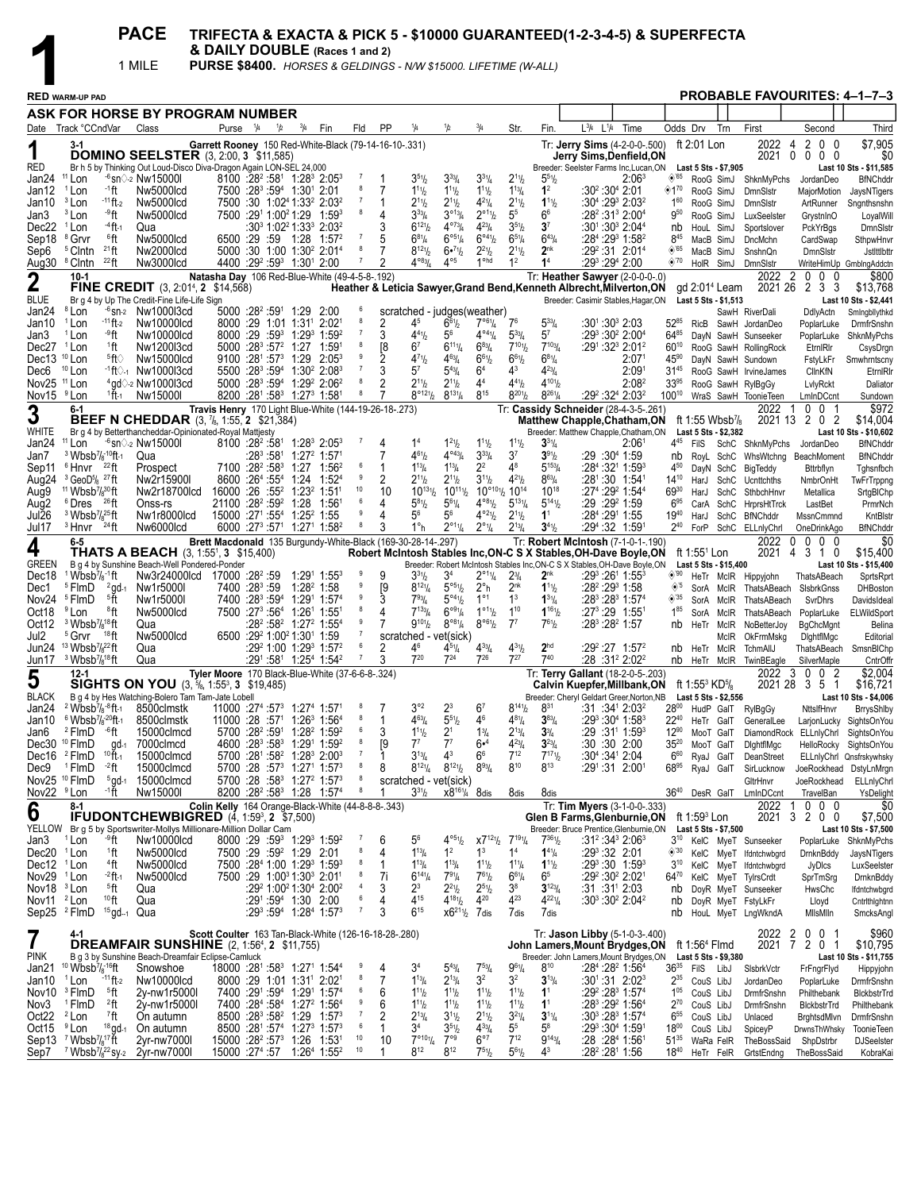**PACE** TRIFECTA & EXACTA & PICK 5 - \$10000 GUARANTEED(1-2-3-4-5) & SUPERFECTA<br>
& DAILY DOUBLE (Races 1 and 2)<br>
TROBABLE PURSE \$8400. *HORSES & GELDINGS - N/W \$15000. LIFETIME (W-ALL)*<br>
PROBABLE

|                                                  |                                                                                                                  |                                 | 1 MILE                                                                                                             | PURSE \$8400. HORSES & GELDINGS - N/W \$15000. LIFETIME (W-ALL) |                     |                                        |                                                                                        |                                                                                                                                          |                     |                     |                                                     |                                                                  |                                                              |                                                        |                                   |                                                                                                                                               |                                                                                     |                                      |                                                     |                        |                                               |                                    |                                                               |
|--------------------------------------------------|------------------------------------------------------------------------------------------------------------------|---------------------------------|--------------------------------------------------------------------------------------------------------------------|-----------------------------------------------------------------|---------------------|----------------------------------------|----------------------------------------------------------------------------------------|------------------------------------------------------------------------------------------------------------------------------------------|---------------------|---------------------|-----------------------------------------------------|------------------------------------------------------------------|--------------------------------------------------------------|--------------------------------------------------------|-----------------------------------|-----------------------------------------------------------------------------------------------------------------------------------------------|-------------------------------------------------------------------------------------|--------------------------------------|-----------------------------------------------------|------------------------|-----------------------------------------------|------------------------------------|---------------------------------------------------------------|
|                                                  | <b>RED WARM-UP PAD</b>                                                                                           |                                 |                                                                                                                    |                                                                 |                     |                                        |                                                                                        |                                                                                                                                          |                     |                     |                                                     |                                                                  |                                                              |                                                        |                                   |                                                                                                                                               |                                                                                     |                                      |                                                     |                        |                                               |                                    | <b>PROBABLE FAVOURITES: 4-1-7-3</b>                           |
|                                                  |                                                                                                                  |                                 | ASK FOR HORSE BY PROGRAM NUMBER                                                                                    |                                                                 |                     |                                        |                                                                                        |                                                                                                                                          |                     |                     |                                                     |                                                                  |                                                              |                                                        |                                   |                                                                                                                                               |                                                                                     |                                      |                                                     |                        |                                               |                                    |                                                               |
|                                                  | Date Track °CCndVar                                                                                              |                                 | Class                                                                                                              |                                                                 | Purse <sup>14</sup> | 1/2                                    | $^{3}/_{4}$                                                                            | Fin                                                                                                                                      | Fld                 | PP                  | 1/4                                                 | 1/2                                                              | 3/4                                                          | Str.                                                   | Fin.                              | $L^{3}/4$ $L^{1}/4$                                                                                                                           | Time                                                                                |                                      | Odds Drv                                            | Trn                    | First                                         | Second                             | Third                                                         |
| 1                                                | $3-1$                                                                                                            |                                 |                                                                                                                    | Garrett Rooney 150 Red-White-Black (79-14-16-10-.331)           |                     |                                        |                                                                                        |                                                                                                                                          |                     |                     |                                                     |                                                                  |                                                              |                                                        |                                   | Tr: Jerry Sims (4-2-0-0-.500)                                                                                                                 |                                                                                     |                                      | ft 2:01 Lon                                         |                        | 2022                                          | 4<br>2<br>$0\quad 0$               | \$7,905                                                       |
| RED                                              |                                                                                                                  |                                 | <b>DOMINO SEELSTER</b> (3, 2:00, 3 \$11,585)                                                                       |                                                                 |                     |                                        |                                                                                        |                                                                                                                                          |                     |                     |                                                     |                                                                  |                                                              |                                                        |                                   | Jerry Sims,Denfield,ON                                                                                                                        |                                                                                     |                                      |                                                     |                        | 2021                                          | $0\quad 0$<br>0 <sub>0</sub>       | \$0                                                           |
| Jan24                                            | <sup>11</sup> Lon                                                                                                |                                 | Br h 5 by Thinking Out Loud-Disco Diva-Dragon Again LON-SEL 24,000<br>$-6$ sn $\Diamond$ -2 Nw15000l               |                                                                 |                     |                                        |                                                                                        | $8100$ :28 <sup>2</sup> :58 <sup>1</sup> 1:28 <sup>3</sup> 2:05 <sup>3</sup>                                                             | -7                  |                     | $3^{51}$ / <sub>2</sub>                             | $3^{33}$ /4                                                      | $3^{31}/4$                                                   | $2^{11}/2$                                             | $5^{51}$ / <sub>2</sub>           | Breeder: Seelster Farms Inc, Lucan, ON                                                                                                        | $2:06^3$                                                                            | $\diamond$ '65                       | Last 5 Sts - \$7,905                                |                        | RooG SimJ ShknMyPchs                          | JordanDeo                          | Last 10 Sts - \$11,585<br><b>BfNChddr</b>                     |
| Jan12                                            | <sup>1</sup> Lon                                                                                                 | ∙1ft                            | Nw5000lcd                                                                                                          |                                                                 |                     |                                        | 7500 :28 <sup>3</sup> :59 <sup>4</sup> 1:30 <sup>1</sup> 2:01                          |                                                                                                                                          | 8                   | 7                   | $1^{11}h$                                           | $1^{11}h$                                                        | $1^{11}$ / <sub>2</sub>                                      | $1^{13}/4$                                             | 1 <sup>2</sup>                    | :30º :30ª 2:01                                                                                                                                |                                                                                     | ◈1"                                  | RooG SimJ                                           |                        | <b>DmnSIstr</b>                               | MajorMotion                        | JaysNTigers                                                   |
| Jan10<br>Jan3                                    | <sup>3</sup> Lon<br><sup>3</sup> Lon                                                                             | - <sup>11</sup> ft-2<br>-9 ft   | Nw5000lcd<br>Nw5000lcd                                                                                             |                                                                 |                     |                                        | 7500 :291 1:00 <sup>2</sup> 1:29                                                       | 7500 :30 1:02 <sup>4</sup> 1:33 <sup>2</sup> 2:03 <sup>2</sup><br>$1:59^{3}$                                                             | -7<br>8             | 4                   | $2^{11}h$<br>$3^{33}/4$                             | $2^{11}h$<br>$3^{\circ 13}/4$                                    | $4^{21}/4$<br>$2^{\circ 11}/2$                               | $2^{11}/2$<br>5 <sup>5</sup>                           | $1^{11}$<br>6 <sup>6</sup>        | $:30^{4}$ :29 <sup>3</sup> 2:03 <sup>2</sup><br>$:28^2:31^3$ 2:00 <sup>4</sup>                                                                |                                                                                     | $1^{60}$<br>$9^{50}$                 |                                                     | RooG SimJ<br>RooG SimJ | <b>DmnSlstr</b><br>LuxSeelster                | ArtRunner                          | Sngnthsnshn                                                   |
| Dec22                                            | <sup>1</sup> Lon                                                                                                 | $-4$ ft $-1$                    | Qua                                                                                                                |                                                                 |                     |                                        |                                                                                        | :30 <sup>3</sup> 1:02 <sup>2</sup> 1:33 <sup>3</sup> 2:03 <sup>2</sup>                                                                   |                     |                     | $6^{12}$ %                                          | $4^{073}$ /4                                                     | $4^{23}$ / <sub>4</sub>                                      | $3^{51}/2$                                             | 3 <sup>7</sup>                    |                                                                                                                                               | $:30^1:30^3$ 2:04 <sup>4</sup>                                                      | nb                                   | HouL SimJ                                           |                        | Sportslover                                   | GrystnInO<br>PckYrBgs              | LoyalWill<br><b>DmnSIstr</b>                                  |
| Sep18                                            | <sup>8</sup> Grvr                                                                                                | ®ft                             | Nw5000lcd                                                                                                          |                                                                 |                     |                                        |                                                                                        | 6500 :29 :59 1:28 1:57 <sup>2</sup>                                                                                                      | -7                  | 5                   | $6^{81}/4$                                          | $6^{\circ 5}$ <sup>1</sup> / <sub>4</sub>                        | $6^{\circ 4}$ <sup>1</sup> / <sub>2</sub>                    | $6^{51}/4$                                             | $6^{43}/4$                        |                                                                                                                                               | :28 <sup>4</sup> :29 <sup>3</sup> 1:58 <sup>2</sup>                                 | $8^{45}$                             |                                                     | MacB SimJ              | DncMchn                                       | CardSwap                           | SthpwHnvr                                                     |
| Sep6<br>Aug30                                    | <sup>5</sup> Clntn<br><sup>8</sup> Clntn                                                                         | $21$ ft<br>$^{22}$ ft           | Nw2000lcd<br>Nw3000lcd                                                                                             |                                                                 |                     |                                        | 4400 :29 <sup>2</sup> :59 <sup>3</sup> 1:30 <sup>1</sup> 2:00                          | 5000 :30 1:00 1:30 <sup>2</sup> 2:01 <sup>4</sup>                                                                                        | 8<br>7              | 7<br>$\overline{2}$ | $8^{121}/2$<br>$4^{083}$ / <sub>4</sub>             | 6.71/2<br>$4^{\circ 5}$                                          | $2^{21}/2$<br>$1^{\circ}$ hd                                 | $2^{11}/2$<br>1 <sup>2</sup>                           | 2 <sup>nk</sup><br>1 <sup>4</sup> | $:29^2:31$ 2:01 <sup>4</sup><br>:29ి :29ª 2:00                                                                                                |                                                                                     | $\diamond$ 65<br>$\diamond$ '70      |                                                     | MacB SimJ<br>HolR SimJ | SnshnQn<br>DmnSlstr                           | <b>DmnSlstr</b>                    | Jstlttlbttr<br>WriteHimUp GmbIngAddctn                        |
| $\mathbf 2$                                      | $10-1$                                                                                                           |                                 |                                                                                                                    | Natasha Day 106 Red-Blue-White (49-4-5-8-.192)                  |                     |                                        |                                                                                        |                                                                                                                                          |                     |                     |                                                     |                                                                  |                                                              |                                                        |                                   | Tr: Heather Sawyer (2-0-0-0-.0)                                                                                                               |                                                                                     |                                      |                                                     |                        | 2022                                          | 2<br>0<br>0<br>-0                  | \$800                                                         |
|                                                  |                                                                                                                  |                                 | FINE CREDIT (3, 2:01 <sup>4</sup> , 2 \$14,568)                                                                    |                                                                 |                     |                                        |                                                                                        |                                                                                                                                          |                     |                     |                                                     |                                                                  |                                                              |                                                        |                                   | Heather & Leticia Sawyer, Grand Bend, Kenneth Albrecht, Milverton, ON                                                                         |                                                                                     |                                      | gd $2:014$ Leam                                     |                        | 2021 26 2                                     | 33                                 | \$13,768                                                      |
| <b>BLUE</b><br>Jan24                             | <sup>8</sup> Lon                                                                                                 |                                 | Br g 4 by Up The Credit-Fine Life-Life Sign<br><sup>-6</sup> sn-2 Nw1000l3cd                                       |                                                                 |                     |                                        | $5000:28^2:59^1$ 1:29                                                                  | 2:00                                                                                                                                     |                     |                     | scratched - judges(weather)                         |                                                                  |                                                              |                                                        |                                   | Breeder: Casimir Stables, Hagar, ON                                                                                                           |                                                                                     |                                      | Last 5 Sts - \$1,513                                |                        | SawH RiverDali                                | DdlyActn                           | Last 10 Sts - \$2,441<br>Smingbllythkd                        |
| Jan10                                            | <sup>1</sup> Lon                                                                                                 | $-11$ ft-2                      | Nw10000lcd                                                                                                         |                                                                 |                     |                                        |                                                                                        | 8000 :29 1:01 1:31 2:02                                                                                                                  | 8                   | 2                   | 45                                                  | $6^{61}$ / <sub>2</sub>                                          | $7^{\circ 61}/4$                                             | 7 <sup>6</sup>                                         | $5^{33}$ /4                       | :301∶30ª 2:03                                                                                                                                 |                                                                                     | $52^{85}$                            |                                                     |                        | RicB SawH JordanDeo                           | PoplarLuke                         | DrmfrSnshn                                                    |
| Jan3<br>Dec27 <sup>1</sup> Lon                   | <sup>1</sup> Lon                                                                                                 | -9 ft<br><sup>1</sup> ft        | Nw10000lcd<br>Nw1200l3cd                                                                                           |                                                                 |                     |                                        | $5000$ :28 <sup>3</sup> :57 <sup>2</sup> 1:27                                          | $8000:29:59^3$ 1:29 <sup>3</sup> 1:59 <sup>2</sup><br>1:591                                                                              | 7<br>8              | 3<br>[8             | $4^{41}h$<br>6 <sup>7</sup>                         | $5^6$<br>$6^{111}/4$                                             | $4^{04}$ <sup>1</sup> / <sub>4</sub><br>$6^{83}/4$           | $5^{33}$ /4<br>$7^{101}$                               | 5 <sup>7</sup><br>$7^{103}$       | :29 <sup>3</sup> :30 <sup>2</sup> 2:00 <sup>4</sup>                                                                                           | :291 :32 <sup>3</sup> 2:01 <sup>2</sup>                                             | $64^{85}$<br>$60^{10}$               |                                                     |                        | DayN SawH Sunseeker<br>RooG SawH RollingRock  | PoplarLuke<br>EtrnIRIr             | ShknMyPchs<br>CsysDrgn                                        |
| Dec13                                            | $10$ Lon                                                                                                         | §ft⊘                            | Nw15000lcd                                                                                                         |                                                                 |                     |                                        | 9100 :281 :573 1:29                                                                    | $2:05^3$                                                                                                                                 |                     | 2                   | $4^{71}h$                                           | $4^{63}$ /4                                                      | $6^{61}/2$                                                   | $6^{61}/2$                                             | $6^{81}/4$                        |                                                                                                                                               | 2:07 <sup>1</sup>                                                                   | 45%                                  |                                                     |                        | DayN SawH Sundown                             | FstyLkFr                           | Smwhrntscny                                                   |
| Dec6                                             | <sup>10</sup> Lon                                                                                                |                                 | $-1$ ft $\diamond$ -1 Nw1000l3cd                                                                                   |                                                                 |                     |                                        |                                                                                        | 5500 :283 :594 1:30 <sup>2</sup> 2:083                                                                                                   | $\overline{7}$<br>8 | 3                   | $5^7$                                               | $5^{43}$ /4                                                      | 6 <sup>4</sup>                                               | $4^3$                                                  | $4^{23}$ /4                       |                                                                                                                                               | 2:09 <sup>1</sup>                                                                   | $31^{45}$                            |                                                     |                        | RooG SawH IrvineJames                         | ClinKfN                            | EtrnIRIr                                                      |
| Nov25 <sup>11</sup> Lon<br>Nov15                 | <sup>9</sup> Lon                                                                                                 | 1 ft -1                         | <sup>4</sup> ad $\Diamond$ -2 Nw1000l3cd<br>Nw15000I                                                               |                                                                 |                     |                                        |                                                                                        | $5000$ :28 <sup>3</sup> :59 <sup>4</sup> 1:29 <sup>2</sup> 2:06 <sup>2</sup><br>8200 :281 :583 1:273 1:581                               | 8                   | 2                   | $2^{11}h$<br>$8^{\circ 121}$                        | $2^{11}h$<br>$8^{131}/4$                                         | 4 <sup>4</sup><br>$8^{15}$                                   | $4^{41}/2$<br>$8^{201}/_2$                             | $4^{101}$<br>$8^{261}/4$          |                                                                                                                                               | $2:08^2$<br>:29 <sup>2</sup> :32 <sup>4</sup> 2:03 <sup>2</sup>                     | $33^{95}$<br>10010                   |                                                     |                        | RooG SawH RylBgGy<br>WraS SawH ToonieTeen     | LvlyRckt<br>LmInDCcnt              | Daliator<br>Sundown                                           |
| 3                                                | 6-1                                                                                                              |                                 |                                                                                                                    | Travis Henry 170 Light Blue-White (144-19-26-18-.273)           |                     |                                        |                                                                                        |                                                                                                                                          |                     |                     |                                                     |                                                                  |                                                              |                                                        |                                   | Tr: Cassidy Schneider (28-4-3-5-.261)                                                                                                         |                                                                                     |                                      |                                                     |                        | 2022                                          | 0<br>$\bf{0}$<br>-1                | \$972                                                         |
| WHITE                                            |                                                                                                                  |                                 | <b>BEEF N CHEDDAR</b> (3, 7/8, 1:55, 2 \$21,384)<br>Br q 4 by Betterthancheddar-Opinionated-Royal Mattiesty        |                                                                 |                     |                                        |                                                                                        |                                                                                                                                          |                     |                     |                                                     |                                                                  |                                                              |                                                        |                                   | <b>Matthew Chapple, Chatham, ON</b><br>Breeder: Matthew Chapple, Chatham, ON                                                                  |                                                                                     |                                      | ft 1:55 Wbsb $\frac{1}{8}$<br>Last 5 Sts - \$2,382  |                        |                                               | 2021 13 2 0 2                      | \$14,004<br>Last 10 Sts - \$10,602                            |
| Jan24                                            | <sup>11</sup> Lon                                                                                                |                                 | $-6$ sn $\Diamond$ -2 Nw15000I                                                                                     |                                                                 |                     | $8100 \cdot 28^{2} \cdot 58^{1}$       |                                                                                        | $1:28^3$ 2:05 <sup>3</sup>                                                                                                               | $\overline{7}$      | 4                   | 1 <sup>4</sup>                                      | $1^{21}h$                                                        | $1^{11}$ / <sub>2</sub>                                      | $11\frac{1}{2}$                                        | $3^{31}/4$                        |                                                                                                                                               | 2:06 <sup>1</sup>                                                                   | 4 <sup>45</sup>                      | FilS                                                |                        | SchC ShknMyPchs                               | JordanDeo                          | <b>BfNChddr</b>                                               |
| Jan7                                             | $3$ Wbsb <sup>7</sup> / <sub>8</sub> -10ft-1                                                                     |                                 | Qua                                                                                                                |                                                                 |                     |                                        |                                                                                        |                                                                                                                                          | 6                   | 7                   | $4^{61}/2$                                          | $4^{\circ_{43}}/4$                                               | $3^{33}/4$                                                   | 3 <sup>7</sup>                                         | 391/2                             | :29 :30ª 1:59                                                                                                                                 |                                                                                     | nb                                   |                                                     | RoyL SchC              | WhsWtchng                                     | BeachMoment                        | <b>BfNChddr</b>                                               |
| Sep11<br>Aug24                                   | <sup>6</sup> Hnvr<br>$3$ GeoD <sup>5</sup> / <sub>8</sub> $27$ ft                                                | $^{22}$ ft                      | Prospect<br>Nw2r15900I                                                                                             |                                                                 |                     | 8600 :264 :554                         |                                                                                        | 7100 :28 <sup>2</sup> :58 <sup>3</sup> 1:27 1:56 <sup>2</sup><br>1:24 1:524                                                              | 9                   | 1<br>2              | $1^{13}/4$<br>$2^{11}h$                             | $1^{13}$ / <sub>4</sub><br>$2^{11}h$                             | 2 <sup>2</sup><br>$3^{11}/2$                                 | $4^8$<br>$4^{21}/2$                                    | $5^{153}/4$<br>$8^{63}/4$         | $:284:3211:593$<br>:281:30 1:541                                                                                                              |                                                                                     | 4 <sup>50</sup><br>$14^{10}$         | HarJ                                                | DayN SchC<br>SchC      | BigTeddy<br>Ucnttchths                        | Bttrbflyn<br><b>NmbrOnHt</b>       | Tghsnfbch<br>TwFrTrppng                                       |
| Aug9                                             | <sup>11</sup> Wbsb <sup>7</sup> /s <sup>30</sup> ft                                                              |                                 | Nw2r18700lcd                                                                                                       |                                                                 |                     |                                        |                                                                                        | $16000:26:55^2$ 1:23 <sup>2</sup> 1:51 <sup>1</sup>                                                                                      | 10                  | 10                  | $10^{13}$ <sup>1</sup> / <sub>2</sub>               | $10^{11}$ <sup>1</sup> / <sub>2</sub>                            |                                                              | 10° <sup>101</sup> / <sub>2</sub> 10 <sup>14</sup>     | $10^{18}$                         | $:27^4:29^2$ 1:54 <sup>4</sup>                                                                                                                |                                                                                     | 6930                                 | HarJ                                                | SchC                   | SthbchHnvr                                    | Metallica                          | SrtgBIChp                                                     |
| Aug2<br>Jul26                                    | <sup>6</sup> Dres<br><sup>3</sup> Wbsb <sup>7</sup> / $s^{25}$ ft                                                | <sup>26</sup> ft                | Onss-rs<br>Nw1r8000lcd                                                                                             |                                                                 |                     |                                        | 21100 :28 <sup>2</sup> :59 <sup>2</sup> 1:28<br>15000 :271 :554 1:25 <sup>2</sup> 1:55 | 1:561                                                                                                                                    | 6<br>9              | 4<br>4              | $5^{81}h$<br>56                                     | $5^{61}/4$<br>56                                                 | $4^{\circ 8}$ <sup>1</sup> / <sub>2</sub><br>$4^{o_{21}}/2}$ | $5^{131}/4$<br>$2^{11}/2$                              | $5^{141}$<br>1 <sup>1</sup>       | $:29:29^2$ 1:59<br>:28 <sup>4</sup> :291 1:55                                                                                                 |                                                                                     | $6^{95}$<br>$19^{40}$                | CarA                                                | SchC                   | HrprsHtTrck<br><b>BfNChddr</b>                | LastBet                            | PrmrNch<br>KntBlstr                                           |
| Jul 17                                           | $3$ Hnvr $24$ ft                                                                                                 |                                 | Nw6000lcd                                                                                                          |                                                                 |                     |                                        |                                                                                        | 6000 :27 <sup>3</sup> :57 <sup>1</sup> 1:27 <sup>1</sup> 1:58 <sup>2</sup>                                                               | 8                   | 3                   | 1°h                                                 | $2^{\circ_1}$ 1/4                                                | $2^{\circ}$ <sup>1</sup> / <sub>4</sub>                      | $2^{13}$ / <sub>4</sub>                                | $3^{41}$ / <sub>2</sub>           | :294:32 1:591                                                                                                                                 |                                                                                     | $2^{40}$                             | HarJ<br>ForP                                        | SchC                   | SchC ELLnlyChrl                               | MssnCmmnd<br>OneDrinkAgo           | <b>BfNChddr</b>                                               |
| 4                                                | $6-5$                                                                                                            |                                 |                                                                                                                    | Brett Macdonald 135 Burgundy-White-Black (169-30-28-14-.297)    |                     |                                        |                                                                                        |                                                                                                                                          |                     |                     |                                                     |                                                                  |                                                              |                                                        |                                   | Tr: Robert McIntosh (7-1-0-1-.190)                                                                                                            |                                                                                     |                                      |                                                     |                        | 2022<br>2021                                  | 0<br>$0\quad 0$<br>0<br>4<br>310   | \$0<br>\$15,400                                               |
| <b>GREEN</b>                                     |                                                                                                                  |                                 | <b>THATS A BEACH</b> (3, 1:55 <sup>1</sup> , 3 \$15,400)<br>B g 4 by Sunshine Beach-Well Pondered-Ponder           |                                                                 |                     |                                        |                                                                                        |                                                                                                                                          |                     |                     |                                                     |                                                                  |                                                              |                                                        |                                   | Robert McIntosh Stables Inc, ON-C S X Stables, OH-Dave Boyle, ON<br>Breeder: Robert McIntosh Stables Inc, ON-C S X Stables, OH-Dave Boyle, ON |                                                                                     |                                      | ft 1:55 <sup>1</sup> Lon<br>Last 5 Sts - \$15,400   |                        |                                               |                                    | Last 10 Sts - \$15,400                                        |
| Dec18                                            | $1$ Wbsb <sup>7</sup> / $s$ <sup>-1</sup> ft                                                                     |                                 | Nw3r24000lcd 17000 :28 <sup>2</sup> :59                                                                            |                                                                 |                     |                                        |                                                                                        | 1:29 <sup>1</sup> 1:55 <sup>3</sup>                                                                                                      | -9<br>9             | 9                   | $3^{31}h$                                           | 34                                                               | $2^{\circ 11}/4$                                             | $2^{3}/_{4}$                                           | 2 <sup>nk</sup>                   |                                                                                                                                               | :29 <sup>3</sup> :26 <sup>1</sup> 1:55 <sup>3</sup>                                 | $\circledcirc$ '90                   |                                                     |                        | HeTr McIR Hippyjohn                           | ThatsABeach                        | SprtsRprt                                                     |
| Dec1<br>Nov24                                    | <sup>5</sup> FlmD<br><sup>5</sup> FlmD                                                                           | $^{2}$ gd-1<br>§ft              | Nw1r5000l<br>Nw1r5000I                                                                                             |                                                                 |                     | 7400 :28 :59                           |                                                                                        | $1:28^2$ 1:58<br>7400 :28 <sup>3</sup> :59 <sup>4</sup> 1:29 <sup>1</sup> 1:57 <sup>4</sup>                                              | 9                   | [9<br>3             | $8^{12}$ <sup>1</sup> / <sub>4</sub><br>$7^{93}$ /4 | $5^{\circ 5_{1}}/2$<br>$5^{\circ 4}$ <sup>1</sup> / <sub>2</sub> | $2^{\circ}$ h<br>$1^{\circ 1}$                               | $2^{nk}$<br>1 <sup>3</sup>                             | $1^{11}$<br>$1^{31}/4$            | :28º :29ª 1:58<br>:28 <sup>3</sup> :28 <sup>3</sup> 1:57 <sup>4</sup>                                                                         |                                                                                     | $\bullet$ <sup>5</sup><br>$\circ$ 35 |                                                     | SorA McIR<br>SorA McIR | ThatsABeach<br>ThatsABeach                    | <b>SIsbrkGnss</b><br>SvrDhrs       | <b>DHBoston</b><br>DavidsIdeal                                |
| Oct18                                            | <sup>9</sup> Lon                                                                                                 | ®ft                             | Nw5000lcd                                                                                                          |                                                                 |                     | 7500 :27 <sup>3</sup> :56 <sup>4</sup> |                                                                                        | 1:261 1:551                                                                                                                              | 8                   | 4                   | $7^{133}$ / <sub>4</sub>                            | $6^{\circ 91}/4$                                                 | 1°11/b                                                       | $1^{10}$                                               | $1^{161}$                         | $:27^3:29$ 1:551                                                                                                                              |                                                                                     | $1^{85}$                             | SorA                                                | McIR                   | ThatsABeach                                   | PoplarLuke                         | ELWildSport                                                   |
| Oct12                                            | $3$ Wbsb $\frac{7}{8}$ <sup>18</sup> ft<br><sup>5</sup> Grvr                                                     | $18$ ft                         | Qua<br>Nw5000lcd                                                                                                   |                                                                 |                     |                                        | 6500 :29 1:00 21:30 1:59                                                               | :28 <del>°</del> :58° 1:27° 1:55 <del>°</del>                                                                                            | 9<br>7              | 7                   | $9^{101}/2$                                         | $8^{\circ 8}$ <sup>1</sup> / <sub>4</sub>                        | 8°61/2                                                       | $7^7$                                                  | $7^{61}/2$                        | :28 <sup>3</sup> :28 <sup>2</sup> 1:57                                                                                                        |                                                                                     | nb                                   | HeTr McIR                                           |                        | NoBetterJoy                                   | <b>BgChcMgnt</b>                   | Belina                                                        |
| Jul2<br>Jun24                                    | $13$ Wbsb <sup>7</sup> / $s^{22}$ ft                                                                             |                                 | Qua                                                                                                                |                                                                 |                     |                                        |                                                                                        | $:29^2$ 1:00 1:29 <sup>3</sup> 1:57 <sup>2</sup>                                                                                         | 6                   | 2                   | scratched - vet(sick)<br>46                         | 451/4                                                            | $4^{33}l_4$                                                  | $4^{31}/2$                                             | 2 <sup>hd</sup>                   |                                                                                                                                               | $:29^2:27$ 1:57 <sup>2</sup>                                                        | nb                                   |                                                     | McIR<br>HeTr McIR      | OkFrmMskg<br>TchmAllJ                         | DightflMgc<br>ThatsABeach          | Editorial<br>SmsnBIChp                                        |
| Jun17                                            | $3$ Wbsb $\frac{7}{8}$ <sup>18</sup> ft                                                                          |                                 | Qua                                                                                                                |                                                                 |                     |                                        |                                                                                        | $:29^1:58^1$ 1:25 <sup>4</sup> 1:54 <sup>2</sup>                                                                                         | 7                   | 3                   | $7^{20}$                                            | $7^{24}$                                                         | 726                                                          | $7^{27}$                                               | 740                               |                                                                                                                                               | $:28:31^22:02^2$                                                                    |                                      | nb HeTr McIR                                        |                        | TwinBEagle                                    | SilverMaple                        | CntrOffr                                                      |
| 5                                                | $12 - 1$                                                                                                         |                                 | SIGHTS ON YOU (3, 5/8, 1:553, 3 \$19,485)                                                                          | Tyler Moore 170 Black-Blue-White (37-6-6-8-.324)                |                     |                                        |                                                                                        |                                                                                                                                          |                     |                     |                                                     |                                                                  |                                                              |                                                        |                                   | Tr: Terry Gallant (18-2-0-5-.203)<br><b>Calvin Kuepfer, Millbank, ON</b>                                                                      |                                                                                     |                                      | ft 1:55 <sup>3</sup> KD <sup>5</sup> / <sub>8</sub> |                        | 2022<br>- 3<br>2021 28                        | 0 <sub>2</sub><br>- 0<br>-3<br>5 1 | \$2,004<br>\$16,721                                           |
| <b>BLACK</b>                                     |                                                                                                                  |                                 | B q 4 by Hes Watching-Bolero Tam Tam-Jate Lobell                                                                   |                                                                 |                     |                                        |                                                                                        |                                                                                                                                          |                     |                     |                                                     |                                                                  |                                                              |                                                        |                                   | Breeder: Cheryl Geldart Greer, Norton, NB                                                                                                     |                                                                                     |                                      | Last 5 Sts - \$2,556                                |                        |                                               |                                    | Last 10 Sts - \$4,006                                         |
| Jan24<br>Jan10                                   | <sup>2</sup> Wbsb <sup>7</sup> / <sub>8</sub> <sup>-8</sup> ft-1<br>$6$ Wbsb <sup>7</sup> /s <sup>-20</sup> ft-1 |                                 | 8500clmstk<br>8500clmstk                                                                                           |                                                                 |                     |                                        |                                                                                        | 11000 :27 <sup>4</sup> :57 <sup>3</sup> 1:27 <sup>4</sup> 1:57 <sup>1</sup><br>$11000 : 28 : 571 1:263 1:564$                            | - 8<br>8            | 1                   | $3^{\circ 2}$<br>$4^{63}$ / <sub>4</sub>            | $2^3$<br>$5^{51}h$                                               | 6 <sup>7</sup><br>4 <sup>6</sup>                             | $8^{14}$ <sup>1</sup> b<br>$4^{81}/4$                  | $8^{31}$<br>$3^{83}/4$            |                                                                                                                                               | $:31:34^{\circ}2:03^{\circ}$<br>:29 <sup>3</sup> :30 <sup>4</sup> 1:58 <sup>3</sup> | $28^{00}$<br>$22^{40}$               |                                                     | HudP GalT              | RylBgGy                                       | NttslfHnvr                         | <b>BrrysShlby</b>                                             |
| Jan6                                             | <sup>2</sup> FlmD                                                                                                | -6ft                            | 15000clmcd                                                                                                         |                                                                 |                     |                                        |                                                                                        | 5700 :28 <sup>2</sup> :59 <sup>1</sup> 1:28 <sup>2</sup> 1:59 <sup>2</sup>                                                               |                     | 3                   | $1^{11}h$                                           | $2^1$                                                            | 1 <sup>3</sup> / <sub>4</sub>                                | $2^{13}/4$                                             | $3^{3}/_{4}$                      | :29 :31 1:59 3                                                                                                                                |                                                                                     | $12^{90}$                            |                                                     | MooT GalT              | HeTr GalT GeneralLee                          |                                    | LarjonLucky SightsOnYou<br>DiamondRock ELLnlyChrl SightsOnYou |
|                                                  | Dec30 <sup>10</sup> FlmD                                                                                         | $gd-1$                          | 7000clmcd                                                                                                          |                                                                 |                     |                                        |                                                                                        | 4600 :28 <sup>3</sup> :58 <sup>3</sup> 1:29 <sup>1</sup> 1:59 <sup>2</sup>                                                               | 8                   | [9                  | $7^7$                                               | $7^7$                                                            | 6• <sup>4</sup>                                              | $4^{23}l_4$                                            | $3^{23}/4$                        | $:30:30$ 2:00                                                                                                                                 |                                                                                     | $35^{20}$                            |                                                     | MooT GalT              | DightflMgc                                    |                                    | HelloRocky SightsOnYou                                        |
| Dec9                                             | Dec16 <sup>2</sup> FlmD<br><sup>1</sup> FlmD                                                                     | $10$ ft-1<br>-2 ft              | 15000clmcd<br>15000clmcd                                                                                           |                                                                 |                     |                                        |                                                                                        | 5700 :281 :58 <sup>2</sup> 1:28 <sup>3</sup> 2:00 <sup>3</sup><br>5700 :28 :57 <sup>3</sup> 1:27 <sup>1</sup> 1:57 <sup>3</sup>          | $\overline{7}$<br>8 | 8                   | $3^{13}/4$<br>$8^{12}\%$                            | $4^3$<br>$8^{12}$ <sup>1</sup> / <sub>2</sub>                    | 6 <sup>6</sup><br>$8^{93}/4$                                 | $7^{12}$<br>810                                        | $7^{171}$<br>$8^{13}$             | :30 <sup>4</sup> :34 <sup>1</sup> 2:04<br>:291:31 2:001                                                                                       |                                                                                     | $6^{60}$<br>$68^{95}$                | RyaJ GalT<br>RyaJ GalT                              |                        | DeanStreet<br>SirLucknow                      |                                    | ELLnlyChrl Qnsfrskywhsky<br>JoeRockhead DstyLnMrgn            |
|                                                  | Nov25 <sup>10</sup> FlmD                                                                                         |                                 | $5$ gd- $1$ 15000clmcd                                                                                             |                                                                 |                     |                                        |                                                                                        | 5700 :28 :58 <sup>3</sup> 1:27 <sup>2</sup> 1:57 <sup>3</sup>                                                                            | 8                   |                     | scratched - vet(sick)                               |                                                                  |                                                              |                                                        |                                   |                                                                                                                                               |                                                                                     |                                      |                                                     |                        | GltrHnvr                                      | JoeRockhead                        | ELLnlyChrl                                                    |
| Nov22 <sup>9</sup> Lon                           |                                                                                                                  | ·1ft                            | Nw15000I                                                                                                           |                                                                 |                     |                                        |                                                                                        | 8200 :28 <sup>2</sup> :58 <sup>3</sup> 1:28 1:57 <sup>4</sup>                                                                            | 8                   |                     | $3^{31}$ / <sub>2</sub>                             | $x8^{161}/4$ 8dis                                                |                                                              | 8dis                                                   | 8dis                              |                                                                                                                                               |                                                                                     | $36^{40}$                            |                                                     | DesR GalT              | LmInDCcnt                                     | TravelBan                          | YsDelight                                                     |
| 6                                                | 8-1                                                                                                              |                                 | <b>IFUDONTCHEWBIGRED</b> $(4, 1:59^3, 2 \times 7,500)$                                                             | Colin Kelly 164 Orange-Black-White (44-8-8-8-.343)              |                     |                                        |                                                                                        |                                                                                                                                          |                     |                     |                                                     |                                                                  |                                                              |                                                        |                                   | Tr: Tim Myers (3-1-0-0-.333)<br>Glen B Farms, Glenburnie, ON                                                                                  |                                                                                     |                                      | ft 1:59 $3$ Lon                                     |                        | 2022<br>2021                                  | $0\quad0\quad0$<br>3 2 0 0         | \$0<br>\$7,500                                                |
|                                                  |                                                                                                                  |                                 | YELLOW Br g 5 by Sportswriter-Mollys Millionare-Million Dollar Cam                                                 |                                                                 |                     |                                        |                                                                                        |                                                                                                                                          |                     |                     |                                                     |                                                                  |                                                              |                                                        |                                   | Breeder: Bruce Prentice, Glenburnie, ON                                                                                                       |                                                                                     |                                      | Last 5 Sts - \$7,500                                |                        |                                               |                                    | Last 10 Sts - \$7,500                                         |
| Jan3<br>Dec20 <sup>1</sup> Lon                   | <sup>1</sup> Lon                                                                                                 | -9ft<br>1ft                     | Nw10000lcd<br>Nw5000lcd                                                                                            |                                                                 |                     |                                        | 7500 :29 :59 <sup>2</sup> 1:29 2:01                                                    | 8000 :29 :59 1:29 1:59 2                                                                                                                 | 8                   | 6<br>4              | 56<br>$1^{13}$ / <sub>4</sub>                       | $4^{\circ_{51}}/2$<br>1 <sup>2</sup>                             | $X7^{12}$ <sup>12</sup><br>1 <sup>3</sup>                    | $7^{19}$ <sup>1</sup> / <sub>4</sub><br>1 <sup>4</sup> | $7^{361}h$<br>$1^{41}/4$          | $:31^2:34^3$ 2:06 <sup>3</sup><br>$:29^3:32$ 2:01                                                                                             |                                                                                     | $3^{10}$<br>$\diamond$ 30            |                                                     |                        | KelC MyeT Sunseeker<br>KelC MyeT Ifdntchwbgrd | PoplarLuke<br><b>DrnknBddy</b>     | ShknMyPchs<br>JaysNTigers                                     |
| Dec12 <sup>1</sup> Lon                           |                                                                                                                  | <sup>4</sup> ft                 | Nw5000lcd                                                                                                          |                                                                 |                     |                                        |                                                                                        | 7500 :284 1:00 1:293 1:593                                                                                                               | 8                   | 1                   | $1^{13}$ /4                                         | $1^{13}$ / <sub>4</sub>                                          | $1^{11}$ / <sub>2</sub>                                      | $1^{11}/4$                                             | $1^{11}$ / <sub>2</sub>           | $:29^3:30$ 1:59 <sup>3</sup>                                                                                                                  |                                                                                     | $3^{10}$                             |                                                     |                        | KelC MyeT Ifdntchwbgrd                        | JyDIcs                             | LuxSeelster                                                   |
| Nov29 <sup>1</sup> Lon<br>Nov18 <sup>3</sup> Lon |                                                                                                                  | $-2$ ft $-1$<br><sup>5</sup> ft | Nw5000lcd<br>Qua                                                                                                   |                                                                 |                     |                                        |                                                                                        | 7500 :29 1:00 <sup>3</sup> 1:30 <sup>3</sup> 2:01 <sup>1</sup><br>:29 <sup>2</sup> 1:00 <sup>2</sup> 1:30 <sup>4</sup> 2:00 <sup>2</sup> | 8<br>$\overline{4}$ | 7i<br>3             | $6^{14}$ <sup>1</sup> / <sub>4</sub><br>23          | $7^{91}/4$<br>$2^{21}h$                                          | $7^{61}/2$<br>$2^{51}/2$                                     | $6^{61}/4$<br>3 <sup>8</sup>                           | 6 <sup>5</sup><br>$3^{123}$ /4    | :292 :302 2:021<br>:31 :31 2:03                                                                                                               |                                                                                     | $64^{70}$                            |                                                     |                        | KelC MyeT TylrsCrdt                           | SprTmSrg<br>HwsChc                 | <b>DrnknBddy</b>                                              |
| Nov11 <sup>2</sup> Lon                           |                                                                                                                  | 10 <sub>ft</sub>                | Qua                                                                                                                |                                                                 |                     |                                        | $:29^1:59^4$ 1:30 2:00                                                                 |                                                                                                                                          | 6                   | 4                   | 415                                                 | $4^{181}/2$                                                      | $4^{20}$                                                     | $4^{23}$                                               | $4^{221}$ /4                      | :303 :302 2:042                                                                                                                               |                                                                                     | nb<br>nb                             |                                                     |                        | DoyR MyeT Sunseeker<br>DoyR MyeT FstyLkFr     | Lloyd                              | lfdntchwbgrd<br>Cntrithightnn                                 |
|                                                  | Sep25 <sup>2</sup> FlmD                                                                                          | $15$ ad-1 Qua                   |                                                                                                                    |                                                                 |                     |                                        |                                                                                        | $:29^3:59^4$ 1:28 <sup>4</sup> 1:57 <sup>3</sup>                                                                                         | $\overline{7}$      | 3                   | $6^{15}$                                            | $x6^{21}\frac{1}{2}$                                             | 7 <sub>dis</sub>                                             | 7dis                                                   | 7dis                              |                                                                                                                                               |                                                                                     |                                      |                                                     |                        | nb HouL MyeT LngWkndA                         | MilsMiln                           | SmcksAngl                                                     |
| 7                                                | 4-1                                                                                                              |                                 |                                                                                                                    | Scott Coulter 163 Tan-Black-White (126-16-18-28-.280)           |                     |                                        |                                                                                        |                                                                                                                                          |                     |                     |                                                     |                                                                  |                                                              |                                                        |                                   | Tr: Jason Libby (5-1-0-3-.400)                                                                                                                |                                                                                     |                                      |                                                     |                        | 2022                                          | 001<br>2                           | \$960                                                         |
| <b>PINK</b>                                      |                                                                                                                  |                                 | <b>DREAMFAIR SUNSHINE</b> (2, 1:56 <sup>4</sup> , 2 \$11,755)<br>B g 3 by Sunshine Beach-Dreamfair Eclipse-Camluck |                                                                 |                     |                                        |                                                                                        |                                                                                                                                          |                     |                     |                                                     |                                                                  |                                                              |                                                        |                                   | John Lamers, Mount Brydges, ON<br>Breeder: John Lamers, Mount Brydges, ON                                                                     |                                                                                     |                                      | ft 1:56 $4$ Flmd<br>Last 5 Sts - \$9,380            |                        | 2021                                          | 7<br>2 0 1                         | \$10,795<br>Last 10 Sts - \$11,755                            |
| Jan21                                            | $10$ Wbsb $\frac{7}{8}$ <sup>16</sup> ft                                                                         |                                 | Snowshoe                                                                                                           |                                                                 |                     |                                        |                                                                                        | 18000 :281 :58 <sup>3</sup> 1:271 1:544                                                                                                  |                     |                     | 34                                                  | $5^{43}$ /4                                                      | $7^{53}$ / <sub>4</sub>                                      | $9^{61}/4$                                             | $8^{10}$                          |                                                                                                                                               | :28 <sup>4</sup> :28 <sup>2</sup> 1:56 <sup>4</sup>                                 |                                      | 36 <sup>35</sup> FilS LibJ                          |                        | SisbrkVctr                                    | FrFngrFlyd                         | Hippyjohn                                                     |
| Jan10                                            | <sup>1</sup> Lon                                                                                                 | $-11$ ft.2                      | Nw10000lcd                                                                                                         |                                                                 |                     |                                        |                                                                                        | 8000 :29 1:01 1:31 2:02                                                                                                                  | 8<br>6              | 7                   | $1^{13}/4$                                          | $2^{13}$ / <sub>4</sub>                                          | 3 <sup>2</sup>                                               | 3 <sup>2</sup>                                         | $3^{13}/4$                        | $:30^{1}:31$ 2:02 <sup>3</sup>                                                                                                                |                                                                                     | $2^{35}$                             | CouS LibJ                                           |                        | JordanDeo                                     | PoplarLuke                         | DrmfrSnshn                                                    |
| Nov3                                             | Nov10 <sup>3</sup> FlmD<br><sup>1</sup> FlmD                                                                     | <sup>5</sup> ft<br>$2$ ft       | 2y-nw1r5000l<br>2y-nw1r5000l                                                                                       |                                                                 |                     |                                        |                                                                                        | 7400 :291 :594 1:291 1:574<br>7400 :284 :584 1:27 <sup>2</sup> 1:564                                                                     | 9                   | 6<br>6              | $1^{11}h$<br>$1^{11}h$                              | $1^{11}h$<br>$1^{11}h$                                           | $1^{11}$<br>$1^{11}$ / <sub>2</sub>                          | $1^{11}$<br>$1^{11}$ / <sub>2</sub>                    | 1 <sup>1</sup><br>1 <sup>1</sup>  | :29 <sup>2</sup> :28 <sup>3</sup> 1:57 <sup>4</sup><br>$:28^3:29^2$ 1:56 <sup>4</sup>                                                         |                                                                                     | $1^{05}$<br>$2^{70}$                 | CouS LibJ<br>CouS LibJ                              |                        | DrmfrSnshn<br>DrmfrSnshn                      | Philthebank<br>BlckbstrTrd         | BlckbstrTrd<br>Philthebank                                    |
| Oct <sub>22</sub>                                | <sup>2</sup> Lon                                                                                                 | 7ft                             | On autumn                                                                                                          |                                                                 |                     |                                        |                                                                                        | 8500 :283 :58 <sup>2</sup> 1:29 1:573                                                                                                    | 7                   | 2                   | $2^{13}/4$                                          | $3^{11}h$                                                        | $2^{11}/2$                                                   | $3^{21}/4$                                             | $3^{11}/4$                        | :303 :283 1:574                                                                                                                               |                                                                                     | $6^{55}$                             | CouS LibJ                                           |                        | Unlaced                                       | BrghtsdMlvn                        | DrmfrSnshn                                                    |
| Oct15                                            | <sup>9</sup> Lon<br>Sep13 $^7$ Wbsb $\frac{7}{6}$ <sup>17</sup> ft                                               | $18$ gd-1                       | On autumn<br>2yr-nw7000l                                                                                           |                                                                 |                     |                                        |                                                                                        | 8500 :281 :574 1:273 1:573<br>15000 :28 <sup>2</sup> :57 <sup>3</sup> 1:26 1:53 <sup>1</sup>                                             | 6<br>10             | 1<br>10             | 34<br>7°101h                                        | $3^{51}h$<br>$7^{\circ 9}$                                       | $4^{33}/4$<br>$6^{\circ}$                                    | 5 <sup>5</sup><br>$7^{12}$                             | $5^8$<br>$9^{143}$ / <sub>4</sub> | :29 <sup>3</sup> :30 <sup>4</sup> 1:59 <sup>1</sup><br>:28:28 <sup>4</sup> 1:56 <sup>1</sup>                                                  |                                                                                     | $18^{00}$                            | CouS LibJ<br>51 <sup>35</sup> WaRa FelR             |                        | SpiceyP<br>TheBossSaid                        | DrwnsThWhsky<br>ShpDstrbr          | <b>ToonieTeen</b><br><b>DJSeelster</b>                        |
| Sep7                                             |                                                                                                                  |                                 | <sup>7</sup> Wbsb <sup>7</sup> / <sub>8</sub> <sup>22</sup> sy <sub>2</sub> 2yr-nw70001                            |                                                                 |                     |                                        |                                                                                        | 15000 :27 <sup>4</sup> :57  1:26 <sup>4</sup> 1:55 <sup>2</sup>                                                                          | 10                  | 1                   | $8^{12}$                                            | $8^{12}$                                                         | $7^{51}$                                                     | $5^{61}/2$                                             | $4^3$                             | :28 <sup>2</sup> :28 <sup>1</sup> 1:56                                                                                                        |                                                                                     |                                      | 18 <sup>40</sup> HeTr FelR                          |                        | GrtstEndng                                    | TheBossSaid                        | KobraKai                                                      |

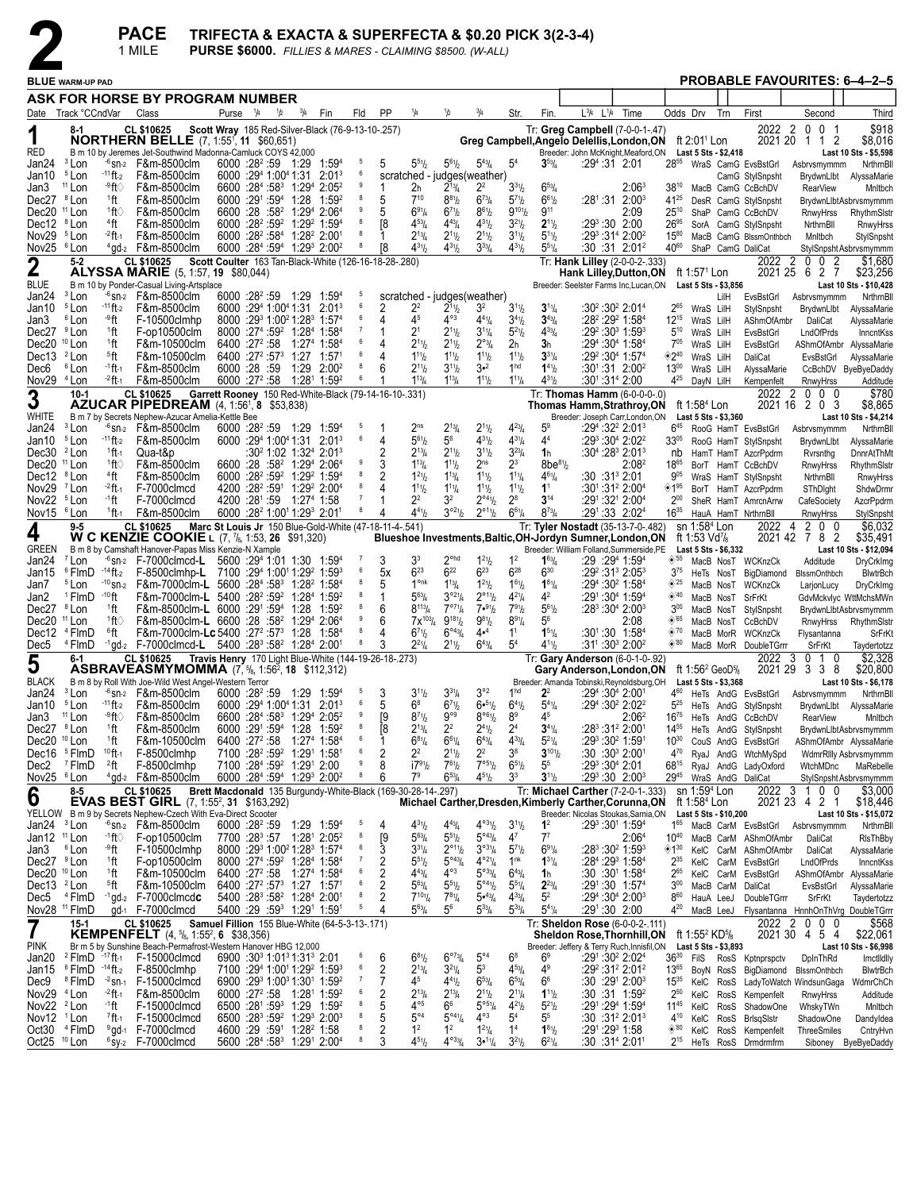

|                                                   |                                              |                           | <b>PACE</b><br>1 MILE                                                                                                                                                              |                                                                |               |             |                                                                                                                                              |        |                                                              |                                                    |                                                         | PURSE \$6000. FILLIES & MARES - CLAIMING \$8500. (W-ALL)   |                                                       |                            | TRIFECTA & EXACTA & SUPERFECTA & \$0.20 PICK 3(2-3-4) |                                                                                                        |                                  |                                                   |                        |                                              |    |                               |                                                |
|---------------------------------------------------|----------------------------------------------|---------------------------|------------------------------------------------------------------------------------------------------------------------------------------------------------------------------------|----------------------------------------------------------------|---------------|-------------|----------------------------------------------------------------------------------------------------------------------------------------------|--------|--------------------------------------------------------------|----------------------------------------------------|---------------------------------------------------------|------------------------------------------------------------|-------------------------------------------------------|----------------------------|-------------------------------------------------------|--------------------------------------------------------------------------------------------------------|----------------------------------|---------------------------------------------------|------------------------|----------------------------------------------|----|-------------------------------|------------------------------------------------|
|                                                   | <b>BLUE WARM-UP PAD</b>                      |                           |                                                                                                                                                                                    |                                                                |               |             |                                                                                                                                              |        |                                                              |                                                    |                                                         |                                                            |                                                       |                            |                                                       |                                                                                                        |                                  |                                                   |                        |                                              |    |                               | PROBABLE FAVOURITES: 6-4-2-5                   |
|                                                   |                                              |                           | ASK FOR HORSE BY PROGRAM NUMBER                                                                                                                                                    |                                                                |               |             |                                                                                                                                              |        |                                                              |                                                    |                                                         |                                                            |                                                       |                            |                                                       |                                                                                                        |                                  |                                                   |                        |                                              |    |                               |                                                |
|                                                   | Date Track °CCndVar                          |                           | Class                                                                                                                                                                              | Purse 1/4                                                      | $\frac{1}{2}$ | $^{3}/_{4}$ | Fin                                                                                                                                          | Fld    | PP                                                           | 1/4                                                | 1/2                                                     | 3/4                                                        | Str.                                                  | Fin.                       | $L^{3}/4$ $L^{1}/4$                                   | Time                                                                                                   |                                  | Odds Drv                                          | Trn                    | First                                        |    | Second                        | Third                                          |
| 1                                                 | 8-1                                          |                           | CL \$10625<br><b>NORTHERN BELLE</b> (7, 1:55 <sup>1</sup> , 11 \$60,651)                                                                                                           |                                                                |               |             |                                                                                                                                              |        | Scott Wray 185 Red-Silver-Black (76-9-13-10-.257)            |                                                    |                                                         |                                                            |                                                       |                            |                                                       | Tr: Greg Campbell (7-0-0-1-.47)<br>Greg Campbell, Angelo Delellis, London, ON ft 2:01 <sup>1</sup> Lon |                                  |                                                   |                        |                                              |    | 2022 2 0 0 1<br>2021 20 1 1 2 | \$918<br>\$8,016                               |
| RED                                               | <sup>3</sup> Lon                             |                           | B m 10 by Jeremes Jet-Southwind Madonna-Camluck COYS 42,000<br>$-6$ sn-2 F&m-8500clm                                                                                               |                                                                |               |             | 6000 :28 <sup>2</sup> :59 1:29 1:59 <sup>4</sup>                                                                                             | 5      | 5                                                            | $5^{51}h$                                          | $5^{61}h$                                               | $5^{43}$ / <sub>4</sub>                                    | 5 <sup>4</sup>                                        | $3^{53}/4$                 |                                                       | Breeder: John McKnight, Meaford, ON<br>$:29^4:31$ 2:01                                                 | 2855                             | Last 5 Sts - \$2,418                              |                        |                                              |    |                               | Last 10 Sts - \$5,598                          |
| Jan24<br>Jan10                                    | <sup>5</sup> Lon                             | $-11$ ft-2                | F&m-8500clm                                                                                                                                                                        | 6000 :294 1:004 1:31                                           |               |             | $2:01^3$                                                                                                                                     | 6      |                                                              |                                                    |                                                         | scratched - judges(weather)                                |                                                       |                            |                                                       |                                                                                                        |                                  |                                                   |                        | WraS CamG EvsBstGrl<br>CamG StylSnpsht       |    | Asbrvsmymmm<br>BrydwnLlbt     | NrthrnBll<br>AlyssaMarie                       |
| Jan3<br>Dec27 <sup>8</sup> Lon                    | $11$ Lon                                     | ⊸ft⊙                      | F&m-8500clm<br>F&m-8500clm                                                                                                                                                         | 6000 :291 :594 1:28                                            |               |             | 6600 :284 :583 1:294 2:052                                                                                                                   | 9      | 1<br>5                                                       | 2 <sub>h</sub><br>$7^{10}$                         | $2^{13}$ /4<br>$8^{81}$ / <sub>2</sub>                  | $2^2$<br>$6^{73}/4$                                        | $3^{31}$ /2<br>$5^{7}$ <sup>1</sup> / <sub>2</sub>    | $6^{53}$ /4<br>$6^{61}/2$  |                                                       | $2:06^3$<br>:28 <sup>1</sup> :31  2:00 <sup>3</sup>                                                    | $38^{10}$<br>$41^{25}$           |                                                   |                        | MacB CamG CcBchDV                            |    | <b>RearView</b>               | Mnltbch                                        |
| Dec20 <sup>11</sup> Lon                           |                                              | 1ft<br>1ft∖               | F&m-8500clm                                                                                                                                                                        |                                                                |               |             | 1:59 <sup>2</sup><br>6600 :28 :58 <sup>2</sup> 1:29 <sup>4</sup> 2:06 <sup>4</sup>                                                           | 9      | 5                                                            | 691/4                                              | $6^{71}h$                                               | $8^{61}/2$                                                 | $9^{10}$ <sup>1</sup>                                 | $9^{11}$                   |                                                       | 2:09                                                                                                   | $25^{10}$                        |                                                   |                        | DesR CamG StylSnpsht<br>ShaP CamG CcBchDV    |    | RnwyHrss                      | BrydwnLlbtAsbrvsmymmm<br>RhythmSlstr           |
| Dec12 <sup>8</sup> Lon                            |                                              | 4ft                       | F&m-8500clm                                                                                                                                                                        |                                                                |               |             | 6000 :28 <sup>2</sup> :59 <sup>2</sup> 1:29 <sup>2</sup> 1:59 <sup>4</sup>                                                                   | 8      | [8                                                           | $4^{53}$ / <sub>4</sub>                            | $4^{43}$ /4                                             | $4^{31}/2$                                                 | $3^{21}/2$                                            | $2^{11}/2$                 |                                                       | $:29^3:30$ 2:00                                                                                        | $26^{95}$                        |                                                   |                        | SorA CamG StylSnpsht                         |    | NrthrnBll                     | RnwyHrss                                       |
| Nov29 <sup>5</sup> Lon<br>Nov25 <sup>6</sup> Lon  |                                              | $-2$ ft-1                 | F&m-8500clm<br>$4$ gd- $2$ F&m-8500clm                                                                                                                                             |                                                                |               |             | 6000 :28 <sup>2</sup> :58 <sup>4</sup> 1:28 <sup>2</sup> 2:00 <sup>1</sup><br>6000 :284 :594 1:293 2:002                                     | 8      | 18                                                           | $2^{13}/4$<br>$4^{31}h$                            | $2^{11}h$<br>$4^{31}h$                                  | $2^{11}/2$<br>$3^{33}$ /4                                  | $3^{11}/2$<br>$4^{31}/2$                              | $5^{11}/2$<br>$5^{51}/4$   |                                                       | :29 <sup>3</sup> :31 <sup>4</sup> 2:00 <sup>2</sup><br>:30 :31 2:01 <sup>2</sup>                       | $15^{80}$<br>4060                |                                                   |                        | MacB CamG BlssmOnthbch<br>ShaP CamG DaliCat  |    | Mnltbch                       | StylSnpsht<br>StylSnpsht Asbrvsmymmm           |
| $\mathbf 2$                                       | $5 - 2$                                      |                           | CL \$10625                                                                                                                                                                         |                                                                |               |             |                                                                                                                                              |        | Scott Coulter 163 Tan-Black-White (126-16-18-28-.280)        |                                                    |                                                         |                                                            |                                                       |                            |                                                       | Tr: Hank Lilley (2-0-0-2-.333)                                                                         |                                  |                                                   |                        | 2022                                         | 20 | 0<br>2                        | \$1,680                                        |
| <b>BLUE</b>                                       |                                              |                           | <b>ALYSSA MARIE</b> (5, 1:57, <b>19</b> \$80,044)<br>B m 10 by Ponder-Casual Living-Artsplace                                                                                      |                                                                |               |             |                                                                                                                                              |        |                                                              |                                                    |                                                         |                                                            |                                                       |                            |                                                       | Hank Lilley, Dutton, ON<br>Breeder: Seelster Farms Inc, Lucan, ON                                      |                                  | ft 1:57 <sup>1</sup> Lon<br>Last 5 Sts - \$3,856  |                        | 2021 25 6                                    |    | 2 <sub>7</sub>                | \$23,256<br>Last 10 Sts - \$10,428             |
| Jan24                                             | <sup>3</sup> Lon                             |                           | $\frac{1}{6}$ sn <sub>2</sub> F&m-8500clm                                                                                                                                          |                                                                |               |             | 6000 :28 <sup>2</sup> :59 1:29 1:59 <sup>4</sup>                                                                                             | 6      |                                                              |                                                    |                                                         | scratched - judges(weather)<br>3 <sup>2</sup>              |                                                       |                            |                                                       |                                                                                                        | 265                              |                                                   | LilH                   | EvsBstGrl                                    |    | Asbrvsmymmm                   | NrthrnBll                                      |
| Jan10<br>Jan3                                     | <sup>5</sup> Lon<br><sup>6</sup> Lon         | $-11$ ft-2<br>-9 ft       | F&m-8500clm<br>F-10500clmhp                                                                                                                                                        |                                                                |               |             | $6000 : 294 1:004 1:31 2:013$<br>8000 :29 1:00 21:28 1:57 4                                                                                  | 6      | 2<br>4                                                       | 22<br>45                                           | $2^{11}h$<br>$4^{\circ 3}$                              | $4^{41}/4$                                                 | $3^{11}/2$<br>$3^{4}$ <sup>1</sup> / <sub>2</sub>     | $3^{11}/4$<br>$3^{43}/4$   |                                                       | :30²:30² 2:01ª<br>:28º :29º 1:58ª                                                                      |                                  | WraS LilH<br>12 <sup>15</sup> WraS LilH           |                        | StylSnpsht<br>AShmOfAmbr                     |    | BrydwnLlbt<br>DaliCat         | AlyssaMarie<br>AlyssaMarie                     |
| Dec27 <sup>9</sup> Lon                            |                                              | <sup>1</sup> ft           | F-op10500clm                                                                                                                                                                       |                                                                |               |             | 8000 :274 :59 <sup>2</sup> 1:284 1:584                                                                                                       | 6      |                                                              | 2 <sup>1</sup>                                     | $2^{11}h$                                               | $3^{11}/4$                                                 | $5^{21}/2$                                            | $4^{33}$ / <sub>4</sub>    |                                                       | :29 <sup>2</sup> :30 <sup>3</sup> 1:59 <sup>3</sup>                                                    | $5^{10}$                         | WraS LilH                                         |                        | EvsBstGrl                                    |    | LndOfPrds                     | InncntKss                                      |
| Dec20 <sup>10</sup> Lon<br>Dec13 <sup>2</sup> Lon |                                              | $1$ ft<br>§ft             | F&m-10500clm<br>F&m-10500clm                                                                                                                                                       | 6400 :27 <sup>2</sup> :58                                      |               |             | 1:274 1:584<br>$6400 :27^2 :57^3$ 1:27 1:57 <sup>1</sup>                                                                                     | 6      | 4                                                            | $2^{11}h$<br>$1^{11}h$                             | $2^{11}h$<br>$1^{11}h$                                  | $2^{o_{3}}/4$<br>$1^{11}$                                  | 2 <sub>h</sub><br>$1^{11}$                            | 3h<br>$3^{31}/4$           |                                                       | :294:304 1:584<br>$:29^2:30^4$ 1:57 <sup>4</sup>                                                       | $7^{05}$<br>◈2ª                  | WraS LilH<br>WraS LilH                            |                        | EvsBstGrl<br>DaliCat                         |    | EvsBstGrl                     | AShmOfAmbr AlyssaMarie<br>AlyssaMarie          |
| Dec6                                              | <sup>6</sup> Lon                             | $-1$ ft $-1$              | F&m-8500clm                                                                                                                                                                        | 6000 :28 :59                                                   |               |             | $1:29$ $2:00^2$                                                                                                                              | 8      |                                                              | $2^{11}h$                                          | $3^{11}h$                                               | 3• <sup>2</sup>                                            | 1 <sup>hd</sup>                                       | $1^{41}$                   |                                                       | $:30^{1}:31$ 2:00 <sup>2</sup>                                                                         | $13^{00}$                        | WraS LilH                                         |                        | AlyssaMarie                                  |    |                               | CcBchDV ByeByeDaddy                            |
| Nov29 <sup>4</sup> Lon                            | $10-1$                                       | $-2$ ft $-1$              | F&m-8500clm<br>CL \$10625                                                                                                                                                          |                                                                |               |             | 6000 :27 <sup>2</sup> :58 1:28 <sup>1</sup> 1:59 <sup>2</sup>                                                                                | 6      |                                                              | $1^{13}/4$                                         | $1^{13}$ / <sub>4</sub>                                 | $1^{11}$                                                   | $1^{11}/4$                                            | $4^{31}$ /2                |                                                       | :301:31ª 2:00<br>Tr: Thomas Hamm (6-0-0-0-.0)                                                          | $4^{25}$                         | DayN LilH                                         |                        | Kempenfelt                                   |    | RnwyHrss<br>2022 2 0 0 0      | Additude<br>\$780                              |
| 3                                                 |                                              |                           | AZUCAR PIPEDREAM (4, 1:561, 8 \$53,838)                                                                                                                                            |                                                                |               |             |                                                                                                                                              |        | Garrett Rooney 150 Red-White-Black (79-14-16-10-.331)        |                                                    |                                                         |                                                            |                                                       |                            |                                                       | <b>Thomas Hamm, Strathroy, ON</b>                                                                      |                                  | ft 1:58 <sup>4</sup> Lon                          |                        |                                              |    | 2021 16 2 0 3                 | \$8,865                                        |
| WHITE<br>Jan24                                    | <sup>3</sup> Lon                             |                           | B m 7 by Secrets Nephew-Azucar Amelia-Kettle Bee<br>$56$ sn-2 F&m-8500clm                                                                                                          |                                                                |               |             | 6000 :28 <sup>2</sup> :59 1:29 1:59 <sup>4</sup>                                                                                             | 5      |                                                              | 2 <sup>ns</sup>                                    | $2^{13}$ /4                                             | $2^{11}/2$                                                 | $4^{23}$ /4                                           | 5 <sup>9</sup>             |                                                       | Breeder: Joseph Carr, London, ON<br>:29 <sup>4</sup> :32 <sup>2</sup> 2:01 <sup>3</sup>                | $6^{45}$                         | Last 5 Sts - \$3,360                              |                        |                                              |    | Asbrvsmymmm                   | Last 10 Sts - \$4,214<br>NrthrnBl              |
| Jan10 <sup>5</sup> Lon                            |                                              | $-11$ ft-2                | F&m-8500clm                                                                                                                                                                        |                                                                |               |             | $6000 : 294 1:004 1:31 2:013$                                                                                                                | 6      | 4                                                            | $5^{61}$                                           | $5^6$                                                   | $4^{31}/2$                                                 | $4^{31}/4$                                            | 4 <sup>4</sup>             |                                                       | $:29^3:30^4$ 2:02 <sup>2</sup>                                                                         | $33^{05}$                        |                                                   |                        | RooG HamT EvsBstGrl<br>RooG HamT StylSnpsht  |    | BrydwnLlbt                    | AlyssaMarie                                    |
| Dec30 <sup>2</sup> Lon                            |                                              | $1$ ft-1                  | Qua-t&p                                                                                                                                                                            |                                                                |               |             | $:30^2$ 1:02 1:32 <sup>4</sup> 2:01 <sup>3</sup>                                                                                             | 9      | 2                                                            | $2^{13}$ /4                                        | $2^{11}h$                                               | $3^{11}/2$                                                 | $3^{23}$ /4                                           | 1 <sub>h</sub>             |                                                       | :304 :283 2:013                                                                                        | nb                               |                                                   |                        | HamT HamT AzcrPpdrm                          |    | Rvrsnthg                      | <b>DnnrAtThMt</b>                              |
| Dec20 <sup>11</sup> Lon<br>Dec12 <sup>8</sup> Lon |                                              | ±tt⊘<br><sup>4</sup> ft   | F&m-8500clm<br>F&m-8500clm                                                                                                                                                         |                                                                |               |             | 6600 :28 :58 <sup>2</sup> 1:29 <sup>4</sup> 2:06 <sup>4</sup><br>6000 :28 <sup>2</sup> :59 <sup>2</sup> 1:29 <sup>2</sup> 1:59 <sup>4</sup>  |        | 3                                                            | $1^{13}$ / <sub>4</sub><br>$1^{21}h$               | $1^{11}h$<br>$1^{13}$ /4                                | 2 <sup>ns</sup><br>$1^{11}$ / <sub>2</sub>                 | $2^3$<br>$1^{11}/4$                                   | $8be^{81}/2$<br>$4^{61}/4$ |                                                       | 2:08ª<br>:30 :31 <sup>3</sup> 2:01                                                                     | 1865<br>$9^{05}$                 |                                                   |                        | BorT HamT CcBchDV<br>WraS HamT StylSnpsht    |    | RnwyHrss<br>NrthrnBll         | RhythmSIstr<br>RnwyHrss                        |
| Nov29 <sup>7</sup> Lon                            |                                              | $-2$ ft $_1$              | F-7000clmcd                                                                                                                                                                        |                                                                |               |             | 4200 :28 <sup>2</sup> :59 <sup>1</sup> 1:29 <sup>2</sup> 2:00 <sup>4</sup>                                                                   | 8      | 4                                                            | $1^{11}b$                                          | $1^{11}/4$                                              | $1^{11}$                                                   | $1^{11}$                                              | 1 <sup>1</sup>             |                                                       | :301:312 2:004                                                                                         | ◈1"                              |                                                   |                        | BorT HamT AzcrPpdrm                          |    | SThDight                      | ShdwDrmr                                       |
| Nov22 <sup>5</sup> Lon                            |                                              | ∙1ft                      | F-7000clmcd                                                                                                                                                                        | 4200 :281 :59 1:274 1:58                                       |               |             |                                                                                                                                              | 8      |                                                              | $2^2$                                              | 3 <sup>2</sup>                                          | $2^{\circ 4}$ <sup>1</sup> / <sub>2</sub>                  | $2^8$                                                 | $3^{14}$                   |                                                       | $:29^1:32^1 2:00^4$                                                                                    | $2^{00}$                         |                                                   |                        | SheR HamT AmrcnArrw                          |    | CafeSociety                   | AzcrPpdrm                                      |
| Nov15 <sup>6</sup> Lon                            | $9 - 5$                                      | 1 ft -1                   | F&m-8500clm<br><b>CL \$10625</b>                                                                                                                                                   |                                                                |               |             | 6000 :28 <sup>2</sup> 1:00 <sup>1</sup> 1:29 <sup>3</sup> 2:01 <sup>1</sup>                                                                  |        | 4<br>Marc St Louis Jr 150 Blue-Gold-White (47-18-11-4-.541)  | $4^{41}b$                                          | $3^{921}/2$                                             | $2^{\circ 11}/2$                                           | $6^{61}/4$                                            | $8^{73} / _4$              |                                                       | :291:33 2:024<br>Tr: Tyler Nostadt (35-13-7-0-.482)                                                    | $16^{35}$                        | sn $1:584$ Lon                                    |                        | HauA HamT NrthrnBll<br>2022 4                |    | RnwyHrss<br>200               | StylSnpsht<br>\$6,032                          |
| 4                                                 |                                              |                           | <b>W C KENZIE COOKIE L (7, 7/8, 1:53, 26 \$91,320)</b>                                                                                                                             |                                                                |               |             |                                                                                                                                              |        |                                                              |                                                    |                                                         |                                                            |                                                       |                            |                                                       | Blueshoe Investments, Baltic, OH-Jordyn Sumner, London, ON                                             |                                  | ft 1:53 Vd <sup>7</sup> / <sub>8</sub>            |                        |                                              |    | 2021 42 7 8 2                 | \$35,491                                       |
| <b>GREEN</b><br>Jan24                             | <sup>7</sup> Lon                             |                           | B m 8 by Camshaft Hanover-Papas Miss Kenzie-N Xample<br>$-6$ sn-2 F-7000clmcd-L 5600 :294 1:01 1:30 1:594                                                                          |                                                                |               |             |                                                                                                                                              |        | 3                                                            | 33                                                 | $2^{\circ}$ hd                                          | $1^{21}/2$                                                 |                                                       | $1^{63}$ /4                |                                                       | Breeder: William Folland, Summerside, PE<br>:29 :29 <sup>4</sup> 1:59 <sup>4</sup>                     | $\otimes$ 55                     | Last 5 Sts - \$6,332                              |                        | MacB NosT WCKnzCk                            |    | Additude                      | Last 10 Sts - \$12,094<br>DryCrkImg            |
| Jan15                                             | $6$ FlmD $-14$ ft-2                          |                           | F-8500clmhp-L 7100 :294 1:0011:292 1:593                                                                                                                                           |                                                                |               |             |                                                                                                                                              | 6      | 5х                                                           | $6^{23}$                                           | $6^{22}$                                                | $6^{23}$                                                   | $6^{28}$                                              | $6^{30}$                   |                                                       | :29 <sup>2</sup> :31 <sup>3</sup> 2:05 <sup>3</sup>                                                    | $3^{75}$                         |                                                   | HeTs NosT              | BigDiamond                                   |    | <b>BlssmOnthbch</b>           | <b>BlwtrBch</b>                                |
| Jan7                                              | <sup>5</sup> Lon<br><sup>1</sup> FlmD        | - <sup>10</sup> ft        | 10 sn-2 F&m-7000clm-L 5600 :284 :583 1:282 1:584                                                                                                                                   |                                                                |               |             |                                                                                                                                              |        | 5                                                            | 1 <sup>onk</sup><br>$5^{63}/4$                     | $1^{13}/4$<br>$3^{921}/4$                               | $1^{21}/2$<br>$2^{\circ_{11}}\frac{1}{2}$                  | $1^{61}/2$<br>$4^{21}/4$                              | $1^{81}/4$<br>$4^2$        |                                                       | $:29^4:30^2$ 1:58 <sup>4</sup><br>:291:30 <sup>4</sup> 1:59 <sup>4</sup>                               | $\diamond$ 25<br>◈40             |                                                   |                        | MacB NosT WCKnzCk                            |    | LarjonLucy                    | DryCrkImg                                      |
| Jan2<br>Dec27 <sup>8</sup> Lon                    |                                              | 1ft                       | F&m-7000clm-L 5400 :28 <sup>2</sup> :59 <sup>2</sup> 1:28 <sup>4</sup> 1:59 <sup>2</sup><br>F&m-8500clm-L 6000 :291:594 1:28                                                       |                                                                |               |             | 1:592                                                                                                                                        | 8      | 6                                                            | $8^{113}/4$                                        | $7^{07}\%$                                              | 7•91b                                                      | $7^{91}/2$                                            | $5^{61}/2$                 |                                                       | :28 <sup>3</sup> :30 <sup>4</sup> 2:00 <sup>3</sup>                                                    | $3^{00}$                         |                                                   | MacB NosT              | MacB NosT SrFrKt<br>StylSnpsht               |    |                               | GdvMckvlyc WttMchsMWn<br>BrydwnLlbtAsbrvsmymmm |
| Dec20 <sup>11</sup> Lon                           |                                              | 1ft∖                      | F&m-8500clm-L 6600 :28 :58 <sup>2</sup> 1:29 <sup>4</sup> 2:06 <sup>4</sup>                                                                                                        |                                                                |               |             |                                                                                                                                              | 9      |                                                              | $7x^{103}$ /4                                      | $9^{181}/2$                                             | $9^{81}$                                                   | $8^{91}/4$                                            | 56                         |                                                       | 2:08                                                                                                   | $\diamond$ '65                   |                                                   |                        | MacB NosT CcBchDV                            |    | RnwyHrss                      | RhythmSistr                                    |
| Dec12<br>Dec5                                     | <sup>4</sup> FlmD<br><sup>4</sup> FlmD       | 6ft                       | F&m-7000clm-Lc 5400 :27 <sup>2</sup> :57 <sup>3</sup> 1:28 1:58 <sup>4</sup><br>$-1$ gd-2 F-7000clmcd-L 5400 :28 <sup>3</sup> :58 <sup>2</sup> 1:28 <sup>4</sup> 2:00 <sup>1</sup> |                                                                |               |             |                                                                                                                                              | 8<br>8 | 4                                                            | $6^{7}$ <sup>1</sup> / <sub>2</sub><br>$2^{21}/4$  | $6^{\circ 43} / 4$<br>$2^{11}h$                         | 4• <sup>4</sup><br>$6^{43}/4$                              | 1 <sup>1</sup><br>5 <sup>4</sup>                      | $1^{51}/4$<br>$4^{11}$     |                                                       | :301:30 1:584<br>$:31^{\circ}$ :30 <sup>3</sup> 2:00 <sup>2</sup>                                      | $\diamond$ '70<br>$\diamond$ '80 |                                                   |                        | MacB MorR WCKnzCk<br>MacB MorR DoubleTGrrr   |    | Flysantanna<br>SrFrKt         | SrFrKt<br>Taydertotzz                          |
| 5                                                 | $6-1$                                        |                           | CL \$10625                                                                                                                                                                         |                                                                |               |             |                                                                                                                                              |        | Travis Henry 170 Light Blue-White (144-19-26-18-.273)        |                                                    |                                                         |                                                            |                                                       |                            |                                                       | Tr: Gary Anderson (6-0-1-0-.92)                                                                        |                                  |                                                   |                        | 2022                                         | 30 | 1 0                           | \$2,328                                        |
| BLACK                                             |                                              |                           | <b>ASBRAVEASMYMOMMA</b> $(7, \frac{5}{6}, 1.56^2, 18, \frac{1}{3}12,312)$<br>B m 8 by Roll With Joe-Wild West Angel-Western Terror                                                 |                                                                |               |             |                                                                                                                                              |        |                                                              |                                                    |                                                         |                                                            |                                                       |                            |                                                       | Gary Anderson, London, ON<br>Breeder: Amanda Tobinski, Reynoldsburg, OH Last 5 Sts - \$3,368           |                                  | ft 1:56 <sup>2</sup> GeoD $\frac{1}{8}$           |                        |                                              |    | 2021 29 3 3 8                 | \$20,800<br>Last 10 Sts - \$6,178              |
|                                                   | Jan24 <sup>3</sup> Lon                       |                           | $-6$ sn-2 F&m-8500clm 6000 :28 <sup>2</sup> :59 1:29 1:59 <sup>4 5</sup>                                                                                                           |                                                                |               |             |                                                                                                                                              |        | $\overline{\mathbf{3}}$                                      | $3^{11}h$                                          | $3^{31}$ / <sub>4</sub>                                 | 3°2                                                        | 1 <sub>hd</sub>                                       | $2^2$                      |                                                       | :294 :304 2:001                                                                                        |                                  |                                                   |                        |                                              |    |                               | 460 HeTs AndG EvsBstGrl Asbrvsmymmm NrthrnBl   |
| Jan10 <sup>5</sup> Lon                            |                                              | $-11$ ft-2                | F&m-8500clm                                                                                                                                                                        |                                                                |               |             | 6000 :294 1:004 1:31 2:013                                                                                                                   | 6<br>9 | 5                                                            | $6^8$                                              | $6^{7}$ <sup>1</sup> / <sub>2</sub><br>$9^{\circ\circ}$ | $6 •^{51}/2$<br>8°61/2                                     | $6^{41}/2$                                            | $5^{41}/4$<br>45           |                                                       | :294 :30 <sup>2</sup> 2:02 <sup>2</sup>                                                                | $5^{25}$                         |                                                   |                        | HeTs AndG StylSnpsht                         |    |                               | BrydwnLlbt AlyssaMarie                         |
| Jan3<br>Dec27 <sup>8</sup> Lon                    | <sup>11</sup> Lon                            | ⊸ft⊙<br><sup>1</sup> ft   | F&m-8500clm<br>F&m-8500clm                                                                                                                                                         |                                                                |               |             | 6600 :284 :583 1:294 2:052<br>6000 :291 :594 1:28 1:592                                                                                      | 8      | [9<br>[8                                                     | $8^{71}h$<br>$2^{13}/4$                            | $2^2$                                                   | $2^{41}/2$                                                 | 8 <sup>9</sup><br>2 <sup>4</sup>                      | $3^{41}$ /4                |                                                       | 2:06 <sup>2</sup><br>:283:312 2:001                                                                    | $16^{75}$<br>1455                |                                                   |                        | HeTs AndG CcBchDV<br>HeTs AndG StylSnpsht    |    | <b>RearView</b>               | Mnltbch<br>BrydwnLlbtAsbrvsmymmm               |
| Dec20 <sup>10</sup> Lon                           |                                              | <sup>1</sup> ft           | F&m-10500clm                                                                                                                                                                       | 6400 :27 <sup>2</sup> :58                                      |               |             | 1:274 1:584                                                                                                                                  | 6      |                                                              | $6^{81}/4$                                         | $6^{61}/4$                                              | $6^{43}/4$                                                 | $4^{33}$ / <sub>4</sub>                               | $5^{21}/4$                 |                                                       | :293 :30 <sup>2</sup> 1:591                                                                            | $10^{30}$                        |                                                   |                        | CouS AndG EvsBstGrl                          |    |                               | AShmOfAmbr AlyssaMarie                         |
| Dec2                                              | Dec16 <sup>5</sup> FlmD<br><sup>7</sup> FlmD | $10$ ft-1<br>$^{2}$ ft    | F-8500clmhp<br>F-8500clmhp                                                                                                                                                         |                                                                |               |             | 7100 :28 <sup>2</sup> :59 <sup>2</sup> 1:29 <sup>1</sup> 1:58 <sup>1</sup><br>7100 :284 :59 <sup>2</sup> 1:29 <sup>1</sup> 2:00              | 6<br>9 | 2<br>8                                                       | $2^2$<br>$17^{91}h$                                | $2^{11}h$<br>$7^{61}h$                                  | $2^2$<br>7°51/2                                            | 38<br>$6^{51}$                                        | $3^{10}$ %<br>55           |                                                       | $:30:30^{3}$ 2:00 <sup>1</sup><br>:293:304 2:01                                                        | $4^{70}$<br>6815                 |                                                   |                        | RyaJ AndG WtchMySpd<br>RyaJ AndG LadyOxford  |    | WtchMDnc                      | WdmrRllly Asbrvsmymmm<br>MaRebelle             |
| Nov25 <sup>6</sup> Lon                            |                                              |                           | $4$ gd- $2$ F&m-8500clm                                                                                                                                                            |                                                                |               |             | 6000 :284 :594 1:293 2:002                                                                                                                   | 8      | 6                                                            | 7 <sup>9</sup>                                     | $6^{53}/4$                                              | $4^{51}/2$                                                 | 3 <sup>3</sup>                                        | $3^{11}h$                  |                                                       | :293:30 2:003                                                                                          |                                  |                                                   |                        | 29 <sup>45</sup> WraS AndG DaliCat           |    |                               | StylSnpsht Asbrvsmymmm                         |
| 6                                                 | 8-5                                          |                           | <b>CL \$10625</b>                                                                                                                                                                  |                                                                |               |             |                                                                                                                                              |        | Brett Macdonald 135 Burgundy-White-Black (169-30-28-14-.297) |                                                    |                                                         |                                                            |                                                       |                            |                                                       | Tr: Michael Carther (7-2-0-1-.333)                                                                     |                                  | sn 1:59 <sup>4</sup> Lon                          |                        |                                              |    | 2022 3 1 0 0                  | \$3,000                                        |
|                                                   |                                              |                           | <b>EVAS BEST GIRL</b> (7, 1:55 <sup>2</sup> , 31 \$163,292)<br>YELLOW B m 9 by Secrets Nephew-Czech With Eva-Direct Scooter                                                        |                                                                |               |             |                                                                                                                                              |        |                                                              |                                                    |                                                         |                                                            |                                                       |                            |                                                       | Michael Carther, Dresden, Kimberly Carther, Corunna, ON<br>Breeder: Nicolas Stoukas, Sarnia, ON        |                                  | ft 1:58 <sup>4</sup> Lon<br>Last 5 Sts - \$10,200 |                        |                                              |    | 2021 23 4 2 1                 | \$18,446<br>Last 10 Sts - \$15,072             |
| Jan24 <sup>3</sup> Lon                            |                                              |                           | $-6$ sn-2 F&m-8500clm                                                                                                                                                              | $6000 : 28^2 : 59$                                             |               |             | $1:29$ 1:59 <sup>4</sup>                                                                                                                     | 5      | 4                                                            | $4^{31}h$                                          | $4^{43}$ / <sub>4</sub>                                 | $4^{\circ 3\eta_2}$                                        | $3^{11}/2$                                            | $1^2$                      |                                                       | :293 :301 1:594                                                                                        |                                  |                                                   |                        | 165 MacB CarM EvsBstGrl                      |    | Asbrvsmymmm                   | NrthrnBl                                       |
| Jan12 <sup>11</sup> Lon<br>Jan3                   | <sup>6</sup> Lon                             | <sup>-1</sup> ft∖<br>⊸°ft | F-op10500clm<br>F-10500clmhp                                                                                                                                                       |                                                                |               |             | 7700 :28 <sup>3</sup> :57 1:28 <sup>1</sup> 2:05 <sup>2</sup><br>8000 :29 <sup>3</sup> 1:00 <sup>2</sup> 1:28 <sup>3</sup> 1:57 <sup>4</sup> | 8<br>6 | [9<br>3                                                      | $5^{63}$ /4<br>$3^{31}/4$                          | $5^{51}h$<br>$2^{\circ_{11}}\frac{1}{2}$                | $5^{\circ 43} / 4$<br>$3^{031}/4$                          | 4 <sup>7</sup><br>$5^{7}$ <sup>1</sup> / <sub>2</sub> | $7^7$<br>$6^{91}/4$        |                                                       | 2:06 <sup>4</sup><br>:283:302 1:593                                                                    | $10^{40}$<br>◈130                |                                                   |                        | MacB CarM AShmOfAmbr<br>KelC CarM AShmOfAmbr |    | DaliCat<br>DaliCat            | RIsThBby<br>AlyssaMarie                        |
| Dec27 <sup>9</sup> Lon                            |                                              | 1ft                       | F-op10500clm                                                                                                                                                                       |                                                                |               |             | 8000 :27 <sup>4</sup> :59 <sup>2</sup> 1:28 <sup>4</sup> 1:58 <sup>4</sup>                                                                   | 7      | 2                                                            | $5^{51}h$                                          | $5^{043} / 4$                                           | $4^{\circ 2\frac{1}{4}}$                                   | 1 <sup>nk</sup>                                       | $1^{31}/4$                 |                                                       | $:284:2931:584$                                                                                        | $2^{35}$                         |                                                   | KelC CarM              | EvsBstGrl                                    |    | LndOfPrds                     | InncntKss                                      |
| Dec20 <sup>10</sup> Lon                           |                                              | <sup>1</sup> ft           | F&m-10500clm                                                                                                                                                                       | 6400 :27 <sup>2</sup> :58                                      |               |             | 1:274 1:584                                                                                                                                  | 6<br>6 | 2                                                            | $4^{43}/4$                                         | $4^{\circ 3}$                                           | $5^{\circ 33}/4$                                           | $6^{43}/4$                                            | 1 <sub>h</sub>             |                                                       | :30:30 <sup>1</sup> 1:58 <sup>4</sup>                                                                  | $2^{65}$                         |                                                   | KelC CarM              | EvsBstGrl                                    |    |                               | AShmOfAmbr AlyssaMarie                         |
| Dec13 <sup>2</sup> Lon                            | Dec5 <sup>4</sup> FlmD                       | <sup>5</sup> ft           | F&m-10500clm<br>$-1$ gd- $2$ F-7000 clmcd $\mathbf{c}$                                                                                                                             |                                                                |               |             | 6400 :27 <sup>2</sup> :57 <sup>3</sup> 1:27 1:57 <sup>1</sup><br>$5400$ : $28^3$ : $58^2$ 1: $28^4$ 2: 00 <sup>1</sup>                       | 8      | 2<br>2                                                       | $5^{63}/4$<br>$7^{10}$ <sup>1</sup> / <sub>4</sub> | $5^{51}h$<br>$7^{81}/4$                                 | $5^{\circ 4}$ <sup>1</sup> / <sub>2</sub><br>$5\cdot 43/4$ | $5^{51}/4$<br>$4^{33}$ /4                             | $2^{23}/4$<br>$5^2$        |                                                       | :291:30 1:574<br>:294 :304 2:003                                                                       | 3 <sup>00</sup><br>$8^{60}$      |                                                   | MacB CarM<br>HauA LeeJ | DaliCat<br>DoubleTGrrr                       |    | EvsBstGrl<br>SrFrKt           | AlyssaMarie<br>Taydertotzz                     |
|                                                   | Nov28 <sup>11</sup> FlmD                     |                           | gd-1 F-7000clmcd                                                                                                                                                                   |                                                                |               |             | 5400 :29 :59 <sup>3</sup> 1:29 <sup>1</sup> 1:59 <sup>1</sup>                                                                                | 5      | 4                                                            | $5^{63}$ /4                                        | $5^6$                                                   | $5^{33}$ /4                                                | $5^{33}$ /4                                           | $5^{41}/4$                 |                                                       | $:29^1:30$ 2:00                                                                                        | $4^{20}$                         |                                                   | MacB LeeJ              |                                              |    |                               | Flysantanna HnnhOnThVrg DoubleTGrrr            |
| 7                                                 | 15-1                                         |                           | <b>CL \$10625</b>                                                                                                                                                                  | Samuel Fillion 155 Blue-White (64-5-3-13-.171)                 |               |             |                                                                                                                                              |        |                                                              |                                                    |                                                         |                                                            |                                                       |                            |                                                       | Tr: Sheldon Rose (6-0-0-2-.111)                                                                        |                                  |                                                   |                        |                                              |    | 2022 2 0 0 0<br>2021 30 4 5 4 | \$568                                          |
| <b>PINK</b>                                       |                                              |                           | <b>KEMPENFELT</b> (4, <sup>5</sup> / <sub>8</sub> , 1:55 <sup>2</sup> , 6 \$38,356)<br>Br m 5 by Sunshine Beach-Permafrost-Western Hanover HBG 12,000                              |                                                                |               |             |                                                                                                                                              |        |                                                              |                                                    |                                                         |                                                            |                                                       |                            |                                                       | <b>Sheldon Rose, Thornhill, ON</b><br>Breeder: Jeffery & Terry Ruch, Innisfil, ON                      |                                  | ft 1:55 <sup>2</sup> KD%<br>Last 5 Sts - \$3,893  |                        |                                              |    |                               | \$22,061<br>Last 10 Sts - \$6,998              |
|                                                   | Jan20 $^{2}$ FlmD                            | $-17$ ft-1                | F-15000clmcd                                                                                                                                                                       | 6900 :30 <sup>3</sup> 1:01 <sup>3</sup> 1:31 <sup>3</sup> 2:01 |               |             |                                                                                                                                              | 6      | 6                                                            | $6^{81}/2$                                         | $6^{\circ 73}/4$                                        | $5^{\circ 4}$                                              | 6 <sup>8</sup>                                        | 69                         |                                                       | :291:302 2:024                                                                                         | $36^{30}$                        |                                                   |                        | FilS RosS Kptnprspctv                        |    | DplnThRd                      | Imctlldlly                                     |
| Dec9                                              | Jan15 <sup>6</sup> FlmD<br><sup>8</sup> FlmD | $-14$ ft-2                | F-8500clmhp<br>$32$ sn-1 F-15000clmcd                                                                                                                                              |                                                                |               |             | 7100 :294 1:0011:292 1:593<br>6900 :29 1:00 1:30 1:59 2                                                                                      |        | 2                                                            | $2^{13}/4$<br>45                                   | $3^{21}/4$<br>$4^{41}h$                                 | 5 <sup>3</sup><br>$6^{53}/4$                               | $4^{53}$ /4<br>$6^{53}/4$                             | $4^9$<br>6 <sup>6</sup>    |                                                       | $:29^2:31^2$ 2:01 <sup>2</sup><br>:30 :29 <sup>1</sup> 2:00 <sup>3</sup>                               | 13 <sup>65</sup><br>$15^{35}$    |                                                   | BoyN RosS<br>KelC RosS | BigDiamond<br>LadyToWatch WindsunGaga        |    | BlssmOnthbch                  | <b>BlwtrBch</b><br>WdmrChCh                    |
| Nov29 <sup>4</sup> Lon                            |                                              | $-2$ ft $-1$              | F&m-8500clm                                                                                                                                                                        | 6000 :27 <sup>2</sup> :58                                      |               |             | 1:28 <sup>1</sup> 1:59 <sup>2</sup>                                                                                                          | 6      | 2                                                            | $2^{13}/4$                                         | $2^{13}/4$                                              | $2^{11}/2$                                                 | $2^{11}/4$                                            | $1^{11}$                   |                                                       | :30 :31 1:59 <sup>2</sup>                                                                              | $2^{50}$                         |                                                   |                        | KelC RosS Kempenfelt                         |    | RnwyHrss                      | Additude                                       |
| Nov22 <sup>2</sup> Lon<br>Nov12 <sup>1</sup> Lon  |                                              | -1 ft<br>$7$ ft 1         | F-15000clmcd<br>F-15000clmcd                                                                                                                                                       |                                                                |               |             | $6500 : 28^1 : 59^3$ 1:29 1:59 <sup>2</sup><br>6500 :283 :59 <sup>2</sup> 1:293 2:003                                                        | 8<br>8 | 5                                                            | $4^{\circ 5}$<br>$5^{\circ 4}$                     | 66<br>$5^{\circ 4}$ <sup>1</sup> / <sub>4</sub>         | $5^{\circ 5\frac{1}{4}}$<br>$4^{\circ 3}$                  | $4^{21}/2$<br>5 <sup>4</sup>                          | $5^{21}/2$<br>55           |                                                       | $:29^1:29^4$ 1:59 <sup>4</sup><br>:30 :31 <sup>2</sup> 2:01 <sup>3</sup>                               | $11^{45}$<br>$4^{10}$            |                                                   | KelC RosS              | ShadowOne                                    |    | WhskyTWn                      | Mnltbch                                        |
|                                                   | Oct30 <sup>4</sup> FlmD                      |                           | <sup>9</sup> gd-1 F-7000clmcd                                                                                                                                                      | 4600 :29 :591 1:28 <sup>2</sup> 1:58                           |               |             |                                                                                                                                              |        | 2                                                            | 1 <sup>2</sup>                                     | 1 <sup>2</sup>                                          | $1^{21}/4$                                                 | 1 <sup>4</sup>                                        | $1^{81}/2$                 |                                                       | :291:293 1:58                                                                                          | $\otimes 80$                     |                                                   | KelC RosS<br>KelC RosS | <b>BrisgSistr</b><br>Kempenfelt              |    | ShadowOne<br>ThreeSmiles      | Dandyldea<br>CntryHvn                          |
| Oct25 <sup>10</sup> Lon                           |                                              |                           | $6$ sy-2 F-7000clmcd                                                                                                                                                               |                                                                |               |             | 5600 :284 :583 1:291 2:004                                                                                                                   | 8      | 3                                                            | $4^{51}$                                           | $4^{\circ 33}/4$                                        | $3 \cdot 11/4$                                             | $3^{21}$                                              | $6^{21}/4$                 |                                                       | :30 :31ª 2:01ª                                                                                         |                                  |                                                   |                        | 2 <sup>15</sup> HeTs RosS Drmdrmfrm          |    |                               | Siboney ByeByeDaddy                            |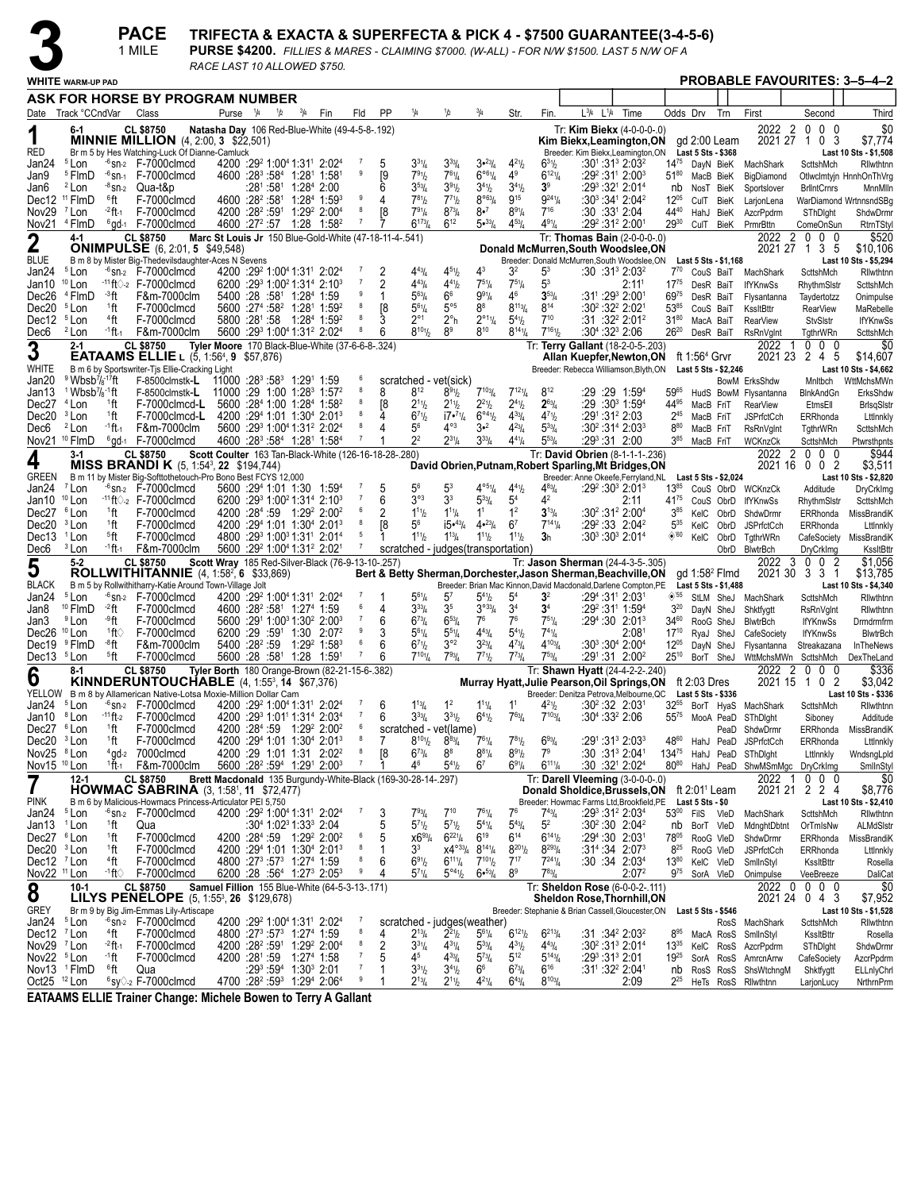**PACE** 

1 MILE

# TRIFECTA & EXACTA & SUPERFECTA & PICK 4 - \$7500 GUARANTEE(3-4-5-6)<br>PURSE \$4200. FILLIES & MARES - CLAIMING \$7000. (W-ALL) - FOR N/W \$1500. LAST 5 N/W OF A

RACE LAST 10 ALLOWED \$750.

|                                                  | <b>WHITE</b> WARM-UP PAD                                                                                     |                                      |                                                                                                | NOL LAYT TU ALLUMLU 37 JU                                    |  |                                                                                                                                |     |                     |                      |                                                               |                                                                |                                                     |                                     |                                                    |                                                                                                      |                                                     |                        |                                                  |                        |                                                |                                               | <b>PROBABLE FAVOURITES: 3-5-4-2</b>  |
|--------------------------------------------------|--------------------------------------------------------------------------------------------------------------|--------------------------------------|------------------------------------------------------------------------------------------------|--------------------------------------------------------------|--|--------------------------------------------------------------------------------------------------------------------------------|-----|---------------------|----------------------|---------------------------------------------------------------|----------------------------------------------------------------|-----------------------------------------------------|-------------------------------------|----------------------------------------------------|------------------------------------------------------------------------------------------------------|-----------------------------------------------------|------------------------|--------------------------------------------------|------------------------|------------------------------------------------|-----------------------------------------------|--------------------------------------|
|                                                  |                                                                                                              |                                      | ASK FOR HORSE BY PROGRAM NUMBER                                                                |                                                              |  |                                                                                                                                |     |                     |                      |                                                               |                                                                |                                                     |                                     |                                                    |                                                                                                      |                                                     |                        |                                                  |                        |                                                |                                               |                                      |
|                                                  | Date Track °CCndVar                                                                                          |                                      | Class                                                                                          | Purse $\frac{1}{4}$ $\frac{1}{2}$                            |  | $^{3}/_{4}$                                                                                                                    | Fin | Fld                 | <b>PP</b>            | 1/4                                                           | 1/2                                                            | $^{3}/_{4}$                                         | Str.                                | Fin.                                               | $L^{3}/4$ $L^{1}/4$                                                                                  | Time                                                |                        | Odds Drv                                         | Trn                    | First                                          | Second                                        | Third                                |
|                                                  | 6-1                                                                                                          |                                      | <b>CL \$8750</b><br><b>MINNIE MILLION</b> $(4, 2:00, 3, $22,501)$                              | Natasha Day 106 Red-Blue-White (49-4-5-8-.192)               |  |                                                                                                                                |     |                     |                      |                                                               |                                                                |                                                     |                                     |                                                    | Tr: Kim Biekx (4-0-0-0-.0)<br>Kim Biekx, Leamington, ON                                              |                                                     |                        |                                                  | gd 2:00 Leam           | 2022 2<br>2021 27 1                            | 0<br>0 <sub>0</sub><br>0 <sup>3</sup>         | \$0<br>\$7,774                       |
| RED                                              |                                                                                                              |                                      | Br m 5 by Hes Watching-Luck Of Dianne-Camluck                                                  |                                                              |  |                                                                                                                                |     |                     |                      |                                                               |                                                                |                                                     |                                     |                                                    | Breeder: Kim Biekx, Leamington, ON                                                                   |                                                     |                        | Last 5 Sts - \$368                               |                        |                                                |                                               | Last 10 Sts - \$1,508                |
| Jan24<br>Jan9                                    | <sup>5</sup> Lon<br><sup>5</sup> FlmD                                                                        | $-6$ SN-1                            | $-6$ sn- $2$ F-7000 clmcd<br>F-7000clmcd                                                       |                                                              |  | 4200 :29 <sup>2</sup> 1:00 <sup>4</sup> 1:31 <sup>1</sup> 2:02 <sup>4</sup><br>4600 :283 :584 1:281 1:581                      |     | 9                   | 5<br>[9              | $3^{31}/4$<br>$7^{91}h$                                       | $3^{33}/4$<br>$7^{61}/4$                                       | 3.23/4<br>$6^{\circ 6}$ <sup>1</sup> / <sub>4</sub> | $4^{21}/2$<br>$4^9$                 | $6^{31}$<br>$6^{121}/4$                            | :301:313 2:032                                                                                       | :29 <sup>2</sup> :31 <sup>1</sup> 2:00 <sup>3</sup> | $51^{80}$              | MacB BieK                                        |                        | 1475 DayN BieK MachShark<br>BigDiamond         | ScttshMch                                     | Rilwthtnn<br>Otlwclmtyjn HnnhOnThVrg |
| Jan6                                             | <sup>2</sup> Lon                                                                                             | <sup>-8</sup> SN-2                   | Qua-t&p                                                                                        |                                                              |  | :28 <sup>1</sup> :58 <sup>1</sup> 1:28 <sup>4</sup> 2:00                                                                       |     |                     | 6                    | $3^{53}$ /4                                                   | $3^{91}h$                                                      | $3^{41}/2$                                          | $3^{41}/2$                          | $3^{\circ}$                                        | :293 :321 2:014                                                                                      |                                                     | nb                     | NosT BieK                                        |                        | Sportslover                                    | <b>BrlIntCrnrs</b>                            | MnnMlln                              |
| Dec12                                            | <sup>11</sup> FlmD                                                                                           | 6ft                                  | F-7000clmcd                                                                                    |                                                              |  | 4600 :28 <sup>2</sup> :58 <sup>1</sup> 1:28 <sup>4</sup> 1:59 <sup>3</sup>                                                     |     | 9<br>8              | 4                    | $7^{81}h$<br>791 <sub>4</sub>                                 | $7^{7}$ <sup>1</sup> b<br>$8^{73}$ /4                          | $8^{\circ 63}/4$<br>8•7                             | $9^{15}$<br>$8^{91}/4$              | $9^{24}$ <sup>1</sup> / <sub>4</sub><br>$7^{16}$   | :30 <sup>3</sup> :34 <sup>1</sup> 2:04 <sup>2</sup>                                                  |                                                     | $12^{05}$<br>4440      |                                                  | CulT BieK              | LarjonLena                                     |                                               | WarDiamond WrtnnsndSBq               |
| Nov29                                            | <sup>7</sup> Lon<br>Nov21 <sup>4</sup> FlmD                                                                  | $-2$ ft-1                            | F-7000clmcd<br>$6$ gd-1 $F-7000$ clmcd                                                         |                                                              |  | 4200 :28 <sup>2</sup> :59 <sup>1</sup> 1:29 <sup>2</sup> 2:00 <sup>4</sup><br>4600 :27 <sup>2</sup> :57 1:28 1:58 <sup>2</sup> |     | $\overline{7}$      | [8                   | $6^{173}/4$                                                   | $6^{12}$                                                       | $5 \cdot \frac{33}{4}$                              | $4^{53}$ /4                         | $4^{91}/4$                                         | :30:3312:04<br>:292 :312 2:001                                                                       |                                                     | $29^{30}$              |                                                  | HahJ BieK              | AzcrPpdrm<br>CulT BieK PrmrBttn                | SThDight<br>ComeOnSun                         | ShdwDrmr<br>RtrnTStyl                |
| $\overline{2}$                                   | $4-1$                                                                                                        |                                      | <b>CL \$8750</b>                                                                               | Marc St Louis Jr 150 Blue-Gold-White (47-18-11-4-.541)       |  |                                                                                                                                |     |                     |                      |                                                               |                                                                |                                                     |                                     |                                                    | Tr: Thomas Bain (2-0-0-0-.0)                                                                         |                                                     |                        |                                                  |                        | 2022<br>2                                      | $0\quad 0$<br>0                               | \$520                                |
| BLUE                                             |                                                                                                              |                                      | <b>ONIMPULSE</b> (6, 2:01, 5, \$49,548)<br>B m 8 by Mister Big-Thedevilsdaughter-Aces N Sevens |                                                              |  |                                                                                                                                |     |                     |                      |                                                               |                                                                |                                                     |                                     |                                                    | Donald McMurren, South Woodslee, ON<br>Breeder: Donald McMurren.South Woodslee.ON                    |                                                     |                        |                                                  | Last 5 Sts - \$1,168   | 2021 27 1                                      | 3 5                                           | \$10.106<br>Last 10 Sts - \$5,294    |
| Jan24                                            | <sup>5</sup> Lon                                                                                             |                                      | $-6$ sn-2 $F-7000$ clmcd                                                                       |                                                              |  | 4200 :29 1:00 1:31 2:02 4                                                                                                      |     |                     | 2                    | $4^{43}$                                                      | $4^{51}h$                                                      | 43                                                  | 3 <sup>2</sup>                      | 53                                                 | $:30:31^3 2:03^2$                                                                                    |                                                     | $7^{70}$               |                                                  |                        | CouS BaiT MachShark                            | ScttshMch                                     | Rilwthtnn                            |
| Jan10                                            | <sup>10</sup> Lon                                                                                            |                                      | $-11$ ft $\Diamond$ -2 F-7000clmcd                                                             |                                                              |  | $6200$ : $29^3$ 1:00 <sup>2</sup> 1:31 <sup>4</sup> 2:10 <sup>3</sup>                                                          |     | $\overline{7}$<br>9 | $\overline{2}$       | $4^{43}$ /4                                                   | $4^{41}b$                                                      | $7^{51}/4$                                          | $7^{51}/4$                          | 5 <sup>3</sup>                                     |                                                                                                      | 2:11 <sup>1</sup>                                   | $17^{75}$              | DesR BaiT                                        |                        | <b>IfYKnwSs</b>                                | RhythmSistr                                   | ScttshMch                            |
| Dec26<br>Dec20                                   | <sup>4</sup> FlmD<br><sup>5</sup> Lon                                                                        | - <sup>3</sup> ft<br><sup>1</sup> ft | F&m-7000clm<br>F-7000clmcd                                                                     |                                                              |  | 5400 :28 :58 <sup>1</sup> 1:28 <sup>4</sup> 1:59<br>5600 :27 <sup>4</sup> :58 <sup>2</sup> 1:28 <sup>1</sup> 1:59 <sup>2</sup> |     | 8                   | [8                   | $5^{63}$ /4<br>$5^{61}/4$                                     | 6 <sup>6</sup><br>$5^{\circ 5}$                                | $9^{91}/4$<br>$8^8$                                 | 4 <sup>6</sup><br>$8^{113}/4$       | $3^{53}$ /4<br>$8^{14}$                            | :31':293 2:001<br>$:30^2:32^2:2:02^1$                                                                |                                                     | 6975<br>5385           | DesR BaiT<br>CouS BaiT                           |                        | Flysantanna<br>KssltBttr                       | Taydertotzz<br><b>RearView</b>                | Onimpulse<br>MaRebelle               |
| Dec12                                            | <sup>5</sup> Lon                                                                                             | $44$ ft                              | F-7000clmcd                                                                                    |                                                              |  | 5800 :281 :58 1:284 1:59 <sup>2</sup>                                                                                          |     | 8                   |                      | $2^{\circ}1$                                                  | $2^{\circ}$ h                                                  | $2^{\circ_{11}}\frac{1}{4}$                         | $5^{4}$ <sup>1</sup> / <sub>2</sub> | $7^{10}$                                           | :31 :32 <sup>2</sup> 2:01 <sup>2</sup>                                                               |                                                     | $31^{80}$              | MacA BaiT                                        |                        | <b>RearView</b>                                | StvSlstr                                      | <b>IfYKnwSs</b>                      |
| Dec6                                             | <sup>2</sup> Lon                                                                                             | -1 ft-1                              | F&m-7000clm                                                                                    |                                                              |  | 5600 :29 1:00 1:31 2:02 4                                                                                                      |     | 8                   | 6                    | $8^{101}/_2$                                                  | 8 <sup>9</sup>                                                 | $8^{10}$                                            | $8^{141}/4$                         | $7^{161}h$                                         | $:30^4:32^3$ 2:06                                                                                    |                                                     | $26^{20}$              | DesR BaiT                                        |                        | RsRnVglnt                                      | <b>TgthrWRn</b>                               | ScttshMch                            |
| 3                                                | $2 - 1$                                                                                                      |                                      | <b>CL \$8750</b><br><b>EATAAMS ELLIE</b> L $(5, 1:56^4, 9, 557,876)$                           | Tyler Moore 170 Black-Blue-White (37-6-6-8-.324)             |  |                                                                                                                                |     |                     |                      |                                                               |                                                                |                                                     |                                     |                                                    | Tr: Terry Gallant (18-2-0-5-.203)<br>Allan Kuepfer, Newton, ON                                       |                                                     |                        | ft 1:56 <sup>4</sup> Grvr                        |                        | 2022<br>-1                                     | $0\quad 0$<br>- 0<br>2021 23 2 4 5            | \$0<br>\$14,607                      |
| WHITE                                            |                                                                                                              |                                      | B m 6 by Sportswriter-Tjs Ellie-Cracking Light                                                 |                                                              |  |                                                                                                                                |     |                     |                      |                                                               |                                                                |                                                     |                                     |                                                    | Breeder: Rebecca Williamson, Blyth, ON                                                               |                                                     |                        |                                                  | Last 5 Sts - \$2,246   |                                                |                                               | Last 10 Sts - \$4,662                |
| Jan20<br>Jan13                                   | $9$ Wbsb <sup>7</sup> / <sub>8</sub> -17ft<br><sup>1</sup> Wbsb <sup>7</sup> / <sub>8</sub> <sup>-1</sup> ft |                                      | $F-8500$ clmstk-L<br>$F-8500$ clmstk-L                                                         | $11000:28^3:58^3$ 1:291 1:59<br>$11000:29:1:00:1:283:1:572$  |  |                                                                                                                                |     | 8                   | 8                    | scratched - vet(sick)<br>$8^{12}$                             | $8^{91}$ / <sub>2</sub>                                        | $7^{103}/_4$                                        | $7^{121}/4$                         | $8^{12}$                                           | :29 :29 1:59 <sup>4</sup>                                                                            |                                                     | 5965                   |                                                  |                        | BowM ErksShdw<br>HudS BowM Flysantanna         | Mnltbch<br>BlnkAndGn                          | WttMchsMWn<br>ErksShdw               |
| Dec27                                            | $4$ Lon                                                                                                      | <sup>1</sup> ft                      | F-7000clmcd-L                                                                                  |                                                              |  | 5600 :284 1:00 1:284 1:582                                                                                                     |     |                     | [8                   | $2^{11}h$                                                     | $2^{11}h$                                                      | $2^{2^{1}}$                                         | $2^{41}/2$                          | $2^{63}/4$                                         | :29 :30ª 1:59 <del>ª</del>                                                                           |                                                     | 44 <sup>95</sup>       | MacB FriT                                        |                        | <b>RearView</b>                                | EtmsEll                                       | <b>BrisgSistr</b>                    |
| Dec20                                            | <sup>3</sup> Lon                                                                                             | <sup>1</sup> ft                      | F-7000clmcd-L                                                                                  |                                                              |  | 4200 :294 1:01 1:304 2:013                                                                                                     |     | 8<br>8              | 4                    | $6^{7}$ <sup>1</sup> / <sub>2</sub>                           | $17 \cdot \frac{71}{4}$                                        | $6^{\circ 4}$ <sup>1</sup> / <sub>2</sub>           | $4^{33}$ /4                         | $4^{71}b$                                          | :291:312 2:03                                                                                        |                                                     | $2^{45}$               | MacB FriT                                        |                        | <b>JSPrfctCch</b>                              | ERRhonda                                      | Lttlnnkly                            |
| Dec6                                             | <sup>2</sup> Lon<br>Nov21 <sup>10</sup> FlmD                                                                 | $-1$ ft $-1$                         | F&m-7000clm<br>$6$ gd-1 $F-7000$ clmcd                                                         |                                                              |  | 5600 :293 1:004 1:312 2:024<br>4600 :28 <sup>3</sup> :58 <sup>4</sup> 1:28 <sup>1</sup> 1:58 <sup>4</sup>                      |     | $\overline{7}$      | 4                    | 5 <sup>6</sup><br>2 <sup>2</sup>                              | $4^{\circ 3}$<br>$2^{31}/4$                                    | $3 - 2$<br>$3^{33}$ /4                              | $4^{23}$ /4<br>$4^{41}/4$           | $5^{33}/4$<br>$5^{53}$ /4                          | $:30^2:31^4 2:03^3$<br>:293:31 2:00                                                                  |                                                     | 880<br>$3^{85}$        | MacB FriT<br>MacB FriT                           |                        | <b>RsRnVgInt</b><br>WCKnzCk                    | TgthrWRn<br>ScttshMch                         | ScttshMch<br>Ptwrsthpnts             |
|                                                  | $3-1$                                                                                                        |                                      | <b>CL \$8750</b>                                                                               | Scott Coulter 163 Tan-Black-White (126-16-18-28-.280)        |  |                                                                                                                                |     |                     |                      |                                                               |                                                                |                                                     |                                     |                                                    | Tr: David Obrien (8-1-1-1-.236)                                                                      |                                                     |                        |                                                  |                        | 2022<br>2                                      | 0<br>$0\quad 0$                               | \$944                                |
| 4                                                |                                                                                                              |                                      | <b>MISS BRANDI K</b> (5, 1:54 <sup>3</sup> , 22 \$194,744)                                     |                                                              |  |                                                                                                                                |     |                     |                      |                                                               |                                                                |                                                     |                                     |                                                    | David Obrien, Putnam, Robert Sparling, Mt Bridges, ON                                                |                                                     |                        |                                                  |                        | 2021 16                                        | $0\quad0\quad2$                               | \$3,511                              |
| GREEN<br>Jan24                                   | <sup>7</sup> Lon                                                                                             |                                      | B m 11 by Mister Big-Softtothetouch-Pro Bono Best FCYS 12,000<br>$-6$ sn- $2$ F-7000 clmcd     |                                                              |  | 5600 :294 1:01 1:30 1:594                                                                                                      |     |                     | 5                    | $5^6$                                                         | 5 <sup>3</sup>                                                 | $4^{051}/4$                                         | $4^{4}$ <sup>1</sup> / <sub>2</sub> | $4^{83}$ /4                                        | Breeder: Anne Okeefe, Ferryland, NL<br>$:29^2:30^3$ 2:01 <sup>3</sup>                                |                                                     | $13^{85}$              |                                                  | Last 5 Sts - \$2,024   | CouS ObrD WCKnzCk                              | Additude                                      | Last 10 Sts - \$2,820<br>DryCrkImg   |
| Jan10                                            | $10$ Lon                                                                                                     |                                      | $-11$ ft $\Diamond$ -2 F-7000clmcd                                                             |                                                              |  | $6200$ : $29^3$ 1:00 <sup>2</sup> 1:31 <sup>4</sup> 2:10 <sup>3</sup>                                                          |     |                     | 6                    | $3^{\circ 3}$                                                 | 3 <sup>3</sup>                                                 | $5^{33}/4$                                          | 5 <sup>4</sup>                      | 42                                                 |                                                                                                      | 2:11                                                | 41 <sup>75</sup>       |                                                  | CouS ObrD              | <b>IfYKnwSs</b>                                | RhythmSIstr                                   | ScttshMch                            |
| Dec27<br>Dec20                                   | <sup>6</sup> Lon<br><sup>3</sup> Lon                                                                         | <sup>1</sup> ft<br><sup>1</sup> ft   | F-7000clmcd<br>F-7000clmcd                                                                     |                                                              |  | 4200 :284 :59 1:29 <sup>2</sup> 2:00 <sup>2</sup><br>4200 :294 1:01 1:304 2:013                                                |     | 6<br>8              | $\overline{2}$<br>[8 | $1^{11}b$<br>56                                               | $1^{11}$ /4<br>$15•^{43}$ /4                                   | 1 <sup>1</sup><br>$4•^{23}/_{4}$                    | 1 <sup>2</sup><br>6 <sup>7</sup>    | $3^{13}/4$<br>$7^{14}$ <sup>1</sup> / <sub>4</sub> | $:30^2:31^2$ 2:00 <sup>4</sup><br>$:29^2:33$ 2:04 <sup>2</sup>                                       |                                                     | $3^{85}$<br>$5^{35}$   | KelC                                             | KelC ObrD              | ShdwDrmr                                       | ERRhonda<br>ERRhonda                          | MissBrandiK<br>Lttlnnkly             |
| Dec13 <sup>1</sup> Lon                           |                                                                                                              | <sup>5</sup> ft                      | F-7000clmcd                                                                                    |                                                              |  | 4800 :293 1:003 1:311 2:014                                                                                                    |     | 5                   |                      | $1^{11}b$                                                     | $1^{13}/4$                                                     | $1^{11}$                                            | $1^{11}b$                           | 3h                                                 |                                                                                                      | $:30^3:30^3$ 2:01 <sup>4</sup>                      | $\diamond$ '60         | KelC                                             | ObrD<br>ObrD           | <b>JSPrfctCch</b><br>TgthrWRn                  | CafeSociety                                   | MissBrandiK                          |
| Dec6                                             | <sup>3</sup> Lon                                                                                             | <sup>-1</sup> ft 1                   | F&m-7000clm                                                                                    |                                                              |  | 5600 :29 <sup>2</sup> 1:00 <sup>4</sup> 1:31 <sup>2</sup> 2:02 <sup>1</sup>                                                    |     | $\overline{7}$      |                      | scratched - judges (transportation)                           |                                                                |                                                     |                                     |                                                    |                                                                                                      |                                                     |                        |                                                  |                        | ObrD BlwtrBch                                  | DryCrkImg                                     | KssltBttr                            |
| 5                                                | $5 - 2$                                                                                                      |                                      | <b>CL \$8750</b><br><b>ROLLWITHITANNIE</b> $(4, 1:58^2, 6 \; $33,869)$                         | Scott Wray 185 Red-Silver-Black (76-9-13-10-.257)            |  |                                                                                                                                |     |                     |                      |                                                               |                                                                |                                                     |                                     |                                                    | Tr: Jason Sherman (24-4-3-5-.305)<br>Bert & Betty Sherman, Dorchester, Jason Sherman, Beachville, ON |                                                     |                        |                                                  | $gd$ 1:58 $2$ Flmd     | 2022<br>3                                      | $0\quad 0$<br>$\overline{2}$<br>2021 30 3 3 1 | \$1,056<br>\$13,785                  |
| <b>BLACK</b>                                     |                                                                                                              |                                      | B m 5 by Rollwithitharry-Katie Around Town-Village Jolt                                        |                                                              |  |                                                                                                                                |     |                     |                      |                                                               |                                                                |                                                     |                                     |                                                    | Breeder: Brian Mac Kinnon, David Macdonald, Darlene Compton, PE                                      |                                                     |                        |                                                  | Last 5 Sts - \$1,488   |                                                |                                               | Last 10 Sts - \$4,340                |
| Jan24<br>Jan8                                    | <sup>5</sup> Lon<br><sup>10</sup> FlmD                                                                       | -2ft                                 | $-6$ sn-2 $F-7000$ clmcd<br>F-7000clmcd                                                        |                                                              |  | 4200 :29 1:00 1:31 2:02 4<br>4600 :28 <sup>2</sup> :58 <sup>1</sup> 1:27 <sup>4</sup> 1:59                                     |     |                     | 4                    | $5^{61}/4$<br>$3^{33}$ /4                                     | $5^7$<br>3 <sup>5</sup>                                        | $5^{4}$ <sup>1</sup> / <sub>2</sub><br>$3^{033}/4$  | 5 <sup>4</sup><br>3 <sup>4</sup>    | 3 <sup>2</sup><br>$3^4$                            | :294 :311 2:031<br>:29² :311 1:594                                                                   |                                                     | $3^{20}$               |                                                  |                        | $\diamond$ <sup>'55</sup> StLM SheJ MachShark  | ScttshMch                                     | Rilwthtnn                            |
| Jan3                                             | <sup>9</sup> Lon                                                                                             | ⊸°ft                                 | F-7000clmcd                                                                                    |                                                              |  | 5600 :291 1:00 <sup>3</sup> 1:30 <sup>2</sup> 2:00 <sup>3</sup>                                                                |     | $\overline{7}$      | 6                    | $6^{73}$ / <sub>4</sub>                                       | $6^{53}$ /4                                                    | 7 <sup>6</sup>                                      | 7 <sup>6</sup>                      | $7^{51}/4$                                         | :29 <sup>4</sup> :30 2:01 <sup>3</sup>                                                               |                                                     | $34^{60}$              |                                                  | DayN SheJ<br>RooG SheJ | Shktfygtt<br><b>BlwtrBch</b>                   | <b>RsRnVgInt</b><br><b>IfYKnwSs</b>           | Rilwthtnn<br>Drmdrmfrm               |
| Dec26 <sup>10</sup> Lon                          |                                                                                                              | 1ft∖                                 | F-7000clmcd                                                                                    |                                                              |  | 6200 :29 :591 1:30 2:07 <sup>2</sup>                                                                                           |     | 9                   |                      | $5^{61}/4$                                                    | $5^{51}/4$                                                     | $4^{43}$ / <sub>4</sub>                             | $5^{4}$ %                           | $7^{41}/4$                                         |                                                                                                      | 2:08 <sup>1</sup>                                   | $17^{10}$              |                                                  | RyaJ SheJ              | CafeSociety                                    | <b>IfYKnwSs</b>                               | <b>BlwtrBch</b>                      |
| Dec19<br>Dec13 <sup>5</sup> Lon                  | <sup>9</sup> FlmD                                                                                            | -8ft<br><sup>5</sup> ft              | F&m-7000clm<br>F-7000clmcd                                                                     |                                                              |  | 5400 :28 <sup>2</sup> :59 1:29 <sup>2</sup> 1:58 <sup>3</sup><br>5600 :28 :58 <sup>1</sup> 1:28 1:591                          |     | 6<br>$\overline{7}$ | 6<br>6               | $6^{7}$ <sup>1</sup> / <sub>2</sub><br>$7^{101}/4$            | $3^{\circ 2}$<br>$7^{93}$ /4                                   | $3^{23}/4$<br>$7^{71}$                              | $4^{73}/4$<br>$7^{73}$ /4           | $4^{103}$ /4<br>$7^{53}$ / <sub>4</sub>            | :30 <sup>3</sup> :30 <sup>4</sup> 2:00 <sup>4</sup><br>$:29^1:31$ 2:00 <sup>2</sup>                  |                                                     | $12^{05}$<br>$25^{10}$ |                                                  | DayN SheJ              | Flysantanna<br>BorT SheJ WttMchsMWn ScttshMch  | Streakazana                                   | InTheNews<br>DexTheLand              |
|                                                  | 8-1                                                                                                          |                                      | <b>CL \$8750</b>                                                                               | Tyler Borth 180 Orange-Brown (82-21-15-6-.382)               |  |                                                                                                                                |     |                     |                      |                                                               |                                                                |                                                     |                                     |                                                    | Tr: Shawn Hyatt (24-4-2-2-.240)                                                                      |                                                     |                        |                                                  |                        | 2022<br>2                                      | 0<br>- 0<br>0                                 | \$336                                |
| 6                                                |                                                                                                              |                                      | <b>KINNDERUNTOUCHABLE</b> $(4. 1:55^3. 14 \,$ \$67.376)                                        |                                                              |  |                                                                                                                                |     |                     |                      |                                                               |                                                                |                                                     |                                     |                                                    | Murray Hyatt, Julie Pearson, Oil Springs, ON                                                         |                                                     |                        | ft 2:03 Dres                                     |                        | 2021 15                                        | 10<br>$\overline{2}$                          | \$3,042                              |
| Jan24                                            | <sup>5</sup> Lon                                                                                             |                                      | YELLOW B m 8 by Allamerican Native-Lotsa Moxie-Million Dollar Cam<br>$-6$ sn- $2$ F-7000 clmcd |                                                              |  | 4200 :29 1:00 1:31 2:02 4                                                                                                      |     |                     | 6                    | $1^{13}/4$                                                    | 1 <sup>2</sup>                                                 | $1^{11}/4$                                          |                                     | $4^{21}b$                                          | Breeder: Denitza Petrova, Melbourne, QC<br>$:30^2:32$ 2:03                                           |                                                     |                        | Last 5 Sts - \$336<br>32 <sup>55</sup> BorT HyaS |                        | MachShark                                      | ScttshMch                                     | Last 10 Sts - \$336<br>Rilwthtnn     |
| Jan10                                            | <sup>8</sup> Lon                                                                                             | $-11$ ft-2                           | F-7000clmcd                                                                                    |                                                              |  | 4200 :29 1:01 1:31 2:03 4                                                                                                      |     | $\overline{7}$      | 6                    | $3^{33}$ /4                                                   | $3^{31}h$                                                      | $6^{41}/2$                                          | $7^{63}$ /4                         | $7^{103}$ /4                                       | $:30^{4}$ :33 <sup>2</sup> 2:06                                                                      |                                                     | $55^{75}$              | MooA PeaD                                        |                        | SThDight                                       | Siboney                                       | Additude                             |
| Dec27 <sup>6</sup> Lon<br>Dec20 <sup>3</sup> Lon |                                                                                                              | <sup>1</sup> ft<br><sup>1</sup> ft   | F-7000clmcd<br>F-7000clmcd                                                                     |                                                              |  | 4200 :284 :59 1:29 <sup>2</sup> 2:00 <sup>2</sup><br>4200 :294 1:01 1:304 2:013                                                |     | 6<br>8              |                      | scratched - vet(lame)<br>$8^{10}$ <sup>1</sup> / <sub>2</sub> | $8^{83}$ /4                                                    |                                                     | $7^{81}/2$                          | 693/4                                              | :291:313 2:033                                                                                       |                                                     |                        | $48^{60}$ HahJ PeaD                              |                        | PeaD ShdwDrmr                                  | ERRhonda                                      | ERRhonda MissBrandiK                 |
| Nov25 <sup>8</sup> Lon                           |                                                                                                              |                                      | <sup>4</sup> gd-2 7000 clmcd                                                                   |                                                              |  | 4200 :29 1:01 1:31 2:02 <sup>2</sup>                                                                                           |     | $\boldsymbol{8}$    | [8                   | $6^{73}$ /4                                                   | 8 <sup>8</sup>                                                 | $8^{81}/4$                                          | $8^{91}/2$                          | 7 <sup>9</sup>                                     | :30 :31 <sup>3</sup> 2:04 <sup>1</sup>                                                               |                                                     |                        |                                                  |                        | <b>JSPrfctCch</b><br>13475 HahJ PeaD SThDlght  | Lttlnnkly                                     | Lttlnnkly<br>WndsngLpld              |
| Nov15 <sup>10</sup> Lon                          |                                                                                                              | $1$ ft-1                             | F&m-7000clm                                                                                    |                                                              |  | 5600 :28 <sup>2</sup> :59 <sup>4</sup> 1:29 <sup>1</sup> 2:00 <sup>3</sup>                                                     |     | $\overline{7}$      |                      | 46                                                            | $5^{41}b$                                                      | 6 <sup>7</sup>                                      | $6^{91}/4$                          | $6^{111}/4$                                        | :30 :32 <sup>1</sup> 2:02 <sup>4</sup>                                                               |                                                     |                        |                                                  |                        | 80 <sup>80</sup> HahJ PeaD ShwMSmMgc DryCrkImg |                                               | SmlInStyl                            |
| 7                                                | $12 - 1$                                                                                                     |                                      | <b>CL \$8750</b><br><b>HOWMAC SABRINA</b> $(3, 1:58^1, 11 \,$ \$72,477)                        | Brett Macdonald 135 Burgundy-White-Black (169-30-28-14-.297) |  |                                                                                                                                |     |                     |                      |                                                               |                                                                |                                                     |                                     |                                                    | Tr: Darell Vleeming (3-0-0-0-.0)<br>Donald Sholdice, Brussels, ON                                    |                                                     |                        | ft 2:01 <sup>1</sup> Leam                        |                        | 2022<br>-1                                     | $0\quad 0\quad 0$<br>202121224                | \$0<br>\$8,776                       |
| pink                                             |                                                                                                              |                                      | B m 6 by Malicious-Howmacs Princess-Articulator PEI 5,750                                      |                                                              |  |                                                                                                                                |     |                     |                      |                                                               |                                                                |                                                     |                                     |                                                    | Breeder: Howmac Farms Ltd, Brookfield, PE                                                            |                                                     |                        | Last 5 Sts - \$0                                 |                        |                                                |                                               | Last 10 Sts - \$2,410                |
| Jan24                                            | <sup>5</sup> Lon                                                                                             |                                      | $-6$ sn- $2$ F-7000 clmcd                                                                      |                                                              |  | 4200 :29 <sup>2</sup> 1:00 <sup>4</sup> 1:31 <sup>1</sup> 2:02 <sup>4</sup>                                                    |     |                     | 3                    | $7^{93}$ /4                                                   | $7^{10}$                                                       | $7^{61}/4$                                          | 7 <sup>6</sup>                      | $7^{43}$ /4                                        | $:29^3:31^2 2:03^4$                                                                                  |                                                     |                        | 53 <sup>00</sup> FilS VleD                       |                        | MachShark                                      | ScttshMch                                     | Rilwthtnn                            |
| Jan13 <sup>1</sup> Lon<br>Dec27 <sup>6</sup> Lon |                                                                                                              | <sup>1</sup> ft<br>1ft               | Qua<br>F-7000clmcd                                                                             |                                                              |  | $:30^4$ 1:02 <sup>3</sup> 1:33 <sup>3</sup> 2:04<br>4200 :284 :59 1:29 <sup>2</sup> 2:00 <sup>2</sup>                          |     | 6                   | 5<br>5               | $5^{71}h$<br>$x6^{93}/4$                                      | $5^{7}$ <sup>1</sup> / <sub>2</sub><br>$6^{221}/4$             | $5^{41}/4$<br>$6^{19}$                              | $5^{43}$ /4<br>$6^{14}$             | 5 <sup>2</sup><br>$6^{141}/2$                      | :30 <sup>2</sup> :30 2:04 <sup>2</sup><br>$:29^4:30$ 2:03 <sup>1</sup>                               |                                                     | 7805                   | nb BorT VleD<br>RooG VIeD                        |                        | MdnghtDbtnt<br>ShdwDrmr                        | OrTmlsNw<br>ERRhonda                          | ALMdSIstr<br>MissBrandiK             |
| Dec20 <sup>3</sup> Lon                           |                                                                                                              | <sup>1</sup> ft                      | F-7000clmcd                                                                                    |                                                              |  | 4200 :294 1:01 1:304 2:013                                                                                                     |     | - 8                 | 1                    | 3 <sup>3</sup>                                                |                                                                | $x4^{\circ 33}/4$ $8^{14}\frac{1}{4}$               | $8^{201}$                           | $8^{293}/4$                                        | $:31^{4}:34$ 2:07 <sup>3</sup>                                                                       |                                                     | $8^{25}$               | RooG VIeD                                        |                        | <b>JSPrfctCch</b>                              | ERRhonda                                      | Lttlnnkly                            |
| Dec12 <sup>7</sup> Lon                           |                                                                                                              | 4 <sup>4</sup>                       | F-7000clmcd                                                                                    |                                                              |  | 4800 :27 <sup>3</sup> :57 <sup>3</sup> 1:27 <sup>4</sup> 1:59                                                                  |     | 8<br>9              | 6                    | $6^{91}/2$                                                    | $6^{11}$ <sup>1</sup> / <sub>4</sub>                           | $7^{101}/2$                                         | $7^{17}$                            | $7^{24}$ <sup>1</sup> / <sub>4</sub>               | $:30:34$ 2:03 <sup>4</sup>                                                                           |                                                     | $13^{80}$              | KelC VleD                                        |                        | SmlInStyl                                      | KssltBttr                                     | Rosella                              |
| Nov22 <sup>11</sup> Lon                          | $10-1$                                                                                                       | -1ft⊙                                | F-7000clmcd<br><b>CL \$8750</b>                                                                | Samuel Fillion 155 Blue-White (64-5-3-13-.171)               |  | 6200 :28 :564 1:273 2:053                                                                                                      |     |                     | 4                    | $5^{71}/4$                                                    | $5^{\circ 4}$ <sup>1</sup> / <sub>2</sub>                      | $6•^{53}/4$                                         | 8 <sup>9</sup>                      | $7^{83}$ / <sub>4</sub>                            | Tr: Sheldon Rose (6-0-0-2-.111)                                                                      | 2:07 <sup>2</sup>                                   | 975                    | SorA VIeD                                        |                        | Onimpulse<br>2022 0                            | VeeBreeze<br>$0\quad 0\quad 0$                | DaliCat<br>\$0                       |
| 8                                                |                                                                                                              |                                      | <b>LILYS PENELOPE</b> (5, 1:55 <sup>3</sup> , 26 \$129,678)                                    |                                                              |  |                                                                                                                                |     |                     |                      |                                                               |                                                                |                                                     |                                     |                                                    | Sheldon Rose, Thornhill, ON                                                                          |                                                     |                        |                                                  |                        |                                                | 2021 24 0 4 3                                 | \$7,952                              |
| GREY<br>Jan24                                    | <sup>5</sup> Lon                                                                                             |                                      | Br m 9 by Big Jim-Emmas Lily-Artiscape<br>$-6$ sn-2 $F-7000$ clmcd                             |                                                              |  | 4200 :29 <sup>2</sup> 1:00 <sup>4</sup> 1:31 <sup>1</sup> 2:02 <sup>4</sup>                                                    |     | - 7                 |                      | scratched - judges(weather)                                   |                                                                |                                                     |                                     |                                                    | Breeder: Stephanie & Brian Cassell, Gloucester, ON                                                   |                                                     |                        | Last 5 Sts - \$546                               |                        | RosS MachShark                                 | ScttshMch                                     | Last 10 Sts - \$1,528<br>Rilwthtnn   |
| Dec12 <sup>7</sup> Lon                           |                                                                                                              | $44$ ft                              | F-7000clmcd                                                                                    |                                                              |  | 4800 :27 <sup>3</sup> :57 <sup>3</sup> 1:27 <sup>4</sup> 1:59                                                                  |     | 8                   | 4                    | $2^{13}/4$                                                    | $2^{2^{1}}h$                                                   | $5^{61}/4$                                          | $6^{121}/2$                         | $6^{213}/4$                                        | $:31:34^2 2:03^2$                                                                                    |                                                     | $8^{95}$               |                                                  | MacA RosS              | SmlinStyl                                      | KssltBttr                                     | Rosella                              |
| Nov29 <sup>7</sup> Lon                           |                                                                                                              | $-2$ ft $-1$                         | F-7000clmcd                                                                                    |                                                              |  | 4200 :28 <sup>2</sup> :59 <sup>1</sup> 1:29 <sup>2</sup> 2:00 <sup>4</sup>                                                     |     | 8                   | 2                    | $3^{31}/4$                                                    | $4^{31}/4$                                                     | $5^{33}$ /4                                         | $4^{31}/2$                          | $4^{43}$ / <sub>4</sub>                            | $:30^2:31^3$ 2:01 <sup>4</sup>                                                                       |                                                     |                        | 13 <sup>35</sup> KelC RosS                       |                        | AzcrPpdrm                                      | SThDight                                      | ShdwDrmr                             |
| Nov22 <sup>5</sup> Lon                           | Nov13 <sup>1</sup> FlmD                                                                                      | ∙1ft<br>®ft                          | F-7000clmcd<br>Qua                                                                             |                                                              |  | 4200 :281 :59 1:274 1:58<br>:293 :594 1:303 2:01                                                                               |     | $\overline{7}$      | 5                    | 45<br>$3^{31}h$                                               | $4^{33}$ / <sub>4</sub><br>$3^{4}$ <sup>1</sup> / <sub>2</sub> | $5^{73}$ /4<br>6 <sup>6</sup>                       | $5^{12}$<br>$6^{73}/4$              | $5^{143}$ /4<br>$6^{16}$                           | :293 :313 2:01<br>:311 :32 <sup>2</sup> 2:041                                                        |                                                     | $19^{25}$              |                                                  | SorA RosS              | AmrcnArrw<br>nb RosS RosS ShsWtchngM           | CafeSociety<br>Shktfygtt                      | AzcrPpdrm<br>ELLnlyChrl              |
| Oct $25^{12}$ Lon                                |                                                                                                              |                                      | <sup>6</sup> sy♡-2 F-7000clmcd                                                                 |                                                              |  | 4700 :28 <sup>2</sup> :59 <sup>3</sup> 1:29 <sup>4</sup> 2:06 <sup>4</sup>                                                     |     | 9                   |                      | $2^{13}$ /4                                                   | $2^{11}h$                                                      | $4^{21}/4$                                          | $6^{43}/4$                          | $8^{103} / 4$                                      |                                                                                                      | 2:09                                                | $2^{25}$               |                                                  |                        | HeTs RosS Rilwthtnn                            | LarjonLucy                                    | NrthrnPrm                            |

EATAAMS ELLIE Trainer Change: Michele Bowen to Terry A Gallant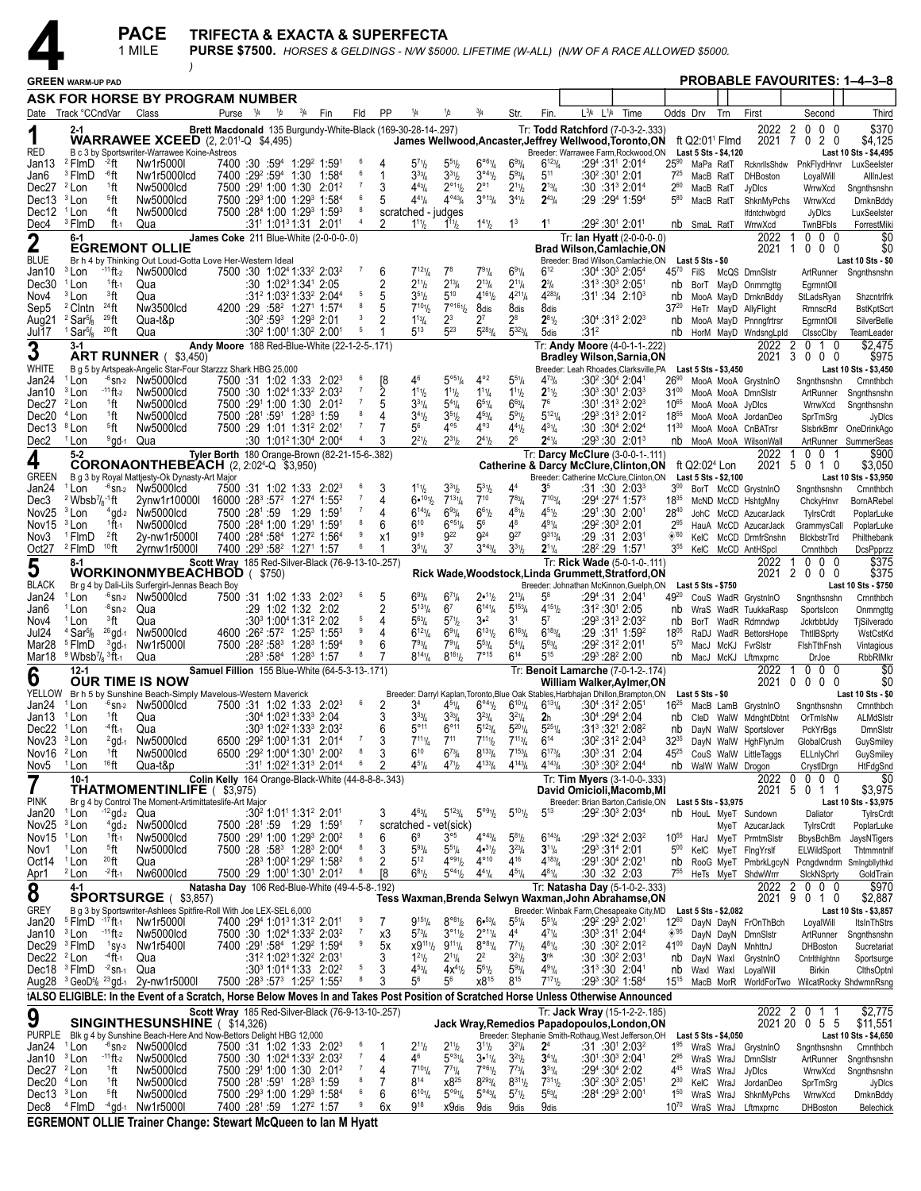*)*

|                                                  |                                                                                |                                           | <b>PACE</b><br>1 MILE                                                                      |                                                |                      |     |                                                                                                                                   |                                                    |                     |         | TRIFECTA & EXACTA & SUPERFECTA                               |                                                    |                                                                                   |                                                  |                                                    | PURSE \$7500. HORSES & GELDINGS - N/W \$5000. LIFETIME (W-ALL) (N/W OF A RACE ALLOWED \$5000.                                                                            |                |                              |                              |     |                                                        |                                               |                                               |
|--------------------------------------------------|--------------------------------------------------------------------------------|-------------------------------------------|--------------------------------------------------------------------------------------------|------------------------------------------------|----------------------|-----|-----------------------------------------------------------------------------------------------------------------------------------|----------------------------------------------------|---------------------|---------|--------------------------------------------------------------|----------------------------------------------------|-----------------------------------------------------------------------------------|--------------------------------------------------|----------------------------------------------------|--------------------------------------------------------------------------------------------------------------------------------------------------------------------------|----------------|------------------------------|------------------------------|-----|--------------------------------------------------------|-----------------------------------------------|-----------------------------------------------|
|                                                  | <b>GREEN WARM-UP PAD</b>                                                       |                                           |                                                                                            |                                                |                      |     |                                                                                                                                   |                                                    |                     |         |                                                              |                                                    |                                                                                   |                                                  |                                                    |                                                                                                                                                                          |                |                              |                              |     |                                                        |                                               | <b>PROBABLE FAVOURITES: 1-4-3-8</b>           |
|                                                  |                                                                                |                                           | ASK FOR HORSE BY PROGRAM NUMBER                                                            |                                                |                      |     |                                                                                                                                   |                                                    |                     |         |                                                              |                                                    |                                                                                   |                                                  |                                                    |                                                                                                                                                                          |                |                              |                              |     |                                                        |                                               |                                               |
| Date                                             | Track °CCndVar                                                                 |                                           | Class                                                                                      |                                                | Purse <sup>1/4</sup> | 1/2 | $\frac{3/4}{4}$                                                                                                                   | Fin                                                | Fld                 | PP      |                                                              | 1/2                                                |                                                                                   | Str.                                             | Fin.                                               | L <sup>3</sup> /4 L <sup>1</sup> /4                                                                                                                                      | Time           | Odds Drv                     |                              | Trn | First                                                  | Second                                        | Third                                         |
|                                                  | 2-1                                                                            |                                           | <b>WARRAWEE XCEED</b> $(2, 2:01^{1} - Q, 54,495)$                                          |                                                |                      |     |                                                                                                                                   |                                                    |                     |         | Brett Macdonald 135 Burgundy-White-Black (169-30-28-14-.297) |                                                    |                                                                                   |                                                  |                                                    | Tr: Todd Ratchford (7-0-3-2-.333)<br>James Wellwood, Ancaster, Jeffrey Wellwood, Toronto, ON                                                                             |                |                              | ft $Q2:01$ <sup>1</sup> Flmd |     | 2022 2<br>2021 7                                       | $0\quad0\quad0$<br>020                        | \$370<br>\$4,125                              |
| RED                                              |                                                                                |                                           | B c 3 by Sportswriter-Warrawee Koine-Astreos                                               |                                                |                      |     |                                                                                                                                   |                                                    | 6                   |         |                                                              |                                                    |                                                                                   |                                                  |                                                    | Breeder: Warrawee Farm, Rockwood, ON                                                                                                                                     |                |                              | Last 5 Sts - \$4,120         |     |                                                        |                                               | Last 10 Sts - \$4,495                         |
| Jan13<br>Jan6                                    | <sup>2</sup> FlmD<br><sup>3</sup> FlmD                                         | $-2$ ft<br>⊸6ft                           | Nw1r5000l<br>Nw1r5000lcd                                                                   |                                                |                      |     | 7400 :30 :59 <sup>4</sup> 1:29 <sup>2</sup> 1:59 <sup>1</sup><br>7400 :29 :59 1:30 1:58 4                                         |                                                    | 6                   | 4<br>1  | $5^{71}h$<br>$3^{33}/4$                                      | $5^{51}h$<br>$3^{31}h$                             | $6^{\circ 6}$ <sup>1</sup> / <sub>4</sub><br>$3^{04}$ <sup>1</sup> / <sub>2</sub> | $6^{93}/4$<br>$5^{93}$ /4                        | $6^{123}/4$<br>$5^{11}$                            | $:30^2:30^1$ 2:01                                                                                                                                                        | :294:311 2:014 | $25^{90}$<br>$7^{25}$        | MaPa RatT<br>MacB RatT       |     | RcknrllsShdw<br><b>DHBoston</b>                        | PnkFlydHnvr<br>LoyalWill                      | LuxSeelster<br>AllInJest                      |
| Dec27<br>Dec13 <sup>3</sup> Lon                  | <sup>2</sup> Lon                                                               | <sup>1</sup> ft                           | Nw5000lcd                                                                                  |                                                |                      |     | 7500 :291 1:00 1:30 2:01 <sup>2</sup><br>7500 :293 1:00 1:293 1:584                                                               |                                                    | 7                   | 3       | $4^{43}$ / <sub>4</sub><br>$4^{41}$ /4                       | $2^{\circ 11}$<br>$4^{\circ43} / 4$                | $2^{\circ}1$<br>3°13/4                                                            | $2^{11}$ / <sub>2</sub>                          | $2^{13}/4$<br>$2^{43}/4$                           | $:30:31^3 2:01^4$                                                                                                                                                        |                | $2^{60}$<br>$5^{80}$         | MacB RatT                    |     | JyDIcs                                                 | WrrwXcd                                       | Sngnthsnshn                                   |
| Dec12                                            | <sup>1</sup> Lon                                                               | <sup>5</sup> ft<br><sup>4</sup> ft        | Nw5000lcd<br>Nw5000lcd                                                                     |                                                |                      |     | 7500 :284 1:00 1:29 <sup>3</sup> 1:59 <sup>3</sup>                                                                                |                                                    | 8                   | 5       | scratched - judges                                           |                                                    |                                                                                   | $3^{4}_{2}$                                      |                                                    | :29:29 <sup>4</sup> 1:59 <sup>4</sup>                                                                                                                                    |                |                              | MacB RatT                    |     | ShknMyPchs<br>lfdntchwbgrd                             | WrrwXcd<br>JyDIcs                             | DrnknBddy<br>LuxSeelster                      |
| Dec4                                             | <sup>3</sup> FlmD                                                              | ft-1                                      | Qua                                                                                        |                                                |                      |     | $:31^1$ 1:01 <sup>3</sup> 1:31 2:01 <sup>1</sup>                                                                                  |                                                    | $\overline{4}$      | 2       | $1^{11}h$                                                    | $1^{11}h$                                          | $1^{41}$ / <sub>2</sub>                                                           | $1^3$                                            | 1 <sup>1</sup>                                     | $:29^2:30^1$ 2:01 <sup>1</sup>                                                                                                                                           |                |                              | nb SmaL RatT                 |     | WrrwXcd                                                | TwnBFbls                                      | ForrestMiki                                   |
| $\overline{2}$                                   | 6-1                                                                            |                                           | <b>EGREMONT OLLIE</b>                                                                      |                                                |                      |     |                                                                                                                                   | James Coke 211 Blue-White (2-0-0-0-.0)             |                     |         |                                                              |                                                    |                                                                                   |                                                  |                                                    | Tr: lan Hyatt (2-0-0-0-.0)<br><b>Brad Wilson, Camlachie, ON</b>                                                                                                          |                |                              |                              |     | 2022<br>2021                                           | $0\quad0\quad0$<br>1<br>$0\quad0\quad0$<br>-1 | \$0<br>\$0                                    |
| <b>BLUE</b>                                      | <sup>3</sup> Lon                                                               | $-11$ ft-2                                | Br h 4 by Thinking Out Loud-Gotta Love Her-Western Ideal<br>Nw5000lcd                      |                                                |                      |     | 7500 :30 1:02 <sup>4</sup> 1:33 <sup>2</sup> 2:03 <sup>2</sup>                                                                    |                                                    | $\overline{7}$      | 6       | $7^{12}$ <sup>1</sup> / <sub>4</sub>                         | 7 <sup>8</sup>                                     | $7^{91}/4$                                                                        | 691/4                                            | $6^{12}$                                           | Breeder: Brad Wilson, Camlachie, ON<br>$:30^{4}:30^{3}$ 2:05 <sup>4</sup>                                                                                                |                | 4570                         | Last 5 Sts - \$0             |     |                                                        |                                               | Last 10 Sts - \$0                             |
| Jan10<br>Dec30                                   | <sup>1</sup> Lon                                                               | 1ft 1                                     | Qua                                                                                        |                                                |                      |     | $:30 \quad 1:02^3 \quad 1:34^1 \quad 2:05$                                                                                        |                                                    |                     |         | $2^{11}h$                                                    | $2^{13}/4$                                         | $2^{13}/4$                                                                        | $2^{11}/4$                                       | $2\frac{3}{4}$                                     | :31ి :30ి 2:051                                                                                                                                                          |                | nb                           | FilS                         |     | McQS DmnSlstr<br>BorT MayD Onmmgttg                    | ArtRunner<br>EgrmntOll                        | Sngnthsnshn                                   |
| Nov4                                             | <sup>3</sup> Lon                                                               | <sup>3</sup> ft<br>$24$ ft                | Qua                                                                                        |                                                |                      |     | :31° 1:03° 1:33° 2:044<br>4200 :29 :58 <sup>2</sup> 1:27 <sup>1</sup> 1:57 <sup>4</sup>                                           |                                                    | 5<br>8              | 5<br>5  | $35\frac{1}{2}$<br>$7^{10}$ <sup>1</sup>                     | $5^{10}$<br>$7^{\circ_{16}}\frac{1}{2}$            | $4^{161}$                                                                         | $4^{211}$ / <sub>4</sub><br>8dis                 | $4^{283}$ / <sub>4</sub>                           | $:31^{1}$ :34 2:10 <sup>3</sup>                                                                                                                                          |                | nb                           |                              |     | MooA MayD DrnknBddy                                    | StLadsRyan                                    | Shzcntrlfrk                                   |
| Sep5<br>Aug21                                    | <sup>2</sup> Clntn<br>$2$ Sar $\frac{5}{8}$                                    | $^{29}$ ft                                | Nw3500lcd<br>Qua-t&p                                                                       |                                                |                      |     | $:30^2:59^3$ 1:29 <sup>3</sup> 2:01                                                                                               |                                                    | 3                   | 2       | $1^{13}$ / <sub>4</sub>                                      | 23                                                 | 8dis<br>$2^7$                                                                     | 28                                               | 8dis<br>$2^{81}/2$                                 | $:30^{4}:31^{3}$ 2:02 <sup>3</sup>                                                                                                                                       |                | $37^{20}$<br>nb              |                              |     | HeTr MayD AllyFlight<br>MooA MayD Pnnngfrtrsr          | RmnscRd<br>EgrmntOll                          | <b>BstKptScrt</b><br>SilverBelle              |
| Jul17                                            | <sup>1</sup> Sar <sup>5</sup> / <sub>8</sub>                                   | $^{20}$ ft                                | Qua                                                                                        |                                                |                      |     | $:30^2$ 1:00 <sup>1</sup> 1:30 <sup>2</sup> 2:00 <sup>1</sup>                                                                     |                                                    | 5                   |         | $5^{13}$                                                     | $5^{23}$                                           | $5^{283}$ /4                                                                      | $5^{323}/4$                                      | 5dis                                               | :31ª                                                                                                                                                                     |                | nb                           |                              |     | HorM MayD WndsngLpld                                   | ClsscClby                                     | TeamLeader                                    |
| 3                                                | 3-1                                                                            |                                           | ART RUNNER (\$3,450)                                                                       |                                                |                      |     |                                                                                                                                   | Andy Moore 188 Red-Blue-White (22-1-2-5-.171)      |                     |         |                                                              |                                                    |                                                                                   |                                                  |                                                    | Tr: Andy Moore (4-0-1-1-.222)<br><b>Bradley Wilson, Sarnia, ON</b>                                                                                                       |                |                              |                              |     | 2022<br>2021                                           | 2<br>$0 \t10$<br>3<br>$0\quad0\quad0$         | \$2,475<br>\$975                              |
| WHITE                                            |                                                                                |                                           | B g 5 by Artspeak-Angelic Star-Four Starzzz Shark HBG 25,000                               |                                                |                      |     |                                                                                                                                   |                                                    |                     |         |                                                              |                                                    | $4^{\circ_2}$                                                                     |                                                  |                                                    | Breeder: Leah Rhoades, Clarksville, PA  Last 5 Sts - \$3,450                                                                                                             |                |                              |                              |     |                                                        |                                               | Last 10 Sts - \$3,450                         |
| Jan24<br>Jan10                                   | <sup>1</sup> Lon<br><sup>3</sup> Lon                                           | $-11$ ft-2                                | $-6$ <sub>Sn-2</sub> Nw <sub>5000lcd</sub><br>Nw5000lcd                                    |                                                |                      |     | 7500 :31 1:02 1:33 2:02 <sup>3</sup><br>7500 :30 1:02 <sup>4</sup> 1:33 <sup>2</sup> 2:03 <sup>2</sup>                            |                                                    |                     | [8<br>2 | 46<br>$1^{11}h$                                              | $5^{\circ 5} \%$<br>$1^{11}h$                      | $1^{11}/4$                                                                        | $55\%$<br>$1^{11}$                               | $4^{73}l_4$<br>$2^{11}/2$                          | :30 <sup>2</sup> :30 <sup>4</sup> 2:04 <sup>1</sup><br>$:30^3:30^1$ 2:03 <sup>3</sup>                                                                                    |                | $26^{90}$<br>$31^{00}$       |                              |     | MooA MooA GrystnInO<br>MooA MooA DmnSlstr              | Sngnthsnshn<br>ArtRunner                      | Crnnthbch<br>Sngnthsnshn                      |
| Dec27                                            | <sup>2</sup> Lon                                                               | <sup>1</sup> ft                           | Nw5000lcd                                                                                  |                                                |                      |     | 7500 :291 1:00 1:30 2:01 <sup>2</sup>                                                                                             |                                                    |                     |         | $3^{31}/4$                                                   | $5^{41}/4$                                         | $6^{51}/4$                                                                        | $6^{63}$ /4                                      | 7 <sup>6</sup>                                     | $:30^1:31^3 2:02^3$                                                                                                                                                      |                | 1065                         |                              |     | MooA MooA JyDIcs                                       | WrrwXcd                                       | Snanthsnshn                                   |
| Dec20<br>Dec13 <sup>8</sup> Lon                  | $4$ Lon                                                                        | <sup>1</sup> ft<br><sup>5</sup> ft        | Nw5000lcd<br>Nw5000lcd                                                                     |                                                |                      |     | 7500 :281 :591 1:283 1:59<br>7500 :29 1:01 1:31 <sup>2</sup> 2:02 <sup>1</sup>                                                    |                                                    | - 7                 | 4       | $3^{41}h$<br>$5^6$                                           | $3^{51}h$<br>$4^{\circ 5}$                         | $4^{53}$ / <sub>4</sub><br>$4^{\circ 3}$                                          | $5^{9}$ <sup>1</sup> / <sub>2</sub><br>441/2     | $5^{12}$ <sup>1</sup> / <sub>4</sub><br>$4^{31}/4$ | $:29^3:31^3 2:01^2$<br>:30:30 <sup>4</sup> 2:02 <sup>4</sup>                                                                                                             |                | 1855<br>$11^{30}$            |                              |     | MooA MooA JordanDeo<br>MooA MooA CnBATrsr              | SprTmSrg<br>SisbrkBmr                         | JyDIcs<br>OneDrinkAgo                         |
| Dec2                                             | <sup>1</sup> Lon                                                               | <sup>9</sup> ad-1 Qua                     |                                                                                            |                                                |                      |     | $:30 \quad 1:01^21:30^4 \quad 2:00^4$                                                                                             |                                                    |                     |         | $2^{21}h$                                                    | $2^{31}h$                                          | $2^{41}$ / <sub>2</sub>                                                           | 2 <sup>6</sup>                                   | $2^{41}/4$                                         | $:29^3:30$ 2:01 <sup>3</sup>                                                                                                                                             |                | nb                           |                              |     | MooA MooA WilsonWall                                   | ArtRunner                                     | SummerSeas                                    |
| 4                                                | $5-2$                                                                          |                                           | <b>CORONAONTHEBEACH</b> $(2, 2:024-Q$ \$3,950)                                             | Tyler Borth 180 Orange-Brown (82-21-15-6-.382) |                      |     |                                                                                                                                   |                                                    |                     |         |                                                              |                                                    |                                                                                   |                                                  |                                                    | Tr: Darcy McClure (3-0-0-1-.111)                                                                                                                                         |                |                              | ft Q2:02 <sup>4</sup> Lon    |     | 2022<br>2021                                           | $0\quad 0$<br>-1<br>1<br>$0 1 0$<br>5         | \$900<br>\$3,050                              |
| GREEN                                            |                                                                                |                                           | B g 3 by Royal Mattjesty-Ok Dynasty-Art Major                                              |                                                |                      |     |                                                                                                                                   |                                                    |                     |         |                                                              |                                                    |                                                                                   |                                                  |                                                    | <b>Catherine &amp; Darcy McClure, Clinton, ON</b><br>Breeder: Catherine McClure, Clinton, ON                                                                             |                |                              | Last 5 Sts - \$2,100         |     |                                                        |                                               | Last 10 Sts - \$3,950                         |
| Jan24<br>Dec3                                    | <sup>1</sup> Lon<br>$2$ Wbsb $\frac{7}{8}$ -1 ft                               |                                           | $-6$ <sub>Sn-2</sub> Nw <sub>5000lcd</sub>                                                 |                                                |                      |     | 7500 :31 1:02 1:33 2:02 <sup>3</sup><br>$16000 : 283: 572 1:274 1:552$                                                            |                                                    | 6<br>$\overline{7}$ | 3       | $1^{11}h$<br>$6•^{101}b$                                     | $3^{31}h$<br>$7^{13}\%$                            | $5^{31}/2$<br>$7^{10}$                                                            | 4 <sup>4</sup><br>$7^{83}$ / <sub>4</sub>        | 3 <sup>5</sup><br>$7^{103}$ /4                     | $:31:30$ 2:03 <sup>3</sup><br>:294 :274 1:573                                                                                                                            |                | $3^{00}$<br>18 <sup>35</sup> |                              |     | BorT McCD GrystnInO                                    | Sngnthsnshn                                   | Crnnthbch                                     |
| Nov25                                            | <sup>3</sup> Lon                                                               |                                           | 2ynw1r10000l<br>$4$ gd- $2$ Nw5000lcd                                                      |                                                | 7500 :281 :59 1:29   |     |                                                                                                                                   | 1:591                                              |                     | Δ       | $6^{143}/4$                                                  | $6^{93}/4$                                         | $6^{61}/2$                                                                        | $4^{81}$ / <sub>2</sub>                          | $4^{51}$                                           | :291:30 2:001                                                                                                                                                            |                | 2840                         |                              |     | McND McCD HshtgMny<br>JohC McCD AzucarJack             | ChckyHnvr<br>TylrsCrdt                        | BornARebel<br>PoplarLuke                      |
| Nov <sub>15</sub>                                | <sup>3</sup> Lon                                                               | $1$ ft-1                                  | Nw5000lcd                                                                                  |                                                |                      |     | 7500 :284 1:00 1:291 1:591                                                                                                        |                                                    | 9                   | 6       | $6^{10}$<br>g <sub>19</sub>                                  | $6^{\circ 51}/4$<br>922                            | $5^6$<br>924                                                                      | $4^8$<br>927                                     | $4^{91}$ / <sub>4</sub><br>$9^{313}$ /             | :29 2:30 2:01                                                                                                                                                            |                | $2^{95}$                     |                              |     | HauA McCD AzucarJack                                   | GrammysCall                                   | PoplarLuke                                    |
| Nov3<br>Oct27                                    | <sup>1</sup> FlmD<br><sup>2</sup> FlmD                                         | <sup>2</sup> ft<br>$10$ ft                | 2y-nw1r5000l<br>2yrnw1r5000l                                                               |                                                |                      |     | 7400 :284 :584 1:27 <sup>2</sup> 1:564<br>7400 :293 :58 <sup>2</sup> 1:27 <sup>1</sup> 1:57                                       |                                                    |                     | x1      | $3^{51}$ /4                                                  | 37                                                 | $3^{\circ 43} / 4$                                                                | $3^{31}$ / <sub>2</sub>                          | $2^{11}/4$                                         | :29 :31 2:03<br>:28 <sup>2</sup> :29 1:571                                                                                                                               |                | $\diamond$ 60<br>$3^{55}$    |                              |     | KelC McCD DrmfrSnshn<br>KelC McCD AntHSpcl             | BlckbstrTrd<br>Crnnthbch                      | Philthebank<br>DcsPpprzz                      |
| 5                                                | $8-1$                                                                          |                                           |                                                                                            |                                                |                      |     |                                                                                                                                   | Scott Wray 185 Red-Silver-Black (76-9-13-10-.257)  |                     |         |                                                              |                                                    |                                                                                   |                                                  |                                                    | Tr: Rick Wade (5-0-1-0-.111)                                                                                                                                             |                |                              |                              |     | 2022                                                   | $0\quad0\quad0$<br>1                          | \$375                                         |
| <b>BLACK</b>                                     |                                                                                |                                           | <b>WORKINONMYBEACHBOD (\$750)</b><br>Br g 4 by Dali-Lils Surfergirl-Jennas Beach Boy       |                                                |                      |     |                                                                                                                                   |                                                    |                     |         |                                                              |                                                    |                                                                                   |                                                  |                                                    | Rick Wade, Woodstock, Linda Grummett, Stratford, ON<br>Breeder: Johnathan McKinnon, Guelph, ON                                                                           |                |                              | Last 5 Sts - \$750           |     | 2021                                                   | 2000                                          | \$375<br>Last 10 Sts \$750                    |
| Jan24                                            | <sup>1</sup> Lon                                                               |                                           | $-6$ sn-2 Nw5000lcd                                                                        |                                                |                      |     | 7500 :31 1:02 1:33 2:02 <sup>3</sup>                                                                                              |                                                    | 6                   | 5       | $6^{93}/4$                                                   | $6^{71}/4$                                         | 2•11/2                                                                            | $2^{13}/4$                                       | $5^8$                                              | :294:31 2:041                                                                                                                                                            |                | 4920                         |                              |     | CouS WadR GrystnInO                                    | Sngnthsnshn                                   | Crnnthbch                                     |
| Jan6<br>Nov4                                     | <sup>1</sup> Lon<br><sup>1</sup> Lon                                           | <sup>-8</sup> sn-2 Qua<br><sup>3</sup> ft | Qua                                                                                        |                                                |                      |     | :29 1:02 1:32 2:02<br>:30 <sup>3</sup> 1:00 <sup>4</sup> 1:31 <sup>2</sup> 2:02                                                   |                                                    |                     | 2<br>4  | $5^{13}\%$<br>$5^{63}$ /4                                    | 6 <sup>7</sup><br>$5^{71}h$                        | $6^{14}\%$<br>$3 - 2$                                                             | $5^{153}/4$<br>3 <sup>1</sup>                    | $4^{151}/2$<br>57                                  | $:31^2:30^1$ 2:05<br>$:29^3:31^3:2:03^2$                                                                                                                                 |                | nb<br>nb                     |                              |     | WraS WadR TuukkaRasp<br>BorT WadR Rdmndwp              | Sportsicon<br>JckrbbtJdy                      | Onmrngttg<br>TjSilverado                      |
| Jul24                                            | $4$ Sar $\frac{5}{8}$                                                          |                                           | $26$ gd-1 Nw5000lcd                                                                        |                                                |                      |     | 4600 :26 <sup>2</sup> :57 <sup>2</sup> 1:25 <sup>3</sup> 1:55 <sup>3</sup>                                                        |                                                    | 9                   | 4       | $6^{12}\%$                                                   | 691/4                                              | $6^{131}/2$                                                                       | $6^{163}/4$                                      | $6^{183}/4$                                        | :29 :31 1:59 <sup>2</sup>                                                                                                                                                |                | 1805                         |                              |     | RaDJ WadR BettorsHope                                  | ThtllBSprty                                   | WstCstKd                                      |
| Mar28<br>Mar18                                   | <sup>5</sup> FlmD<br>$9$ Wbsb <sup>7</sup> / <sub>8</sub> $3$ ft <sub>-1</sub> | $3$ gd-1                                  | Nw1r5000l<br>Qua                                                                           |                                                |                      |     | 7500 :28 <sup>2</sup> :58 <sup>3</sup> 1:28 <sup>3</sup> 1:59 <sup>4</sup><br>$:28^3:58^4$ 1:28 <sup>3</sup> 1:57                 |                                                    | 9                   | 6       | $7^{93}$ /4<br>$8^{141}/4$                                   | 791/4<br>$8^{161}/2$                               | $5^{53} / 4$<br>$7^{\circ}$ 15                                                    | $5^{4}$ <sup>1</sup> / <sub>4</sub><br>$6^{14}$  | $5^{63}$ /4<br>$5^{15}$                            | :29 <sup>2</sup> :31 <sup>2</sup> 2:01 <sup>1</sup><br>:293 :282 2:00                                                                                                    |                | $5^{70}$                     |                              |     | MacJ McKJ FvrSlstr<br>nb MacJ McKJ Lftmxprnc           | FishTthFnsh<br>DrJoe                          | Vintagious<br><b>RbbRIMkr</b>                 |
|                                                  | $12 - 1$                                                                       |                                           |                                                                                            |                                                |                      |     |                                                                                                                                   | Samuel Fillion 155 Blue-White (64-5-3-13-.171)     |                     |         |                                                              |                                                    |                                                                                   |                                                  |                                                    | Tr: Benoit Lamarche (7-0-1-2-.174)                                                                                                                                       |                |                              |                              |     | 2022                                                   | $0\quad 0\quad 0$                             | \$0                                           |
| 6                                                |                                                                                |                                           | <b>OUR TIME IS NOW</b><br>YELLOW Br h 5 by Sunshine Beach-Simply Mavelous-Western Maverick |                                                |                      |     |                                                                                                                                   |                                                    |                     |         |                                                              |                                                    |                                                                                   |                                                  |                                                    | William Walker,Aylmer,ON                                                                                                                                                 |                |                              |                              |     | 2021                                                   | $0\quad0\quad0$<br>0                          | \$0                                           |
| Jan24 <sup>1</sup> Lon                           |                                                                                |                                           | -6 sn-2 Nw5000lcd                                                                          |                                                |                      |     | 7500 :31 1:02 1:33 2:02 <sup>3</sup>                                                                                              |                                                    | 6                   | 2       | 34                                                           | $4^{5}$ <sup>1</sup> / <sub>4</sub>                | $6^{\circ 4}$ <sup>1</sup> / <sub>2</sub>                                         | $6^{101}/4$                                      | $6^{131}/4$                                        | Breeder: Darryl Kaplan, Toronto, Blue Oak Stables, Harbhajan Dhillon, Brampton, ON Last 5 Sts - \$0<br>$\frac{1}{2}$ :30 <sup>4</sup> :31 <sup>2</sup> 2:05 <sup>1</sup> |                | $16^{25}$                    |                              |     | MacB LamB GrystnInO                                    | Sngnthsnshn                                   | Last 10 Sts - \$0<br>Crnnthbch                |
| Jan13 <sup>1</sup> Lon                           |                                                                                | 1ft                                       | Qua                                                                                        |                                                |                      |     | $:30^4$ 1:02 <sup>3</sup> 1:33 <sup>3</sup> 2:04<br>:30 <sup>3</sup> 1:02 <sup>2</sup> 1:33 <sup>3</sup> 2:03 <sup>2</sup>        |                                                    |                     | 3<br>6  | $3^{33}/4$<br>$5^{\circ}$ <sup>11</sup>                      | $3^{33}$ /4<br>$6^{\circ}11$                       | $3^{23}/4$<br>$5^{123}/4$                                                         | $3^{2^{1}}$<br>$5^{201}/4$                       | 2 <sub>h</sub><br>$5^{251}/4$                      | $:30^4:29^4$ 2:04<br>:313:321 2:082                                                                                                                                      |                | nb                           |                              |     |                                                        | CleD WalW MdnghtDbtnt OrTmlsNw                | ALMdSIstr                                     |
| Dec22<br>Nov23 <sup>3</sup> Lon                  | <sup>1</sup> Lon                                                               | -4 ft -1<br>$2$ gd-1                      | Qua<br>Nw5000lcd                                                                           |                                                |                      |     | 6500 :29 <sup>2</sup> 1:00 <sup>3</sup> 1:31 2:01 <sup>4</sup>                                                                    |                                                    | $\overline{7}$      | 3       | $7^{111}/4$                                                  | $7^{11}$                                           | $7^{111}h$                                                                        | $7^{113}$ /4                                     | $6^{14}$                                           | :30 <sup>2</sup> :31 <sup>2</sup> 2:04 <sup>3</sup>                                                                                                                      |                | nb<br>$32^{35}$              |                              |     | DayN WalW Sportslover<br>DayN WalW HghFlynJm           | PckYrBgs<br>GlobalCrush                       | DmnSlstr<br>GuySmiley                         |
| Nov16 $2$ Lon                                    |                                                                                | ↑ft                                       | Nw5000lcd                                                                                  |                                                |                      |     | 6500 :29 <sup>2</sup> 1:00 <sup>4</sup> 1:30 <sup>1</sup> 2:00 <sup>2</sup>                                                       |                                                    | 8                   | 3       | $6^{10}$                                                     | $6^{73}$ / <sub>4</sub>                            | $8^{133}/4$                                                                       | $7^{153}$ /4                                     | $6^{173}/4$                                        | $:30^3:31$ 2:04                                                                                                                                                          |                | $45^{25}$                    |                              |     | CouS WalW LittleTaggs                                  | <b>ELLnlyChrl</b>                             | GuySmiley                                     |
| Nov5                                             | <sup>1</sup> Lon<br>$10-1$                                                     | <sup>16</sup> ft                          | Qua-t&p                                                                                    |                                                |                      |     | :31 <sup>1</sup> 1:02 <sup>2</sup> 1:31 <sup>3</sup> 2:01 <sup>4</sup>                                                            | Colin Kelly 164 Orange-Black-White (44-8-8-8-.343) | 6                   |         | $4^{51}/4$                                                   | $4^{7}$ <sup>1</sup> / <sub>2</sub>                | $4^{133}/4$                                                                       | $4^{143}/4$                                      | $4^{143}/4$                                        | :303:302 2:044<br>Tr: Tim Myers (3-1-0-0-.333)                                                                                                                           |                |                              |                              |     | nb WalW WalW Drogon                                    | CrystIDrgn<br>2022 0 0 0 0                    | HtFdgSnd<br>\$0                               |
| 7                                                |                                                                                |                                           | <b>THATMOMENTINLIFE</b> (\$3,975)                                                          |                                                |                      |     |                                                                                                                                   |                                                    |                     |         |                                                              |                                                    |                                                                                   |                                                  |                                                    | David Omicioli, Macomb, MI                                                                                                                                               |                |                              |                              |     |                                                        | 2021 5 0 1 1                                  | \$3,975                                       |
| <b>PINK</b><br>Jan20 <sup>1</sup> Lon            |                                                                                | $12$ gd <sub>-2</sub> Qua                 | Br g 4 by Control The Moment-Artimittateslife-Art Major                                    |                                                |                      |     | :30 <sup>2</sup> 1:01 <sup>1</sup> 1:31 <sup>2</sup> 2:01 <sup>1</sup>                                                            |                                                    |                     | 3       | $4^{63}$ /4                                                  | $5^{123}/4$                                        | $5^{\circ 91}/2$                                                                  | $5^{101}$                                        | $5^{13}$                                           | Breeder: Brian Barton, Carlisle, ON<br>:29 <sup>2</sup> :30 <sup>3</sup> 2:03 <sup>4</sup>                                                                               |                |                              | Last 5 Sts - \$3,975         |     | nb HouL MyeT Sundown                                   | Daliator                                      | Last 10 Sts - \$3,975<br>TylrsCrdt            |
| Nov25 $3$ Lon                                    |                                                                                |                                           | $4$ gd- $2$ Nw5000lcd                                                                      |                                                |                      |     | 7500 :281 :59 1:29 1:591                                                                                                          |                                                    | $\overline{1}$      |         | scratched - vet(sick)                                        |                                                    |                                                                                   |                                                  |                                                    |                                                                                                                                                                          |                |                              |                              |     | MyeT AzucarJack                                        | TylrsCrdt                                     | PoplarLuke                                    |
| Nov15<br>Nov1                                    | <sup>1</sup> Lon<br><sup>1</sup> Lon                                           | $1$ ft-1<br><sup>5</sup> ft               | Nw5000lcd<br>Nw5000lcd                                                                     |                                                |                      |     | 7500 :291 1:00 1:293 2:002<br>7500 :28 :58 <sup>3</sup> 1:28 <sup>3</sup> 2:00 <sup>4</sup>                                       |                                                    | 8<br>8              | 6<br>3  | 6 <sup>9</sup><br>$5^{93}/4$                                 | $3^{\circ 5}$<br>$5^{51}/4$                        | $4^{043}/4$<br>4•31/2                                                             | $5^{81}/2$<br>$3^{23}/4$                         | $6^{143}$ /4<br>$3^{11}/4$                         | $:29^3:32^4:2:03^2$<br>:293 :314 2:01                                                                                                                                    |                | $10^{55}$<br>$5^{00}$        |                              |     | HarJ MyeT PrmtmSlstr<br>KelC MyeT FlngYrslf            | BbysBchBm<br>ELWildSport                      | JaysNTigers<br>Thtmmntnlf                     |
| Oct14 <sup>1</sup> Lon                           |                                                                                | $^{20}$ ft                                | Qua                                                                                        |                                                |                      |     | :28 <sup>3</sup> 1:00 <sup>2</sup> 1:29 <sup>2</sup> 1:58 <sup>2</sup>                                                            |                                                    | 6                   | 2       | $5^{12}$                                                     | $4^{\circ 9_{1}}/2$                                | $4^{\circ 10}$                                                                    | 416                                              | $4^{183}$ / <sub>4</sub>                           | :291:304 2:021                                                                                                                                                           |                | nb                           |                              |     |                                                        |                                               | RooG MyeT PmbrkLgcyN Pcngdwndrm Smingbllythkd |
| Apr1                                             | <sup>2</sup> Lon                                                               | $^{-2}$ ft -1                             | Nw6000lcd                                                                                  |                                                |                      |     | 7500 :29 1:0011:301 2:012                                                                                                         |                                                    | 8                   | [8      | $6^{81}$                                                     | $5^{\circ 4}$ <sup>1</sup> / <sub>2</sub>          | $4^{41}/_{4}$                                                                     | $4^{51}/4$                                       | $4^{81}/4$                                         | :30 :32 2:03                                                                                                                                                             |                | $7^{55}$                     |                              |     | HeTs MyeT ShdwWrrr                                     | SickNSprty                                    | GoldTrain                                     |
| 8                                                | 4-1                                                                            |                                           | <b>SPORTSURGE</b> (\$3,857)                                                                |                                                |                      |     |                                                                                                                                   | Natasha Day 106 Red-Blue-White (49-4-5-8-.192)     |                     |         |                                                              |                                                    |                                                                                   |                                                  |                                                    | Tr: Natasha Day (5-1-0-2-.333)<br>Tess Waxman, Brenda Selwyn Waxman, John Abrahamse, ON                                                                                  |                |                              |                              |     | 2022<br>2021 9                                         | 2 0 0 0<br>$0 1 0$                            | \$970<br>\$2,887                              |
| GREY                                             | Jan20 $5$ FlmD $-17$ ft-1                                                      |                                           | B g 3 by Sportswriter-Ashlees Spitfire-Roll With Joe LEX-SEL 6,000                         |                                                |                      |     |                                                                                                                                   |                                                    | 9                   | 7       | $9^{15}\%$                                                   | $8^{\circ 8_{1/2}}$                                | 6.53/4                                                                            |                                                  |                                                    | Breeder: Winbak Farm, Chesapeake City, MD                                                                                                                                |                | $12^{60}$                    | Last 5 Sts - \$2,082         |     |                                                        |                                               | Last 10 Sts - \$3,857                         |
| Jan10 <sup>3</sup> Lon                           |                                                                                | $-11$ ft-2                                | Nw1r5000l<br>Nw5000lcd                                                                     |                                                |                      |     | 7400 :294 1:01 <sup>3</sup> 1:31 <sup>2</sup> 2:01 <sup>1</sup><br>7500 :30 1:02 <sup>4</sup> 1:33 <sup>2</sup> 2:03 <sup>2</sup> |                                                    | $\overline{7}$      | x3      | $5^{73}$ /4                                                  | 3°11/2                                             | $2^{\circ 1}$ <sup>1</sup> / <sub>4</sub>                                         | $5^{51}/4$<br>44                                 | $5^{51}/4$<br>$4^{7}$ <sup>1</sup> / <sub>4</sub>  | :29º :29ª 2:02ª<br>$:30^3:31^1$ 2:04 <sup>4</sup>                                                                                                                        |                | $\diamond$ 95                |                              |     | DayN DayN FrOnThBch<br>DayN DayN DmnSlstr              | LoyalWill<br>ArtRunner                        | ItsInThStrs<br>Sngnthsnshn                    |
| Dec29 <sup>3</sup> FlmD                          |                                                                                |                                           | $1$ sy- $3$ Nw1r54001                                                                      |                                                |                      |     | 7400 :291 :584 1:29 <sup>2</sup> 1:594                                                                                            |                                                    | 9                   | 5х      |                                                              | $x9^{111}/2$ 9 <sup>11</sup> / <sub>4</sub>        | $8^{\circ 81}/4$                                                                  | $7^{71}h$                                        | $4^{81}/4$                                         | :30 :30 <sup>2</sup> 2:01 <sup>2</sup>                                                                                                                                   |                | 4100                         |                              |     | DayN DayN MnhttnJ                                      | <b>DHBoston</b>                               | Sucretariat                                   |
| Dec22 <sup>2</sup> Lon                           | Dec18 <sup>3</sup> FlmD                                                        | $-4$ ft.1<br><sup>-2</sup> sn-1 Qua       | Qua                                                                                        |                                                |                      |     | :31 <sup>2</sup> 1:02 <sup>3</sup> 1:32 <sup>2</sup> 2:03 <sup>1</sup><br>$:30^3$ 1:01 <sup>4</sup> 1:33 2:02 <sup>2</sup>        |                                                    | 5                   | 3<br>3  | $1^{21}h$<br>$4^{53}$ /4                                     | $2^{11}/4$<br>$4x^{4}$ <sup>1</sup> / <sub>2</sub> | 2 <sup>2</sup><br>$5^{61}/2$                                                      | $3^{21}/2$<br>$5^{93}$ /4                        | 3 <sup>nk</sup><br>$4^{91}/4$                      | :30 :30 <sup>2</sup> 2:03 <sup>1</sup><br>$:31^3:30$ 2:041                                                                                                               |                | nb<br>nb                     |                              |     | DayN Waxl GrystnInO<br>Waxl Waxl LoyalWill             | Cntrithightnn<br>Birkin                       | Sportsurge<br>ClthsOptnl                      |
|                                                  |                                                                                |                                           | Aug28 3 GeoD <sup>5</sup> / <sub>8</sub> <sup>23</sup> gd-1  2y-nw1r50001                  |                                                |                      |     | 7500 :28 <sup>3</sup> :57 <sup>3</sup> 1:25 <sup>2</sup> 1:55 <sup>2</sup>                                                        |                                                    | 8                   | 3       | 56                                                           | 56                                                 | x8 <sup>15</sup>                                                                  | 815                                              | $7^{171}h$                                         | :293 :302 1:584                                                                                                                                                          |                | $15^{15}$                    |                              |     |                                                        |                                               | MacB MorR WorldForTwo WilcatRocky ShdwmnRsng  |
|                                                  |                                                                                |                                           |                                                                                            |                                                |                      |     |                                                                                                                                   |                                                    |                     |         |                                                              |                                                    |                                                                                   |                                                  |                                                    | tALSO ELIGIBLE: In the Event of a Scratch, Horse Below Moves In and Takes Post Position of Scratched Horse Unless Otherwise Announced                                    |                |                              |                              |     |                                                        |                                               |                                               |
| 9                                                |                                                                                |                                           | SINGINTHESUNSHINE (\$14,326)                                                               |                                                |                      |     |                                                                                                                                   | Scott Wray 185 Red-Silver-Black (76-9-13-10-.257)  |                     |         |                                                              |                                                    |                                                                                   |                                                  |                                                    | Tr: Jack Wray (15-1-2-2-.185)<br>Jack Wray, Remedios Papadopoulos, London, ON                                                                                            |                |                              |                              |     |                                                        | 2022 2 0 1 1<br>2021 20 0 5 5                 | \$2,775<br>\$11,551                           |
|                                                  |                                                                                |                                           | PURPLE Blk g 4 by Sunshine Beach-Here And Now-Bettors Delight HBG 12,000                   |                                                |                      |     |                                                                                                                                   |                                                    |                     |         |                                                              |                                                    |                                                                                   |                                                  |                                                    | Breeder: Stephanie Smith-Rothaug, West Jefferson, OH                                                                                                                     |                |                              | Last 5 Sts - \$4,050         |     |                                                        |                                               | Last 10 Sts - \$4,650                         |
| Jan24 $1$ Lon<br>Jan10 $3$ Lon                   |                                                                                | $-11$ ft-2                                | $5$ sn-2 Nw5000lcd<br>Nw5000lcd                                                            |                                                |                      |     | 7500 :31 1:02 1:33 2:02 <sup>3</sup><br>7500 :30 1:02 <sup>4</sup> 1:33 <sup>2</sup> 2:03 <sup>2</sup>                            |                                                    | 6<br>$\overline{7}$ | -1<br>4 | $2^{11}$ / <sub>2</sub><br>46                                | $2^{11}h$<br>$5^{\circ 31}/4$                      | $3^{11}/2$<br>$3 \cdot 11/4$                                                      | $3^{21}/4$<br>$3^{21}/2$                         | 2 <sup>4</sup><br>$3^{41}/4$                       | $:31:30^{1}$ 2:03 <sup>2</sup><br>:301:303 2:041                                                                                                                         |                | $2^{95}$                     | WraS WraJ                    |     | 1 <sup>95</sup> WraS WraJ GrystnInO<br><b>DmnSlstr</b> | Sngnthsnshn<br>ArtRunner                      | Crnnthbch<br>Sngnthsnshn                      |
| Dec27 <sup>2</sup> Lon                           |                                                                                | 1ft                                       | Nw5000lcd                                                                                  |                                                |                      |     | 7500 :291 1:00 1:30 2:01 <sup>2</sup>                                                                                             |                                                    | $\overline{7}$      | 4       | $7^{10}$ <sup>1</sup> / <sub>4</sub>                         | $7^{71}$ / <sub>4</sub>                            | $7^{961}/2$                                                                       | $7^{73}$ /4                                      | $3^{31}/4$                                         | :294 :304 2:02                                                                                                                                                           |                | 445                          | WraS WraJ                    |     | JyDIcs                                                 | WrrwXcd                                       | Sngnthsnshn                                   |
| Dec20 <sup>4</sup> Lon<br>Dec13 <sup>3</sup> Lon |                                                                                | 1ft<br><sup>5</sup> ft                    | Nw5000lcd<br>Nw5000lcd                                                                     |                                                |                      |     | 7500 :281 :591 1:283 1:59<br>7500 :293 1:00 1:293 1:584                                                                           |                                                    | 8<br>6              | 7<br>6  | $8^{14}$<br>$6^{101}/4$                                      | x8 <sup>25</sup><br>$5^{\circ 91}/4$               | $8^{293}/4$<br>$5^{\circ 43} / 4$                                                 | $8^{31}$ <sup>1</sup><br>$5^{71}$ / <sub>2</sub> | $7^{31}$ <sup>1</sup><br>$5^{63}$ /4               | $:30^2:30^3$ 2:051<br>:28 <sup>4</sup> :29 <sup>3</sup> 2:001                                                                                                            |                | $2^{30}$<br>$1^{50}$         | KelC WraJ<br>WraS WraJ       |     | JordanDeo<br>ShknMyPchs                                | SprTmSrg<br>WrrwXcd                           | JyDIcs<br><b>DrnknBddy</b>                    |
| Dec8 <sup>4</sup> FlmD                           |                                                                                |                                           | $4$ gd-1 Nw1r5000l                                                                         |                                                |                      |     | 7400 :281 :59 1:272 1:57                                                                                                          |                                                    |                     | 6x      | $9^{18}$                                                     | x9dis                                              | 9dis                                                                              | 9dis                                             | 9dis                                               |                                                                                                                                                                          |                |                              |                              |     | 1070 WraS WraJ Lftmxprnc                               | <b>DHBoston</b>                               | <b>Belechick</b>                              |

**EGREMONT OLLIE Trainer Change: Stewart McQueen to Ian M Hyatt**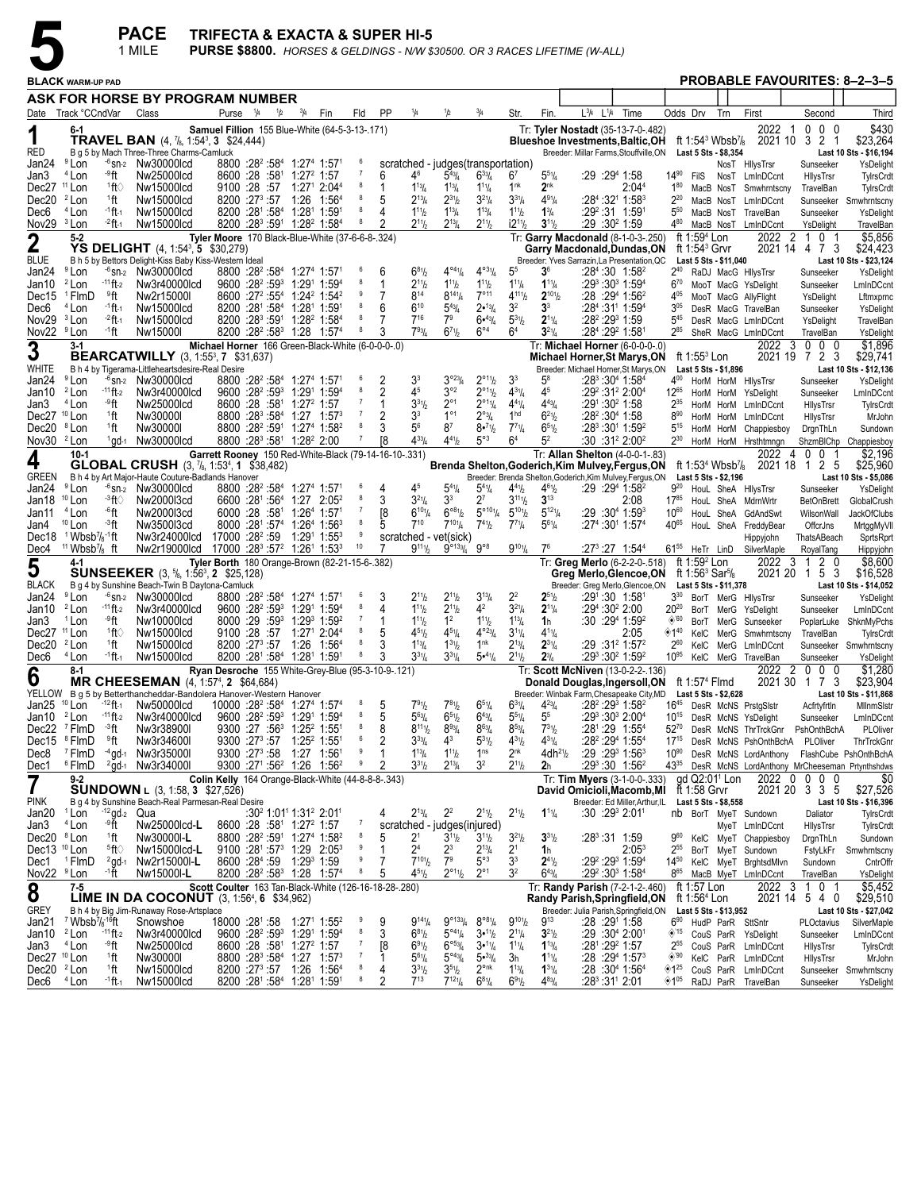

|                                                  |                                                          |                          | <b>PACE</b><br>1 MILE                                                                                       | <b>TRIFECTA &amp; EXACTA &amp; SUPER HI-5</b>                                                                                   |                                                                                                                                             |                                                                        |             |             |                |         |                                         |                                                               |                                                 |                                      |                                               | PURSE \$8800. HORSES & GELDINGS - N/W \$30500. OR 3 RACES LIFETIME (W-ALL)                                              |                                |                                                  |                                                        |           |                                                                           |                                                             |                                             |
|--------------------------------------------------|----------------------------------------------------------|--------------------------|-------------------------------------------------------------------------------------------------------------|---------------------------------------------------------------------------------------------------------------------------------|---------------------------------------------------------------------------------------------------------------------------------------------|------------------------------------------------------------------------|-------------|-------------|----------------|---------|-----------------------------------------|---------------------------------------------------------------|-------------------------------------------------|--------------------------------------|-----------------------------------------------|-------------------------------------------------------------------------------------------------------------------------|--------------------------------|--------------------------------------------------|--------------------------------------------------------|-----------|---------------------------------------------------------------------------|-------------------------------------------------------------|---------------------------------------------|
|                                                  | <b>BLACK WARM-UP PAD</b>                                 |                          |                                                                                                             |                                                                                                                                 |                                                                                                                                             |                                                                        |             |             |                |         |                                         |                                                               |                                                 |                                      |                                               |                                                                                                                         |                                |                                                  |                                                        |           | <b>PROBABLE FAVOURITES: 8-2-3-5</b>                                       |                                                             |                                             |
|                                                  |                                                          |                          | ASK FOR HORSE BY PROGRAM NUMBER                                                                             |                                                                                                                                 |                                                                                                                                             |                                                                        |             |             |                |         |                                         |                                                               |                                                 |                                      |                                               |                                                                                                                         |                                |                                                  |                                                        |           |                                                                           |                                                             |                                             |
|                                                  | Date Track °CCndVar                                      |                          | Class                                                                                                       |                                                                                                                                 | Purse <sup>1</sup> /4                                                                                                                       | 1/2                                                                    | $^{3}/_{4}$ | Fin         | Fld            | PP      | 1/4                                     | 1/2                                                           | $^{3}/_{4}$                                     | Str.                                 | Fin.                                          | L3/4<br>$L^{1/4}$                                                                                                       | Time                           | Odds Drv                                         |                                                        | Trn       | First                                                                     | Second                                                      | Third                                       |
| 1<br>RED                                         | 6-1                                                      |                          | <b>TRAVEL BAN</b> (4, 7/8, 1:54 <sup>3</sup> , 3 \$24,444)<br>B g 5 by Mach Three-Three Charms-Camluck      | Samuel Fillion 155 Blue-White (64-5-3-13-.171)                                                                                  |                                                                                                                                             |                                                                        |             |             |                |         |                                         |                                                               |                                                 |                                      |                                               | Tr: Tyler Nostadt (35-13-7-0-.482)<br><b>Blueshoe Investments, Baltic, OH</b><br>Breeder: Millar Farms, Stouffville, ON |                                |                                                  | ft 1:54 $3$ Wbsb $\frac{7}{8}$<br>Last 5 Sts - \$8,354 |           | 2022<br>-1<br>2021 10 3 2                                                 | 0<br>$0\quad 0$<br>- 1                                      | \$430<br>\$23,264<br>Last 10 Sts - \$16,194 |
| Jan24                                            | <sup>9</sup> Lon                                         |                          | $-6$ sn-2 Nw30000lcd                                                                                        |                                                                                                                                 | 8800 :28 <sup>2</sup> :58 <sup>4</sup> 1:27 <sup>4</sup> 1:57 <sup>1</sup>                                                                  |                                                                        |             |             |                |         |                                         | scratched - judges (transportation)                           |                                                 |                                      |                                               |                                                                                                                         |                                |                                                  |                                                        |           | NosT HilysTrsr                                                            | Sunseeker                                                   | YsDelight                                   |
| Jan3<br>Dec27                                    | <sup>4</sup> Lon<br><sup>11</sup> Lon                    | ⊸ft<br>1ft∖              | Nw25000lcd<br>Nw15000lcd                                                                                    |                                                                                                                                 | 8600 :28 :581 1:27 <del>2</del> 1:57<br>9100 :28 :57                                                                                        |                                                                        |             | 1:271 2:044 |                | 6<br>-1 | 46<br>$1^{13}$ /4                       | $5^{43}$ /4<br>$1^{13}$ /4                                    | $6^{33}/4$<br>$1^{11}/4$                        | 6′<br>1 <sup>nk</sup>                | $5^{51}/4$<br>2 <sup>nk</sup>                 | :29 :294 1:58                                                                                                           | 2:04 <sup>4</sup>              | 14%<br>$1^{80}$                                  | FilS<br>MacB NosT                                      |           | NosT LmInDCcnt<br>Smwhrntscny                                             | HilysTrsr<br>TravelBan                                      | TylrsCrdt<br>TylrsCrdt                      |
| Dec20 <sup>2</sup> Lon                           |                                                          | 1ft                      | Nw15000lcd                                                                                                  |                                                                                                                                 | 8200 :27 <sup>3</sup> :57 1:26 1:56 <sup>4</sup>                                                                                            |                                                                        |             |             |                | 5       | $2^{13}$ /4                             | $2^{31}h$                                                     | $3^{21}/4$                                      | $3^{31}/4$                           | $4^{91}/4$                                    | :284:3211:583                                                                                                           |                                | $2^{20}$                                         | MacB NosT                                              |           | LmInDCcnt                                                                 | Sunseeker                                                   | Smwhrntscny                                 |
| Dec6<br>Nov29 <sup>3</sup> Lon                   | <sup>4</sup> Lon                                         | -1 ft-1<br>$-2$ ft $-1$  | Nw15000lcd<br>Nw15000lcd                                                                                    |                                                                                                                                 | 8200 :281 :584 1:281 1:591<br>8200 : 28 <sup>3</sup> : 59 <sup>1</sup> 1: 28 <sup>2</sup> 1: 58 <sup>4</sup>                                |                                                                        |             |             |                |         | $1^{11}h$<br>$2^{11}h$                  | $1^{13}$ / <sub>4</sub><br>$2^{13}$ /4                        | $1^{13}$ / <sub>4</sub><br>$2^{11}/2$           | $1^{11}$<br>$i2^{11}/2$              | $1\frac{3}{4}$<br>$3^{11}/2$                  | :29 <sup>2</sup> :31 1:59 <sup>1</sup><br>:29 :30 <sup>2</sup> 1:59                                                     |                                | $5^{50}$<br>480                                  | MacB NosT                                              | MacB NosT | TravelBan<br>LmInDCcnt                                                    | Sunseeker<br>YsDelight                                      | YsDelight<br>TravelBan                      |
| $\mathbf 2$                                      | $5 - 2$                                                  |                          |                                                                                                             | Tyler Moore 170 Black-Blue-White (37-6-6-8-.324)                                                                                |                                                                                                                                             |                                                                        |             |             |                |         |                                         |                                                               |                                                 |                                      |                                               | Tr: Garry Macdonald (8-1-0-3-.250)                                                                                      |                                |                                                  | ft 1:59 <sup>4</sup> Lon                               |           | 2022<br>$\overline{2}$                                                    | $\mathbf{1}$<br>0 <sub>1</sub>                              | \$5,856                                     |
| <b>BLUE</b>                                      |                                                          |                          | YS DELIGHT (4, 1:54 <sup>3</sup> , 5 \$30,279)<br>B h 5 by Bettors Delight-Kiss Baby Kiss-Western Ideal     |                                                                                                                                 |                                                                                                                                             |                                                                        |             |             |                |         |                                         |                                                               |                                                 |                                      |                                               | Garry Macdonald,Dundas,ON<br>Breeder: Yves Sarrazin, La Presentation, QC                                                |                                |                                                  | ft 1:54 <sup>3</sup> Grvr<br>Last 5 Sts - \$11,040     |           |                                                                           | 2021 14 4 7 3                                               | \$24,423<br>Last 10 Sts - \$23,124          |
| Jan24                                            | <sup>9</sup> Lon                                         |                          | $-6$ <sub>Sn-2</sub> Nw30000lcd                                                                             |                                                                                                                                 | 8800 :28 <del>°</del> :58 <sup>4</sup> 1:27 <sup>4</sup> 1:571                                                                              |                                                                        |             |             |                | 6       | $6^{81}/2$                              | $4^{04}\%$                                                    | $4^{\circ 3}$ <sup>1</sup> / <sub>4</sub>       | 5 <sup>5</sup>                       | 3 <sup>6</sup>                                | $:284:30$ 1:58 <sup>2</sup>                                                                                             |                                | $2^{40}$                                         |                                                        |           | RaDJ MacG HilysTrsr                                                       | Sunseeker                                                   | YsDelight                                   |
| Jan10<br>Dec15                                   | <sup>2</sup> Lon<br><sup>1</sup> FlmD                    | $-11$ ft-2<br>≗ft        | Nw3r40000lcd<br>Nw2r15000I                                                                                  |                                                                                                                                 | $9600 : 28^2 : 59^3$ 1:29 <sup>1</sup> 1:59 <sup>4</sup><br>8600 :27 <sup>2</sup> :55 <sup>4</sup> 1:24 <sup>2</sup> 1:54 <sup>2</sup>      |                                                                        |             |             |                | 1       | $2^{11}h$<br>$8^{14}$                   | $1^{11}h$<br>$8^{14}\%$                                       | $1^{11}$<br>$7^{\circ}$ <sup>11</sup>           | $1^{11}/4$<br>$4^{111}$              | $1^{11}/4$<br>$2^{101}$                       | :293 :303 1:594<br>:28:29 <sup>4</sup> 1:56 <sup>2</sup>                                                                |                                | $6^{70}$<br>405                                  |                                                        |           | MooT MacG YsDelight<br>MooT MacG AllyFlight                               | Sunseeker<br>YsDelight                                      | LmInDCcnt<br>Lftmxprnc                      |
| Dec6                                             | <sup>4</sup> Lon                                         | -1 <b>ft</b> -1          | Nw15000lcd                                                                                                  |                                                                                                                                 | 8200 :281 :584 1:281 1:591                                                                                                                  |                                                                        |             |             |                | 6       | $6^{10}$                                | $5^{43}$ /4                                                   | 2•13/4                                          | 3 <sup>2</sup>                       | 3 <sup>3</sup>                                | :284:311 1:594                                                                                                          |                                | $3^{05}$                                         |                                                        |           | DesR MacG TravelBan                                                       | Sunseeker                                                   | YsDelight                                   |
| Nov29 <sup>3</sup> Lon<br>Nov22 <sup>9</sup> Lon |                                                          | $-2$ ft -1<br>∙1ft       | Nw15000lcd<br>Nw15000I                                                                                      |                                                                                                                                 | 8200 :28 <sup>3</sup> :59 <sup>1</sup> 1:28 <sup>2</sup> 1:58 <sup>4</sup><br>8200 :28 <sup>2</sup> :58 <sup>3</sup> 1:28 1:57 <sup>4</sup> |                                                                        |             |             | 8              | 3       | $7^{16}$<br>$7^{93}$ la                 | 7 <sup>9</sup><br>$6^{71}h$                                   | $6•^{43}/4$<br>$6^{\circ 4}$                    | $5^{31}/2$<br>64                     | $2^{11}/4$<br>$3^{21}/4$                      | :28 <sup>2</sup> :29 <sup>3</sup> 1:59<br>:284 :292 1:581                                                               |                                | $5^{45}$<br>285                                  |                                                        |           | DesR MacG LmInDCcnt<br>SheR MacG LmInDCcnt                                | YsDelight<br>TravelBan                                      | TravelBan<br>YsDelight                      |
| 3                                                | $3-1$                                                    |                          |                                                                                                             | Michael Horner 166 Green-Black-White (6-0-0-0-.0)                                                                               |                                                                                                                                             |                                                                        |             |             |                |         |                                         |                                                               |                                                 |                                      |                                               | Tr: Michael Horner (6-0-0-0-.0)                                                                                         |                                |                                                  |                                                        |           | 2022<br>- 3                                                               | $0\quad0\quad0$                                             | \$1,896                                     |
| <b>WHITE</b>                                     |                                                          |                          | <b>BEARCATWILLY</b> (3, 1:55 <sup>3</sup> , 7 \$31,637)<br>B h 4 by Tigerama-Littleheartsdesire-Real Desire |                                                                                                                                 |                                                                                                                                             |                                                                        |             |             |                |         |                                         |                                                               |                                                 |                                      |                                               | Michael Horner, St Marys, ON<br>Breeder: Michael Horner, St Marys, ON                                                   |                                |                                                  | ft $1:553$ Lon<br>Last 5 Sts - \$1,896                 |           |                                                                           | 2021 19 7 2 3                                               | \$29,741<br>Last 10 Sts - \$12,136          |
| Jan24                                            | <sup>9</sup> Lon                                         |                          | $-6$ <sub>Sn-2</sub> Nw30000lcd                                                                             |                                                                                                                                 | 8800 :28 <del>°</del> :58 <sup>4</sup> 1:27 <sup>4</sup> 1:571                                                                              |                                                                        |             |             |                | 2       | 3 <sup>3</sup>                          | $3^{923}/4$                                                   | $2^{\circ_{11}}\frac{1}{2}$                     | 3 <sup>3</sup>                       | $5^8$                                         | $:28^3:30^4$ 1:58 <sup>4</sup>                                                                                          |                                | 400                                              |                                                        |           | HorM HorM HilysTrsr                                                       | Sunseeker                                                   | YsDelight                                   |
| Jan10                                            | <sup>2</sup> Lon<br>$4$ Lon                              | $-11$ ft-2<br>⊸°ft       | Nw3r40000lcd<br>Nw25000lcd                                                                                  |                                                                                                                                 | $9600 : 28^2 : 59^3$ 1:29 <sup>1</sup> 1:59 <sup>4</sup><br>8600 :28 :581 1:27 <sup>2</sup> 1:57                                            |                                                                        |             |             |                | 2       | 45<br>$3^{31}$                          | $3^{\circ 2}$<br>$2^{\circ}1$                                 | $2^{\circ_{11}}\frac{1}{2}$<br>$2^{\circ 11}/4$ | $4^{31}/4$<br>$4^{41}/4$             | 45<br>$4^{43}$ / <sub>4</sub>                 | :29 <sup>2</sup> :31 <sup>2</sup> 2:00 <sup>4</sup><br>:291:30 <sup>2</sup> 1:58                                        |                                | $12^{65}$<br>$2^{35}$                            | HorM HorM                                              |           | HorM HorM YsDelight                                                       | Sunseeker                                                   | LmInDCcnt                                   |
| Jan3<br>Dec27 <sup>10</sup> Lon                  |                                                          | 1ft                      | Nw30000I                                                                                                    |                                                                                                                                 | 8800 :28 <sup>3</sup> :58 <sup>4</sup> 1:27 1:57 <sup>3</sup>                                                                               |                                                                        |             |             |                | 2       | 3 <sup>3</sup>                          | $1^{\circ 1}$                                                 | $2^{\circ_{3}}/4$                               | 1 <sup>hd</sup>                      | $6^{21}$                                      | $:28^2:30^4$ 1:58                                                                                                       |                                | $8^{90}$                                         |                                                        | HorM HorM | LmInDCcnt<br>LmInDCcnt                                                    | HilysTrsr<br>HilysTrsr                                      | TylrsCrdt<br>MrJohn                         |
| Dec20 <sup>8</sup> Lon                           |                                                          | 1ft                      | Nw30000I                                                                                                    |                                                                                                                                 | 8800 :28 <sup>2</sup> :591 1:274 1:58 <sup>2</sup>                                                                                          |                                                                        |             |             | -8             | 3       | 5 <sup>6</sup>                          | 8 <sup>7</sup>                                                | $8 - 71/2$                                      | $7^{71}/4$                           | $6^{51}/2$                                    | $:28^3:30^1$ 1:59 <sup>2</sup>                                                                                          |                                | 515                                              |                                                        | HorM HorM | Chappiesboy                                                               | DrgnThLn                                                    | Sundown                                     |
| Nov30 <sup>2</sup> Lon                           | $10-1$                                                   |                          | <sup>1</sup> ad-1 Nw30000lcd                                                                                | Garrett Rooney 150 Red-White-Black (79-14-16-10-.331)                                                                           | 8800 :28 <sup>3</sup> :58 <sup>1</sup> 1:28 <sup>2</sup> 2:00                                                                               |                                                                        |             |             |                | Г8      | $4^{33}$ /4                             | $4^{41}h$                                                     | $5^{\circ 3}$                                   | 6 <sup>4</sup>                       | 5 <sup>2</sup>                                | :30 :31 <sup>2</sup> 2:00 <sup>2</sup><br>Tr: Allan Shelton (4-0-0-1-.83)                                               |                                | $2^{30}$                                         |                                                        |           | HorM HorM Hrsthtmngn<br>2022<br>4                                         | 001                                                         | ShzmBlChp Chappiesboy<br>\$2,196            |
| 4                                                |                                                          |                          | <b>GLOBAL CRUSH</b> (3, 7/8, 1:53 <sup>4</sup> , 1 \$38,482)                                                |                                                                                                                                 |                                                                                                                                             |                                                                        |             |             |                |         |                                         |                                                               |                                                 |                                      |                                               | Brenda Shelton,Goderich,Kim Mulvey,Fergus,ON                                                                            |                                |                                                  | ft 1:53 <sup>4</sup> Wbsb <sup>7</sup> / <sub>8</sub>  |           | 2021 18                                                                   | 125                                                         | \$25,960                                    |
| GREEN<br>Jan24                                   | <sup>9</sup> Lon                                         |                          | B h 4 by Art Major-Haute Couture-Badlands Hanover<br>$-6$ <sub>Sn-2</sub> Nw30000lcd                        |                                                                                                                                 | 8800 :28 <sup>2</sup> :58 <sup>4</sup> 1:27 <sup>4</sup> 1:57 <sup>1</sup>                                                                  |                                                                        |             |             |                | 4       | 45                                      | $5^{41}$ /4                                                   | $5^{4}$ <sup>1</sup> / <sub>4</sub>             | $4^{41}$ / <sub>2</sub>              | $4^{61}/_{2}$                                 | Breeder: Brenda Shelton, Goderich, Kim Mulvey, Fergus, ON<br>:29:29 <sup>4</sup> 1:58 <sup>2</sup>                      |                                | $9^{20}$                                         | Last 5 Sts - \$2,196                                   |           | HouL SheA HilysTrsr                                                       | Sunseeker                                                   | Last 10 Sts - \$5,086<br>YsDelight          |
| Jan18                                            | $10$ Lon                                                 | -3ft⊘                    | Nw2000l3cd                                                                                                  |                                                                                                                                 | 6600 :28 <sup>1</sup> :56 <sup>4</sup> 1:27 2:05 <sup>2</sup>                                                                               |                                                                        |             |             |                | 3       | $3^{21}/4$                              | 33                                                            | $2^7$                                           | $3^{11}$ <sup>1</sup> / <sub>2</sub> | $3^{13}$                                      |                                                                                                                         | 2:08                           | $17^{85}$                                        |                                                        |           | HouL SheA MdrnWrtr                                                        | <b>BetOnBrett</b>                                           | GlobalCrush                                 |
| Jan11<br>Jan4                                    | <sup>4</sup> Lon<br>$10$ Lon                             | -6ft<br>⊸3ft             | Nw2000l3cd<br>Nw3500l3cd                                                                                    |                                                                                                                                 | 6000 :28 :58 <sup>1</sup> 1:26 <sup>4</sup> 1:57 <sup>1</sup><br>8000 :281 :574 1:264 1:563                                                 |                                                                        |             |             |                | 18      | $6^{101}/4$<br>$7^{10}$                 | $6^{\circ 81}$<br>$7^{10}$ <sup>1</sup> / <sub>4</sub>        | $5^{\circ 101}/4$<br>$7^{41}h$                  | $5^{101}$<br>$7^{7}\frac{1}{4}$      | $5^{121}/4$<br>$5^{61}/4$                     | $:29:30^{4}$ 1:59 <sup>3</sup><br>:274 :301 1:574                                                                       |                                | $10^{60}$<br>4065                                | HouL SheA                                              | HouL SheA | GdAndSwt<br>FreddyBear                                                    | WilsonWall<br>OffcrJns                                      | JackOfClubs<br>MrtggMyVII                   |
|                                                  | Dec18 $1$ Wbsb <sup>7</sup> / <sub>8</sub> -1ft          |                          |                                                                                                             | Nw3r24000lcd 17000 :28 <sup>2</sup> :59 1:29 <sup>1</sup> 1:55 <sup>3</sup>                                                     |                                                                                                                                             |                                                                        |             |             | -9             |         |                                         | scratched - vet(sick)                                         |                                                 |                                      |                                               |                                                                                                                         |                                |                                                  |                                                        |           | Hippyjohn                                                                 | ThatsABeach                                                 | SprtsRprt                                   |
| Dec4                                             | <sup>11</sup> Wbsb <sup>7</sup> / <sub>8</sub> ft<br>4-1 |                          | Nw2r19000lcd                                                                                                | $17000$ :28 <sup>3</sup> :57 <sup>2</sup> 1:26 <sup>1</sup> 1:53 <sup>3</sup><br>Tyler Borth 180 Orange-Brown (82-21-15-6-.382) |                                                                                                                                             |                                                                        |             |             | 10             |         | $9^{111}/2$                             | $9^{\circ}133/4$ $9^{\circ}8$                                 |                                                 | $9^{101}/4$                          | 7 <sup>6</sup>                                | $:27^3:27$ 1:54 <sup>4</sup><br>Tr: Greg Merlo (6-2-2-0-.518)                                                           |                                |                                                  | 61 <sup>55</sup> HeTr LinD<br>ft $1:592$ Lon           |           | SilverMaple<br>2022<br>-3                                                 | RoyalTang<br>2 <sub>0</sub><br>-1                           | Hippyjohn<br>\$8,600                        |
| 5                                                |                                                          |                          | <b>SUNSEEKER</b> (3, <sup>5</sup> <sub>8</sub> , 1:56 <sup>3</sup> , 2 \$25,128)                            |                                                                                                                                 |                                                                                                                                             |                                                                        |             |             |                |         |                                         |                                                               |                                                 |                                      |                                               | Greg Merlo,Glencoe,ON                                                                                                   |                                |                                                  | ft 1:56 <sup>3</sup> Sar <sup>5</sup> /8               |           |                                                                           | 2021 20 1 5 3                                               | \$16,528                                    |
| <b>BLACK</b><br>Jan24                            | <sup>9</sup> Lon                                         |                          | B g 4 by Sunshine Beach-Twin B Daytona-Camluck<br>$-6$ sn-2 Nw30000lcd                                      |                                                                                                                                 | 8800 :28 <del>°</del> :58 <sup>4</sup> 1:27 <sup>4</sup> 1:571                                                                              |                                                                        |             |             |                | 3       | $2^{11}h$                               | $2^{11}h$                                                     | $3^{13}/4$                                      | 2 <sup>2</sup>                       | $2^{51}$ / <sub>2</sub>                       | Breeder: Greg Merlo, Glencoe, ON<br>:291:30 1:581                                                                       |                                | $3^{30}$                                         | Last 5 Sts - \$11,378                                  |           | BorT MerG HilysTrsr                                                       | Sunseeker                                                   | Last 10 Sts - \$14,052<br>YsDelight         |
| Jan10                                            | <sup>2</sup> Lon                                         | $-11$ ft-2               | Nw3r40000lcd                                                                                                |                                                                                                                                 | $9600 : 28^2 : 59^3$ 1:29 <sup>1</sup> 1:59 <sup>4</sup>                                                                                    |                                                                        |             |             | 8              |         | $1^{11}h$                               | $2^{11}h$                                                     | 4 <sup>2</sup>                                  | $3^{21}/4$                           | $2^{11}/4$                                    | $:29^4:30^2$ 2:00                                                                                                       |                                | $20^{20}$                                        |                                                        |           | BorT MerG YsDelight                                                       | Sunseeker                                                   | LmInDCcnt                                   |
| Jan3<br>Dec27                                    | <sup>1</sup> Lon<br><sup>11</sup> Lon                    | ⊸°ft<br>1ft∖             | Nw10000lcd<br>Nw15000lcd                                                                                    |                                                                                                                                 | 8000 :29 :59 1:29 1:59 2<br>9100 :28 :57 1:271 2:044                                                                                        |                                                                        |             |             |                | 5       | $1^{11}b$<br>$4^{51}h$                  | 1 <sup>2</sup><br>$4^{51}/4$                                  | $1^{11}$<br>$4^{\circ}23/4$                     | $1^{13}/4$<br>$3^{11}/4$             | 1 <sub>h</sub><br>$4^{11}/4$                  | :30:29 <sup>4</sup> 1:59 <sup>2</sup>                                                                                   | 2:05                           | $\diamond$ '60<br>$\diamondsuit$ 1 <sup>40</sup> | KelC                                                   |           | BorT MerG Sunseeker                                                       | PoplarLuke                                                  | ShknMyPchs                                  |
| Dec $20^{2}$ Lon                                 |                                                          | <sup>1</sup> ft          | Nw15000lcd                                                                                                  |                                                                                                                                 |                                                                                                                                             |                                                                        |             |             | 8              |         | $1^{13}$ / <sub>4</sub>                 | $1^{31}h$                                                     | 1 <sup>nk</sup>                                 | $2^{13}$ / <sub>4</sub>              | $2^{31}/4$                                    | :29 :31 <sup>2</sup> 1:57 <sup>2</sup>                                                                                  |                                | $2^{60}$                                         | KelC                                                   |           | MerG Smwhrntscny<br>MerG LmInDCcnt                                        | TravelBan                                                   | TylrsCrdt<br>Sunseeker Smwhrntscny          |
| Dec6                                             | <sup>4</sup> Lon                                         | <sup>-1</sup> ft-1       | Nw15000lcd                                                                                                  |                                                                                                                                 | 8200 :281 :584 1:281 1:591                                                                                                                  |                                                                        |             |             | 8              |         | $3^{31}/4$                              | $3^{31}/4$                                                    | 5•41/4                                          | $2^{11}/2$                           | $2^{3}/_{4}$                                  | $:29^3:30^2$ 1:59 <sup>2</sup>                                                                                          |                                | $10^{95}$                                        |                                                        |           | KelC MerG TravelBan                                                       | Sunseeker                                                   | YsDelight                                   |
| 6                                                | $8-1$                                                    |                          | <b>MR CHEESEMAN</b> (4, 1:57 <sup>4</sup> , 2 \$64,684)                                                     | Ryan Desroche 155 White-Grey-Blue (95-3-10-9-.121)                                                                              |                                                                                                                                             |                                                                        |             |             |                |         |                                         |                                                               |                                                 |                                      |                                               | Tr: Scott McNiven (13-0-2-2-.136)<br>Donald Douglas, Ingersoll, ON ft 1:574 Flmd                                        |                                |                                                  |                                                        |           | 2022<br>$\overline{2}$                                                    | $\begin{array}{ccc} 0 & 0 & 0 \end{array}$<br>2021 30 1 7 3 | \$1,280<br>\$23,904                         |
|                                                  |                                                          |                          | YELLOW B g 5 by Betterthancheddar-Bandolera Hanover-Western Hanover                                         |                                                                                                                                 |                                                                                                                                             |                                                                        |             |             |                | 5       |                                         | $7^{81}h$                                                     |                                                 |                                      |                                               | Breeder: Winbak Farm, Chesapeake City, MD Last 5 Sts - \$2,628                                                          |                                |                                                  |                                                        |           |                                                                           |                                                             | Last 10 Sts - \$11,868                      |
| Jan25 <sup>10</sup> Lon<br>Jan10 $^{2}$ Lon      |                                                          | $-12$ ft-1<br>$-11$ ft-2 | Nw50000lcd<br>Nw3r40000lcd                                                                                  |                                                                                                                                 | 10000 :28 <sup>2</sup> :58 <sup>4</sup> 1:27 <sup>4</sup> 1:57 <sup>4</sup><br>$9600 :28^{2}:59^{3}$ 1:29 <sup>1</sup> 1:59 <sup>4</sup>    |                                                                        |             |             | 8              | 5       | 791/2<br>$5^{63}$ /4                    | $6^{51}h$                                                     | $6^{51}/4$<br>$6^{43}/4$                        | $6^{31}/4$<br>$55\%$                 | $4^{23}l_4$<br>$5^5$                          | :28 <sup>2</sup> :29 <sup>3</sup> 1:58 <sup>2</sup><br>$:29^3:30^3$ 2:00 <sup>4</sup>                                   |                                | $10^{15}$                                        |                                                        |           | 16 <sup>45</sup> DesR McNS PrstgSlstr<br>DesR McNS YsDelight              | Acfrtyfrtln<br>Sunseeker                                    | MilnmSistr<br>LmInDCcnt                     |
|                                                  | Dec22 <sup>7</sup> FlmD                                  | ⊸3ft                     | Nw3r38900I                                                                                                  |                                                                                                                                 | 9300 :27 :56 <sup>3</sup> 1:25 <sup>2</sup> 1:55 <sup>1</sup>                                                                               |                                                                        |             |             | 8              | 8       | $8^{111}/2$                             | $8^{93}/4$                                                    | $8^{63}/4$                                      | $8^{53} / _4$                        | $7^{31}/2$                                    | :281:29 1:554                                                                                                           |                                | $52^{70}$                                        |                                                        |           | DesR McNS ThrTrckGnr PshOnthBchA                                          |                                                             | PLOliver                                    |
|                                                  | Dec15 <sup>8</sup> FlmD<br>Dec8 <sup>7</sup> FlmD        | °ft                      | Nw3r34600I<br>$-4$ gd $-1$ Nw3r350001                                                                       |                                                                                                                                 | 9300 :273 :57 1:25 <sup>2</sup> 1:551<br>9300 :27 <sup>3</sup> :58 1:27 1:56 <sup>1</sup>                                                   |                                                                        |             |             | 6<br>9         | 2       | $3^{33}/4$<br>$1^{13}$ / <sub>4</sub>   | 4 <sup>3</sup><br>$1^{11}h$                                   | $5^{31}/2$<br>1 <sup>ns</sup>                   | $4^{31}/2$<br>$2^{nk}$               | $4^{31}/4$<br>4dh <sup>2</sup> 1 <sub>2</sub> | :28 <sup>2</sup> :29 <sup>4</sup> 1:55 <sup>4</sup><br>$:29:29^{3}1:56^{3}$                                             |                                | $17^{15}$<br>$10^{90}$                           |                                                        |           | DesR McNS PshOnthBchA<br>DesR McNS LordAnthony FlashCube PshOnthBchA      | PLOliver                                                    | ThrTrckGnr                                  |
| Dec1                                             | <sup>6</sup> FlmD                                        |                          | $^{2}$ gd-1 Nw3r34000I                                                                                      |                                                                                                                                 | 9300 :271 :56 <sup>2</sup> 1:26 1:56 <sup>2</sup>                                                                                           |                                                                        |             |             | 9              |         | $3^{31}h$                               | $2^{13}$ /4                                                   | 3 <sup>2</sup>                                  | $2^{11}$ / <sub>2</sub>              | 2 <sub>h</sub>                                | :293:30 $1:56^2$                                                                                                        |                                |                                                  |                                                        |           | 43 <sup>35</sup> DesR McNS LordAnthony MrCheeseman Prtynthshdws           |                                                             |                                             |
| $\overline{\mathbf{7}}$                          | $9-2$                                                    |                          | <b>SUNDOWN L (3, 1:58, 3 \$27,526)</b>                                                                      | Colin Kelly 164 Orange-Black-White (44-8-8-8-.343)                                                                              |                                                                                                                                             |                                                                        |             |             |                |         |                                         |                                                               |                                                 |                                      |                                               | Tr: Tim Myers (3-1-0-0-.333)<br>David Omicioli, Macomb, MI                                                              |                                |                                                  | gd Q2:01 <sup>1</sup> Lon<br>ft 1:58 Grvr              |           |                                                                           | 2022 0 0 0 0<br>2021 20 3 3 5                               | \$0<br>\$27,526                             |
| <b>PINK</b>                                      |                                                          |                          | B g 4 by Sunshine Beach-Real Parmesan-Real Desire                                                           |                                                                                                                                 |                                                                                                                                             |                                                                        |             |             |                |         |                                         |                                                               |                                                 |                                      |                                               |                                                                                                                         | Breeder: Ed Miller, Arthur, IL |                                                  | Last 5 Sts - \$8,558                                   |           |                                                                           |                                                             | Last 10 Sts - \$16,396                      |
| Jan20 $1$ Lon<br>Jan3                            | <sup>4</sup> Lon                                         | ⊸°Ťt                     | $-12$ gd-2 Qua<br>Nw25000lcd-L                                                                              |                                                                                                                                 | 8600 :28 :58 <sup>1</sup> 1:27 <sup>2</sup> 1:57                                                                                            | :30 <sup>2</sup> 1:01 <sup>1</sup> 1:31 <sup>2</sup> 2:01 <sup>1</sup> |             |             |                |         | $2^{13}/4$                              | $2^2$<br>scratched - judges(injured)                          | $2^{11}/2$                                      | $2^{11}/2$                           | $1^{11}/4$                                    | $:30:29^3 2:01^1$                                                                                                       |                                |                                                  |                                                        |           | nb BorT MyeT Sundown<br>MyeT LmInDCcnt                                    | Daliator<br>HilysTrsr                                       | TylrsCrdt<br>TylrsCrdt                      |
| Dec20 <sup>8</sup> Lon                           |                                                          | $1$ ft                   | Nw30000I-L                                                                                                  |                                                                                                                                 | 8800 :28 <sup>2</sup> :59 <sup>1</sup> 1:27 <sup>4</sup> 1:58 <sup>2</sup>                                                                  |                                                                        |             |             | 8              | 5       | $2^1$                                   | $3^{11}h$                                                     | $3^{11}/2$                                      | $3^{2^{1}}$                          | $3^{31}$ / <sub>2</sub>                       | $:28^3:31$ 1:59                                                                                                         |                                | $9^{60}$                                         |                                                        |           | KelC MyeT Chappiesboy                                                     | DrgnThLn                                                    | Sundown                                     |
| Dec13 <sup>10</sup> Lon                          |                                                          | <sup>5</sup> ft∖         | Nw15000lcd-L                                                                                                |                                                                                                                                 | $9100 : 28^1 : 57^3$ 1:29 2:05 <sup>3</sup>                                                                                                 |                                                                        |             |             | 9<br>9         | -1<br>7 | 2 <sup>4</sup><br>$7^{10}$ <sup>1</sup> | 2 <sup>3</sup><br>7 <sup>9</sup>                              | $2^{13}/4$<br>$5^{\circ 3}$                     | 2 <sup>1</sup><br>3 <sup>3</sup>     | 1 <sub>h</sub>                                |                                                                                                                         | 2:05 <sup>3</sup>              | $2^{55}$                                         |                                                        |           | BorT MyeT Sundown                                                         | FstyLkFr                                                    | Smwhrntscny                                 |
| Dec1<br>Nov22 <sup>9</sup> Lon                   | <sup>1</sup> FlmD                                        | <sup>-1</sup> ft         | $^{2}$ gd-1 Nw2r15000l-L<br>Nw15000I-L                                                                      |                                                                                                                                 | 8600 :284 :59 1:29 1:59<br>8200 :28 <sup>2</sup> :58 <sup>3</sup> 1:28 1:57 <sup>4</sup>                                                    |                                                                        |             |             | 8              | 5       | $4^{51}$                                | $2^{\circ_{11}}\frac{1}{2}$                                   | $2^{\circ}1$                                    | 3 <sup>2</sup>                       | $2^{41}$ / <sub>2</sub><br>$6^{43}/4$         | :29 <sup>2</sup> :29 <sup>3</sup> 1:59 <sup>4</sup><br>:29 <sup>2</sup> :30 <sup>3</sup> 1:58 <sup>4</sup>              |                                |                                                  |                                                        |           | 14 <sup>50</sup> KelC MyeT BrghtsdMlvn<br>865 MacB MyeT LmInDCcnt         | Sundown<br>TravelBan                                        | CntrOffr<br>YsDelight                       |
| 8                                                | 7-5                                                      |                          |                                                                                                             | Scott Coulter 163 Tan-Black-White (126-16-18-28-.280)                                                                           |                                                                                                                                             |                                                                        |             |             |                |         |                                         |                                                               |                                                 |                                      |                                               | Tr: Randy Parish (7-2-1-2-.460)                                                                                         |                                |                                                  | ft 1:57 Lon                                            |           | 2022 3                                                                    | 1 0 1                                                       | \$5,452                                     |
| GREY                                             |                                                          |                          | LIME IN DA COCONUT (3, 1:564, 6 \$34,962)<br>B h 4 by Big Jim-Runaway Rose-Artsplace                        |                                                                                                                                 |                                                                                                                                             |                                                                        |             |             |                |         |                                         |                                                               |                                                 |                                      |                                               | Randy Parish, Springfield, ON<br>Breeder: Julia Parish, Springfield, ON                                                 |                                |                                                  | ft 1:56 <sup>4</sup> Lon<br>Last 5 Sts - \$13,952      |           |                                                                           | 2021 14 5 4 0                                               | \$29,510<br>Last 10 Sts - \$27,042          |
|                                                  | Jan21 $^7$ Wbsb $\frac{7}{6}$ <sup>-16</sup> ft          |                          | Snowshoe                                                                                                    |                                                                                                                                 |                                                                                                                                             |                                                                        |             |             |                | 9       | $9^{14}\%$                              | $9^{\circ}133/4$                                              | $8^{\circ 8_{1/4}}$                             | $9^{101}h$                           | $9^{13}$                                      | :28 :291 1:58                                                                                                           |                                | $6^{90}$                                         |                                                        |           | HudP ParR SttSntr                                                         | PLOctavius                                                  | SilverMaple                                 |
| Jan10 <sup>2</sup> Lon<br>Jan3                   | <sup>4</sup> Lon                                         | $-11$ ft-2<br>⊸°ft       | Nw3r40000lcd<br>Nw25000lcd                                                                                  |                                                                                                                                 | $9600 :28^{2}:59^{3}$ 1:29 <sup>1</sup> 1:59 <sup>4</sup><br>8600 :28 :58 <sup>1</sup> 1:27 <sup>2</sup> 1:57                               |                                                                        |             |             | 8              | 3<br>[8 | $6^{81}/2$<br>$6^{91}/2$                | $5^{\circ 4}$ <sup>1</sup> / <sub>4</sub><br>$6^{\circ 53}/4$ | $3 \cdot 11/2$<br>$3 \cdot 11/4$                | $2^{11}/4$<br>$1^{11}/4$             | $3^{21}/2$<br>$1^{13}$ / <sub>4</sub>         | $:29:30^{4}$ 2:00 <sup>1</sup><br>:281:292 1:57                                                                         |                                | $2^{55}$                                         | CouS ParR                                              |           | <sup>15</sup> CouS ParR YsDelight<br>LmInDCcnt                            | Sunseeker<br>HilysTrsr                                      | LmInDCcnt<br>TylrsCrdt                      |
| Dec27 <sup>10</sup> Lon                          |                                                          | <sup>1</sup> ft          | Nw30000I                                                                                                    |                                                                                                                                 | 8800 :283 :584 1:27 1:573                                                                                                                   |                                                                        |             |             | $\overline{7}$ |         | $5^{61}/4$                              | $5^{\circ 43} / 4$                                            | $5 \cdot \frac{33}{4}$                          | 3h                                   | $1^{11}/4$                                    | :28:29 <sup>4</sup> 1:57 <sup>3</sup>                                                                                   |                                | $\diamond$ '90                                   | KelC ParR                                              |           | LmInDCcnt                                                                 | HilysTrsr                                                   | MrJohn                                      |
| Dec $20^{2}$ Lon<br>Dec6 <sup>4</sup> Lon        |                                                          | 1ft<br>$-1$ ft $-1$      | Nw15000lcd<br>Nw15000lcd                                                                                    |                                                                                                                                 | 8200 :27 <sup>3</sup> :57 1:26 1:56 <sup>4</sup><br>8200 :281 :584 1:281 1:591                                                              |                                                                        |             |             | 8<br>8         | 4<br>2  | $3^{31}h$<br>$7^{13}$                   | $3^{51}h$<br>$7^{121}/4$                                      | $2^{\circ n k}$<br>$6^{81}/4$                   | $1^{13}/4$<br>$6^{91}/2$             | $1^{31}/4$<br>$4^{83}$ /4                     | $:28:30^{4}$ 1:56 <sup>4</sup><br>$:28^3:31^1$ 2:01                                                                     |                                |                                                  |                                                        |           | 1 <sup>25</sup> CouS ParR LmInDCcnt<br><sup>105</sup> RaDJ ParR TravelBan | Sunseeker                                                   | Sunseeker Smwhrntscny<br>YsDelight          |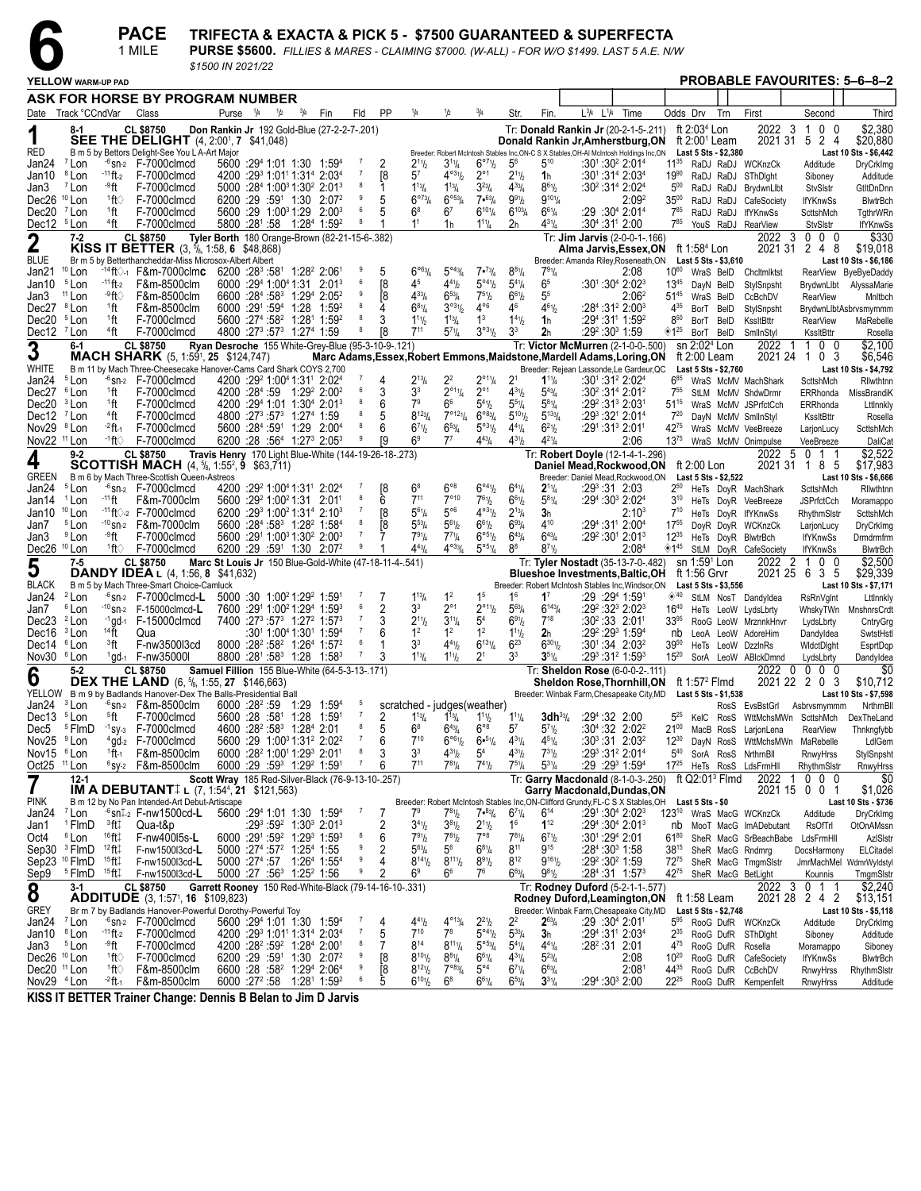**PACE** TRIFECTA & EXACTA & PICK 5 - \$7500 GUARANTEED & SUPERFECTA

|                                                    |                                         |                                        | 1 MILE                                                                                                                                                                          | \$1500 IN 2021/22                                      |                      |               |                                                                                                                                                      |   |                          |                                                        |                                            |                                           |                                                  |                                                  |                                                            | PURSE \$5600. FILLIES & MARES - CLAIMING \$7000. (W-ALL) - FOR W/O \$1499. LAST 5 A.E. N/W                   |                              |                                      |           |                                                |                                                 |                                               |
|----------------------------------------------------|-----------------------------------------|----------------------------------------|---------------------------------------------------------------------------------------------------------------------------------------------------------------------------------|--------------------------------------------------------|----------------------|---------------|------------------------------------------------------------------------------------------------------------------------------------------------------|---|--------------------------|--------------------------------------------------------|--------------------------------------------|-------------------------------------------|--------------------------------------------------|--------------------------------------------------|------------------------------------------------------------|--------------------------------------------------------------------------------------------------------------|------------------------------|--------------------------------------|-----------|------------------------------------------------|-------------------------------------------------|-----------------------------------------------|
|                                                    | YELLOW WARM-UP PAD                      |                                        |                                                                                                                                                                                 |                                                        |                      |               |                                                                                                                                                      |   |                          |                                                        |                                            |                                           |                                                  |                                                  |                                                            |                                                                                                              |                              |                                      |           |                                                |                                                 | <b>PROBABLE FAVOURITES: 5-6-8-2</b>           |
|                                                    |                                         |                                        | ASK FOR HORSE BY PROGRAM NUMBER                                                                                                                                                 |                                                        |                      |               |                                                                                                                                                      |   |                          |                                                        |                                            |                                           |                                                  |                                                  |                                                            |                                                                                                              |                              |                                      |           |                                                |                                                 |                                               |
|                                                    | Date Track °CCndVar                     |                                        | Class                                                                                                                                                                           |                                                        | Purse <sup>1/4</sup> | $\frac{1}{2}$ | $^{3}/_{4}$<br>Fin                                                                                                                                   |   | Fld                      | PP<br>1/4                                              | 1/2                                        | $^{3}/_{4}$                               | Str.                                             | Fin.                                             | $L^{3}/_{4}$ $L^{1}/_{4}$                                  | Time                                                                                                         |                              | Odds Drv                             | Trn       | First                                          | Second                                          | Third                                         |
|                                                    | 8-1                                     |                                        | <b>CL \$8750</b><br><b>SEE THE DELIGHT</b> (4, 2:00 <sup>1</sup> , 7 \$41,048)                                                                                                  | Don Rankin Jr 192 Gold-Blue (27-2-2-7-.201)            |                      |               |                                                                                                                                                      |   |                          |                                                        |                                            |                                           |                                                  |                                                  |                                                            | Tr: Donald Rankin Jr (20-2-1-5-.211)<br>Donald Rankin Jr, Amherstburg, ON ft 2:00 <sup>1</sup> Leam          |                              | ft $2:034$ Lon                       |           | 2022 3                                         | 0 <sub>0</sub><br>$\mathbf{1}$<br>2021 31 5 2 4 | \$2,380<br>\$20,880                           |
| RED                                                |                                         |                                        | B m 5 by Bettors Delight-See You L A-Art Major                                                                                                                                  |                                                        |                      |               |                                                                                                                                                      |   | - 7                      |                                                        |                                            |                                           |                                                  |                                                  |                                                            | Breeder: Robert McIntosh Stables Inc, ON-C S X Stables, OH-AI McIntosh Holdings Inc, ON Last 5 Sts - \$2,380 |                              |                                      |           |                                                |                                                 | Last 10 Sts - \$6,442                         |
| Jan24<br>Jan10                                     | <sup>7</sup> Lon<br><sup>8</sup> Lon    | $-11$ ft-2                             | $-6$ sn-2 $F-7000$ clmcd<br>F-7000clmcd                                                                                                                                         |                                                        |                      |               | 5600 :294 1:01 1:30 1:594<br>4200 :29 1:01 1:31 2:03 4                                                                                               |   |                          | $2^{11}h$<br>57<br>[8                                  | $3^{11}/4$<br>$4^{\circ 31}/2$             | 6°7%<br>$2^{\circ}1$                      | 5 <sup>6</sup><br>$2^{11}$                       | $5^{10}$<br>1h                                   |                                                            | $:30^1:30^2$ 2:01 <sup>4</sup><br>$:30^{1}:31^{4}$ 2:03 <sup>4</sup>                                         | $11^{35}$<br>$19^{90}$       |                                      |           | RaDJ RaDJ WCKnzCk<br>RaDJ RaDJ SThDlght        | Additude<br>Siboney                             | DryCrkImg<br>Additude                         |
| Jan3                                               | <sup>7</sup> Lon                        | ⊸9ft                                   | F-7000clmcd                                                                                                                                                                     |                                                        |                      |               | 5000 :284 1:003 1:302 2:013                                                                                                                          |   |                          | $1^{13}/4$                                             | $1^{13}/4$                                 | $3^{23}/4$                                | $4^{33}$ /4                                      | $8^{61}/2$                                       |                                                            | :30 <sup>2</sup> :31 <sup>4</sup> 2:02 <sup>4</sup>                                                          | $5^{00}$                     |                                      | RaDJ RaDJ | BrydwnLlbt                                     | <b>StvSIstr</b>                                 | GtltDnDnn                                     |
| Dec26 <sup>10</sup> Lon                            |                                         | †ी '                                   | F-7000clmcd                                                                                                                                                                     |                                                        | 6200 :29 :591 1:30   |               | 2:07 <sup>2</sup>                                                                                                                                    |   | 9<br>5                   | $6^{973}/4$                                            | $6^{\circ 53}/4$                           | $7 \cdot 63/4$                            | $9^{91}/2$                                       | $9^{101}/4$                                      |                                                            | 2:09 <sup>2</sup>                                                                                            | $35^{00}$                    |                                      | RaDJ RaDJ | CafeSociety                                    | <b>IfYKnwSs</b>                                 | <b>BlwtrBch</b>                               |
| Dec20 <sup>7</sup> Lon<br>Dec12 <sup>5</sup> Lon   |                                         | <sup>1</sup> ft<br><sup>4</sup> ft     | F-7000clmcd<br>F-7000clmcd                                                                                                                                                      |                                                        |                      |               | 5600 :29 1:00 <sup>3</sup> 1:29 2:00 <sup>3</sup>                                                                                                    |   | 6<br>5                   | $6^8$<br>1 <sup>1</sup>                                | 6 <sup>7</sup>                             | $6^{101}/4$                               | $6^{103}$ / <sub>4</sub>                         | $6^{61}/4$<br>$4^{31}/4$                         | :304:311 2:00                                              | :29 :30ª 2:01ª                                                                                               | $7^{85}$<br>785              |                                      | RaDJ RaDJ | <b>IfYKnwSs</b>                                | ScttshMch                                       | TgthrWRn                                      |
|                                                    | $7 - 2$                                 |                                        | CL \$8750                                                                                                                                                                       | Tyler Borth 180 Orange-Brown (82-21-15-6-.382)         |                      |               | 5800 :281 :58 1:284 1:59 <sup>2</sup>                                                                                                                |   |                          |                                                        | 1h                                         | $1^{11}$ / <sub>4</sub>                   | 2h                                               |                                                  |                                                            | Tr: Jim Jarvis (2-0-0-1-.166)                                                                                |                              |                                      |           | YouS RaDJ RearView<br>2022                     | <b>StvSIstr</b><br>$0\quad 0\quad 0$<br>-3      | <b>IfYKnwSs</b><br>\$330                      |
| $\boldsymbol{2}$                                   |                                         |                                        | KISS IT BETTER (3, 5/8, 1:58, 6 \$48,868)                                                                                                                                       |                                                        |                      |               |                                                                                                                                                      |   |                          |                                                        |                                            |                                           |                                                  |                                                  |                                                            | Alma Jarvis,Essex,ON                                                                                         |                              | ft 1:58 <sup>4</sup> Lon             |           | 2021 31                                        | 2 4 8                                           | \$19,018                                      |
| <b>BLUE</b><br>Jan21                               | $10$ Lon                                |                                        | Br m 5 by Betterthancheddar-Miss Microsox-Albert Albert<br><sup>-14</sup> ft♡-1 F&m-7000clm <b>c</b> 6200 :28 <sup>3</sup> :58 <sup>1</sup> 1:28 <sup>2</sup> 2:06 <sup>1</sup> |                                                        |                      |               |                                                                                                                                                      |   | 9<br>5                   | $6^{063}$ /4                                           | $5^{\circ 43} / _4$                        | $7 \cdot \frac{73}{4}$                    | $8^{81}/4$                                       | 791/4                                            |                                                            | Breeder: Amanda Riley, Roseneath, ON<br>2:08                                                                 | 10 <sup>60</sup>             | Last 5 Sts - \$3,610                 |           | WraS BeID Chcltmlktst                          |                                                 | Last 10 Sts - \$6,186<br>RearView ByeByeDaddy |
| Jan10                                              | <sup>5</sup> Lon                        | $-11$ ft-2                             | F&m-8500clm                                                                                                                                                                     |                                                        |                      |               | $6000 : 294 1:004 1:31 2:013$                                                                                                                        |   | 6                        | 45<br>[8                                               | $4^{41}h$                                  | 5°41/2                                    | $5^{4}$ <sup>1</sup> / <sub>4</sub>              | 6 <sup>5</sup>                                   |                                                            | :301 :30 <sup>4</sup> 2:02 <sup>3</sup>                                                                      | $13^{45}$                    | DayN BelD                            |           | StylSnpsht                                     | BrydwnLlbt                                      | AlyssaMarie                                   |
| Jan3                                               | <sup>11</sup> Lon                       | .9ft⊘                                  | F&m-8500clm                                                                                                                                                                     |                                                        |                      |               | 6600 :284 :583 1:294 2:052                                                                                                                           |   |                          | [8<br>$4^{33}$ /4                                      | $6^{53}$ /4                                | $7^{51}h$                                 | $6^{61}/2$                                       | 5 <sup>5</sup>                                   |                                                            | 2:06ª                                                                                                        | $51^{45}$                    | WraS BelD                            |           | CcBchDV                                        | <b>RearView</b>                                 | Mnltbch                                       |
| Dec27 <sup>8</sup> Lon                             |                                         | <sup>1</sup> ft<br><sup>1</sup> ft     | F&m-8500clm                                                                                                                                                                     |                                                        | 6000 :291 :594 1:28  |               | 1:59 <sup>2</sup><br>5600 :27 <sup>4</sup> :58 <sup>2</sup> 1:28 <sup>1</sup> 1:59 <sup>2</sup>                                                      |   | 8<br>3                   | $6^{81}/4$<br>$1^{11}b$                                | $3^{031}/2$                                | $4^{\circ 6}$<br>$1^3$                    | 46<br>$1^{41}$                                   | $4^{61}/2$                                       |                                                            | :284 :31 <sup>2</sup> 2:00 <sup>3</sup>                                                                      | 435<br>$8^{50}$              | BorT BeID                            |           | StylSnpsht                                     |                                                 | BrydwnLlbtAsbrvsmymmm                         |
| Dec20 <sup>5</sup> Lon<br>Dec12 <sup>7</sup> Lon   |                                         | 4ft                                    | F-7000clmcd<br>F-7000clmcd                                                                                                                                                      |                                                        |                      |               | 4800 :273 :573 1:274 1:59                                                                                                                            |   |                          | $7^{11}$<br>81                                         | $1^{13}$ / <sub>4</sub><br>$5^{71}/4$      | 3°31/2                                    | 3 <sup>3</sup>                                   | 1 <sub>h</sub><br>2 <sub>h</sub>                 | :29 <sup>2</sup> :30 <sup>3</sup> 1:59                     | :294 :31 1:59 ?                                                                                              | $\diamondsuit 1^{25}$        | BorT BeID<br>BorT BeID               |           | KssltBttr<br>SmlInStyl                         | <b>RearView</b><br>KssltBttr                    | MaRebelle<br>Rosella                          |
| 3                                                  | $6-1$                                   |                                        | CL \$8750                                                                                                                                                                       | Ryan Desroche 155 White-Grey-Blue (95-3-10-9-.121)     |                      |               |                                                                                                                                                      |   |                          |                                                        |                                            |                                           |                                                  |                                                  |                                                            | Tr: Victor McMurren (2-1-0-0-.500)                                                                           |                              | sn 2:02 <sup>4</sup> Lon             |           | 2022                                           | $\mathbf{1}$<br>$0\quad 0$<br>-1                | \$2,100                                       |
|                                                    |                                         |                                        | <b>MACH SHARK</b> (5, 1:59 <sup>1</sup> , <b>25</b> \$124,747)                                                                                                                  |                                                        |                      |               |                                                                                                                                                      |   |                          |                                                        |                                            |                                           |                                                  |                                                  |                                                            | Marc Adams, Essex, Robert Emmons, Maidstone, Mardell Adams, Loring, ON                                       |                              | ft 2:00 Leam                         |           |                                                | 2021 24 1 0 3                                   | \$6,546                                       |
| WHITE<br>Jan24                                     | <sup>5</sup> Lon                        |                                        | B m 11 by Mach Three-Cheesecake Hanover-Cams Card Shark COYS 2,700<br>$-6$ sn- $2$ F-7000 clmcd                                                                                 |                                                        |                      |               | 4200 :29 <sup>2</sup> 1:00 <sup>4</sup> 1:31 <sup>1</sup> 2:02 <sup>4</sup>                                                                          |   | 4                        | $2^{13}/4$                                             | $2^2$                                      | $2^{\circ_{11}}\frac{1}{4}$               | 2 <sup>1</sup>                                   | $1^{11}/4$                                       |                                                            | Breeder: Rejean Lassonde, Le Gardeur, QC<br>$:30^1:31^2 2:02^4$                                              | $6^{85}$                     | Last 5 Sts - \$2,760                 |           | WraS McMV MachShark                            | ScttshMch                                       | Last 10 Sts - \$4,792<br>Rilwthtnn            |
| Dec27 <sup>6</sup> Lon                             |                                         | <sup>1</sup> ft                        | F-7000clmcd                                                                                                                                                                     |                                                        |                      |               | 4200 :284 :59 1:29 <sup>2</sup> 2:00 <sup>2</sup>                                                                                                    |   | -6<br>3                  | 3 <sup>3</sup>                                         | $2^{\circ 1}$ <sup>1</sup> / <sub>4</sub>  | $2^{\circ}1$                              | $4^{31}$ / <sub>2</sub>                          | $5^{43}$ / <sub>4</sub>                          |                                                            | $:30^2:31^4 2:01^2$                                                                                          | $7^{55}$                     |                                      |           | StLM McMV ShdwDrmr                             | ERRhonda                                        | MissBrandiK                                   |
| Dec20                                              | <sup>3</sup> Lon                        | <sup>1</sup> ft                        | F-7000clmcd                                                                                                                                                                     |                                                        |                      |               | 4200 :294 1:01 1:304 2:013                                                                                                                           |   | 6<br>5                   | 7 <sup>9</sup><br>$8^{123}/4$                          | 66<br>$7^{\circ}121/4$                     | $5^{41}$ / <sub>2</sub>                   | $5^{51}/4$                                       | $5^{81}/4$                                       |                                                            | :292 :313 2:031                                                                                              | $51^{15}$                    |                                      |           | WraS McMV JSPrfctCch                           | ERRhonda                                        | Lttlnnkly                                     |
| Dec12 <sup>7</sup> Lon<br>Nov29 <sup>8</sup> Lon   |                                         | 4ft<br>$-2$ ft $-1$                    | F-7000clmcd<br>F-7000clmcd                                                                                                                                                      |                                                        |                      |               | 4800 :27 <sup>3</sup> :57 <sup>3</sup> 1:27 <sup>4</sup> 1:59<br>5600 :284 :591 1:29 2:004                                                           |   | 8<br>6                   | $6^{71}$                                               | $6^{53}/4$                                 | $6^{\circ 83}/4$<br>$5^{93}\%$            | $5^{101}$<br>$4^{41}/4$                          | $5^{133}$ / <sub>4</sub><br>$6^{21}/2$           | :291:313 2:011                                             | :293:321 2:014                                                                                               | $7^{20}$<br>42 <sup>75</sup> |                                      |           | DayN McMV SmlInStyl<br>WraS McMV VeeBreeze     | KssltBttr<br>LarjonLucy                         | Rosella<br>ScttshMch                          |
| Nov22 <sup>11</sup> Lon                            |                                         | <sup>-1</sup> ft∨                      | F-7000clmcd                                                                                                                                                                     |                                                        |                      |               | 6200 :28 :564 1:273 2:053                                                                                                                            |   | 9                        | 6 <sup>9</sup><br>ſ9                                   | $7^7$                                      | $4^{43}$ / <sub>4</sub>                   | $4^{31}/2$                                       | $4^{21}/4$                                       |                                                            | 2:06                                                                                                         | $13^{75}$                    |                                      |           | WraS McMV Onimpulse                            | VeeBreeze                                       | DaliCat                                       |
| 4                                                  | $9 - 2$                                 |                                        | CL \$8750                                                                                                                                                                       | Travis Henry 170 Light Blue-White (144-19-26-18-.273)  |                      |               |                                                                                                                                                      |   |                          |                                                        |                                            |                                           |                                                  |                                                  |                                                            | Tr: Robert Doyle (12-1-4-1-.296)                                                                             |                              |                                      |           | 2022 5                                         | 0 1 1                                           | \$2,522                                       |
| <b>GREEN</b>                                       |                                         |                                        | <b>SCOTTISH MACH</b> $(4, \frac{5}{6}, 1:55^2, 9, \frac{63}{371})$<br>B m 6 by Mach Three-Scottish Queen-Astreos                                                                |                                                        |                      |               |                                                                                                                                                      |   |                          |                                                        |                                            |                                           |                                                  |                                                  |                                                            | Daniel Mead,Rockwood,ON<br>Breeder: Daniel Mead, Rockwood, ON                                                |                              | ft 2:00 Lon<br>Last 5 Sts - \$2,522  |           |                                                | 2021 31 1 8 5                                   | \$17,983<br>Last 10 Sts - \$6,666             |
| Jan24                                              | <sup>5</sup> Lon                        |                                        | $-6$ <sub>Sn-2</sub> F-7000clmcd                                                                                                                                                |                                                        |                      |               | 4200 :29 1:00 1:31 2:02 4                                                                                                                            |   |                          | [8<br>$6^8$                                            | $6^{\circ 8}$                              | $6^{\circ 4}$ <sup>1</sup> / <sub>2</sub> | $6^{4}$ <sup>1</sup> / <sub>4</sub>              | $2^{11}/4$                                       | $:29^3:31$ 2:03                                            |                                                                                                              | $2^{50}$                     |                                      |           | HeTs DoyR MachShark                            | ScttshMch                                       | Rilwthtnn                                     |
| Jan14                                              | <sup>1</sup> Lon                        | -11 ft                                 | F&m-7000clm                                                                                                                                                                     |                                                        |                      |               | 5600 :29 1:00 21:31 2:01                                                                                                                             |   | 6                        | 711                                                    | $7^{\circ}10$                              | $7^{61}/2$                                | $6^{61}/2$                                       | $5^{81}/4$                                       |                                                            | :29 <sup>4</sup> :30 <sup>3</sup> 2:02 <sup>4</sup>                                                          | $3^{10}$                     |                                      |           | HeTs DoyR VeeBreeze                            | <b>JSPrfctCch</b>                               | Moramappo                                     |
| Jan10                                              | <sup>10</sup> Lon<br><sup>5</sup> Lon   |                                        | $-11$ ft $\Diamond$ -2 F-7000clmcd<br>$-10$ <sub>Sn-2</sub> F&m-7000clm                                                                                                         |                                                        |                      |               | 6200 :293 1:00 <sup>2</sup> 1:31 <sup>4</sup> 2:10 <sup>3</sup><br>5600 :284 :583 1:28 <sup>2</sup> 1:584                                            |   |                          | $5^{61}/4$<br>81<br>Ī8<br>$5^{53}$ /4                  | $5^{\circ 6}$<br>$5^{61}h$                 | $4^{031}/2$<br>$6^{61}/2$                 | $2^{13}/4$<br>$6^{93}/4$                         | 3 <sub>h</sub><br>410                            |                                                            | 2:10 <sup>3</sup><br>:294:311 2:004                                                                          | $7^{10}$<br>$17^{55}$        |                                      |           | HeTs DoyR IfYKnwSs                             | RhythmSIstr                                     | ScttshMch                                     |
| Jan7<br>Jan3                                       | <sup>9</sup> Lon                        | ⊸°ft                                   | F-7000clmcd                                                                                                                                                                     |                                                        |                      |               | 5600 :291 1:00 <sup>3</sup> 1:30 <sup>2</sup> 2:00 <sup>3</sup>                                                                                      |   | 7                        | $7^{91}/4$                                             | $7^{71}$ /4                                | $6^{\circ 5_{1/2}}$                       | $6^{43}$ /4                                      | $6^{43}/4$                                       |                                                            | $:29^2:30^1$ 2:01 $^3$                                                                                       | $12^{35}$                    |                                      |           | DoyR DoyR WCKnzCk<br>HeTs DoyR BlwtrBch        | LarjonLucy<br><b>IfYKnwSs</b>                   | DryCrkImg<br>Drmdrmfrm                        |
| Dec26 <sup>10</sup> Lon                            |                                         |                                        | $1ft$ F-7000clmcd                                                                                                                                                               |                                                        |                      |               | 6200 :29 :591 1:30 2:07 <sup>2</sup>                                                                                                                 |   | 9                        | $4^{43}$ / <sub>4</sub>                                | $4^{\circ 33}$ /4                          | $5^{\circ 51}/4$                          | 8 <sup>8</sup>                                   | $8^{71}$                                         |                                                            | 2:08 <sup>4</sup>                                                                                            | ◈1 <sup>45</sup>             |                                      |           | StLM DoyR CafeSociety                          | <b>IfYKnwSs</b>                                 | <b>BlwtrBch</b>                               |
| 5                                                  | $7 - 5$                                 |                                        | CL \$8750                                                                                                                                                                       | Marc St Louis Jr 150 Blue-Gold-White (47-18-11-4-.541) |                      |               |                                                                                                                                                      |   |                          |                                                        |                                            |                                           |                                                  |                                                  |                                                            | Tr: Tyler Nostadt (35-13-7-0-.482)                                                                           |                              | sn 1:59 <sup>1</sup> Lon             |           | 2022                                           | $\overline{2}$<br>100                           | \$2,500                                       |
| <b>BLACK</b>                                       |                                         |                                        | <b>DANDY IDEA</b> L (4, 1:56, 8 \$41,632)<br>B m 5 by Mach Three-Smart Choice-Camluck                                                                                           |                                                        |                      |               |                                                                                                                                                      |   |                          |                                                        |                                            |                                           |                                                  |                                                  |                                                            | <b>Blueshoe Investments, Baltic, OH</b><br>Breeder: Robert McIntosh Stables Inc, Windsor, ON                 |                              | ft 1:56 Grvr<br>Last 5 Sts - \$3,556 |           |                                                | 2021 25 6 3 5                                   | \$29,339<br>Last 10 Sts - \$7,171             |
| Jan24                                              | <sup>2</sup> Lon                        |                                        | $-6$ sn- $2$ F-7000 clmcd-L                                                                                                                                                     |                                                        |                      |               | $5000 : 30 \cdot 1:00^2 1:29^2 1:59^1$                                                                                                               |   |                          | $1^{13}$ /4                                            | 1 <sup>2</sup>                             | 1 <sup>5</sup>                            | 1 <sup>6</sup>                                   | $1^7$                                            | :29 :294 1:591                                             |                                                                                                              | ◈40                          |                                      |           | StLM NosT Dandyldea                            | <b>RsRnVglnt</b>                                | Lttlnnkly                                     |
| Jan7                                               | <sup>6</sup> Lon                        |                                        | $-10$ sn-2 F-15000clmcd-L                                                                                                                                                       |                                                        |                      |               | 7600 :291 1:00 <sup>2</sup> 1:29 <sup>4</sup> 1:59 <sup>3</sup>                                                                                      |   | 2                        | 3 <sup>3</sup>                                         | $2^{\circ}1$                               | $2^{\circ_{11}}\!/\!2}$                   | $5^{63}$ / <sub>4</sub>                          | $6^{143}/4$                                      |                                                            | :29 <sup>2</sup> :32 <sup>3</sup> 2:02 <sup>3</sup>                                                          | $16^{40}$                    |                                      |           | HeTs LeoW LydsLbrty                            | WhskyTWn                                        | MnshnrsCrdt                                   |
| Dec23 <sup>2</sup> Lon<br>Dec16                    | <sup>3</sup> Lon                        | $14$ $\mathrm{ft}$                     | $-1$ gd-1 F-15000clmcd<br>Qua                                                                                                                                                   |                                                        |                      |               | 7400 :27 <sup>3</sup> :57 <sup>3</sup> 1:27 <sup>2</sup> 1:57 <sup>3</sup><br>:30 <sup>1</sup> 1:00 <sup>4</sup> 1:30 <sup>1</sup> 1:59 <sup>4</sup> |   |                          | $2^{11}h$<br>1 <sup>2</sup>                            | $3^{11}/4$<br>1 <sup>2</sup>               | 5 <sup>4</sup><br>1 <sup>2</sup>          | $6^{91}/2$<br>$1^{11}$                           | $7^{18}$<br>2 <sub>h</sub>                       |                                                            | $:30^2:33$ 2:01 <sup>1</sup><br>:29 <sup>2</sup> :29 <sup>3</sup> 1:59 <sup>4</sup>                          | $33^{95}$<br>nb              |                                      |           | RooG LeoW MrznnkHnvr<br>LeoA LeoW AdoreHim     | LydsLbrty<br>Dandyldea                          | CntryGrg<br>SwtstHstl                         |
| Dec14 <sup>6</sup> Lon                             |                                         | <sup>3</sup> ft                        | F-nw3500l3cd                                                                                                                                                                    |                                                        |                      |               | 8000 :28 <sup>2</sup> :58 <sup>2</sup> 1:26 <sup>4</sup> 1:57 <sup>2</sup>                                                                           |   | 6                        | 3 <sup>3</sup>                                         | $4^{41}h$                                  | $6^{131}/4$                               | $6^{23}$                                         | $6^{301}/2$                                      |                                                            | $:30^{1}:34$ 2:03 <sup>2</sup>                                                                               | 3950                         |                                      |           | HeTs LeoW DzzlnRs                              | WidctDight                                      | EsprtDqp                                      |
| Nov30 <sup>6</sup> Lon                             |                                         |                                        | $1$ gd- $1$ F-nw35000l                                                                                                                                                          |                                                        |                      |               | 8800 :281 :583 1:28 1:583                                                                                                                            |   | $\overline{7}$<br>3      | $1^{13}/4$                                             | $1^{11}h$                                  | 2 <sup>1</sup>                            | 3 <sup>3</sup>                                   | $3^{51}/4$                                       |                                                            | :293 :312 1:593                                                                                              | $15^{20}$                    |                                      |           | SorA LeoW ABIckDmnd                            | LydsLbrty                                       | Dandyldea                                     |
| 6                                                  | $5 - 2$                                 |                                        | <b>CL \$8750</b><br><b>DEX THE LAND</b> (6, 5/8, 1:55, 27 \$146,663)                                                                                                            | Samuel Fillion 155 Blue-White (64-5-3-13-.171)         |                      |               |                                                                                                                                                      |   |                          |                                                        |                                            |                                           |                                                  |                                                  |                                                            | Tr: Sheldon Rose (6-0-0-2-.111)<br><b>Sheldon Rose, Thornhill, ON</b>                                        |                              | ft 1:57 <sup>2</sup> Flmd            |           | 2022 0                                         | $0\,0\,0$<br>2021 22 2 0 3                      | \$0<br>\$10,712                               |
|                                                    |                                         |                                        | YELLOW B m 9 by Badlands Hanover-Dex The Balls-Presidential Ball                                                                                                                |                                                        |                      |               |                                                                                                                                                      |   |                          |                                                        |                                            |                                           |                                                  |                                                  |                                                            | Breeder: Winbak Farm, Chesapeake City, MD                                                                    |                              | Last 5 Sts - \$1,538                 |           |                                                |                                                 | Last 10 Sts - \$7,598                         |
| Jan24 <sup>3</sup> Lon<br>Dec13 <sup>5</sup> Lon   |                                         |                                        | $-6$ sn-2 F&m-8500clm                                                                                                                                                           |                                                        |                      |               | 6000 :28 <sup>2</sup> :59 1:29 1:59 <sup>4</sup>                                                                                                     | 5 |                          | scratched - judges (weather)                           |                                            |                                           | $1^{11}/4$                                       |                                                  | 3dh <sup>33</sup> / <sub>4</sub> :29 <sup>4</sup> :32 2:00 |                                                                                                              | $5^{25}$                     |                                      |           |                                                | RosS EvsBstGrl Asbrvsmymmm                      | NrthrnBll                                     |
| Dec5                                               | <sup>5</sup> FlmD                       | <sup>5</sup> ft                        | F-7000clmcd<br>$-1$ sy- $3$ F-7000clmcd                                                                                                                                         |                                                        |                      |               | 5600 :28 :58 <sup>1</sup> 1:28 1:59 <sup>1</sup><br>4600 :28 <sup>2</sup> :58 <sup>3</sup> 1:28 <sup>4</sup> 2:01                                    |   | z<br>5                   | $1^{13}$ / <sub>4</sub><br>$6^8$                       | $1^{19}4$<br>$6^{43}/4$                    | $1^{11}$ / <sub>2</sub><br>$6^{\circ 8}$  | 57                                               | $5^{71}h$                                        |                                                            | :30 <sup>4</sup> :32 2:02 <sup>2</sup>                                                                       | $21^{00}$                    |                                      |           | KelC RosS WttMchsMWn<br>MacB RosS LarjonLena   | ScttshMch<br><b>RearView</b>                    | <b>Dex I he Land</b><br>Thnkngfybb            |
| Nov25                                              | <sup>9</sup> Lon                        |                                        | <sup>4</sup> gd-2 F-7000 clmcd                                                                                                                                                  |                                                        |                      |               | 5600 :29 1:00 <sup>3</sup> 1:31 <sup>2</sup> 2:02 <sup>2</sup>                                                                                       |   | $\overline{7}$<br>6      | $7^{10}$                                               | $6^{\circ 6}$ <sup>1</sup> / <sub>2</sub>  | 6.51/4                                    | $4^{31}/4$                                       | $4^{51}/4$                                       |                                                            | $:30^3:31$ 2:03 <sup>2</sup>                                                                                 | $12^{30}$                    |                                      | DayN RosS |                                                | WttMchsMWn MaRebelle                            | LdIGem                                        |
| Nov15 <sup>6</sup> Lon                             |                                         | $1$ ft-1                               | F&m-8500clm                                                                                                                                                                     |                                                        |                      |               | 6000 :28 <sup>2</sup> 1:00 <sup>1</sup> 1:29 <sup>3</sup> 2:01 <sup>1</sup>                                                                          |   | 8<br>3<br>$\overline{7}$ | 3 <sup>3</sup>                                         | $4^{31}h$                                  | 5 <sup>4</sup>                            | $4^{31}$ / <sub>2</sub>                          | $7^{31}h$                                        |                                                            | $:29^3:31^2$ 2:01 <sup>4</sup>                                                                               | $5^{40}$                     | SorA RosS                            |           | NrthrnBll                                      | RnwyHrss                                        | StylSnpsht                                    |
| Oct $25$ <sup>11</sup> Lon                         | 12-1                                    |                                        | $6$ sy-2 F&m-8500clm                                                                                                                                                            | Scott Wray 185 Red-Silver-Black (76-9-13-10-.257)      |                      |               | 6000 :29 :59 <sup>3</sup> 1:29 <sup>2</sup> 1:59 <sup>1</sup>                                                                                        |   | 6                        | 711                                                    | $7^{81}/4$                                 | $7^{41}h$                                 | $7^{51}/4$                                       | $5^{31}/4$                                       |                                                            | $:29:29^3$ 1:59 <sup>4</sup><br>Tr: Garry Macdonald (8-1-0-3-.250)                                           |                              | ft $Q2:01^3$ Fimd                    |           | 17 <sup>25</sup> HeTs RosS LdsFrmHll<br>2022   | RhythmSIstr<br>$0\quad0\quad0$<br>-1            | RnwyHrss<br>\$0                               |
|                                                    |                                         |                                        | <b>IM A DEBUTANT</b> $\downarrow$ (7, 1:54 <sup>4</sup> , 21 \$121,563)                                                                                                         |                                                        |                      |               |                                                                                                                                                      |   |                          |                                                        |                                            |                                           |                                                  |                                                  |                                                            | Garry Macdonald, Dundas, ON                                                                                  |                              |                                      |           |                                                | 2021 15 0 0 1                                   | \$1,026                                       |
| <b>PINK</b>                                        |                                         |                                        | B m 12 by No Pan Intended-Art Debut-Artiscape                                                                                                                                   |                                                        |                      |               |                                                                                                                                                      |   | -7                       |                                                        |                                            |                                           |                                                  |                                                  |                                                            | Breeder: Robert McIntosh Stables Inc, ON-Clifford Grundy, FL-C S X Stables, OH Last 5 Sts - \$0              |                              |                                      |           |                                                |                                                 | Last 10 Sts - \$736                           |
| Jan24 <sup>7</sup> Lon<br>Jan1                     | <sup>1</sup> FlmD                       | $^3$ ft $\ddagger$                     | $-6$ sn $\frac{1}{2}$ F-nw1500cd-L<br>Qua-t&p                                                                                                                                   |                                                        |                      |               | 5600 :294 1:01 1:30 1:594<br>:29 <sup>3</sup> :59 <sup>2</sup> 1:30 <sup>3</sup> 2:01 <sup>3</sup>                                                   |   | 2                        | 7 <sup>9</sup><br>$3^{41}$ / <sub>2</sub>              | $7^{81}h$<br>$3^{81}h$                     | $7 \cdot 83/4$<br>$2^{11}/2$              | $6^{7}\frac{1}{4}$<br>1 <sup>6</sup>             | $6^{14}$<br>$1^{12}$                             |                                                            | $:29^1:30^4$ 2:02 <sup>3</sup><br>:294 :304 2:013                                                            | $123^{10}$<br>nb             |                                      |           | WraS MacG WCKnzCk<br>MooT MacG ImADebutant     | Additude<br>RsOfTrl                             | DryCrkImg<br>OtOnAMssn                        |
| Oct4                                               | <sup>6</sup> Lon                        | $16$ ft $\ddagger$                     | F-nw400l5s-L                                                                                                                                                                    |                                                        |                      |               | 6000 :291 :592 1:293 1:593                                                                                                                           |   | 6                        | $7^{91}h$                                              | $7^{81}h$                                  | $7^{\circ}8$                              | $7^{81}/4$                                       | $6^{71}/2$                                       | :30 <sup>1</sup> :29 <sup>4</sup> 2:01                     |                                                                                                              | $61^{80}$                    |                                      |           | SheR MacG SrBeachBabe                          | LdsFrmHll                                       | AzISIstr                                      |
|                                                    | Sep30 <sup>3</sup> FlmD                 | $12$ ft:                               | F-nw1500l3cd-L                                                                                                                                                                  |                                                        |                      |               | $5000$ : $27^4$ : $57^2$ 1: $25^4$ 1:55                                                                                                              |   | 9<br>2                   | $5^{63}$ /4                                            | 56                                         | $6^{81}/4$                                | $8^{11}$                                         | $9^{15}$                                         | :284 :303 1:58                                             |                                                                                                              | $38^{15}$                    |                                      |           | SheR MacG Rndmrg                               | DocsHarmony                                     | ELCitadel                                     |
| Sep23<br>Sep9                                      | <sup>10</sup> FlmD<br><sup>5</sup> FlmD | <sup>15</sup> ft‡<br><sup>15</sup> ft‡ | F-nw1500l3cd-L<br>F-nw1500l3cd-L                                                                                                                                                |                                                        |                      |               | 5000 :27 <sup>4</sup> :57 1:26 <sup>4</sup> 1:55 <sup>4</sup><br>5000 :27 :56 <sup>3</sup> 1:25 <sup>2</sup> 1:56                                    |   | 9<br>4<br>9<br>2         | $8^{14}$ <sup>1</sup> / <sub>2</sub><br>6 <sup>9</sup> | $8^{11}$ <sup>1</sup> / <sub>2</sub><br>66 | $8^{91}/2$<br>7 <sup>6</sup>              | $8^{12}$<br>$6^{63}/4$                           | $9^{16}$ <sup>1</sup> / <sub>2</sub><br>$9^{81}$ | :29 <sup>2</sup> :30 <sup>2</sup> 1:59                     | $:284:31$ 1:57 <sup>3</sup>                                                                                  | 42 <sup>75</sup>             |                                      |           | 7275 SheR MacG TmgmSlstr<br>SheR MacG BetLight | Kounnis                                         | JmrMachMel WdmrWyldstyl<br>TmgmSlstr          |
|                                                    | $3-1$                                   |                                        | CL \$8750                                                                                                                                                                       | Garrett Rooney 150 Red-White-Black (79-14-16-10-.331)  |                      |               |                                                                                                                                                      |   |                          |                                                        |                                            |                                           |                                                  |                                                  |                                                            | Tr: Rodney Duford (5-2-1-1-.577)                                                                             |                              |                                      |           | 2022 3                                         | 0 1 1                                           | \$2,240                                       |
| 8                                                  |                                         |                                        | <b>ADDITUDE</b> (3, 1:57 <sup>1</sup> , <b>16</b> \$109,823)                                                                                                                    |                                                        |                      |               |                                                                                                                                                      |   |                          |                                                        |                                            |                                           |                                                  |                                                  |                                                            | Rodney Duford, Leamington, ON                                                                                |                              | ft 1:58 Leam                         |           | 2021 28                                        | 2 4 2                                           | \$13,151                                      |
| <b>GREY</b><br>Jan24                               | <sup>7</sup> Lon                        |                                        | Br m 7 by Badlands Hanover-Powerful Dorothy-Powerful Toy<br>$-6$ sn- $2$ F-7000 clmcd                                                                                           |                                                        |                      |               | 5600 :29 <sup>4</sup> 1:01 1:30 1:59 <sup>4</sup>                                                                                                    |   |                          | $4^{41}$ / <sub>2</sub>                                | $4^{\circ_{13}}/4$                         | $2^{21}/2$                                | $2^2$                                            | $2^{63}$ / <sub>4</sub>                          |                                                            | Breeder: Winbak Farm, Chesapeake City, MD<br>:29:30 <sup>4</sup> 2:01 <sup>1</sup>                           | $5^{95}$                     | Last 5 Sts - \$2,748                 |           | RooG DufR WCKnzCk                              | Additude                                        | Last 10 Sts - \$5,118<br>DryCrkImg            |
| Jan10 <sup>8</sup> Lon                             |                                         | $-11$ ft-2                             | F-7000clmcd                                                                                                                                                                     |                                                        |                      |               | 4200 :29 1:01 1:31 2:03 4                                                                                                                            |   | 5                        | $7^{10}$                                               | $7^8$                                      | $5^{\circ 4}$ <sup>1</sup> / <sub>2</sub> | $5^{33}$ / <sub>4</sub>                          | 3h                                               |                                                            | $:29^4:31^1$ 2:03 <sup>4</sup>                                                                               | $2^{35}$                     |                                      |           | RooG DufR SThDlght                             | Siboney                                         | Additude                                      |
| Jan3                                               | <sup>5</sup> Lon                        | -9ft                                   | F-7000clmcd                                                                                                                                                                     |                                                        |                      |               | 4200 :28 <sup>2</sup> :59 <sup>2</sup> 1:28 <sup>4</sup> 2:00 <sup>1</sup>                                                                           |   | 7                        | $8^{14}$                                               | $8^{111}/4$                                | $5^{\circ 53}/4$                          | $5^{41}/4$                                       | $4^{41}/4$                                       | $:28^2:31$ 2:01                                            |                                                                                                              | $4^{75}$                     | RooG DufR                            |           | Rosella                                        | Moramappo                                       | Siboney                                       |
| Dec26 <sup>10</sup> Lon<br>Dec20 <sup>11</sup> Lon |                                         | 1ft∖<br>1ft∖                           | F-7000clmcd<br>F&m-8500clm                                                                                                                                                      |                                                        |                      |               | 6200:29:5911:302:072<br>6600 :28 :58 <sup>2</sup> 1:29 <sup>4</sup> 2:06 <sup>4</sup>                                                                |   | 9<br>9                   | $8^{101}/2$<br>[8<br>Ī8<br>$8^{12}\%$                  | $8^{81}/4$<br>$7^{\circ 83} / 4$           | $6^{61}/4$<br>$5^{\circ 4}$               | $4^{3}\%$<br>$6^{7}$ <sup>1</sup> / <sub>4</sub> | $5^{23}$ /4<br>$6^{63}/4$                        |                                                            | 2:08<br>2:08 <sup>1</sup>                                                                                    | $10^{20}$<br>4435            | RooG DufR                            | RooG DufR | CafeSociety<br>CcBchDV                         | <b>IfYKnwSs</b><br>RnwyHrss                     | <b>BlwtrBch</b><br>RhythmSIstr                |
| Nov29 <sup>4</sup> Lon                             |                                         | $-2$ ft -1                             | F&m-8500clm                                                                                                                                                                     |                                                        |                      |               | 6000 :27 <sup>2</sup> :58 1:28 <sup>1</sup> 1:59 <sup>2</sup>                                                                                        |   | 5                        | $6^{101}/2$                                            | 6 <sup>8</sup>                             | $6^{61}/4$                                | $6^{53}$ /4                                      | $3^{31}/4$                                       | :294 :303 2:00                                             |                                                                                                              |                              |                                      |           | 22 <sup>25</sup> RooG DufR Kempenfelt          | RnwyHrss                                        | Additude                                      |

KISS IT BETTER Trainer Change: Dennis B Belan to Jim D Jarvis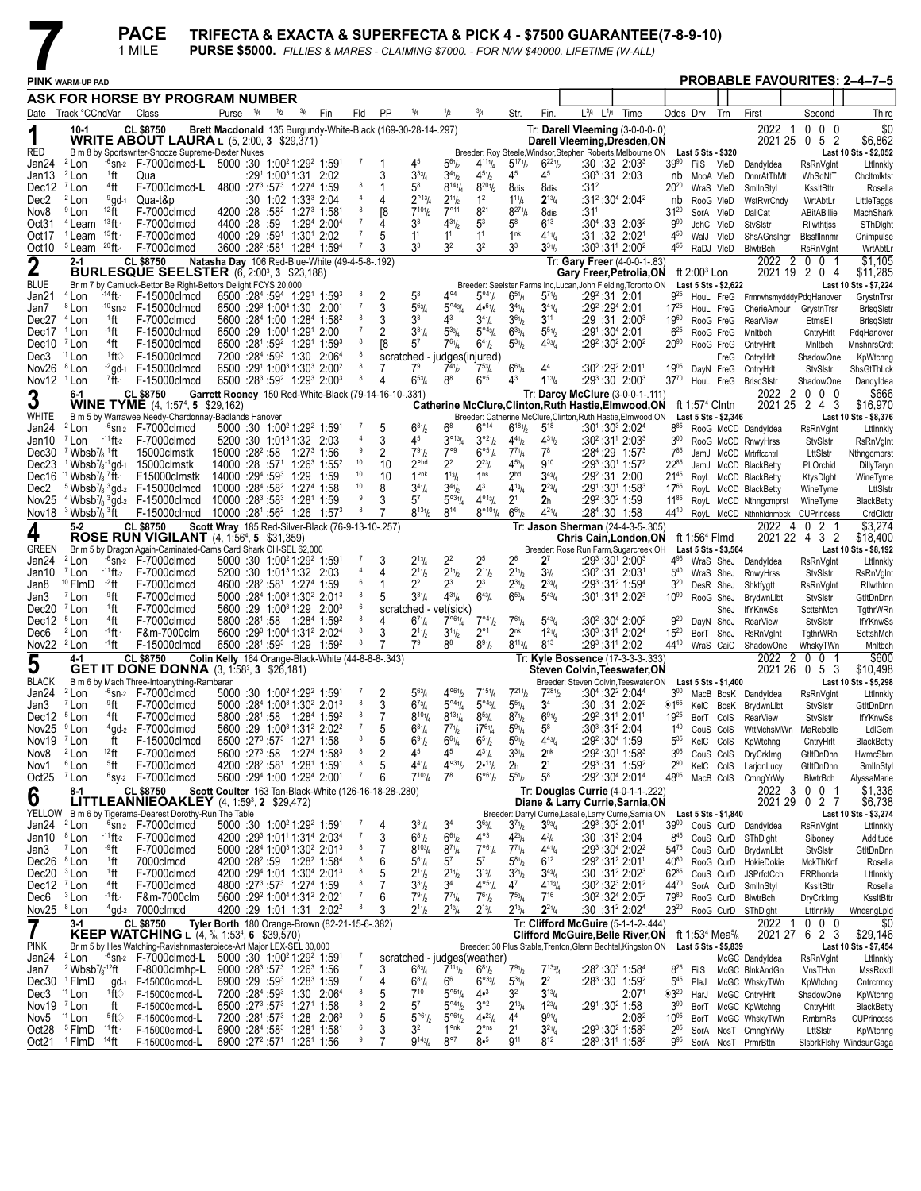|                                             |                                                                                |                                  | <b>PACE</b><br>1 MILE                                                                                                                           |                                                                   |                                 |             |                                                                                                                                                |                     |         |                                                              |                                           |                                                    |                                                                 |                                                                     | PURSE \$5000. FILLIES & MARES - CLAIMING \$7000. - FOR N/W \$40000. LIFETIME (W-ALL) | TRIFECTA & EXACTA & SUPERFECTA & PICK 4 - \$7500 GUARANTEE(7-8-9-10)                                                                                |                               |                                                                              |                        |                                                                       |                |                                      |                                          |
|---------------------------------------------|--------------------------------------------------------------------------------|----------------------------------|-------------------------------------------------------------------------------------------------------------------------------------------------|-------------------------------------------------------------------|---------------------------------|-------------|------------------------------------------------------------------------------------------------------------------------------------------------|---------------------|---------|--------------------------------------------------------------|-------------------------------------------|----------------------------------------------------|-----------------------------------------------------------------|---------------------------------------------------------------------|--------------------------------------------------------------------------------------|-----------------------------------------------------------------------------------------------------------------------------------------------------|-------------------------------|------------------------------------------------------------------------------|------------------------|-----------------------------------------------------------------------|----------------|--------------------------------------|------------------------------------------|
|                                             | <b>PINK WARM-UP PAD</b>                                                        |                                  |                                                                                                                                                 |                                                                   |                                 |             |                                                                                                                                                |                     |         |                                                              |                                           |                                                    |                                                                 |                                                                     |                                                                                      |                                                                                                                                                     |                               |                                                                              |                        |                                                                       |                |                                      | <b>PROBABLE FAVOURITES: 2-4-7-5</b>      |
|                                             |                                                                                |                                  | ASK FOR HORSE BY PROGRAM NUMBER                                                                                                                 |                                                                   |                                 |             |                                                                                                                                                |                     |         |                                                              |                                           |                                                    |                                                                 |                                                                     |                                                                                      |                                                                                                                                                     |                               |                                                                              |                        |                                                                       |                |                                      |                                          |
|                                             | Date Track °CCndVar                                                            |                                  | Class                                                                                                                                           | Purse <sup>1</sup> /4                                             | 1/2                             | $^{3}/_{4}$ | Fin                                                                                                                                            | Fld                 | PP      | 1/4                                                          | 1/2                                       | $^{3}/_{4}$                                        | Str.                                                            | Fin.                                                                | $L^{3}/4$ $L^{1}/4$                                                                  | Time                                                                                                                                                | Odds Drv                      |                                                                              | Trn                    | First                                                                 |                | Second                               | Third                                    |
| 1<br>RED                                    | $10-1$                                                                         |                                  | <b>CL \$8750</b><br><b>WRITE ABOUT LAURA</b> L $(5, 2:00, 3, 1)$<br>B m 8 by Sportswriter-Snooze Supreme-Dexter Nukes                           |                                                                   |                                 |             |                                                                                                                                                |                     |         | Brett Macdonald 135 Burgundy-White-Black (169-30-28-14-.297) |                                           |                                                    |                                                                 |                                                                     |                                                                                      | Tr: Darell Vleeming (3-0-0-0-.0)<br>Darell Vleeming, Dresden, ON<br>Breeder: Roy Steele, Windsor, Stephen Roberts, Melbourne, ON Last 5 Sts - \$320 |                               |                                                                              |                        | 2022<br>2021 25 0                                                     | $\overline{1}$ | $0\quad0\quad0$<br>52                | \$0<br>\$6,862<br>Last 10 Sts - \$2,052  |
| Jan24<br>Jan13                              | <sup>2</sup> Lon<br><sup>2</sup> Lon                                           | 1ft                              | $-6$ sn-2 F-7000clmcd-L 5000 :30 1:00 <sup>2</sup> 1:29 <sup>2</sup> 1:59 <sup>1</sup><br>Qua                                                   |                                                                   | $:29^1$ 1:00 $^3$ 1:31 2:02     |             |                                                                                                                                                | 7                   | 3       | 45<br>$3^{33}/4$                                             | $5^{61}h$<br>$3^{41}h$                    | $4^{11}$ <sup>1</sup> / <sub>4</sub><br>$4^{51}/2$ | $5^{17}$ <sup>1</sup><br>45                                     | $6^{221}h$<br>45                                                    |                                                                                      | :30:32:2:03 <sup>3</sup><br>$:30^3:31$ 2:03                                                                                                         | $39^{90}$<br>nb               | FilS VIeD<br>MooA VIeD                                                       |                        | Dandyldea<br>DnnrAtThMt                                               |                | <b>RsRnVglnt</b><br>WhSdNtT          | Lttlnnkly<br>Chcltmlktst                 |
| Dec12                                       | <sup>7</sup> Lon                                                               | <sup>4</sup> ft                  | F-7000clmcd-L                                                                                                                                   | 4800 :27 <sup>3</sup> :57 <sup>3</sup> 1:27 <sup>4</sup> 1:59     |                                 |             |                                                                                                                                                | 8                   |         | 58                                                           | $8^{14}\frac{1}{4}$                       | $8^{201}/_2$                                       | 8dis                                                            | 8dis                                                                | :31ª                                                                                 |                                                                                                                                                     | $20^{20}$                     |                                                                              | WraS VleD              | SmilnStyl                                                             |                | KssltBttr                            | Rosella                                  |
| Dec2<br>Nov8                                | <sup>2</sup> Lon<br><sup>9</sup> Lon                                           | $9$ gd-1<br>$12$ $\text{ft}$     | Qua-t&p<br>F-7000clmcd                                                                                                                          |                                                                   | :30 1:02 1:33 <sup>3</sup> 2:04 |             | 4200 :28 :58 <sup>2</sup> 1:27 <sup>3</sup> 1:58 <sup>1</sup>                                                                                  | $\overline{4}$<br>8 | 4<br>[8 | $2^{013}/4$<br>$7^{10}$ <sup>1</sup> / <sub>2</sub>          | $2^{11}h$<br>$7^{\circ 11}$               | 1 <sup>2</sup><br>$8^{21}$                         | $1^{11}$ / <sub>4</sub><br>$8^{27}$ <sup>1</sup> / <sub>4</sub> | $2^{13}/4$<br>8dis                                                  | :31'                                                                                 | :31 <sup>2</sup> :30 <sup>4</sup> 2:04 <sup>2</sup>                                                                                                 | nb<br>$31^{20}$               | RooG VIeD                                                                    | SorA VIeD              | WstRvrCndy<br>DaliCat                                                 |                | WrtAbtLr<br>ABitABillie              | <b>LittleTaggs</b><br>MachShark          |
| Oct31                                       | <sup>4</sup> Leam                                                              | $13$ ft-1                        | F-7000clmcd                                                                                                                                     | 4400 :28 :59                                                      |                                 |             | 1:29 <sup>4</sup> 2:00 <sup>4</sup>                                                                                                            |                     | Δ       | 3 <sup>3</sup>                                               | $4^{31}h$                                 | 5 <sup>3</sup>                                     | $5^8$                                                           | $6^{13}$                                                            |                                                                                      | $:30^{4}:33$ 2:03 <sup>2</sup>                                                                                                                      | $9^{90}$                      |                                                                              | JohC VIeD              | StvSlstr                                                              |                | Rilwthtjss                           | SThDight                                 |
| Oct17<br>Oct10                              | <sup>1</sup> Leam<br>$5$ Leam $20$ ft-1                                        | $15$ ft-1                        | F-7000clmcd<br>F-7000clmcd                                                                                                                      | 4000 :29 :591 1:301 2:02                                          |                                 |             | 3600 :28 <sup>2</sup> :58 <sup>1</sup> 1:28 <sup>4</sup> 1:59 <sup>4</sup>                                                                     | 7<br>$\overline{7}$ | 5<br>3  | 1 <sup>1</sup><br>3 <sup>3</sup>                             | 1 <sup>1</sup><br>3 <sup>2</sup>          | 1 <sup>1</sup><br>3 <sup>2</sup>                   | 1 <sup>nk</sup><br>3 <sup>3</sup>                               | $4^{11}/4$<br>$3^{31}h$                                             |                                                                                      | :31 :32 2:021<br>$:30^3:31^1$ 2:00 <sup>2</sup>                                                                                                     | 4 <sup>50</sup><br>455        | WalJ VleD<br>RaDJ VleD                                                       |                        | ShsAGnsIngr<br>BlwtrBch                                               |                | Bissfilnnmr<br><b>RsRnVglnt</b>      | Onimpulse<br>WrtAbtLr                    |
| $\mathbf 2$                                 | $2 - 1$                                                                        |                                  | <b>CL \$8750</b>                                                                                                                                | Natasha Day 106 Red-Blue-White (49-4-5-8-.192)                    |                                 |             |                                                                                                                                                |                     |         |                                                              |                                           |                                                    |                                                                 |                                                                     |                                                                                      | Tr: Gary Freer (4-0-0-1-.83)                                                                                                                        |                               |                                                                              |                        | 2022                                                                  | 2 0            | 01                                   | \$1,105                                  |
| <b>BLUE</b>                                 |                                                                                |                                  | <b>BURLESQUE SEELSTER</b> (6, 2:00 <sup>3</sup> , 3 \$23,188)<br>Br m 7 by Camluck-Bettor Be Right-Bettors Delight FCYS 20,000                  |                                                                   |                                 |             |                                                                                                                                                |                     |         |                                                              |                                           |                                                    |                                                                 |                                                                     |                                                                                      | Gary Freer, Petrolia, ON<br>Breeder: Seelster Farms Inc, Lucan, John Fielding, Toronto, ON                                                          |                               | ft $2:003$ Lon<br>Last 5 Sts - \$2,622                                       |                        | 2021 19                                                               |                | 204                                  | \$11,285<br>Last 10 Sts - \$7,224        |
| Jan21                                       | $4$ Lon                                                                        | $-14$ ft-1                       | F-15000clmcd                                                                                                                                    |                                                                   |                                 |             | $6500 :28^{4} :59^{4} 1:29^{1} 1:59^{3}$                                                                                                       |                     |         | $5^8$                                                        | $4^{\circ 4}$                             | $5^{\circ 4}$ <sup>1</sup> / <sub>4</sub>          | $6^{51}/4$                                                      | $5^{71}h$                                                           |                                                                                      | :29 <sup>2</sup> :31 2:01                                                                                                                           | $9^{25}$                      |                                                                              |                        | HouL FreG FrmrwhsmydddyPdqHanover                                     |                |                                      | GrystnTrsn                               |
| Jan7<br>Dec27 <sup>4</sup> Lon              | <sup>8</sup> Lon                                                               | 1ft                              | $-10$ sn-2 $F-15000$ clmcd<br>F-7000clmcd                                                                                                       |                                                                   |                                 |             | 6500 :29 1:00 1:30 2:00<br>5600 :284 1:00 1:284 1:58 <sup>2</sup>                                                                              | 7<br>8              | 3<br>3  | $5^{63}/4$<br>3 <sup>3</sup>                                 | $5^{\circ 43} / 4$<br>43                  | 4•61/4<br>$3^{4}\%$                                | $3^{4}\frac{1}{4}$<br>$3^{61}/2$                                | $3^{41}/4$<br>$3^{11}$                                              |                                                                                      | :29 <del>°</del> :29 <del>°</del> 2:01<br>:29:31:2:00 <sup>3</sup>                                                                                  | $17^{25}$<br>1960             |                                                                              | HouL FreG<br>RooG FreG | CherieAmour GrystnTrsr<br><b>RearView</b>                             |                | EtmsEll                              | BrlsqSlstr<br><b>BrisgSistr</b>          |
| Dec17                                       | <sup>1</sup> Lon                                                               | ∸1 ft                            | F-15000clmcd                                                                                                                                    | 6500 :29 1:0011:291 2:00                                          |                                 |             |                                                                                                                                                |                     |         | $3^{31}/4$                                                   | $5^{33}$ /4                               | $5^{\circ 43} / 4$                                 | $6^{33}/4$                                                      | $55^{1}/_{2}$                                                       |                                                                                      | $:29^{\scriptscriptstyle +}:30^{\scriptscriptstyle +}$ 2:01                                                                                         | $6^{25}$                      |                                                                              | RooG FreG              | Mnitbch                                                               |                | CntryHrlt                            | PdqHanover                               |
| Dec10 <sup>7</sup> Lon<br>Dec3              | <sup>11</sup> Lon                                                              | <sup>4</sup> ft<br>±tt⊘          | F-15000clmcd<br>F-15000clmcd                                                                                                                    |                                                                   |                                 |             | 6500 :281 :59 <sup>2</sup> 1:291 1:593<br>7200 :284 :59 <sup>3</sup> 1:30 2:064                                                                | 8                   | [8      | 5 <sup>7</sup><br>scratched - judges(injured)                | $7^{61}/4$                                | $6^{4}$ <sup>1</sup> / <sub>2</sub>                | $5^{31}/2$                                                      | $4^{33}/4$                                                          |                                                                                      | $:29^2:30^2$ 2:00 <sup>2</sup>                                                                                                                      | $20^{90}$                     |                                                                              | RooG FreG<br>FreG      | CntryHrlt<br>CntryHrlt                                                |                | Mnltbch<br>ShadowOne                 | MnshnrsCrdt<br>KpWtchng                  |
| Nov26                                       | <sup>8</sup> Lon                                                               |                                  | $-2$ gd $-1$ F-15000 clmcd                                                                                                                      |                                                                   |                                 |             | 6500 :291 1:003 1:303 2:002                                                                                                                    | 8                   |         | 7 <sup>9</sup>                                               | $7^{41}h$                                 | $7^{53}$ / <sub>4</sub>                            | $6^{63}$ /4                                                     | 4 <sup>4</sup>                                                      |                                                                                      | :30 <sup>2</sup> :29 <sup>2</sup> 2:01 <sup>1</sup>                                                                                                 | $19^{05}$                     |                                                                              | DayN FreG              | CntryHrlt                                                             |                | <b>StvSIstr</b>                      | ShsGtThLck                               |
| Nov12 <sup>1</sup> Lon                      | 6-1                                                                            | $^7$ ft 1                        | F-15000clmcd<br><b>CL \$8750</b>                                                                                                                | Garrett Rooney 150 Red-White-Black (79-14-16-10-.331)             |                                 |             | 6500 :28 <sup>3</sup> :59 <sup>2</sup> 1:29 <sup>3</sup> 2:00 <sup>3</sup>                                                                     | 8                   | 4       | $6^{53}$ /4                                                  | 8 <sup>8</sup>                            | $6^{\circ 5}$                                      | 43                                                              | $1^{13}/4$                                                          |                                                                                      | $:29^3:30$ 2:00 <sup>3</sup><br>Tr: Darcy McClure (3-0-0-1-.111)                                                                                    | $37^{70}$                     |                                                                              |                        | HouL FreG BrisgSistr                                                  |                | ShadowOne<br>2022 2 0 0 0            | Dandyldea<br>\$666                       |
| 3                                           |                                                                                |                                  | <b>WINE TYME</b> (4, 1:57 <sup>4</sup> , 5 \$29,162)                                                                                            |                                                                   |                                 |             |                                                                                                                                                |                     |         |                                                              |                                           |                                                    |                                                                 |                                                                     |                                                                                      | Catherine McClure, Clinton, Ruth Hastie, Elmwood, ON                                                                                                |                               | ft 1:57 <sup>4</sup> Cintn                                                   |                        |                                                                       |                | 2021 25 2 4 3                        | \$16,970                                 |
| WHITE<br>Jan24                              | <sup>2</sup> Lon                                                               |                                  | B m 5 by Warrawee Needy-Chardonnay-Badlands Hanover<br>$-6$ sn- $2$ F-7000 clmcd                                                                |                                                                   |                                 |             | 5000 :30 1:00 <sup>2</sup> 1:29 <sup>2</sup> 1:59 <sup>1</sup>                                                                                 |                     |         | $6^{81}/2$                                                   | $6^8$                                     | $6^{\circ}14$                                      | $6^{181}/2$                                                     | $5^{18}$                                                            |                                                                                      | Breeder: Catherine McClure, Clinton, Ruth Hastie, Elmwood, ON<br>:301:303 2:024                                                                     | $8^{85}$                      | Last 5 Sts - \$2,346                                                         |                        | RooG McCD Dandyldea                                                   |                | <b>RsRnVgInt</b>                     | Last 10 Sts - \$8,376<br>Lttlnnkly       |
| Jan10                                       | <sup>7</sup> Lon                                                               |                                  | $-11$ ft- $2$ F-7000 clmcd                                                                                                                      | 5200 :30 1:01 <sup>3</sup> 1:32 2:03                              |                                 |             |                                                                                                                                                |                     | 3       | 45                                                           | $3^{\circ 13}/4$                          | $3^{\circ 21}/2$                                   | $4^{41}/2$                                                      | $4^{31}/2$                                                          |                                                                                      | :30 <sup>2</sup> :31 <sup>1</sup> 2:03 <sup>3</sup>                                                                                                 | $3^{00}$                      |                                                                              |                        | RooG McCD RnwyHrss                                                    |                | <b>StvSIstr</b>                      | <b>RsRnVgInt</b>                         |
| Dec30<br>Dec23                              | $\frac{7}{8}$ Wbsb $\frac{7}{8}$ <sup>1</sup> ft                               |                                  | 15000clmstk<br><sup>1</sup> Wbsb <sup>7</sup> / <sub>8</sub> <sup>-1</sup> gd <sub>-1</sub> 15000 clmstk                                        | 15000 :28 <sup>2</sup> :58<br>$14000:28:5711:2631:552$            |                                 |             | $1:27^3$ 1:56                                                                                                                                  | 10                  | 2<br>10 | $7^{91}h$<br>$2^{\circ}$ hd                                  | $7^{\circ 9}$<br>$2^2$                    | $6^{\circ 51}/4$<br>$2^{23}$ /4                    | $7^{71}/4$<br>$4^{53}$ /4                                       | $7^8$<br>$9^{10}$                                                   |                                                                                      | :284 :29 1:573<br>$:29^3:30^1$ 1:57 <sup>2</sup>                                                                                                    | 785<br>22 <sup>85</sup>       |                                                                              |                        | JamJ McCD Mrtrffccntrl                                                |                | LttSIstr                             | Nthngcmprst                              |
| Dec16                                       | <sup>11</sup> Wbsb <sup>7</sup> / <sub>8</sub> <sup>7</sup> ft-1               |                                  | F15000clmstk                                                                                                                                    | 14000 :294 :593 1:29                                              |                                 |             | 1:59                                                                                                                                           | 10                  | 10      | $1^{\circ}$ nk                                               | $1^{13}/4$                                | 1 <sup>ns</sup>                                    | 2 <sup>hd</sup>                                                 | $3^{43}/4$                                                          |                                                                                      | $:29^2:31$ 2:00                                                                                                                                     | $21^{45}$                     |                                                                              |                        | JamJ McCD BlackBetty<br>RoyL McCD BlackBetty                          |                | PLOrchid<br>KtysDight                | <b>DillyTaryn</b><br>WineTyme            |
| Dec2                                        |                                                                                |                                  | <sup>5</sup> Wbsb <sup>7</sup> / <sub>8</sub> $^{3}$ gd-2 F-15000clmcd                                                                          | 10000 :284 :58 <sup>2</sup> 1:274 1:58                            |                                 |             |                                                                                                                                                | 10<br>9             | 8       | $3^{41}/4$<br>57                                             | $3^{41}h$                                 | $4^3$<br>$4^{\circ_{13}}/4$                        | $4^{13}/4$                                                      | $2^{23}/4$                                                          |                                                                                      | :291:301 1:583                                                                                                                                      | $17^{65}$                     |                                                                              |                        | RoyL McCD BlackBetty                                                  |                | WineTyme                             | LttSIstr                                 |
|                                             | Nov18 $3$ Wbsb <sup>7</sup> / $8$ $3$ ft                                       |                                  | Nov25 $4$ Wbsb <sup>7</sup> / <sub>8</sub> $3$ gd-2 F-15000clmcd<br>F-15000clmcd 10000 :28 <sup>1</sup> :56 <sup>2</sup> 1:26 1:57 <sup>3</sup> | $10000:28^3:58^3$ 1:28 <sup>1</sup> 1:59                          |                                 |             |                                                                                                                                                | 8                   | 3       | $8^{131}/2$                                                  | $5^{\circ 3^{1}/4}$<br>$8^{14}$           | $8^{\circ 101}/4$                                  | 2 <sup>1</sup><br>$6^{61}/2$                                    | 2 <sub>h</sub><br>$4^{21}/4$                                        |                                                                                      | :29 <sup>2</sup> :30 <sup>2</sup> 1:59<br>$:284:30$ 1:58                                                                                            | $11^{85}$<br>44 <sup>10</sup> |                                                                              |                        | RoyL McCD Nthngcmprst<br>RoyL McCD Nthnhldnmbck CUPrincess            |                | WineTyme                             | <b>BlackBetty</b><br>CrdCllctr           |
| 4                                           | 5-2                                                                            |                                  | <b>CL \$8750</b><br><b>ROSE RUN VIGILANT</b> (4, 1:56 <sup>4</sup> , 5 \$31,359)                                                                | Scott Wray 185 Red-Silver-Black (76-9-13-10-.257)                 |                                 |             |                                                                                                                                                |                     |         |                                                              |                                           |                                                    |                                                                 |                                                                     |                                                                                      | Tr: Jason Sherman (24-4-3-5-.305)<br>Chris Cain, London, ON                                                                                         |                               | ft 1:56 <sup>4</sup> Flmd                                                    |                        | 2022 4                                                                |                | 2 <sub>1</sub><br>0<br>2021 22 4 3 2 | \$3,274<br>\$18,400                      |
| <b>GREEN</b>                                |                                                                                |                                  | Br m 5 by Dragon Again-Caminated-Cams Card Shark OH-SEL 62,000                                                                                  |                                                                   |                                 |             |                                                                                                                                                | $\overline{7}$      |         |                                                              |                                           |                                                    |                                                                 |                                                                     |                                                                                      | Breeder: Rose Run Farm, Sugarcreek, OH                                                                                                              |                               | Last 5 Sts - \$3,564                                                         |                        |                                                                       |                |                                      | Last 10 Sts - \$8,192                    |
| Jan24<br>Jan10                              | <sup>2</sup> Lon<br>$7$ Lon                                                    | $-11$ ft-2                       | $-6$ sn-2 $F-7000$ clmcd<br>F-7000clmcd                                                                                                         | $5200:30 \quad 1:01^31:32 \quad 2:03$                             |                                 |             | 5000 :30 1:00 <sup>2</sup> 1:29 <sup>2</sup> 1:59 <sup>1</sup>                                                                                 | 4                   | 3<br>4  | $2^{13}/4$<br>$2^{11}h$                                      | 2 <sup>2</sup><br>$2^{11}h$               | 2 <sup>5</sup><br>$2^{11}/2$                       | 26<br>$2^{11}/2$                                                | 2 <sup>7</sup><br>$3\frac{3}{4}$                                    |                                                                                      | $:29^3:30^1$ 2:00 <sup>3</sup><br>$:30^2:31$ 2:031                                                                                                  | 495<br>$5^{40}$               |                                                                              | WraS SheJ              | WraS SheJ Dandyldea<br>RnwyHrss                                       |                | <b>RsRnVgInt</b><br>StvSlstr         | Lttlnnkly<br><b>RsRnVgInt</b>            |
| Jan8                                        | <sup>10</sup> FlmD                                                             | -2 ft                            | F-7000clmcd                                                                                                                                     | 4600 :28 <sup>2</sup> :58 <sup>1</sup> 1:27 <sup>4</sup> 1:59     |                                 |             |                                                                                                                                                | 6<br>8              | 1       | $2^2$                                                        | $2^3$                                     | $2^3$                                              | $2^{31}$ / <sub>2</sub>                                         | $2^{33}$ /4                                                         |                                                                                      | :293 :312 1:594                                                                                                                                     | $3^{20}$                      |                                                                              | DesR SheJ              | Shktfygtt                                                             |                | <b>RsRnVglnt</b>                     | Rilwthtnn                                |
| Jan3<br>Dec20 <sup>7</sup> Lon              | <sup>7</sup> Lon                                                               | ⊸°ft<br><sup>1</sup> ft          | F-7000clmcd<br>F-7000clmcd                                                                                                                      |                                                                   |                                 |             | $5000$ : $284$ 1:00 <sup>3</sup> 1:30 <sup>2</sup> 2:01 <sup>3</sup><br>$5600$ : 29 1:00 <sup>3</sup> 1:29 2:00 <sup>3</sup>                   | 6                   | 5       | $3^{31}/4$<br>scratched - vet(sick)                          | $4^{31}/4$                                | $6^{43}/4$                                         | $6^{53}/4$                                                      | $5^{43}/4$                                                          |                                                                                      | $:30^1:31^1$ 2:02 <sup>3</sup>                                                                                                                      | $10^{90}$                     |                                                                              | RooG SheJ<br>SheJ      | BrydwnLlbt<br><b>IfYKnwSs</b>                                         |                | StvSlstr<br>ScttshMch                | GtltDnDnn<br>TgthrWRn                    |
| Dec12 <sup>5</sup> Lon                      |                                                                                | <sup>4</sup> ft                  | F-7000clmcd                                                                                                                                     |                                                                   |                                 |             | 5800 :281 :58 1:284 1:59 <sup>2</sup>                                                                                                          | 8<br>8              | 4       | $6^{71}/4$                                                   | $7^{\circ 61}/4$                          | $7^{941}/2$                                        | $7^{61}/4$                                                      | $5^{43}$ /4                                                         |                                                                                      | $:30^2:30^4$ 2:00 <sup>2</sup>                                                                                                                      | $9^{20}$                      |                                                                              | DayN SheJ              | <b>RearView</b>                                                       |                | StvSlstr                             | <b>IfYKnwSs</b>                          |
| Dec6<br>Nov22 <sup>2</sup> Lon              | <sup>2</sup> Lon                                                               | -1 ft 1<br><sup>-1</sup> ft      | F&m-7000clm<br>F-15000clmcd                                                                                                                     |                                                                   |                                 |             | 5600 :29 1:00 1:31 2:02 4<br>6500 :281 :593 1:29 1:592                                                                                         | $\boldsymbol{8}$    | 3       | $2^{11}h$<br>7 <sup>9</sup>                                  | $3^{11}h$<br>88                           | $2^{\circ}1$<br>$8^{91}/2$                         | $2^{nk}$<br>$8^{113}/4$                                         | $1^{21}/4$<br>$8^{13}$                                              |                                                                                      | :303:311 2:024<br>:293 :311 2:02                                                                                                                    | $15^{20}$                     |                                                                              | BorT SheJ              | <b>RsRnVgInt</b><br>44 <sup>10</sup> WraS CaiC ShadowOne              |                | TgthrWRn<br>WhskyTWn                 | ScttshMch<br>Mnltbch                     |
| 5                                           | 4-1                                                                            |                                  | <b>CL \$8750</b><br><b>GET IT DONE DONNA</b> $(3, 1:58^3, 3 \quad $26,181)$                                                                     | Colin Kelly 164 Orange-Black-White (44-8-8-8-343)                 |                                 |             |                                                                                                                                                |                     |         |                                                              |                                           |                                                    |                                                                 |                                                                     |                                                                                      | Tr: Kyle Bossence (17-3-3-3-.333)<br>Steven Colvin, Teeswater, ON                                                                                   |                               |                                                                              |                        | 2022 2 0                                                              |                | 0<br>2021 26 0 5 3                   | \$600<br>\$10,498                        |
| BLACK                                       |                                                                                |                                  | B m 6 by Mach Three-Intoanything-Rambaran                                                                                                       |                                                                   |                                 |             |                                                                                                                                                |                     |         |                                                              |                                           |                                                    |                                                                 |                                                                     |                                                                                      | Breeder: Steven Colvin, Teeswater, ON Last 5 Sts - \$1,400                                                                                          |                               |                                                                              |                        |                                                                       |                |                                      | Last 10 Sts - \$5,298                    |
| Jan3                                        | Jan24 <sup>2</sup> Lon<br><sup>7</sup> Lon                                     | ⊸9ft                             | $-6$ sn-2 F-7000clmcd<br>F-7000clmcd                                                                                                            |                                                                   |                                 |             | $5000 \cdot 30 \cdot 100^2 1 \cdot 29^2 1 \cdot 59^1$ 7 2<br>5000 :284 1:003 1:30 <sup>2</sup> 2:013                                           | 8                   | 3       | $5^{63}$<br>$6^{73}$ /4                                      | $4^{\circ 61}/_2$<br>$5^{\circ 4} \%$     | $7^{151}$ / <sub>4</sub><br>$5^{\circ 43} / 4$     | $5^{51}/4$                                                      | $7^{211}$ / <sub>2</sub> $7^{281}$ / <sub>2</sub><br>3 <sup>4</sup> |                                                                                      | $:30^{4}$ : 32 <sup>2</sup> 2:04 <sup>4</sup><br>:30 :31 2:02 <sup>2</sup>                                                                          | ◈1 <sup>65</sup>              |                                                                              |                        | 3 <sup>00</sup> MacB BosK Dandyldea RsRnVglnt<br>KelC BosK BrydwnLlbt |                | <b>StvSIstr</b>                      | Lttlnnkly<br>GtltDnDnn                   |
| Dec12 <sup>5</sup> Lon                      |                                                                                | <sup>4</sup> ft                  | F-7000clmcd                                                                                                                                     |                                                                   |                                 |             | 5800 :281 :58 1:284 1:592                                                                                                                      | 8                   | 7       | $8^{10}$ <sup>1</sup> / <sub>4</sub>                         | $8^{13}$ <sup>1</sup> / <sub>4</sub>      | $8^{53}/4$                                         | $8^{7}$ <sup>1</sup> / <sub>2</sub>                             | 691/2                                                               |                                                                                      | :29 <sup>2</sup> :31 <sup>1</sup> 2:01 <sup>1</sup>                                                                                                 | 1925                          |                                                                              | BorT CoIS              | <b>RearView</b>                                                       |                | <b>StvSIstr</b>                      | <b>IfYKnwSs</b>                          |
| Nov <sub>25</sub><br>Nov19 <sup>7</sup> Lon | <sup>9</sup> Lon                                                               | ft                               | $4$ gd- $2$ F-7000clmcd<br>F-15000clmcd                                                                                                         | 6500 :273 :573 1:271 1:58                                         |                                 |             | 5600 :29 1:00 <sup>3</sup> 1:31 <sup>2</sup> 2:02 <sup>2</sup>                                                                                 | $\overline{7}$<br>8 | 5<br>5  | $6^{81}/4$<br>$6^{91}/2$                                     | $7^{71}h$<br>$6^{61}/4$                   | $17^{61}/4$<br>$6^{51}/2$                          | $5^{91}/4$<br>$5^{6}$ <sup>1</sup> / <sub>2</sub>               | $5^8$<br>$4^{43}/4$                                                 |                                                                                      | :30 $3$ :31 $2$ :04<br>:29 <sup>2</sup> :30 <sup>4</sup> 1:59                                                                                       | $1^{40}$<br>$5^{35}$          | KelC ColS                                                                    | CouS ColS              | WttMchsMWn<br>KpWtchng                                                |                | MaRebelle<br>CntryHrlt               | LdIGem<br><b>BlackBetty</b>              |
| Nov8                                        | <sup>2</sup> Lon                                                               | $12$ ft                          | F-7000clmcd                                                                                                                                     |                                                                   |                                 |             | 5600 :27 <sup>3</sup> :58 1:27 <sup>4</sup> 1:58 <sup>3</sup>                                                                                  | 8                   | 2       | 45                                                           | 45                                        | $4^{31}/4$                                         | $3^{31}/4$                                                      | 2 <sup>nk</sup>                                                     |                                                                                      | $:29^2:30^1$ 1:58 <sup>3</sup>                                                                                                                      | $3^{05}$                      |                                                                              | CouS ColS              | <b>DryCrkImg</b>                                                      |                | GtItDnDnn                            | HwmcSbrn                                 |
| Nov1<br>Oct25 <sup>7</sup> Lon              | <sup>6</sup> Lon                                                               | <sup>5</sup> ft                  | F-7000clmcd<br>$6$ sy-2 F-7000clmcd                                                                                                             |                                                                   |                                 |             | 4200 :28 <sup>2</sup> :58 <sup>1</sup> 1:28 <sup>1</sup> 1:59 <sup>1</sup><br>5600 :294 1:00 1:294 2:001                                       | 8<br>$\overline{7}$ | 6       | $4^{41}/4$<br>$7^{103}$ / <sub>4</sub>                       | $4^{\circ 31}/2$<br>$7^8$                 | 2•11b<br>$6^{\circ 6}$ <sup>1</sup> / <sub>2</sub> | 2 <sub>h</sub><br>$5^{51}$                                      | $2^{\scriptscriptstyle{1}}$<br>$5^8$                                |                                                                                      | $:29^3:31$ 1:59 <sup>2</sup><br>:29 <sup>2</sup> :30 <sup>4</sup> 2:01 <sup>4</sup>                                                                 | $2^{90}$<br>4805              |                                                                              | KelC ColS<br>MacB ColS | LarjonLucy<br>CmngYrWy                                                |                | GtltDnDnn<br>BlwtrBch                | SmlInStyl<br>AlyssaMarie                 |
| 6                                           | 8-1                                                                            |                                  | CL \$8750                                                                                                                                       | Scott Coulter 163 Tan-Black-White (126-16-18-28-.280)             |                                 |             |                                                                                                                                                |                     |         |                                                              |                                           |                                                    |                                                                 |                                                                     |                                                                                      | Tr: Douglas Currie (4-0-1-1-.222)                                                                                                                   |                               |                                                                              |                        |                                                                       |                | $2022$ 3 0 0 1                       | \$1,336                                  |
|                                             |                                                                                |                                  | LITTLEANNIEOAKLEY (4, 1:59 <sup>3</sup> , 2 \$29,472)<br>YELLOW B m 6 by Tigerama-Dearest Dorothy-Run The Table                                 |                                                                   |                                 |             |                                                                                                                                                |                     |         |                                                              |                                           |                                                    |                                                                 |                                                                     |                                                                                      | Diane & Larry Currie, Sarnia, ON<br>Breeder: Darryl Currie,Lasalle,Larry Currie,Sarnia,ON                                                           |                               | Last 5 Sts - \$1,840                                                         |                        |                                                                       |                | 2021 29 0 2 7                        | \$6,738<br>Last 10 Sts - \$3,274         |
| Jan24 <sup>2</sup> Lon                      |                                                                                |                                  | $-6$ sn- $2$ F-7000 clmcd                                                                                                                       |                                                                   |                                 |             | $5000 : 30 \cdot 1:00^2 1:29^2 1:59^1$                                                                                                         |                     | 4       | $3^{31}/4$                                                   | 3 <sup>4</sup>                            | $3^{63}$ /4                                        | $3^{7}\frac{1}{2}$                                              | $3^{93}/4$                                                          |                                                                                      | :293 :302 2:011                                                                                                                                     | $39^{00}$                     |                                                                              |                        | CouS CurD Dandyldea                                                   |                | <b>RsRnVgInt</b>                     | Lttlnnkly                                |
| Jan10 <sup>8</sup> Lon                      | <sup>7</sup> Lon                                                               | $-11$ ft-2<br>⊸°ft               | F-7000clmcd                                                                                                                                     |                                                                   |                                 |             | 4200 :29 1:01 1:31 2:03 4                                                                                                                      | 8                   | 3<br>7  | $6^{81}$<br>$8^{103}$ /4                                     | $6^{61}$ / <sub>2</sub>                   | $4^{\circ 3}$<br>7°61/4                            | $4^{23}$ /4<br>$7^{7}$ <sup>1</sup> / <sub>4</sub>              | $4^{3}/_{4}$<br>$4^{41}/4$                                          |                                                                                      | $:30:31^3 2:04$                                                                                                                                     | $8^{45}$                      |                                                                              |                        | CouS CurD SThDlght                                                    |                | Siboney                              | Additude                                 |
| Jan3<br>Dec26 <sup>8</sup> Lon              |                                                                                | 1ft                              | F-7000clmcd<br>7000clmcd                                                                                                                        |                                                                   |                                 |             | $5000$ :28 <sup>4</sup> 1:00 <sup>3</sup> 1:30 <sup>2</sup> 2:01 <sup>3</sup><br>4200 :28 <sup>2</sup> :59 1:28 <sup>2</sup> 1:58 <sup>4</sup> | 8                   | 6       | $5^{61}/4$                                                   | $8^{71}/4$<br>57                          | $5^7$                                              | $5^{81}/2$                                                      | $6^{12}$                                                            |                                                                                      | :293 :304 2:022<br>$:29^2:31^2$ 2:01 <sup>1</sup>                                                                                                   | 5475<br>$40^{80}$             |                                                                              | RooG CurD              | CouS CurD BrydwnLlbt<br>HokieDokie                                    |                | StvSlstr<br>MckThKnf                 | GtltDnDnn<br>Rosella                     |
| Dec20 <sup>3</sup> Lon                      |                                                                                | <sup>1</sup> ft                  | F-7000clmcd                                                                                                                                     |                                                                   |                                 |             | 4200 :294 1:01 1:304 2:013                                                                                                                     | 8<br>8              | 5       | $2^{11}h$                                                    | $2^{11}h$                                 | $3^{13}/4$                                         | $3^{21}$                                                        | $3^{43}/4$                                                          |                                                                                      | :30 :31 <sup>2</sup> 2:02 <sup>3</sup>                                                                                                              | $62^{85}$                     |                                                                              | CouS CurD              | <b>JSPrfctCch</b>                                                     |                | ERRhonda                             | Lttlnnkly                                |
| Dec12 <sup>7</sup> Lon<br>Dec6              | <sup>3</sup> Lon                                                               | $4$ ft<br>$-1$ ft $-1$           | F-7000clmcd<br>F&m-7000clm                                                                                                                      | 4800 :273 :573 1:274 1:59                                         |                                 |             | 5600 :29 1:00 1:31 2:02                                                                                                                        | $\overline{7}$      | 7<br>6  | $3^{31}h$<br>791/2                                           | 3 <sup>4</sup><br>$7^{71}$ / <sub>4</sub> | $4^{\circ 5_{1}}/4$<br>$7^{61}/2$                  | $4^7$<br>$7^{53}$ / <sub>4</sub>                                | $4^{113}/4$<br>$7^{16}$                                             |                                                                                      | :30 <sup>2</sup> :32 <sup>3</sup> 2:01 <sup>2</sup><br>$:30^2:32^4:2:05^2$                                                                          | 4470<br>7980                  |                                                                              | RooG CurD              | SorA CurD SmlInStyl<br><b>BlwtrBch</b>                                |                | KssltBttr<br>DryCrkImg               | Rosella<br>KssltBttr                     |
| Nov25 <sup>8</sup> Lon                      |                                                                                |                                  | $4$ gd- $2$ 7000 clmcd                                                                                                                          |                                                                   |                                 |             | 4200 :29 1:01 1:31 2:02 <sup>2</sup>                                                                                                           | 8                   | 3       | $2^{11}h$                                                    | $2^{13}$ /4                               | $2^{13}/4$                                         | $2^{13}/4$                                                      | $2^{21}/4$                                                          |                                                                                      | :30 :31 <sup>2</sup> 2:02 <sup>4</sup>                                                                                                              | $23^{20}$                     |                                                                              |                        | RooG CurD SThDlght                                                    |                | Lttlnnkly                            | WndsngLpld                               |
| $\overline{7}$<br><b>PINK</b>               | 3-1                                                                            |                                  | CL \$8750<br>KEEP WATCHING L (4, 5/8, 1:534, 6 \$39,570)<br>Br m 5 by Hes Watching-Ravishnmasterpiece-Art Major LEX-SEL 30,000                  | Tyler Borth 180 Orange-Brown (82-21-15-6-.382)                    |                                 |             |                                                                                                                                                |                     |         |                                                              |                                           |                                                    |                                                                 |                                                                     |                                                                                      | Tr: Clifford McGuire (5-1-1-2-.444)<br><b>Clifford McGuire, Belle River, ON</b><br>Breeder: 30 Plus Stable, Trenton, Glenn Bechtel, Kingston, ON    |                               | ft 1:53 <sup>4</sup> Mea <sup>5</sup> / <sub>8</sub><br>Last 5 Sts - \$5,839 |                        | 2022                                                                  | -1             | $0\quad0\quad0$<br>2021 27 6 2 3     | \$0<br>\$29,146<br>Last 10 Sts - \$7,454 |
| Jan24 $2$ Lon                               |                                                                                |                                  | $-6$ sn-2 F-7000clmcd-L 5000 :30 1:00 <sup>2</sup> 1:29 <sup>2</sup> 1:59 <sup>1</sup>                                                          |                                                                   |                                 |             |                                                                                                                                                | $\overline{7}$      |         | scratched - judges(weather)                                  |                                           |                                                    |                                                                 |                                                                     |                                                                                      |                                                                                                                                                     |                               |                                                                              |                        | McGC Dandyldea                                                        |                | <b>RsRnVgInt</b>                     | Lttlnnkly                                |
| Jan7                                        | <sup>2</sup> Wbsb <sup>7</sup> / <sub>8</sub> -12ft<br>Dec30 <sup>1</sup> FlmD |                                  | F-8000clmhp-L<br>$qd-1$ F-15000clmcd-L                                                                                                          | $9000:28^3:57^3$ 1:26 <sup>3</sup> 1:56<br>6900 :29 :59 1:28 1:59 |                                 |             |                                                                                                                                                | 7<br>7              | 3<br>4  | $6^{83}$ /4<br>$6^{81}/4$                                    | $7^{111}h$<br>6 <sup>6</sup>              | $6^{81}/2$<br>$6^{\circ 33}/4$                     | 791/2<br>$5^{31}/4$                                             | $7^{133}$ /4<br>2 <sup>2</sup>                                      |                                                                                      | $:28^2:30^3$ 1:58 <sup>4</sup><br>$:28^3:30$ 1:59 <sup>2</sup>                                                                                      |                               | $8^{25}$ FilS<br>$5^{45}$ PlaJ                                               |                        | McGC BlnkAndGn                                                        |                | VnsTHvn                              | MssRckdl                                 |
| Dec3                                        | <sup>11</sup> Lon                                                              | 1ft∖                             | F-15000clmcd-L                                                                                                                                  |                                                                   |                                 |             | 7200 :284 :593 1:30 2:064                                                                                                                      | 8                   | 5       | $7^{10}$                                                     | $5^{951}/4$                               | 4•3                                                | 3 <sup>2</sup>                                                  | $3^{13}/4$                                                          |                                                                                      | 2:07 <sup>1</sup>                                                                                                                                   | $^{\circledR}3^{20}$          | HarJ                                                                         |                        | McGC WhskyTWn<br>McGC CntryHrlt                                       |                | KpWtchng<br>ShadowOne                | Cntrcrrncy<br>KpWtchng                   |
| Nov19 7 Lon                                 |                                                                                | ft                               | F-15000clmcd-L                                                                                                                                  | 6500 :27 <sup>3</sup> :57 <sup>3</sup> 1:27 <sup>1</sup> 1:58     |                                 |             |                                                                                                                                                | 8<br>9              | 2       | 5 <sup>7</sup>                                               | 5°41/2                                    | $3^{\circ 2}$                                      | $2^{13}/4$                                                      | $1^{23}/4$                                                          |                                                                                      | :291:302 1:58                                                                                                                                       | 3 <sup>90</sup>               |                                                                              |                        | BorT McGC KpWtchng                                                    |                | CntryHrlt                            | <b>BlackBetty</b>                        |
| Nov5<br>Oct <sub>28</sub>                   | $11$ Lon<br><sup>5</sup> FlmD                                                  | <sup>5</sup> ft∖<br>$^{11}$ ft-1 | F-15000clmcd-L<br>F-15000clmcd-L                                                                                                                | 6900 :284 :583 1:281 1:581                                        |                                 |             | 7200 :281 :573 1:28 2:063                                                                                                                      | 6                   | 5<br>3  | $5^{061}$<br>32                                              | $5^{\circ 61}/2$<br>1 <sup>onk</sup>      | $4•^{23}$ / <sub>4</sub><br>$2^{\circ}$ ns         | 4 <sup>4</sup><br>$2^{1}$                                       | $9^{91}/4$<br>$3^{21}/4$                                            |                                                                                      | 2:08 <sup>2</sup><br>$:29^3:30^2$ 1:58 $^3$                                                                                                         | $10^{05}$<br>$2^{85}$         |                                                                              |                        | BorT McGC WhskyTWn<br>SorA NosT CmngYrWy                              |                | <b>RmbrnRs</b><br>LttSIstr           | <b>CUPrincess</b><br>KpWtchng            |
| Oct21                                       | <sup>1</sup> FlmD                                                              | <sup>14</sup> ft                 | $F-15000$ clmcd-L                                                                                                                               | 6900 :27 <sup>2</sup> :57 <sup>1</sup> 1:26 <sup>1</sup> 1:56     |                                 |             |                                                                                                                                                | 9                   |         | $9^{143}$ / <sub>4</sub>                                     | $8^{\circ 7}$                             | 8• <sup>5</sup>                                    | 9 <sup>11</sup>                                                 | $8^{12}$                                                            |                                                                                      | $:28^3:31^1$ 1:58 <sup>2</sup>                                                                                                                      | $9^{95}$                      |                                                                              |                        | SorA NosT PrmrBttn                                                    |                |                                      | SIsbrkFlshy WindsunGaga                  |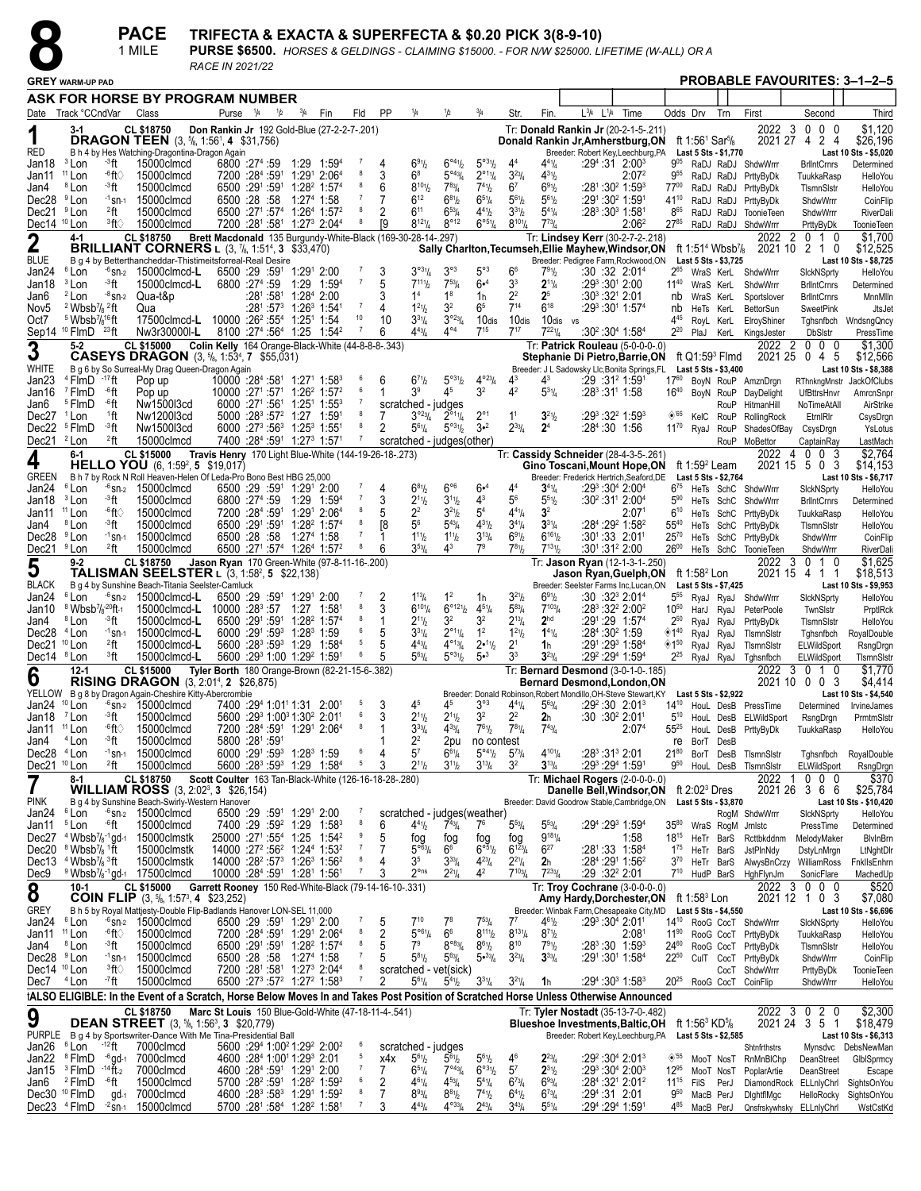|                                   |                                                                |                   | <b>PACE</b>                                                                                      | TRIFECTA & EXACTA & SUPERFECTA & \$0.20 PICK 3(8-9-10)                                       |               |               |                                                                |                                                                            |                |           |                                            |                                           |                                           |                                                       |                          |                                                                           |      |                   |                  |                                                      |      |                                             |                                           |                                     |
|-----------------------------------|----------------------------------------------------------------|-------------------|--------------------------------------------------------------------------------------------------|----------------------------------------------------------------------------------------------|---------------|---------------|----------------------------------------------------------------|----------------------------------------------------------------------------|----------------|-----------|--------------------------------------------|-------------------------------------------|-------------------------------------------|-------------------------------------------------------|--------------------------|---------------------------------------------------------------------------|------|-------------------|------------------|------------------------------------------------------|------|---------------------------------------------|-------------------------------------------|-------------------------------------|
|                                   |                                                                |                   | 1 MILE                                                                                           | PURSE \$6500. HORSES & GELDINGS - CLAIMING \$15000. - FOR N/W \$25000. LIFETIME (W-ALL) OR A |               |               |                                                                |                                                                            |                |           |                                            |                                           |                                           |                                                       |                          |                                                                           |      |                   |                  |                                                      |      |                                             |                                           |                                     |
|                                   |                                                                |                   |                                                                                                  | RACE IN 2021/22                                                                              |               |               |                                                                |                                                                            |                |           |                                            |                                           |                                           |                                                       |                          |                                                                           |      |                   |                  |                                                      |      |                                             |                                           | <b>PROBABLE FAVOURITES: 3-1-2-5</b> |
|                                   | <b>GREY WARM-UP PAD</b>                                        |                   |                                                                                                  |                                                                                              |               |               |                                                                |                                                                            |                |           |                                            |                                           |                                           |                                                       |                          |                                                                           |      |                   |                  |                                                      |      |                                             |                                           |                                     |
|                                   |                                                                |                   | ASK FOR HORSE BY PROGRAM NUMBER                                                                  |                                                                                              |               |               |                                                                |                                                                            |                |           |                                            |                                           |                                           |                                                       |                          |                                                                           |      |                   |                  |                                                      |      |                                             |                                           |                                     |
|                                   | Date Track °CCndVar                                            |                   | Class                                                                                            | Purse                                                                                        | $\frac{1}{4}$ | $\frac{1}{2}$ | $^{3}/_{4}$                                                    | Fin                                                                        | Fld            | <b>PP</b> | 1/4                                        | 1/2                                       | $^{3}/_{4}$                               | Str.                                                  | Fin.                     | $L^{3}/4$ $L^{1}/4$                                                       | Time |                   |                  | Odds Drv                                             | Trn  | First                                       | Second                                    | Third                               |
| 1                                 | $3-1$                                                          |                   | CL \$18750<br><b>DRAGON TEEN</b> (3, <sup>5</sup> <sub>8</sub> , 1:56 <sup>1</sup> , 4 \$31,756) | Don Rankin Jr 192 Gold-Blue (27-2-2-7-.201)                                                  |               |               |                                                                |                                                                            |                |           |                                            |                                           |                                           |                                                       |                          | Tr: Donald Rankin Jr (20-2-1-5-.211)<br>Donald Rankin Jr, Amherstburg, ON |      |                   |                  | ft 1:56 <sup>1</sup> Sar <sup>5</sup> / <sub>8</sub> |      | 2021 27 4                                   | 2022 3 0 0 0<br>2 <sub>4</sub>            | \$1.120<br>\$26,196                 |
| <b>RED</b>                        |                                                                |                   | B h 4 by Hes Watching-Dragontina-Dragon Again                                                    |                                                                                              |               |               |                                                                |                                                                            |                |           |                                            |                                           |                                           |                                                       |                          | Breeder: Robert Key,Leechburg,PA                                          |      |                   |                  | Last 5 Sts - \$1,770                                 |      |                                             |                                           | Last 10 Sts - \$5,020               |
| Jan18                             | <sup>3</sup> Lon                                               | ⊸3ft              | 15000clmcd                                                                                       | 6800 :274 :59                                                                                |               |               | 1:29                                                           | $1:59^{4}$                                                                 |                |           | $6^{91}/2$                                 | $6^{\circ 4}$ <sup>1</sup> / <sub>2</sub> | $5^{\circ 31}/2$                          | 44                                                    | $4^{41}/4$               | $:29^{4}:31$ 2:00 <sup>3</sup>                                            |      |                   | $9^{05}$         |                                                      |      | RaDJ RaDJ ShdwWrrr                          | <b>BrlIntCrnrs</b>                        | Determined                          |
| Jan11                             | <sup>11</sup> Lon                                              | -6ft∖             | 15000clmcd                                                                                       | 7200 :284 :591                                                                               |               |               |                                                                | 1:291 2:064                                                                |                |           | 6 <sup>8</sup>                             | $5^{\circ 43} / 4$                        | $2^{\circ 1}$ <sup>1</sup> / <sub>4</sub> | $3^{23}/4$                                            | $4^{31}$                 |                                                                           |      | 2:07 <sup>2</sup> | 9 <sup>55</sup>  |                                                      |      | RaDJ RaDJ PrttyByDk                         | TuukkaRasp                                | HelloYou                            |
| Jan4<br>Dec <sub>28</sub>         | <sup>8</sup> Lon<br><sup>9</sup> Lon                           | -3ft<br>$-1$ sn-1 | 15000clmcd<br>15000clmcd                                                                         | 6500 :291 :591<br>6500 :28 :58                                                               |               |               | $1:274$ 1:58                                                   | $1:28^2$ 1:57 <sup>4</sup>                                                 |                |           | $8^{101}/2$<br>$6^{12}$                    | $7^{83}$ /4<br>$6^{81}$                   | $7^{41}h$<br>$65\frac{1}{4}$              | 6 <sup>7</sup><br>$5^{6}$ <sup>1</sup> / <sub>2</sub> | $6^{91}/2$<br>$5^{61}$   | :28 <sup>1</sup> :30 <sup>2</sup> 1:59 <sup>3</sup><br>$:29^1:30^2$ 1:591 |      |                   | 7700             |                                                      |      | RaDJ RaDJ PrttyByDk                         | TIsmnSistr                                | HelloYou                            |
| Dec21                             | <sup>9</sup> Lon                                               | $22$ ft           | 15000clmcd                                                                                       |                                                                                              |               |               |                                                                | 6500 :271 :574 1:264 1:572                                                 |                |           | $6^{11}$                                   | $6^{53}$                                  | $4^{41}/2$                                | $3^{31}/2$                                            | $5^{41}/4$               | $:28^3:30^3$ 1:581                                                        |      |                   | $41^{10}$<br>865 |                                                      |      | RaDJ RaDJ PrttyByDk<br>RaDJ RaDJ ToonieTeen | ShdwWrrr<br>ShdwWrrr                      | CoinFlip<br>RiverDali               |
| Dec14 <sup>10</sup> Lon           |                                                                | <sup>3</sup> ft∖  | 15000clmcd                                                                                       |                                                                                              |               |               |                                                                | 7200 :281 :581 1:273 2:044                                                 |                | ſ9        | $8^{121}/4$                                | $8^{\circ}12$                             | $6^{\circ 51}/4$                          | $8^{101}/4$                                           | $7^{73}$ /4              |                                                                           |      | 2:06 <sup>2</sup> | 2785             |                                                      |      | RaDJ RaDJ ShdwWrrr                          | PrttyByDk                                 | <b>ToonieTeen</b>                   |
|                                   | $4 - 1$                                                        |                   | <b>CL \$18750</b>                                                                                | Brett Macdonald 135 Burgundy-White-Black (169-30-28-14-.297)                                 |               |               |                                                                |                                                                            |                |           |                                            |                                           |                                           |                                                       |                          | Tr: Lindsey Kerr (30-2-7-2-.218)                                          |      |                   |                  |                                                      |      | 2022                                        | $\overline{2}$<br>0 1 0                   | \$1.700                             |
| $\boldsymbol{2}$                  |                                                                |                   | <b>BRILLIANT CORNERS</b> L (3, 7/8, 1:51 <sup>4</sup> , 3 \$33,470)                              |                                                                                              |               |               |                                                                |                                                                            |                |           |                                            |                                           |                                           |                                                       |                          | Sally Charlton, Tecumseh, Ellie Mayhew, Windsor, ON                       |      |                   |                  | ft 1:51 <sup>4</sup> Wbsb <sup>7</sup> /8            |      | 2021 10                                     | 2 1<br>0                                  | \$12,525                            |
| <b>BLUE</b>                       |                                                                |                   | B q 4 by Betterthancheddar-Thistimeitsforreal-Real Desire                                        |                                                                                              |               |               |                                                                |                                                                            |                |           |                                            |                                           |                                           |                                                       |                          | Breeder: Pedigree Farm, Rockwood, ON                                      |      |                   |                  | Last 5 Sts - \$3,725                                 |      |                                             |                                           | Last 10 Sts - \$8,725               |
| Jan24                             | <sup>6</sup> Lon                                               | $-6$ SN-2         | 15000clmcd-L                                                                                     | 6500 :29 :591                                                                                |               |               | 1:291 2:00                                                     |                                                                            |                | 3         | $3^{031}/4$                                | $3^{\circ 3}$                             | $5^{\circ}3$                              | 6 <sup>6</sup>                                        | 791/2                    | :30:32:2:01 <sup>4</sup>                                                  |      |                   |                  |                                                      |      | WraS KerL ShdwWrrr                          | SickNSprty                                | HelloYou                            |
| Jan18                             | <sup>3</sup> Lon                                               | - <sup>3</sup> ft | 15000clmcd-L                                                                                     | 6800 :274 :59                                                                                |               |               |                                                                | 1:29 1:594                                                                 | $\overline{7}$ |           | $7^{111}$                                  | $7^{53}$ /4                               | 6• <sup>4</sup>                           | 3 <sup>3</sup>                                        | $2^{11}/4$               | :29 $3.301$ 2:00                                                          |      |                   | $11^{40}$        | WraS KerL                                            |      | ShdwWrrr                                    | <b>BrlIntCrnrs</b>                        | Determined                          |
| Jan6                              | <sup>2</sup> Lon                                               | $-8$ Sn-2         | Qua-t&p                                                                                          |                                                                                              |               | $:28^1:58^1$  | 1:284 2:00                                                     |                                                                            |                | 3         | 1 <sup>4</sup>                             | 1 <sup>8</sup>                            | 1 <sub>h</sub>                            | 2 <sup>2</sup>                                        | 2 <sup>5</sup>           | :30 $3$ :32 $1$ 2:01                                                      |      |                   | nb               | WraS KerL                                            |      | Sportslover                                 | <b>BrlIntCrnrs</b>                        | MnnMlln                             |
| Nov <sub>5</sub>                  | $2$ Wbsb <sup>7</sup> / <sub>8</sub> $2$ ft                    |                   | Qua                                                                                              |                                                                                              |               |               | $:28^1:57^3$ 1:26 <sup>3</sup> 1:541                           |                                                                            | $\overline{7}$ | 4         | $1^{21}h$                                  | 3 <sup>2</sup>                            | 6 <sup>5</sup>                            | $7^{14}$                                              | $6^{18}$                 | :293:301 1:574                                                            |      |                   | nb               | HeTs KerL                                            |      | BettorSun                                   | SweetPink                                 | JtsJet                              |
| Oct7                              | <sup>5</sup> Wbsb <sup>7</sup> / <sub>8</sub> <sup>16</sup> ft |                   | 17500clmcd-L                                                                                     | 10000 :26 <sup>2</sup> :55 <sup>4</sup> 1:25 <sup>1</sup> 1:54                               |               |               |                                                                |                                                                            | 10             | 10        | $3^{31}/4$                                 | $3^{\circ 23} / 4$                        | 10 <sub>dis</sub>                         | 10 <sub>dis</sub>                                     | 10dis vs                 |                                                                           |      |                   | $4^{45}$         | RoyL KerL                                            |      | ElroyShiner                                 | Tghsnfbch                                 | WndsngQncy                          |
|                                   | Sep14 <sup>10</sup> FlmD <sup>23</sup> ft                      |                   | Nw3r30000I-L                                                                                     |                                                                                              |               |               |                                                                | 8100 :27 <sup>4</sup> :56 <sup>4</sup> 1:25 1:54 <sup>2</sup>              |                | 6         | $4^{43}/4$                                 | $4^{\circ 4}$                             | $7^{15}$                                  | $7^{17}$                                              | $7^{221}$ / <sub>4</sub> | :30 $2:304$ 1:58 $4$                                                      |      |                   | $2^{20}$         |                                                      |      | PlaJ KerL KingsJester                       | <b>DbSIstr</b>                            | PressTime                           |
| 3                                 | $5 - 2$                                                        |                   | CL \$15000<br><b>CASEYS DRAGON</b> (3, 5/8, 1:53 <sup>4</sup> , 7 \$55,031)                      | Colin Kelly 164 Orange-Black-White (44-8-8-8-343)                                            |               |               |                                                                |                                                                            |                |           |                                            |                                           |                                           |                                                       |                          | Tr: Patrick Rouleau (5-0-0-0-.0)<br>Stephanie Di Pietro, Barrie, ON       |      |                   |                  | ft Q1:59 $3$ Flmd                                    |      | 2022 2<br>2021 25                           | $0\quad 0\quad 0$<br>0 <sub>4</sub><br>-5 | \$1,300<br>\$12,566                 |
| <b>WHITE</b>                      |                                                                |                   | B g 6 by So Surreal-My Drag Queen-Dragon Again                                                   |                                                                                              |               |               |                                                                |                                                                            |                |           |                                            |                                           |                                           |                                                       |                          | Breeder: J L Sadowsky Llc, Bonita Springs, FL                             |      |                   |                  | Last 5 Sts - \$3,400                                 |      |                                             |                                           | Last 10 Sts - \$8,388               |
| Jan <sub>23</sub>                 | <sup>4</sup> FlmD                                              | -17 ft            | Pop up                                                                                           | 10000 :284 :581 1:271 1:583                                                                  |               |               |                                                                |                                                                            |                | 6         | $6^{71}h$                                  | $5^{\circ 3^{1}/2}$                       | $4^{\circ_{23}}/4$                        |                                                       | 43                       | $:29:31^2$ 1:591                                                          |      |                   | 1760             |                                                      |      | BoyN RouP AmznDrgn                          |                                           | RThnkngMnstr JackOfClubs            |
| Jan16                             | <sup>7</sup> FlmD                                              | -6ft              | Pop up                                                                                           | 10000 :271 :571 1:26 <sup>2</sup> 1:57 <sup>2</sup>                                          |               |               |                                                                |                                                                            | -6             |           | 3 <sup>9</sup>                             | 45                                        | 3 <sup>2</sup>                            | 4 <sup>2</sup>                                        | $5^{31}/4$               | $:28^3:31^1$ 1:58                                                         |      |                   | $16^{40}$        |                                                      |      | BoyN RouP DayDelight                        | <b>UfBttrsHnvr</b>                        | AmrcnSnpr                           |
| Jan6                              | <sup>5</sup> FlmD                                              | -6ft              | Nw1500l3cd                                                                                       |                                                                                              |               |               |                                                                | 6000 :27 <sup>1</sup> :56 <sup>1</sup> 1:25 <sup>1</sup> 1:55 <sup>3</sup> |                |           | scratched - judges                         |                                           |                                           |                                                       |                          |                                                                           |      |                   |                  |                                                      |      | RouP HitmanHill                             | NoTimeAtAll                               | AirStrike                           |
| Dec27                             | <sup>1</sup> Lon                                               | $1$ ft            | Nw1200l3cd                                                                                       |                                                                                              |               |               | 5000 :28 <sup>3</sup> :57 <sup>2</sup> 1:27 1:59 <sup>1</sup>  |                                                                            |                |           | $3^{o_23}$ /4                              | $2^{\circ 1}$ <sup>1</sup> / <sub>4</sub> | $2^{\circ}1$                              | 1 <sup>1</sup>                                        | $3^{21}/2$               | $:29^3:32^2$ 1:59 <sup>3</sup>                                            |      |                   | ◈65              | KelC                                                 | RouP | RollingRock                                 | EtrnIRIr                                  | CsysDrgn                            |
| Dec22                             | <sup>5</sup> FlmD                                              | - <sup>3</sup> ft | Nw1500l3cd                                                                                       |                                                                                              |               |               | 6000 :27 <sup>3</sup> :56 <sup>3</sup> 1:25 <sup>3</sup> 1:551 |                                                                            |                | 2         | $5^{61}/4$                                 | $5^{\circ 3}$ <sup>1</sup> / <sub>2</sub> | $3 - 2$                                   | $2^{33}/4$                                            | 2 <sup>4</sup>           | $:28^4:30$ 1:56                                                           |      |                   | $11^{70}$        | RvaJ                                                 | RouP | ShadesOfBay                                 | CsysDrgn                                  | YsLotus                             |
| Dec21                             | <sup>2</sup> Lon                                               | $2$ ft            | 15000clmcd                                                                                       |                                                                                              |               |               | 7400 :284 :591 1:273 1:571                                     |                                                                            |                |           | scratched - judges(other)                  |                                           |                                           |                                                       |                          |                                                                           |      |                   |                  |                                                      |      | RouP MoBettor                               | CaptainRay                                | LastMach                            |
| 4                                 | $6 - 1$                                                        |                   | CL \$15000                                                                                       | Travis Henry 170 Light Blue-White (144-19-26-18-.273)                                        |               |               |                                                                |                                                                            |                |           |                                            |                                           |                                           |                                                       |                          | Tr: Cassidy Schneider (28-4-3-5-.261)                                     |      |                   |                  |                                                      |      | 2022                                        | $0\quad0\quad3$<br>4                      | \$2,764                             |
|                                   |                                                                |                   | <b>HELLO YOU</b> (6, 1:59 <sup>2</sup> , 5 \$19,017)                                             |                                                                                              |               |               |                                                                |                                                                            |                |           |                                            |                                           |                                           |                                                       |                          | Gino Toscani, Mount Hope, ON                                              |      |                   |                  | ft 1:59 <sup>2</sup> Leam                            |      |                                             | 2021 15 5 0<br>3                          | \$14,153                            |
| <b>GREEN</b><br>$1 - 04$ $81 - 1$ |                                                                |                   | B h 7 by Rock N Roll Heaven-Helen Of Leda-Pro Bono Best HBG 25,000                               | CEOO :00 :501 4:001 0:00                                                                     |               |               |                                                                |                                                                            |                |           | $7 \quad 4 \quad 2841 \quad 296 \quad 241$ |                                           |                                           | AA                                                    | $A + I$                  | Breeder: Frederick Hertrich, Seaford, DE<br>$.003.004$ $.004$             |      |                   |                  | Last 5 Sts - \$2,764                                 |      | $275 + 7$                                   | $\sim$ $\sim$                             | Last 10 Sts - \$6,717               |

| ----                    |                                                                   |                    |                                                                                                                                       |                                                       | .              | .                                                                           |                            |                |   |                                      |                                           |                                           |                         |                 |                                                                                                           |                   |                                |                           |                       | ---------           | oup tunn tu                                      | Luutinuu                             |
|-------------------------|-------------------------------------------------------------------|--------------------|---------------------------------------------------------------------------------------------------------------------------------------|-------------------------------------------------------|----------------|-----------------------------------------------------------------------------|----------------------------|----------------|---|--------------------------------------|-------------------------------------------|-------------------------------------------|-------------------------|-----------------|-----------------------------------------------------------------------------------------------------------|-------------------|--------------------------------|---------------------------|-----------------------|---------------------|--------------------------------------------------|--------------------------------------|
| 4                       | 6-1                                                               |                    | <b>CL \$15000</b><br>HELLO YOU (6, 1:59 <sup>2</sup> , 5 \$19,017)                                                                    | Travis Henry 170 Light Blue-White (144-19-26-18-.273) |                |                                                                             |                            |                |   |                                      |                                           |                                           |                         |                 | Tr: Cassidy Schneider (28-4-3-5-.261)<br>Gino Toscani, Mount Hope, ON                                     |                   |                                | ft 1:59 <sup>2</sup> Leam |                       | 2022 4<br>2021 15 5 | $\mathbf{0}$<br>$\Omega$<br>-3<br>0 <sub>3</sub> | \$2,764<br>\$14,153                  |
| GREEN                   |                                                                   |                    | B h 7 by Rock N Roll Heaven-Helen Of Leda-Pro Bono Best HBG 25,000                                                                    |                                                       |                |                                                                             |                            |                |   |                                      |                                           |                                           |                         |                 | Breeder: Frederick Hertrich, Seaford, DE                                                                  |                   |                                |                           | Last 5 Sts - \$2,764  |                     |                                                  | Last 10 Sts - \$6,717                |
| Jan24                   | <sup>6</sup> Lon                                                  | <sup>-6</sup> SN-2 | 15000clmcd                                                                                                                            |                                                       |                | 6500 :29 :591 1:291 2:00                                                    |                            | 7              | 4 | $6^{81}/2$                           | 6°6                                       | 6• <sup>4</sup>                           | 4 <sup>4</sup>          | $3^{41}/4$      | $:29^3:30^4$ 2:00 <sup>4</sup>                                                                            |                   | $6^{75}$                       |                           |                       | HeTs SchC ShdwWrrr  | SickNSprty                                       | <b>HelloYou</b>                      |
| Jan18                   | <sup>3</sup> Lon                                                  | - <sup>3</sup> ft  | 15000clmcd                                                                                                                            |                                                       | 6800 :274 :59  | 1:29                                                                        | 1:594                      | $\overline{7}$ | 3 | $2^{11}$                             | $3^{11}h$                                 | $4^3$                                     | 56                      | 551/2           | :30 <sup>2</sup> :31 <sup>1</sup> 2:00 <sup>4</sup>                                                       |                   | $5^{90}$                       |                           | HeTs SchC             | ShdwWrrr            | <b>BrilntCrnrs</b>                               | Determined                           |
| Jan11                   | $11$ Lon                                                          | -6ft∖              | 15000clmcd                                                                                                                            |                                                       | 7200 :284 :591 |                                                                             | 1:291 2:064                | 8              |   | 22                                   | $3^{21}h$                                 | 5 <sup>4</sup>                            | $4^{41}/4$              | 3 <sup>2</sup>  |                                                                                                           | 2:07 <sup>1</sup> | $6^{10}$                       |                           | HeTs SchC             | PrttyByDk           | TuukkaRasp                                       | HelloYou                             |
| Jan4                    | <sup>8</sup> Lon                                                  | ∹3ft               | 15000clmcd                                                                                                                            |                                                       | 6500 :291 :591 |                                                                             | $1:28^2$ 1:57 <sup>4</sup> | 8              |   | 56                                   | $5^{43}/4$                                | $4^{31}/2$                                | $3^{4}\frac{1}{4}$      | $3^{31}/4$      | :284 :29 <sup>2</sup> 1:58 <sup>2</sup>                                                                   |                   | $55^{40}$                      |                           | HeTs SchC             | PrttyByDk           | TIsmnSistr                                       | <b>HelloYou</b>                      |
| Dec28                   | <sup>9</sup> Lon                                                  | $-1$ Sn-1          | 15000clmcd                                                                                                                            |                                                       | 6500 :28 :58   |                                                                             | 1:274 1:58                 | $\overline{7}$ |   | $1^{11}h$                            | $1^{11}h$                                 | $3^{13}/4$                                | $6^{91}/2$              | $6^{161}/2$     | $:30^1:33$ 2:01 <sup>1</sup>                                                                              |                   | $25^{70}$                      |                           | He <sub>Ts</sub> SchC | PrttyByDk           | ShdwWrrr                                         | CoinFlip                             |
| Dec21                   | <sup>9</sup> Lon                                                  | 2 <sub>ft</sub>    | 15000clmcd                                                                                                                            |                                                       |                | 6500 :271 :574 1:264 1:572                                                  |                            | 8              |   | $3^{53}$ /4                          | $4^3$                                     | 7 <sup>9</sup>                            | $7^{81}$                | $7^{131}$       | :30 <sup>1</sup> :31 <sup>2</sup> 2:00                                                                    |                   | 2600                           |                           | HeTs SchC             | <b>ToonieTeen</b>   | ShdwWrrr                                         | RiverDali                            |
|                         | $9 - 2$                                                           |                    | <b>CL \$18750</b>                                                                                                                     | Jason Ryan 170 Green-White (97-8-11-16-.200)          |                |                                                                             |                            |                |   |                                      |                                           |                                           |                         |                 | Tr: Jason Ryan (12-1-3-1-.250)                                                                            |                   |                                |                           |                       | 2022                | 3<br>$\overline{0}$<br>10                        | \$1.625                              |
| 5                       |                                                                   |                    | TALISMAN SEELSTER L (3, 1:58 <sup>2</sup> , 5 \$22,138)                                                                               |                                                       |                |                                                                             |                            |                |   |                                      |                                           |                                           |                         |                 | Jason Ryan, Guelph, ON                                                                                    |                   |                                | ft 1:58 <sup>2</sup> Lon  |                       | 2021 15 4           | 11                                               | \$18,513                             |
| BLACK                   |                                                                   |                    | B q 4 by Sunshine Beach-Titania Seelster-Camluck                                                                                      |                                                       |                |                                                                             |                            |                |   |                                      |                                           |                                           |                         |                 | Breeder: Seelster Farms Inc, Lucan, ON                                                                    |                   |                                |                           | Last 5 Sts - \$7,425  |                     |                                                  | Last 10 Sts - \$9,953                |
| Jan24                   | <sup>6</sup> Lon                                                  | $-6$ Sn-2          | 15000clmcd-L                                                                                                                          |                                                       |                | 6500 :29 :591 1:291 2:00                                                    |                            | 7              |   | $1^{13}/4$                           | 1 <sup>2</sup>                            | 1h                                        | $3^{21}/2$              | $6^{91}/2$      | $:30:32^3 2:01^4$                                                                                         |                   | $5^{55}$                       |                           | RyaJ RyaJ             | ShdwWrrr            | SickNSprty                                       | <b>HelloYou</b>                      |
| Jan10                   | <sup>8</sup> Wbsb <sup>7</sup> / <sub>8</sub> <sup>-20</sup> ft-1 |                    | 15000clmcd-L                                                                                                                          |                                                       |                | 10000 :28 <sup>3</sup> :57 1:27 1:58                                        |                            | 8              |   | $6^{101}/4$                          | $6^{\circ 121}/2$                         | $4^{51}/4$                                | $5^{83}$ /4             | $7^{103}$ /4    | :28 <sup>3</sup> :32 <sup>2</sup> 2:00 <sup>2</sup>                                                       |                   | $10^{50}$                      | HarJ RyaJ                 |                       | PeterPoole          | TwnSIstr                                         | PrptlRck                             |
| Jan4                    | <sup>8</sup> Lon                                                  | - <sup>3</sup> ft  | 15000clmcd-L                                                                                                                          |                                                       | 6500 :291 :591 |                                                                             | $1:28^2$ 1:57 <sup>4</sup> | 8              |   | $2^{11}h$                            | 3 <sup>2</sup>                            | 3 <sup>2</sup>                            | $2^{13}/4$              | 2 <sup>hd</sup> | :291:29 1:574                                                                                             |                   | $2^{50}$                       | RyaJ RyaJ                 |                       | PrttyByDk           | TIsmnSIstr                                       | <b>HelloYou</b>                      |
| Dec28                   | <sup>4</sup> Lon                                                  | $-1$ Sn-1          | 15000clmcd-L                                                                                                                          |                                                       |                | 6000 :291 :593 1:283 1:59                                                   |                            | 6              |   | $3^{31}/4$                           | $2^{\circ 1}$ <sup>1</sup> / <sub>4</sub> | 1 <sup>2</sup>                            | $1^{21}$                | $1^{41}/4$      | :284 :30 <sup>2</sup> 1:59                                                                                |                   | ◈1 <sup>40</sup>               | RyaJ RyaJ                 |                       | TIsmnSIstr          | Tghsnfbch                                        | RoyalDouble                          |
| Dec21                   | $10$ Lon                                                          | $2$ ft             | 15000clmcd-L                                                                                                                          |                                                       |                | 5600 :28 <sup>3</sup> :59 <sup>3</sup> 1:29 1:58 <sup>4</sup>               |                            | 5              |   | $4^{43}$ /4                          | $4^{013}/4$                               | 2•11 <sub>b</sub>                         | 2 <sup>1</sup>          | 1h              | :291:293 1:584                                                                                            |                   | $\diamondsuit$ 1 <sup>50</sup> | RyaJ RyaJ                 |                       | TIsmnSIstr          | ELWildSport                                      | RsngDrgn                             |
| Dec14                   | <sup>8</sup> Lon                                                  | <sup>3</sup> ft    | 15000clmcd-L                                                                                                                          |                                                       |                | 5600 :293 1:00 1:292 1:591                                                  |                            | 6              |   | $5^{63}$ /4                          | $5^{\circ 31}/2$                          | 5• <sup>3</sup>                           | 3 <sup>3</sup>          | $3^{23}/4$      | :292 : 294 1:594                                                                                          |                   | $2^{25}$                       |                           | RyaJ RyaJ             | Tghsnfbch           | <b>ELWildSport</b>                               | TismnSistr                           |
| 6                       | $12 - 1$                                                          |                    | <b>CL \$15000</b>                                                                                                                     | Tyler Borth 180 Orange-Brown (82-21-15-6-.382)        |                |                                                                             |                            |                |   |                                      |                                           |                                           |                         |                 | Tr: Bernard Desmond (3-0-1-0-.185)                                                                        |                   |                                |                           |                       |                     | 2022 3 0 1 0                                     | \$1.770                              |
| YELLOW                  |                                                                   |                    | <b>RISING DRAGON</b> (3, 2:01 <sup>4</sup> , 2 \$26,875)                                                                              |                                                       |                |                                                                             |                            |                |   |                                      |                                           |                                           |                         |                 | <b>Bernard Desmond, London, ON</b>                                                                        |                   |                                |                           |                       |                     | 2021 10 0 0 3                                    | \$4,414                              |
| Jan24                   | $10$ Lon                                                          | $-6$ SN-2          | B g 8 by Dragon Again-Cheshire Kitty-Abercrombie<br>15000clmcd                                                                        |                                                       |                | 7400 :294 1:01 <sup>1</sup> 1:31 2:001                                      |                            | 5              |   | 45                                   | 45                                        | $3^{\circ 3}$                             | $4^{41}$ / <sub>4</sub> | $5^{63}/4$      | Breeder: Donald Robinson, Robert Mondillo, OH-Steve Stewart, KY<br>:29 <sup>2</sup> :30 2:01 <sup>3</sup> |                   | $14^{10}$                      |                           | Last 5 Sts \$2,922    | HouL DesB PressTime | Determined                                       | Last 10 Sts - \$4,540<br>IrvineJames |
| Jan18                   | <sup>7</sup> Lon                                                  | ∹3ft               | 15000clmcd                                                                                                                            |                                                       |                | 5600 :29 1:00 1:30 2:01                                                     |                            | 6              | 3 | $2^{11}$                             | $2^{11}b$                                 | 3 <sup>2</sup>                            | $2^2$                   | 2h              | :30 :30 <sup>2</sup> 2:01 <sup>1</sup>                                                                    |                   | $5^{10}$                       |                           | HouL DesB             | ELWildSport         | RsngDrgn                                         | PrmtmSlstr                           |
| Jan11                   | <sup>11</sup> Lon                                                 | -6ft∖              | 15000clmcd                                                                                                                            |                                                       |                | 7200 :284 :591 1:291 2:064                                                  |                            | 8              |   | $3^{33}/4$                           | $4^{33}$ /4                               | $7^{61}/2$                                | $7^{81}$ / <sub>4</sub> | $7^{43}/4$      |                                                                                                           | 2:07 <sup>4</sup> | $55^{25}$                      |                           | HouL DesB             | PrttyByDk           | TuukkaRasp                                       | <b>HelloYou</b>                      |
| Jan4                    | <sup>4</sup> Lon                                                  | ⊸3ft               | 15000clmcd                                                                                                                            |                                                       | 5800 :281 :591 |                                                                             |                            |                |   | $2^2$                                | 2pu                                       | no contest                                |                         |                 |                                                                                                           |                   | re                             | BorT DesB                 |                       |                     |                                                  |                                      |
| Dec28                   | <sup>4</sup> Lon                                                  | $-1$ Sn-1          | 15000clmcd                                                                                                                            |                                                       |                | 6000 :291 :593 1:283 1:59                                                   |                            | 6              |   | 5 <sup>7</sup>                       | $6^{61}/4$                                | $5^{\circ 4}$ <sup>1</sup> / <sub>2</sub> | $5^{73}$ /4             | $4^{101}/4$     | $:28^3:31^3$ 2:01                                                                                         |                   | $21^{80}$                      |                           | BorT DesB             | TIsmnSIstr          | Tghsnfbch                                        | RoyalDouble                          |
| Dec21                   | <sup>10</sup> Lon                                                 | $^{2}$ ft          | 15000clmcd                                                                                                                            |                                                       |                | 5600 :28 <sup>3</sup> :59 <sup>3</sup> 1:29                                 | 1:58 <sup>4</sup>          | 5              |   | $2^{11}h$                            | $3^{11}h$                                 | $3^{13}/4$                                | 3 <sup>2</sup>          | $3^{13}/4$      | :293 :294 1:591                                                                                           |                   | 9 <sup>50</sup>                |                           | HouL DesB             | TIsmnSIstr          | ELWildSport                                      | RsngDrgn                             |
|                         | $8-1$                                                             |                    | CL \$18750                                                                                                                            | Scott Coulter 163 Tan-Black-White (126-16-18-28-.280) |                |                                                                             |                            |                |   |                                      |                                           |                                           |                         |                 | Tr: Michael Rogers (2-0-0-0-.0)                                                                           |                   |                                |                           |                       | 2022                | $0\quad 0$<br>0                                  | \$370                                |
| 7                       |                                                                   |                    | <b>WILLIAM ROSS</b> (3, 2:02 <sup>3</sup> , 3 \$26,154)                                                                               |                                                       |                |                                                                             |                            |                |   |                                      |                                           |                                           |                         |                 | Danelle Bell, Windsor, ON                                                                                 |                   |                                | ft $2:02^3$ Dres          |                       |                     | 2021 26 3 6 6                                    | \$25,784                             |
| pink                    |                                                                   |                    | B g 4 by Sunshine Beach-Swirly-Western Hanover                                                                                        |                                                       |                |                                                                             |                            |                |   |                                      |                                           |                                           |                         |                 | Breeder: David Goodrow Stable, Cambridge, ON                                                              |                   |                                |                           | Last 5 Sts - \$3,870  |                     |                                                  | Last 10 Sts - \$10,420               |
| Jan24                   | <sup>6</sup> Lon                                                  | <sup>-6</sup> SN-2 | 15000clmcd                                                                                                                            |                                                       | 6500 :29 :591  |                                                                             | 1:291 2:00                 | $\overline{7}$ |   | scratched - judges(weather)          |                                           |                                           |                         |                 |                                                                                                           |                   |                                |                           |                       | RogM ShdwWrrr       | SickNSprty                                       | <b>HelloYou</b>                      |
| Jan11                   | <sup>5</sup> Lon                                                  | -6ft               | 15000clmcd                                                                                                                            |                                                       |                | 7400 :29 :59 <sup>2</sup> 1:29                                              | $1:58^{3}$                 | 8              | 6 | $4^{41}h$                            | $7^{43}$ /4                               | 76                                        | $5^{53}$ /4             | $5^{53}/4$      | :294 :293 1:594                                                                                           |                   | $35^{80}$                      |                           | WraS RogM             | Jrnistc             | PressTime                                        | Determined                           |
| Dec27                   | $4$ Wbsb <sup>7</sup> / <sub>8</sub> -1 gd-1                      |                    | 15000clmstk                                                                                                                           | 25000 :271 :554                                       |                | 1:25                                                                        | $1:54^2$                   | 9              |   | fog                                  | fog                                       | fog                                       |                         | $9^{181}$ /4    |                                                                                                           | 1:58              | 1815                           | HeTr BarS                 |                       | Rcttbkddnm          | MelodvMaker                                      | <b>BlvInBrn</b>                      |
| Dec20                   | <sup>8</sup> Wbsb <sup>7</sup> / <sub>8</sub> 1ft                 |                    | 15000clmstk                                                                                                                           |                                                       |                | 14000 :27 <sup>2</sup> :56 <sup>2</sup> 1:24 <sup>4</sup>                   | 1:53 <sup>2</sup>          | $\overline{7}$ |   | $5^{63}/4$                           | 6 <sup>6</sup>                            | $6^{\circ 5}$ <sup>1</sup> / <sub>2</sub> | fog<br>$6^{123}/4$      | $6^{27}$        | :281:33 1:584                                                                                             |                   | $1^{75}$                       | HeTr BarS                 |                       | JstPlnNdv           | DstyLnMrgn                                       | LtNghtDIr                            |
| Dec13                   | $4$ Wbsb <sup>7</sup> / <sub>8</sub> $3$ ft                       |                    | 15000clmstk                                                                                                                           |                                                       |                | 14000 :28 <sup>2</sup> :57 <sup>3</sup> 1:26 <sup>3</sup> 1:56 <sup>2</sup> |                            | 8              |   | 3 <sup>5</sup>                       | $3^{33}/4$                                | $4^{23}/4$                                | $2^{2^{1}/4}$           | 2 <sub>h</sub>  | :28 <sup>4</sup> :29 <sup>1</sup> 1:56 <sup>2</sup>                                                       |                   | $3^{70}$                       | HeTr BarS                 |                       |                     | AlwysBnCrzy WilliamRoss                          | FnkllsEnhrn                          |
| Dec9                    | $9$ Wbsb <sup>7</sup> / <sub>8</sub> -1 gd <sub>-1</sub>          |                    | 17500clmcd                                                                                                                            |                                                       |                | 10000 :284 :591 1:281 1:561                                                 |                            | 7              |   | $2o$ ns                              | $2^{21}/4$                                | 4 <sup>2</sup>                            | $7^{103}$ /4            | $7^{233}$       | $:29:32^22:01$                                                                                            |                   | $7^{10}$                       |                           | HudP BarS             | HghFlynJm           | SonicFlare                                       | MachedUp                             |
|                         | 10-1                                                              |                    | CL \$15000                                                                                                                            | Garrett Rooney 150 Red-White-Black (79-14-16-10-.331) |                |                                                                             |                            |                |   |                                      |                                           |                                           |                         |                 | Tr: Troy Cochrane (3-0-0-0-.0)                                                                            |                   |                                |                           |                       | 2022                | 3<br>$\Omega$<br>0 <sub>0</sub>                  | \$520                                |
| 8                       |                                                                   |                    | <b>COIN FLIP</b> $(3, \frac{5}{8}, 1:57^3, 4, \$23,252)$                                                                              |                                                       |                |                                                                             |                            |                |   |                                      |                                           |                                           |                         |                 | Amy Hardy, Dorchester, ON                                                                                 |                   |                                | ft $1:583$ Lon            |                       |                     | 2021 12 1 0 3                                    | \$7,080                              |
| GREY                    |                                                                   |                    | B h 5 by Royal Mattjesty-Double Flip-Badlands Hanover LON-SEL 11,000                                                                  |                                                       |                |                                                                             |                            |                |   |                                      |                                           |                                           |                         |                 | Breeder: Winbak Farm, Chesapeake City, MD                                                                 |                   |                                |                           | Last 5 Sts \$4,550    |                     |                                                  | Last 10 Sts - \$6,696                |
| Jan24                   | <sup>6</sup> Lon                                                  | $-6$ SN-2          | 15000clmcd                                                                                                                            |                                                       |                | 6500 :29 :591 1:291 2:00                                                    |                            |                | 5 | $7^{10}$                             | $7^8$                                     | $7^{53}$ / <sub>4</sub>                   | $7^7$                   | $4^{61}/_{2}$   | :293 :304 2:011                                                                                           |                   | $14^{10}$                      |                           |                       | RooG CocT ShdwWrrr  | SickNSprty                                       | <b>HelloYou</b>                      |
| Jan11                   | $11$ Lon                                                          | -6ft∖              | 15000clmcd                                                                                                                            |                                                       |                | 7200 :284 :591 1:291 2:064                                                  |                            | 8              | 2 | $5^{06}$ <sup>1</sup> / <sub>4</sub> | 6 <sup>6</sup>                            | $8^{11}1/2$                               | $8^{131}/4$             | $8^{71}/2$      |                                                                                                           | 2:08 <sup>1</sup> | $11^{90}$                      |                           | RooG CocT             | PrttyByDk           | TuukkaRasp                                       | HelloYou                             |
| Jan4                    | <sup>8</sup> Lon                                                  | ⊸°ft               | 15000clmcd                                                                                                                            |                                                       |                | 6500 :291 :591 1:28 <sup>2</sup> 1:574                                      |                            | 8              |   | 7 <sup>9</sup>                       | $8^{\circ 83} / 4$                        | $8^{61}/2$                                | 810                     | $7^{91}/2$      | $:28^3:30$ 1:59 <sup>3</sup>                                                                              |                   | $24^{60}$                      |                           |                       | RooG CocT PrttyByDk | TismnSistr                                       | <b>HelloYou</b>                      |
| Dec28                   | <sup>9</sup> Lon                                                  | $-1$ Sn-1          | 15000clmcd                                                                                                                            |                                                       | 6500 :28 :58   |                                                                             | 1:274 1:58                 | $\overline{7}$ |   | $5^{81}$                             | $5^{63}$ /4                               | 5.334                                     | $3^{23}$ /4             | $3^{33}/4$      | :291:301 1:584                                                                                            |                   | 2250                           |                           |                       | CulT CocT PrttyByDk | ShdwWrrr                                         | CoinFlip                             |
| Dec14 <sup>10</sup> Lon |                                                                   | 3ft∖               | 15000clmcd                                                                                                                            |                                                       |                | 7200 :281 :581 1:273 2:044                                                  |                            | 8              |   | scratched - vet(sick)                |                                           |                                           |                         |                 |                                                                                                           |                   |                                |                           |                       | CocT ShdwWrrr       | PrttyByDk                                        | <b>ToonieTeen</b>                    |
| Dec7                    | <sup>4</sup> Lon                                                  | - <sup>7</sup> ft  | 15000clmcd                                                                                                                            |                                                       |                | 6500 :273 :57 <sup>2</sup> 1:27 <sup>2</sup> 1:583                          |                            | $\overline{7}$ |   | $5^{61}$ /4                          | $5^{41}h$                                 | $3^{31}/4$                                | $3^{21}/4$              | 1h              | $:29^4:30^3$ 1:58 $^3$                                                                                    |                   | $20^{25}$                      |                           | RooG CocT             | CoinFlip            | ShdwWrrr                                         | HelloYou                             |
|                         |                                                                   |                    | tALSO ELIGIBLE: In the Event of a Scratch, Horse Below Moves In and Takes Post Position of Scratched Horse Unless Otherwise Announced |                                                       |                |                                                                             |                            |                |   |                                      |                                           |                                           |                         |                 |                                                                                                           |                   |                                |                           |                       |                     |                                                  |                                      |
| Q                       |                                                                   |                    | CL \$18750                                                                                                                            | Marc St Louis 150 Blue-Gold-White (47-18-11-4-.541)   |                |                                                                             |                            |                |   |                                      |                                           |                                           |                         |                 | Tr: Tyler Nostadt (35-13-7-0-.482)                                                                        |                   |                                |                           |                       | 2022 3 0            | 2 0                                              | \$2,300                              |
|                         |                                                                   |                    |                                                                                                                                       |                                                       |                |                                                                             |                            |                |   |                                      |                                           |                                           |                         |                 |                                                                                                           |                   |                                |                           |                       |                     |                                                  |                                      |

|                         |                                          |                     | <b>CL \$18750</b>                                                 | <b>Marc St Louis</b> 150 Blue-Gold-White (47-18-11-4-.541) |                                                                              |  |     |                    |                         |                                     |                         |                         | Tr: Tvler Nostadt (35-13-7-0-.482)                                                   |                            |                                                   | 2022 3 0 2 0 | \$2.300                |
|-------------------------|------------------------------------------|---------------------|-------------------------------------------------------------------|------------------------------------------------------------|------------------------------------------------------------------------------|--|-----|--------------------|-------------------------|-------------------------------------|-------------------------|-------------------------|--------------------------------------------------------------------------------------|----------------------------|---------------------------------------------------|--------------|------------------------|
| 9                       |                                          |                     | <b>DEAN STREET</b> $(3, \frac{5}{6}, 1:56^3, 3, \$20,779)$        |                                                            |                                                                              |  |     |                    |                         |                                     |                         |                         | Blueshoe Investments, Baltic, OH ft 1:56 <sup>3</sup> KD <sup>5</sup> / <sub>8</sub> |                            | 2021 24 3 5 1                                     |              | \$18.479               |
|                         |                                          |                     | PURPLE B q 4 by Sportswriter-Dance With Me Tina-Presidential Ball |                                                            |                                                                              |  |     |                    |                         |                                     |                         |                         | Breeder: Robert Key, Leechburg, PA Last 5 Sts - \$2,585                              |                            |                                                   |              | Last 10 Sts - \$6.313  |
|                         | Jan26 <sup>6</sup> Lon <sup>-12</sup> ft |                     | 7000clmcd                                                         |                                                            | 5600 :29 <sup>4</sup> 1:00 <sup>2</sup> 1:29 <sup>2</sup> 2:00 <sup>2</sup>  |  |     | scratched - judges |                         |                                     |                         |                         |                                                                                      |                            | Shtnfrthstrs                                      |              | Mynsdvc DebsNewMan     |
|                         | Jan22 <sup>8</sup> FlmD                  |                     | $-6$ ad-1 7000 clmcd                                              |                                                            | 4600 :284 1:0011:293 2:01                                                    |  | x4x | $5^{61}$           | $5^{61}$                | $5^{61}/_2$ 4 <sup>6</sup>          |                         | $2^{23}l$               | :29 $2$ :30 $4$ 2:01 $3$                                                             |                            | <sup>155</sup> MooT NosT RnMnBIChp                | DeanStreet   | GlblSprmcy             |
|                         | Jan15 <sup>3</sup> FlmD                  | <sup>-14</sup> ft-2 | 7000clmcd                                                         |                                                            | 4600 :284 :591 1:291 2:00                                                    |  |     | $65\%$             | $7^{\circ 43}$          | $6^{o_{31}}/6$ $5^{7}$              |                         | $2^{31}/2$              | :29 $^{\circ}$ :30 $^{\circ}$ 2:00 $^{\circ}$                                        |                            | 12 <sup>95</sup> MooT NosT PoplarArtie DeanStreet |              | Escape                 |
| Jan6                    | <sup>2</sup> FlmD                        | -6ft                | 15000clmcd                                                        |                                                            | $5700$ :28 <sup>2</sup> :59 <sup>1</sup> 1:28 <sup>2</sup> 1:59 <sup>2</sup> |  |     | $4^{61}$ /         | $4^{53}$                | $5^{4}$ <sup>1</sup> / <sub>4</sub> | $6^{73}$ /4             | $6^{93}$                | :28 $4$ :32 $1$ 2:01 $2$                                                             | 11 <sup>15</sup> FilS PerJ | DiamondRock ELLnlyChrl SightsOnYou                |              |                        |
|                         | Dec30 <sup>10</sup> FlmD                 | ad-1                | 7000clmcd                                                         |                                                            | 4600 :28 <sup>3</sup> :58 <sup>3</sup> 1:29 <sup>1</sup> 1:59 <sup>2</sup>   |  |     | $8^{93}$ /         | $8^{81}$ / <sub>2</sub> | $7^{41}$                            | $6^{41}$                | $6^{73}$ /4             | $:29^4:31$ 2:01                                                                      | $9^{50}$ MacB PerJ         | DightflMgc                                        |              | HelloRocky SightsOnYou |
| Dec23 <sup>4</sup> FlmD |                                          | $-2$ Sn-1           | 15000clmcd                                                        |                                                            | $5700$ :28 <sup>1</sup> :58 <sup>4</sup> 1:28 <sup>2</sup> 1:58 <sup>1</sup> |  |     | $4^{43}$           | $4^{\circ_{33}}\prime$  | $2^{43}$ / <sub>4</sub>             | $3^{43}$ / <sub>4</sub> | $5^{51}$ / <sub>4</sub> | :294 :294 1:591                                                                      | 4 <sup>85</sup> MacB PerJ  | Qnsfrskywhsky ELLnlyChrl                          |              | WstCstKd               |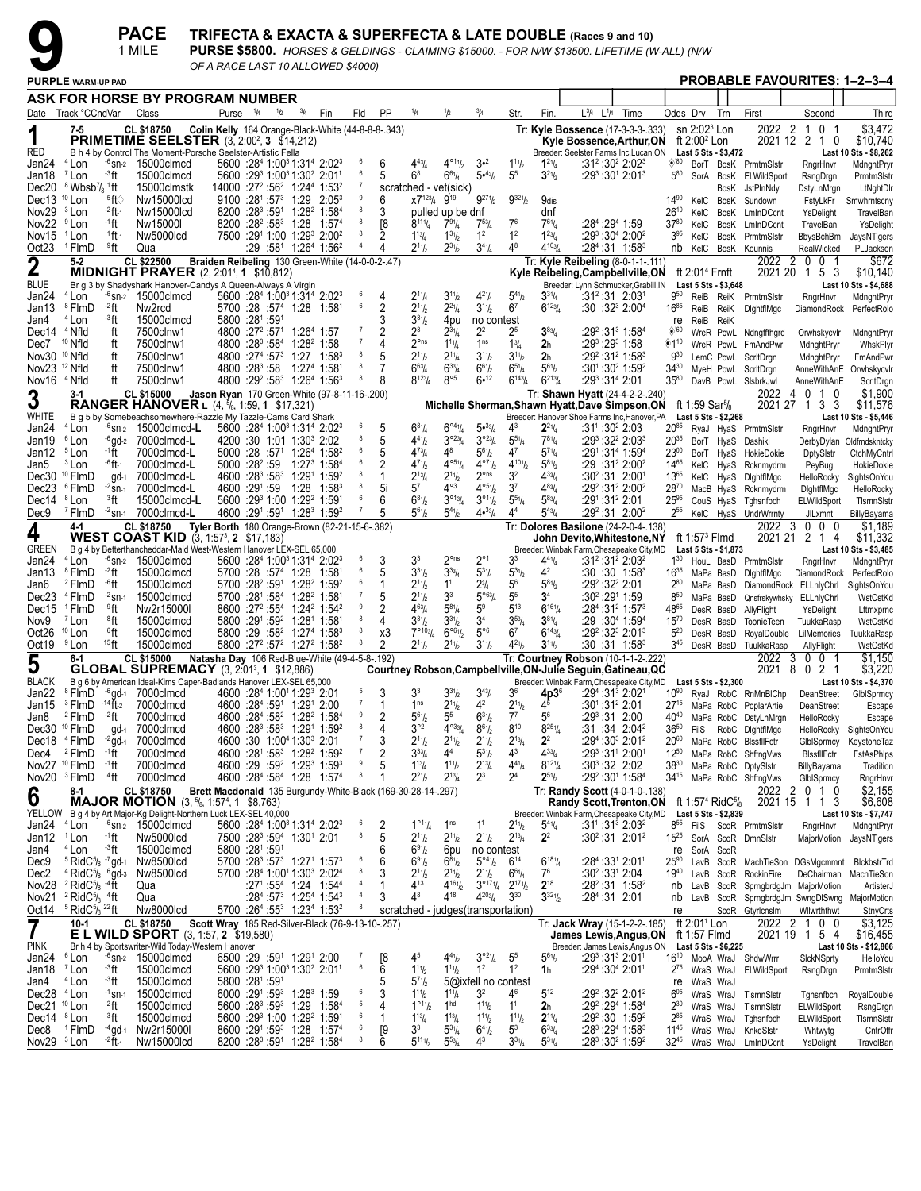**PACE TRIFECTA & EXACTA & SUPERFECTA & LATE DOUBLE** (Races 9 and 10)<br>
1 MILE PURSE \$5800. *HORSES & GELDINGS - CLAIMING \$15000. - FOR N/W \$13500. LIFETIME (W-ALL) (N/W*<br> *PURPLE WARM-UP PAD* PROB

| OF A RACE LAST 10 ALLOWED \$4000) |
|-----------------------------------|

|                                 |                                                                     | 1 MILE                                |                                                                                                                                  |                                        |                                                                                                                                             |               |                                                                             |                                  |                     |                                           |                                             |                                                                                                             |                                                       |                                                  | PURSE \$5800. HORSES & GELDINGS - CLAIMING \$15000. - FOR N/W \$13500. LIFETIME (W-ALL) (N/W                     |      |                                         |                                                       |           |                                                               |                                                                               |                                                |
|---------------------------------|---------------------------------------------------------------------|---------------------------------------|----------------------------------------------------------------------------------------------------------------------------------|----------------------------------------|---------------------------------------------------------------------------------------------------------------------------------------------|---------------|-----------------------------------------------------------------------------|----------------------------------|---------------------|-------------------------------------------|---------------------------------------------|-------------------------------------------------------------------------------------------------------------|-------------------------------------------------------|--------------------------------------------------|------------------------------------------------------------------------------------------------------------------|------|-----------------------------------------|-------------------------------------------------------|-----------|---------------------------------------------------------------|-------------------------------------------------------------------------------|------------------------------------------------|
|                                 | <b>PURPLE WARM-UP PAD</b>                                           |                                       | OF A RACE LAST 10 ALLOWED \$4000)                                                                                                |                                        |                                                                                                                                             |               |                                                                             |                                  |                     |                                           |                                             |                                                                                                             |                                                       |                                                  |                                                                                                                  |      |                                         |                                                       |           |                                                               |                                                                               | <b>PROBABLE FAVOURITES: 1-2-3-4</b>            |
|                                 |                                                                     |                                       | ASK FOR HORSE BY PROGRAM NUMBER                                                                                                  |                                        |                                                                                                                                             |               |                                                                             |                                  |                     |                                           |                                             |                                                                                                             |                                                       |                                                  |                                                                                                                  |      |                                         |                                                       |           |                                                               |                                                                               |                                                |
|                                 | Date Track °CCndVar                                                 | Class                                 |                                                                                                                                  | Purse $\frac{1}{4}$                    | 1/2                                                                                                                                         | $^{3}/_{4}$   | Fin                                                                         | Fld                              | PP                  | 1/4                                       | 1/2                                         | $^{3}/_{4}$                                                                                                 | Str.                                                  | Fin.                                             | $L^{3}/4$ $L^{1}/4$                                                                                              | Time | Odds Drv                                |                                                       | Trn       | First                                                         | Second                                                                        | Third                                          |
|                                 | 7-5                                                                 | <b>CL \$18750</b>                     | Colin Kelly 164 Orange-Black-White (44-8-8-8-.343)                                                                               |                                        |                                                                                                                                             |               |                                                                             |                                  |                     |                                           |                                             |                                                                                                             |                                                       |                                                  | Tr: Kyle Bossence (17-3-3-3-333)                                                                                 |      |                                         | $\sin 2:02^3$ Lon                                     |           | 2022                                                          | $\overline{2}$<br>0<br>-1<br>-1                                               | \$3,472                                        |
| RED                             |                                                                     |                                       | <b>PRIMETIME SEELSTER</b> (3, 2:00 <sup>2</sup> , 3 \$14,212)<br>B h 4 by Control The Moment-Porsche Seelster-Artistic Fella     |                                        |                                                                                                                                             |               |                                                                             |                                  |                     |                                           |                                             |                                                                                                             |                                                       |                                                  | Kyle Bossence,Arthur,ON<br>Breeder: Seelster Farms Inc, Lucan, ON                                                |      |                                         | ft 2:00 <sup>2</sup> Lon<br>Last 5 Sts - \$3,472      |           |                                                               | 2021 12 2 1 0                                                                 | \$10,740<br>Last 10 Sts - \$8,262              |
| Jan24                           | <sup>4</sup> Lon                                                    | $-6$ <sub>Sn-2</sub> 15000clmcd       |                                                                                                                                  |                                        | 5600 :284 1:00 <sup>3</sup> 1:314 2:02 <sup>3</sup>                                                                                         |               |                                                                             | 6                                | 6                   | $4^{43}$ / <sub>4</sub>                   | 4°11/2                                      | $3 - 2$                                                                                                     | $1^{11}h$                                             | $1^{21}/4$                                       | $:31^2:30^2$ 2:02 <sup>3</sup>                                                                                   |      | $\diamond$ '80                          | BorT                                                  |           | BosK PrmtmSlstr                                               | RngrHnvr                                                                      | MdnghtPryr                                     |
| Jan18<br>Dec20                  | ⊸3ft<br><sup>7</sup> Lon<br>8 Wbsb <sup>7</sup> / <sub>8</sub> 1ft  | 15000clmcd<br>15000clmstk             |                                                                                                                                  |                                        | 5600 :29 1:00 1:30 2:01                                                                                                                     |               | 14000 :27 <sup>2</sup> :56 <sup>2</sup> 1:24 <sup>4</sup> 1:53 <sup>2</sup> |                                  | 5                   | $6^8$                                     | $6^{61}/4$<br>scratched - vet(sick)         | 5.43/4                                                                                                      | 5 <sup>5</sup>                                        | $3^{21}/2$                                       | $:29^3:30^1$ 2:01 $^3$                                                                                           |      | $5^{80}$                                | SorA                                                  |           | BosK ELWildSport<br>BosK JstPlnNdy                            | RsngDrgn<br>DstyLnMrgn                                                        | PrmtmSlstr<br>LtNghtDIr                        |
| Dec13 <sup>10</sup> Lon         | <sup>5</sup> ft∖                                                    | Nw15000lcd                            |                                                                                                                                  |                                        | $9100 : 28^1 : 57^3$ 1:29                                                                                                                   |               | $2:05^3$                                                                    |                                  | 6                   | $X7^{123}/4$ 9 <sup>19</sup>              |                                             | $9^{27}$ <sup>1</sup> / <sub>2</sub>                                                                        | $9^{321}$                                             | 9dis                                             |                                                                                                                  |      | $14^{90}$                               | KelC                                                  |           | BosK Sundown                                                  | FstyLkFr                                                                      | Smwhrntscny                                    |
| Nov29<br>Nov22                  | $-2$ ft $_1$<br><sup>3</sup> Lon<br>∙1ft<br><sup>9</sup> Lon        | Nw15000lcd<br>Nw15000I                |                                                                                                                                  |                                        | 8200 :283 :591 1:28 <sup>2</sup> 1:584<br>8200 :28 <sup>2</sup> :58 <sup>3</sup> 1:28 1:57 <sup>4</sup>                                     |               |                                                                             |                                  | 3<br>[8             | $8^{111}/4$                               | pulled up be dnf<br>$7^{91}/4$              | $7^{53}$ / <sub>4</sub>                                                                                     | 7 <sup>6</sup>                                        | dnf<br>$7^{61}/4$                                | :284 :294 1:59                                                                                                   |      | $26^{10}$<br>$37^{80}$                  | KelC<br>KelC                                          |           | BosK LmInDCcnt<br>BosK LmInDCcnt                              | YsDelight<br>TravelBan                                                        | TravelBan<br>YsDelight                         |
| Nov <sub>15</sub>               | $1$ ft $\cdot$<br><sup>1</sup> Lon                                  | Nw5000lcd                             |                                                                                                                                  |                                        | 7500 :291 1:00 1:293 2:002                                                                                                                  |               |                                                                             |                                  |                     | $1^{13}$ / <sub>4</sub>                   | $1^{31}h$                                   | 1 <sup>2</sup>                                                                                              | 1 <sup>2</sup>                                        | $1^{23}$ / <sub>4</sub>                          | $:29^3:30^4$ 2:00 <sup>2</sup>                                                                                   |      | 3 <sup>95</sup>                         | KelC                                                  |           | BosK PrmtmSlstr                                               | <b>BbysBchBm</b>                                                              | JaysNTigers                                    |
| Oct <sub>23</sub>               | <sup>1</sup> FlmD<br>ºft                                            | Qua                                   |                                                                                                                                  |                                        | :29 :58 <sup>1</sup> 1:26 <sup>4</sup> 1:56 <sup>2</sup>                                                                                    |               |                                                                             |                                  | 4                   | $2^{11}h$                                 | $2^{31}h$                                   | $3^{4}\%$                                                                                                   | 48                                                    | $4^{103}$ / <sub>4</sub>                         | :28 <sup>4</sup> :31 1:58 <sup>3</sup>                                                                           |      | nb                                      |                                                       |           | KelC BosK Kounnis                                             | RealWicked                                                                    | PLJackson                                      |
| $\boldsymbol{2}$                | $5 - 2$                                                             | CL \$22500                            | Braiden Reibeling 130 Green-White (14-0-0-2-.47)<br><b>MIDNIGHT PRAYER</b> (2, 2:01 <sup>4</sup> , 1 \$10,812)                   |                                        |                                                                                                                                             |               |                                                                             |                                  |                     |                                           |                                             |                                                                                                             |                                                       |                                                  | Tr: Kyle Reibeling (8-0-1-1-.111)<br>Kyle Reibeling, Campbell ville, ON                                          |      |                                         | ft $2:014$ Frnft                                      |           | 2022<br>2021 20                                               | $\overline{2}$<br>$^{\circ}$<br>0 <sub>1</sub><br>1 5 3                       | \$672<br>\$10,140                              |
| <b>BLUE</b>                     |                                                                     |                                       | Br g 3 by Shadyshark Hanover-Candys A Queen-Always A Virgin                                                                      |                                        |                                                                                                                                             |               |                                                                             |                                  |                     |                                           |                                             |                                                                                                             |                                                       |                                                  | Breeder: Lynn Schmucker, Grabill, IN                                                                             |      |                                         | Last 5 Sts - \$3,648                                  |           |                                                               |                                                                               | Last 10 Sts - \$4,688                          |
| Jan24<br>Jan13                  | <sup>4</sup> Lon<br><sup>8</sup> FlmD<br>$-2$ ft                    | $-6$ sn- $2$ 15000 clmcd<br>Nw2rcd    |                                                                                                                                  |                                        | 5600 :284 1:00 <sup>3</sup> 1:31 <sup>4</sup> 2:02 <sup>3</sup><br>5700 :28 :574 1:28 1:581                                                 |               |                                                                             |                                  | 4<br>2              | $2^{11}/4$<br>$2^{11}h$                   | $3^{11}h$<br>$2^{21}/4$                     | $4^{21}/4$<br>$3^{11}/2$                                                                                    | $5^{4}$ <sup>1</sup> / <sub>2</sub><br>6 <sup>7</sup> | $3^{31}/4$<br>$6^{123}$ /4                       | :31 <sup>2</sup> :31 2:03 <sup>1</sup><br>$:30:32^3 2:00^4$                                                      |      | 950<br>$16^{85}$                        | ReiB                                                  | ReiK      | ReiB ReiK PrmtmSlstr<br>DightflMgc                            | RngrHnvr<br>DiamondRock                                                       | MdnghtPryr<br>PerfectRolo                      |
| Jan4                            | <sup>4</sup> Lon<br>⊸°ft                                            | 15000clmcd                            |                                                                                                                                  | 5800 :281 :591                         |                                                                                                                                             |               |                                                                             |                                  | 3                   | $3^{31}h$                                 | 4pu                                         | no contest                                                                                                  |                                                       |                                                  |                                                                                                                  |      | re                                      | ReiB                                                  | ReiK      |                                                               |                                                                               |                                                |
| Dec14 <sup>4</sup> Nfld<br>Dec7 | ft<br><sup>10</sup> Nfld<br>ft                                      | 7500clnw1<br>7500clnw1                |                                                                                                                                  | 4800 :28 <sup>3</sup> :58 <sup>4</sup> | 4800 :27 <sup>2</sup> :57 <sup>1</sup> 1:26 <sup>4</sup> 1:57                                                                               | $1:28^2$ 1:58 |                                                                             |                                  | $\overline{2}$<br>4 | $2^3$<br>$2o$ ns                          | $2^{31}/4$<br>$1^{11}/4$                    | $2^2$<br>1 <sup>ns</sup>                                                                                    | 25<br>$1\frac{3}{4}$                                  | $3^{83}$ /4<br>2 <sub>h</sub>                    | $:29^2:31^3$ 1:58 <sup>4</sup><br>:293 :293 1:58                                                                 |      | $\diamond$ '60<br>$\diamondsuit 1^{10}$ |                                                       |           | WreR PowL Ndngffthgrd<br>WreR PowL FmAndPwr                   | Orwhskycvlr<br>MdnghtPryr                                                     | MdnghtPryr<br>WhskPlyr                         |
| Nov30 <sup>10</sup> Nfld        | ft                                                                  | 7500clnw1                             |                                                                                                                                  |                                        | 4800 :27 <sup>4</sup> :57 <sup>3</sup> 1:27 1:58 <sup>3</sup>                                                                               |               |                                                                             | 8                                | 5                   | $2^{11}h$                                 | $2^{11}/4$                                  | $3^{11}/2$                                                                                                  | $3^{11}/2$                                            | 2 <sub>h</sub>                                   | :29 <sup>2</sup> :31 <sup>2</sup> 1:58 <sup>3</sup>                                                              |      | $9^{30}$                                |                                                       |           | LemC PowL ScritDrgn                                           | MdnghtPryr                                                                    | FmAndPwr                                       |
| Nov23 <sup>12</sup> Nfld        | ft<br>ft<br><sup>4</sup> Nfld                                       | 7500clnw1<br>7500clnw1                |                                                                                                                                  |                                        | 4800 :28 <sup>3</sup> :58 1:27 <sup>4</sup> 1:58 <sup>1</sup><br>4800 :29 <sup>2</sup> :58 <sup>3</sup> 1:26 <sup>4</sup> 1:56 <sup>3</sup> |               |                                                                             |                                  | 7<br>8              | $6^{63}$ /4<br>$8^{123}/4$                | $6^{33}$ /4<br>$8^{\circ 5}$                | $6^{61}/2$<br>6•12                                                                                          | $6^{51}/4$<br>$6^{143}/4$                             | $5^{61}/2$<br>$6^{213}/4$                        | $:30^1:30^2$ 1:59 <sup>2</sup><br>:293 :314 2:01                                                                 |      | $34^{30}$<br>$35^{80}$                  |                                                       |           | MyeH PowL ScritDrgn<br>DavB PowL SIsbrkJwl                    |                                                                               | AnneWithAnE Orwhskycvlr                        |
| Nov16                           | 3-1                                                                 | CL \$15000                            | Jason Ryan 170 Green-White (97-8-11-16-.200)                                                                                     |                                        |                                                                                                                                             |               |                                                                             |                                  |                     |                                           |                                             |                                                                                                             |                                                       |                                                  | Tr: Shawn Hyatt (24-4-2-2-.240)                                                                                  |      |                                         |                                                       |           | 2022                                                          | AnneWithAnE<br>$\overline{4}$<br>$\mathbf{0}$<br>$\mathbf{1}$<br>$\mathbf{0}$ | ScritDrgn<br>\$1,900                           |
| 3                               |                                                                     |                                       | <b>RANGER HANOVER</b> L $(4, \frac{5}{6}, 1:59, 1 \cdot $17,321)$                                                                |                                        |                                                                                                                                             |               |                                                                             |                                  |                     |                                           |                                             |                                                                                                             |                                                       |                                                  | Michelle Sherman, Shawn Hyatt, Dave Simpson, ON                                                                  |      |                                         | ft 1:59 Sar <sup>5</sup> / <sub>8</sub>               |           |                                                               | 2021 27 1 3 3                                                                 | \$11,576                                       |
| WHITE<br>Jan24                  | <sup>4</sup> Lon                                                    | $-6$ sn- $2$ 15000 clmcd-L            | B q 5 by Somebeachsomewhere-Razzle My Tazzle-Cams Card Shark                                                                     |                                        | 5600 :284 1:00 <sup>3</sup> 1:314 2:02 <sup>3</sup>                                                                                         |               |                                                                             |                                  | 5                   | $6^{81}/4$                                | $6^{\circ 4}$ <sup>1</sup> / <sub>4</sub>   | $5 \cdot \frac{33}{4}$                                                                                      | 43                                                    | $2^{21}/4$                                       | Breeder: Hanover Shoe Farms Inc, Hanover, PA<br>$:31^{\circ}$ :30 <sup>2</sup> 2:03                              |      | $20^{85}$                               | Last 5 Sts - \$2,268                                  |           | RyaJ HyaS PrmtmSlstr                                          | RngrHnvr                                                                      | Last 10 Sts - \$5,446<br>MdnghtPryr            |
| Jan19                           | <sup>6</sup> Lon                                                    | $-6$ qd $-2$ 7000 clmcd-L             |                                                                                                                                  |                                        | 4200 :30 1:01 1:30 <sup>3</sup> 2:02                                                                                                        |               |                                                                             |                                  | 5                   | $4^{41}$                                  | $3^{923}/4$                                 | $3^{023}/4$                                                                                                 | $5^{51}/4$                                            | $7^{81}/4$                                       | $:29^3:32^2:2:03^3$                                                                                              |      | $20^{35}$                               |                                                       | BorT HyaS | Dashiki                                                       | DerbyDylan                                                                    | Oldfrndskntcky                                 |
| Jan12<br>Jan5                   | -1 ft<br><sup>5</sup> Lon<br><sup>3</sup> Lon<br><sup>-6</sup> ft-1 | 7000clmcd-L<br>7000clmcd-L            |                                                                                                                                  | $5000 : 28^2 : 59$                     | $5000$ :28 :57 <sup>1</sup> 1:26 <sup>4</sup> 1:58 <sup>2</sup>                                                                             |               | 1:27 $^3$ 1:58 $^4$                                                         |                                  | 5<br>2              | $4^{73}$ /4<br>$4^{71}h$                  | 48<br>$4^{\circ_{51}}/4$                    | $5^{61}/2$<br>$4^{\circ 7}$ $1/2$                                                                           | $4^7$<br>$4^{101}h$                                   | $5^{71}/4$<br>$5^{81}/2$                         | :291:314 1:594<br>$:29:31^22:00^2$                                                                               |      | $23^{00}$<br>1465                       | KelC HyaS                                             | BorT HyaS | HokieDokie<br>Rcknmydrm                                       | <b>DptySistr</b><br>PeyBug                                                    | CtchMyCntrl<br>HokieDokie                      |
|                                 | Dec30 <sup>10</sup> FlmD                                            | 7000clmcd-L<br>gd-1                   |                                                                                                                                  |                                        | 4600 :283 :583 1:291 1:592                                                                                                                  |               |                                                                             |                                  |                     | $2^{13}$ /4                               | $2^{11}h$                                   | $2^{\circ}$ ns                                                                                              | 3 <sup>2</sup>                                        | $4^{33}$ / <sub>4</sub>                          | $:30^2:31$ 2:001                                                                                                 |      | $13^{65}$                               |                                                       | KelC HyaS | DightflMgc                                                    | HelloRocky                                                                    | SightsOnYou                                    |
| Dec23<br>Dec14 <sup>8</sup> Lon | ®FlmD<br>$-2$ SN-1<br><sup>3</sup> ft                               | 7000clmcd-L<br>15000clmcd-L           |                                                                                                                                  |                                        | 4600 :291 :59 1:28<br>5600 :293 1:00 1:292 1:591                                                                                            |               | $1:58^3$                                                                    |                                  | 5i<br>6             | $5^7$<br>$6^{81}/2$                       | 4°3<br>$3^{013}/4$                          | 4°51/2<br>3°11/2                                                                                            | 3 <sup>7</sup><br>$5^{51}/4$                          | $4^{83}$ / <sub>4</sub><br>$5^{83}$ /4           | $:29^2:31^2:2:00^2$<br>:291 :31º 2:01                                                                            |      | 2870<br>$25^{95}$                       |                                                       | MacB HyaS | Rcknmydrm<br>Tghsnfbch                                        | DightflMgc                                                                    | HelloRocky                                     |
| Dec9                            | <sup>7</sup> FlmD                                                   | $32$ sn-1 7000 clmcd-L                |                                                                                                                                  |                                        |                                                                                                                                             |               | 4600 :291 :591 1:283 1:592                                                  |                                  | 5                   | $5^{61}$                                  | $5^{41}h$                                   | 4•33/4                                                                                                      | 4 <sup>4</sup>                                        | $5^{43}/4$                                       | $:29^2:31$ 2:00 <sup>2</sup>                                                                                     |      | 255                                     |                                                       | CouS HyaS | KelC HyaS UndrWrrnty                                          | ELWildSport<br>JILxmnt                                                        | TismnSistr<br>BillyBayama                      |
| 4                               | 4-1                                                                 | CL \$18750                            | Tyler Borth 180 Orange-Brown (82-21-15-6-.382)                                                                                   |                                        |                                                                                                                                             |               |                                                                             |                                  |                     |                                           |                                             |                                                                                                             |                                                       |                                                  | Tr: Dolores Basilone (24-2-0-4-.138)                                                                             |      |                                         |                                                       |           | 2022                                                          | -3<br>$0\quad 0$<br>- 0                                                       | \$1,189                                        |
| <b>GREEN</b>                    |                                                                     |                                       | <b>WEST COAST KID</b> (3, 1:57 <sup>3</sup> , 2 \$17,183)<br>B g 4 by Betterthancheddar-Maid West-Western Hanover LEX-SEL 65,000 |                                        |                                                                                                                                             |               |                                                                             |                                  |                     |                                           |                                             |                                                                                                             |                                                       |                                                  | John Devito,Whitestone,NY<br>Breeder: Winbak Farm, Chesapeake City, MD                                           |      |                                         | ft 1:57 $3$ Flmd<br>Last 5 Sts - \$1,873              |           | 2021 21                                                       | 2 1 4                                                                         | \$11,332<br>Last 10 Sts - \$3,485              |
| Jan24                           | $4$ Lon                                                             | $-6$ sn- $2 \quad 15000$ clmcd        |                                                                                                                                  |                                        | 5600 :284 1:00 <sup>3</sup> 1:314 2:02 <sup>3</sup>                                                                                         |               |                                                                             |                                  | 3                   | 3 <sup>3</sup>                            | $2^{\circ}$ ns                              | $2^{\circ}1$                                                                                                | 3 <sup>3</sup>                                        | $4^{41}/4$                                       | $:31^2:31^2:2:03^2$                                                                                              |      | $1^{30}$                                | HouL BasD                                             |           | PrmtmSlstr                                                    | RngrHnvr                                                                      | MdnghtPryr                                     |
| Jan13<br>Jan6                   | <sup>8</sup> FlmD<br>-2 ft<br>-6ft<br><sup>2</sup> FlmD             | 15000clmcd<br>15000clmcd              |                                                                                                                                  |                                        | 5700 :28 :57 <sup>4</sup> 1:28 1:581<br>$5700$ : $28^2$ : $59^1$ 1: $28^2$ 1: $59^2$                                                        |               |                                                                             |                                  | 5<br>1              | $3^{31}h$<br>$2^{11}h$                    | $3^{33}/4$<br>1 <sup>1</sup>                | $5^{31}/4$<br>$2^{3}/_{4}$                                                                                  | $5^{31}$<br>56                                        | 4 <sup>2</sup><br>$5^{81}/2$                     | :30 :30 1:58 <sup>3</sup><br>:29 <sup>2</sup> :32 <sup>2</sup> 2:01                                              |      | $16^{35}$<br>$2^{80}$                   | MaPa BasD<br>MaPa BasD                                |           | DightflMgc                                                    | DiamondRock<br>DiamondRock ELLnlyChrl                                         | PerfectRolo<br>SightsOnYou                     |
| Dec23                           | <sup>4</sup> FlmD                                                   | $-2$ Sn-1<br>15000clmcd               |                                                                                                                                  |                                        | 5700 :281 :584 1:28 <sup>2</sup> 1:581                                                                                                      |               |                                                                             |                                  | 5                   | $2^{11}h$                                 | 3 <sup>3</sup>                              | $5^{963}$ / <sub>4</sub>                                                                                    | 5 <sup>5</sup>                                        | 3 <sup>4</sup>                                   | $:30^2:29^1$ 1:59                                                                                                |      | $8^{50}$                                | MaPa BasD                                             |           |                                                               | Qnsfrskywhsky ELLnlyChrl                                                      | WstCstKd                                       |
| Dec15                           | <sup>1</sup> FlmD<br>≗°ft<br><sup>8</sup> ft<br><sup>7</sup> Lon    | Nw2r15000l                            |                                                                                                                                  |                                        | 8600 :27 <sup>2</sup> :55 <sup>4</sup> 1:24 <sup>2</sup> 1:54 <sup>2</sup><br>5800 :291 :59 <sup>2</sup> 1:281 1:581                        |               |                                                                             |                                  | 2<br>4              | $4^{63}$ /4<br>$3^{31}h$                  | $5^{81}/4$                                  | 5 <sup>9</sup><br>3 <sup>4</sup>                                                                            | $5^{13}$<br>$3^{53}$ /4                               | $6^{161}/4$<br>$3^{81}/4$                        | $:28^4:31^2$ 1:57 $^3$                                                                                           |      | 4865                                    | DesR BasD                                             |           | AllyFlight                                                    | YsDelight                                                                     | Lftmxprnc                                      |
| Nov9<br>Oct26                   | 6ft<br>$10$ Lon                                                     | 15000clmcd<br>15000clmcd              |                                                                                                                                  |                                        | 5800 :29 :58 <sup>2</sup> 1:27 <sup>4</sup> 1:58 <sup>3</sup>                                                                               |               |                                                                             |                                  | x3                  | $7^{\circ 103}$ /4                        | $3^{31}h$<br>$6^{\circ 61}/2$               | $5^{\circ 6}$                                                                                               | 6 <sup>7</sup>                                        | $6^{143}/4$                                      | :29 :30 <sup>4</sup> 1:59 <sup>4</sup><br>$:29^2:32^3:2:01^3$                                                    |      | $15^{70}$<br>$5^{20}$                   | DesR BasD<br>DesR BasD                                |           | <b>ToonieTeen</b><br>RoyalDouble                              | TuukkaRasp<br>LilMemories                                                     | WstCstKd<br>TuukkaRasp                         |
| Oct19 <sup>9</sup> Lon          | $15$ ft                                                             | 15000clmcd                            |                                                                                                                                  |                                        | 5800 :27 <sup>2</sup> :57 <sup>2</sup> 1:27 <sup>2</sup> 1:58 <sup>2</sup>                                                                  |               |                                                                             |                                  | 2                   | $2^{11}h$                                 | $2^{11}h$                                   | $3^{11}/2$                                                                                                  | $4^{21}$                                              | 3 <sup>1</sup> 1 <sub>2</sub>                    | :30 :31 1:58 <sup>3</sup>                                                                                        |      | $3^{45}$                                |                                                       |           | DesR BasD TuukkaRasp                                          | AllyFlight                                                                    | WstCstKd                                       |
| 5                               | 6-1                                                                 | <b>CL \$15000</b>                     | Natasha Day 106 Red-Blue-White (49-4-5-8-.192)<br><b>GLOBAL SUPREMACY</b> (3, 2:01 <sup>3</sup> , 1 \$12,886)                    |                                        |                                                                                                                                             |               |                                                                             |                                  |                     |                                           |                                             |                                                                                                             |                                                       |                                                  | Tr: Courtney Robson (10-1-1-2-.222)<br>Courtney Robson, Campbell ville, ON-Julie Seguin, Gatineau, QC            |      |                                         |                                                       |           | 2022 3<br>2021                                                | 0 0 1<br>- 8<br>2 1<br>$\mathbf{0}$                                           | \$1,150<br>\$3,220                             |
| <b>BLACK</b>                    |                                                                     |                                       | B g 6 by American Ideal-Kims Caper-Badlands Hanover LEX-SEL 65,000                                                               |                                        |                                                                                                                                             |               |                                                                             |                                  |                     |                                           |                                             |                                                                                                             |                                                       |                                                  | Breeder: Winbak Farm, Chesapeake City, MD                                                                        |      |                                         | Last 5 Sts - \$2,300                                  |           |                                                               |                                                                               | Last 10 Sts - \$4,370                          |
| Jan22<br>Jan15                  | <sup>8</sup> FlmD<br>$3$ FlmD $-14$ ft-2                            | $-6$ qd $-1$ 7000clmcd<br>7000clmcd   |                                                                                                                                  |                                        | 4600 :284 1:001 1:293 2:01<br>4600 :284 :591 1:291 2:00                                                                                     |               |                                                                             | $\overline{7}$                   | 3<br>1              | 3 <sup>3</sup><br>1 <sup>ns</sup>         | $3^{31}h$<br>$2^{11}h$                      | $3^{43}$ /4<br>4 <sup>2</sup>                                                                               | 36<br>$2^{11}/2$                                      | $4p36$<br>$45$                                   | :29 <sup>4</sup> :31 <sup>3</sup> 2:021<br>$:30^{\scriptscriptstyle +} \!\!.31^{\scriptscriptstyle 2}\!\!.2$ :01 |      | $10^{90}$                               |                                                       |           | RyaJ RobC RnMnBIChp<br>27 <sup>15</sup> MaPa RobC PoplarArtie | DeanStreet<br>DeanStreet                                                      | GlbISprmcy<br>Escape                           |
| Jan8                            | <sup>2</sup> FlmD<br>$-2$ ft                                        | 7000clmcd                             |                                                                                                                                  |                                        | 4600 :284 :58 <sup>2</sup> 1:28 <sup>2</sup> 1:584                                                                                          |               |                                                                             |                                  | 2                   | $5^{61}$                                  |                                             | $6^{31}/2$                                                                                                  | $7^7$                                                 | 5 <sup>6</sup>                                   | :293:31 2:00                                                                                                     |      | 4040                                    |                                                       |           | MaPa RobC DstyLnMrgn                                          | HelloRocky                                                                    | Escape                                         |
|                                 | Dec30 <sup>10</sup> FlmD<br>Dec18 <sup>4</sup> FlmD                 | 7000clmcd<br>$gd-1$<br>7000clmcd      |                                                                                                                                  |                                        | 4600 :30 1:00 <sup>4</sup> 1:30 <sup>3</sup> 2:01                                                                                           |               | 4600 :28 <sup>3</sup> :58 <sup>3</sup> 1:29 <sup>1</sup> 1:59 <sup>2</sup>  | 8<br>7                           | 4<br>3              | $3^{\circ 2}$<br>$2^{11}/2$               | $4^{\circ 33}/4$<br>$2^{11}h$               | $8^{61}/2$<br>$2^{11}/2$                                                                                    | 810<br>$2^{13}/4$                                     | $8^{251}/4$<br>2 <sup>2</sup>                    | $:31:34$ 2:04 <sup>2</sup><br>:294 :303 2:012                                                                    |      | $36^{50}$<br>$20^{60}$                  |                                                       |           | FilS RobC DightflMgc                                          | HelloRocky                                                                    | SightsOnYou                                    |
| Dec4                            | <sup>2</sup> FlmD<br>-1 ft                                          | $-2$ gd-1<br>7000clmcd                |                                                                                                                                  |                                        |                                                                                                                                             |               | 4600 :281 :583 1:282 1:592                                                  | $\overline{7}$                   | 2                   | $3^{33}/4$                                | 4 <sup>4</sup>                              | $5^{31}$ / <sub>2</sub>                                                                                     | $4^3$                                                 | $4^{33}/4$                                       | :293 :311 2:001                                                                                                  |      | $12^{50}$                               |                                                       |           | MaPa RobC BlssfilFctr<br>MaPa RobC ShftngVws                  | GlbISprmcy<br><b>BIssfIIFctr</b>                                              | KeystoneTaz<br>FstAsPhlps                      |
|                                 | Nov27 <sup>10</sup> FlmD<br>∙1ft                                    | 7000clmcd                             |                                                                                                                                  |                                        |                                                                                                                                             |               | 4600 :29 :59 <sup>2</sup> 1:29 <sup>3</sup> 1:59 <sup>3</sup>               | 9                                | 5                   | $1^{13} / 4$                              | $1^{11}h$                                   | $2^{13}/4$                                                                                                  | $4^{41}/4$                                            | $8^{121}/4$                                      | :30 $3$ :32 2:02                                                                                                 |      | $38^{30}$                               |                                                       |           | MaPa RobC DptySistr                                           | BillyBayama                                                                   | Tradition                                      |
|                                 | Nov20 <sup>3</sup> FlmD<br><sup>4</sup> ft<br>8-1                   | 7000clmcd<br>CL \$18750               | Brett Macdonald 135 Burgundy-White-Black (169-30-28-14-.297)                                                                     |                                        |                                                                                                                                             |               | 4600 :284 :584 1:28 1:574                                                   | 8                                |                     | $2^{21}h$                                 | $2^{13}/4$                                  | $2^3$                                                                                                       | 2 <sup>4</sup>                                        | $2^{51}/2$                                       | :29 <sup>2</sup> :30 <sup>1</sup> 1:58 <sup>4</sup><br>Tr: Randy Scott (4-0-1-0-.138)                            |      | $34^{15}$                               |                                                       |           | MaPa RobC ShftngVws<br>2022                                   | GlbISprmcy<br>$\overline{2}$<br>0 1 0                                         | RngrHnvr<br>\$2,155                            |
| 6                               |                                                                     |                                       | <b>MAJOR MOTION</b> $(3, 5/8, 1:57^4, 1 \text{ } $8,763)$                                                                        |                                        |                                                                                                                                             |               |                                                                             |                                  |                     |                                           |                                             |                                                                                                             |                                                       |                                                  | <b>Randy Scott, Trenton, ON</b>                                                                                  |      |                                         | ft 1:57 <sup>4</sup> RidC <sup>5</sup> / <sub>8</sub> |           | 2021 15                                                       | 1 1 3                                                                         | \$6,608                                        |
| Jan24 <sup>4</sup> Lon          |                                                                     | $-6$ sn-2 15000 clmcd                 | YELLOW B g 4 by Art Major-Kg Delight-Northern Luck LEX-SEL 40,000                                                                |                                        |                                                                                                                                             |               | 5600 :28 <sup>4</sup> 1:00 <sup>3</sup> 1:31 <sup>4</sup> 2:02 <sup>3</sup> | $6\overline{6}$                  | 2                   | $1^{\circ 11}/4$                          | 1 <sup>ns</sup>                             | 1 <sup>1</sup>                                                                                              | $2^{11}$                                              | $5^{41}/4$                                       | Breeder: Winbak Farm, Chesapeake City, MD<br>$:31^{\circ}$ :31 <sup>3</sup> 2:03 <sup>2</sup>                    |      |                                         | Last 5 Sts - \$2,839                                  |           | 8 <sup>55</sup> FilS ScoR PrmtmSlstr                          | RngrHnvr                                                                      | Last 10 Sts - \$7,747<br>MdnghtPryr            |
| Jan12 $1$ Lon                   | ∙1ft                                                                | Nw5000lcd                             |                                                                                                                                  |                                        | 7500 :283 :594 1:301 2:01                                                                                                                   |               |                                                                             |                                  | 5                   | $2^{11}h$                                 | $2^{11}h$                                   | $2^{11}/2$                                                                                                  | $2^{13}/4$                                            | 2 <sup>2</sup>                                   | $:30^2:31$ 2:01 <sup>2</sup>                                                                                     |      |                                         |                                                       |           | 15 <sup>25</sup> SorA ScoR DmnSlstr                           |                                                                               | MajorMotion JaysNTigers                        |
| Jan4<br>Dec <sub>9</sub>        | ⊸°ft<br><sup>4</sup> Lon<br>$5$ RidC $\frac{5}{8}$ $-7$ gd-1        | 15000clmcd<br>Nw8500lcd               |                                                                                                                                  | 5800 :281 :591                         | 5700 :283 :573 1:271 1:573                                                                                                                  |               |                                                                             | 6                                | 6<br>6              | $6^{91}/2$<br>$6^{91}/2$                  | 6pu<br>$6^{81}$ / <sub>2</sub>              | no contest<br>$5^{\circ 4}$ <sup>1</sup> / <sub>2</sub>                                                     | $6^{14}$                                              | $6^{181}/4$                                      | :284 :331 2:011                                                                                                  |      | re<br>$25^{90}$                         | SorA ScoR<br>LavB ScoR                                |           |                                                               |                                                                               | MachTieSon DGsMgcmmnt BlckbstrTrd              |
| Dec <sub>2</sub>                | $4$ RidC $\frac{5}{6}$ $6$ gd- $3$                                  | Nw8500lcd                             |                                                                                                                                  |                                        | 5700 :284 1:0011:303 2:024                                                                                                                  |               |                                                                             |                                  | 3                   | $2^{11}/2$                                | $2^{11}h$                                   | $2^{11}/2$                                                                                                  | $6^{61}/4$                                            | 7 <sup>6</sup>                                   | :30 <sup>2</sup> :33 <sup>1</sup> 2:04                                                                           |      | $19^{40}$                               | LavB ScoR                                             |           | RockinFire                                                    |                                                                               | DeChairman MachTieSon                          |
|                                 | Nov28 $^{2}$ RidC $^{5}/_{8}$ $^{4}$ ft                             | Qua                                   |                                                                                                                                  |                                        | $:27^1:55^4$ 1:24 1:54 <sup>4</sup>                                                                                                         |               |                                                                             | $\overline{4}$<br>$\overline{4}$ | -1                  | $4^{13}$<br>48                            | $4^{16}$ <sup>1</sup> / <sub>2</sub><br>418 | $3^{\circ 17}$ <sup>1</sup> / <sub>4</sub> $2^{17}$ <sup>1</sup> / <sub>2</sub><br>$4^{203}$ / <sub>4</sub> |                                                       | $2^{18}$<br>$3^{32}$ <sup>1</sup> / <sub>2</sub> | $:28^2:31$ 1:58 <sup>2</sup>                                                                                     |      | nb                                      | LavB ScoR                                             |           |                                                               | SprngbrdgJm MajorMotion                                                       | ArtisterJ                                      |
|                                 | Oct $14^{5}$ RidC <sup>5</sup> / <sub>8</sub> <sup>22</sup> ft      | Qua<br>Nw8000lcd                      |                                                                                                                                  |                                        |                                                                                                                                             |               | :284 :573 1:254 1:543<br>5700 :264 :553 1:234 1:532                         | $_{8}$                           | 3                   |                                           | scratched - judges (transportation)         |                                                                                                             | $3^{30}$                                              |                                                  | :284:31 2:01                                                                                                     |      | nb<br>re                                | LavB ScoR                                             |           | ScoR Gtyrlcnslm                                               | Wilwrththwt                                                                   | SprngbrdgJm SwngDISwng MajorMotion<br>StnyCrts |
|                                 | $10-1$                                                              | <b>CL \$18750</b>                     | Scott Wray 185 Red-Silver-Black (76-9-13-10-.257)                                                                                |                                        |                                                                                                                                             |               |                                                                             |                                  |                     |                                           |                                             |                                                                                                             |                                                       |                                                  | Tr: Jack Wray (15-1-2-2-.185)                                                                                    |      |                                         | ft $2:011$ Lon                                        |           | 2022                                                          | $\overline{2}$<br>100                                                         | \$3,125                                        |
| <b>PINK</b>                     |                                                                     |                                       | $E L$ WILD SPORT $(3, 1:57, 2, 1:9,580)$<br>Br h 4 by Sportswriter-Wild Today-Western Hanover                                    |                                        |                                                                                                                                             |               |                                                                             |                                  |                     |                                           |                                             |                                                                                                             |                                                       |                                                  | James Lewis,Angus,ON<br>Breeder: James Lewis, Angus, ON                                                          |      |                                         | ft 1:57 $F$ Imd<br>Last 5 Sts - \$6,225               |           |                                                               | 2021 19 1 5 4                                                                 | \$16,455<br>Last 10 Sts - \$12,866             |
| Jan24 <sup>6</sup> Lon          |                                                                     | $-6$ sn- $2 \quad 15000$ clmcd        |                                                                                                                                  |                                        | 6500 :29 :591 1:291 2:00                                                                                                                    |               |                                                                             |                                  | [8                  | 45                                        | $4^{41}h$                                   | $3^{\circ 2}\%$                                                                                             | 5 <sup>5</sup>                                        | $5^{61}/2$                                       | $:29^3:31^3$ 2:011                                                                                               |      |                                         |                                                       |           | 16 <sup>10</sup> MooA WraJ ShdwWrrr                           | SickNSprty                                                                    | HelloYou                                       |
| Jan18 <sup>7</sup> Lon<br>Jan4  | ⊸3ft<br><sup>4</sup> Lon<br>⊸°ft                                    | 15000clmcd<br>15000clmcd              |                                                                                                                                  | 5800 :281:591                          | 5600 :29 <sup>3</sup> 1:00 <sup>3</sup> 1:30 <sup>2</sup> 2:01 <sup>1</sup>                                                                 |               |                                                                             |                                  | Ġ<br>5              | $1^{11}h$<br>$5^{71}h$                    | $1^{11}h$                                   | 1 <sup>2</sup><br>5@ixfell no contest                                                                       | 1 <sup>2</sup>                                        | 1h                                               | :294 :304 2:011                                                                                                  |      |                                         | 2 <sup>75</sup> WraS WraJ<br>WraS WraJ                |           | ELWildSport                                                   | RsngDrgn                                                                      | PrmtmSlstr                                     |
| Dec28 <sup>4</sup> Lon          | $-1$ Sn-1                                                           | 15000clmcd                            |                                                                                                                                  |                                        | 6000 :291 :593 1:283 1:59                                                                                                                   |               |                                                                             |                                  | 3                   | $1^{11}h$                                 | $1^{11}/4$                                  | 3 <sup>2</sup>                                                                                              | 4°                                                    | $5^{12}$                                         | :29 <sup>2</sup> :32 <sup>2</sup> 2:01 <sup>2</sup>                                                              |      | re<br>$6^{05}$                          | WraS WraJ                                             |           | TIsmnSIstr                                                    | Tghsnfbch                                                                     | RoyalDouble                                    |
| Dec21 <sup>10</sup> Lon         | $^{2}$ ft                                                           | 15000clmcd                            |                                                                                                                                  |                                        | 5600 :28 <sup>3</sup> :59 <sup>3</sup> 1:29 1:58 <sup>4</sup>                                                                               |               |                                                                             | 5                                | 4                   | 1°11b                                     | 1 <sup>hd</sup>                             | $1^{11}$                                                                                                    | 1 <sup>1</sup>                                        | 2 <sub>h</sub>                                   | :29 <sup>2</sup> :29 <sup>4</sup> 1:58 <sup>4</sup>                                                              |      | $2^{30}$                                | WraS WraJ                                             |           | TIsmnSIstr                                                    | ELWildSport                                                                   | RsngDrgn                                       |
| Dec14 <sup>8</sup> Lon<br>Dec8  | <sup>3</sup> ft<br><sup>1</sup> FlmD                                | 15000clmcd<br>$-4$ gd-1<br>Nw2r15000l |                                                                                                                                  |                                        | 5600 :293 1:00 1:292 1:591<br>8600 :291 :593 1:28 1:574                                                                                     |               |                                                                             | 6                                | 1<br>[9             | $1^{13}$ / <sub>4</sub><br>3 <sup>3</sup> | $1^{13}$ / <sub>4</sub><br>$5^{31}/4$       | $1^{11}$ / <sub>2</sub><br>$6^{41}/2$                                                                       | $1^{11}$ / <sub>2</sub><br>5 <sup>3</sup>             | $2^{11}/4$<br>$6^{33}/4$                         | $:29^2:30$ 1:59 <sup>2</sup><br>:283 :294 1:583                                                                  |      | $2^{85}$<br>$11^{45}$                   | WraS WraJ<br>WraS WraJ                                |           | Tghsnfbch<br>KnkdSlstr                                        | ELWildSport<br>Whtwytg                                                        | TIsmnSIstr<br>CntrOffr                         |
| Nov29 <sup>3</sup> Lon          | - <sup>2</sup> ft 1                                                 | Nw15000lcd                            |                                                                                                                                  |                                        | 8200 :283 :591 1:28 <sup>2</sup> 1:584                                                                                                      |               |                                                                             | 8                                | Ġ                   | $5^{11}$ <sup>1</sup> / <sub>2</sub>      | $5^{53}$ /4                                 | 43                                                                                                          | $3^{31}/4$                                            | $5^{31}/4$                                       | :28 <sup>3</sup> :30 <sup>2</sup> 1:59 <sup>2</sup>                                                              |      |                                         |                                                       |           | 3245 WraS WraJ LmInDCcnt                                      | YsDelight                                                                     | TravelBan                                      |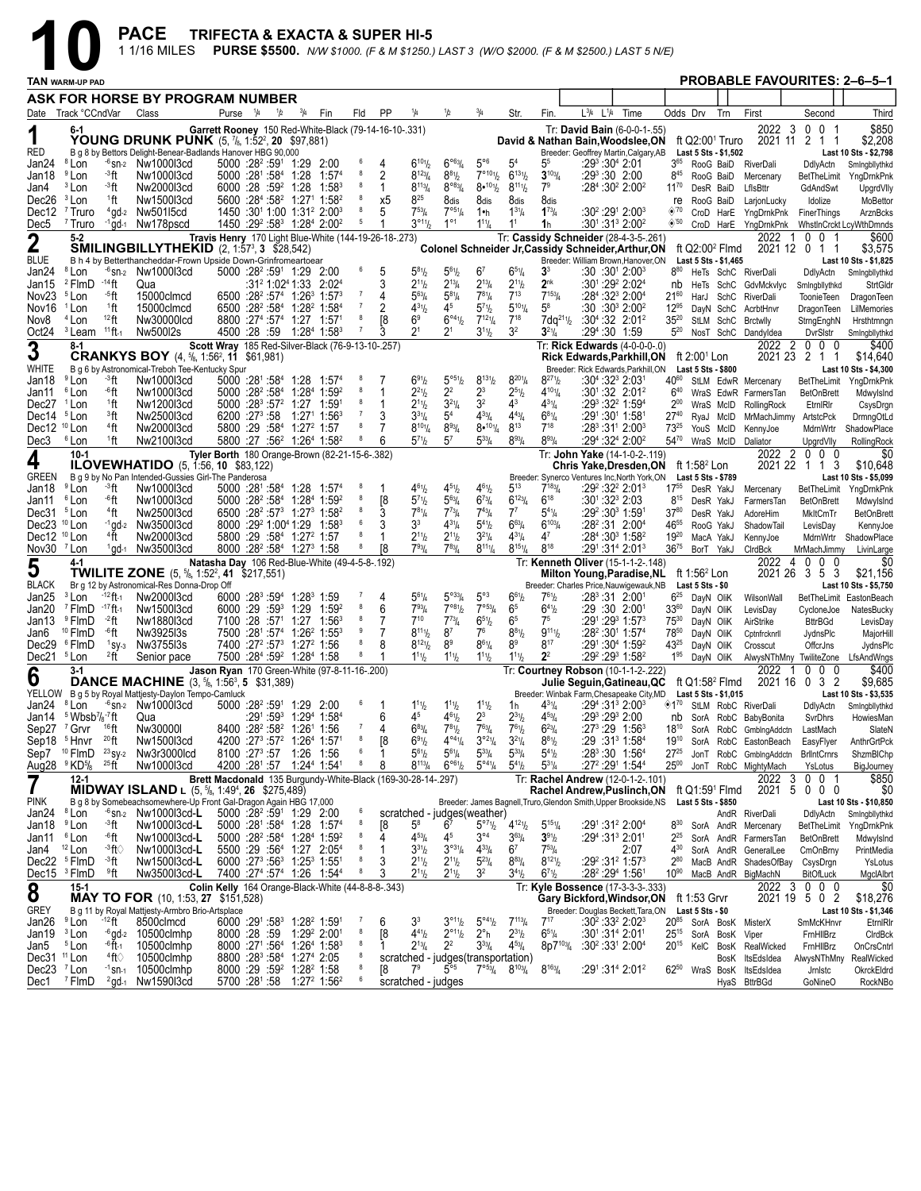|                                                   |                                                                               |                               | <b>PACE</b><br>1 1/16 MILES                                                                                                                   | <b>TRIFECTA &amp; EXACTA &amp; SUPER HI-5</b>                |                                                                                                                                  |                                                  |             |                       |                |         |                                                   |                                                                         |                                                                          |                                              |                                                                 | PURSE \$5500. N/W \$1000. (F & M \$1250.) LAST 3 (W/O \$2000. (F & M \$2500.) LAST 5 N/E)                               |      |                                |                                                     |           |                                                          |                               |                                                  |
|---------------------------------------------------|-------------------------------------------------------------------------------|-------------------------------|-----------------------------------------------------------------------------------------------------------------------------------------------|--------------------------------------------------------------|----------------------------------------------------------------------------------------------------------------------------------|--------------------------------------------------|-------------|-----------------------|----------------|---------|---------------------------------------------------|-------------------------------------------------------------------------|--------------------------------------------------------------------------|----------------------------------------------|-----------------------------------------------------------------|-------------------------------------------------------------------------------------------------------------------------|------|--------------------------------|-----------------------------------------------------|-----------|----------------------------------------------------------|-------------------------------|--------------------------------------------------|
|                                                   | TAN WARM-UP PAD                                                               |                               |                                                                                                                                               |                                                              |                                                                                                                                  |                                                  |             |                       |                |         |                                                   |                                                                         |                                                                          |                                              |                                                                 |                                                                                                                         |      |                                |                                                     |           | <b>PROBABLE FAVOURITES: 2-6-5-1</b>                      |                               |                                                  |
|                                                   |                                                                               |                               | ASK FOR HORSE BY PROGRAM NUMBER                                                                                                               |                                                              |                                                                                                                                  |                                                  |             |                       |                |         |                                                   |                                                                         |                                                                          |                                              |                                                                 |                                                                                                                         |      |                                |                                                     |           |                                                          |                               |                                                  |
|                                                   | Date Track °CCndVar                                                           |                               | Class                                                                                                                                         |                                                              | Purse <sup>1</sup> /4                                                                                                            | 1/2                                              | $^{3}/_{4}$ | Fin                   | Fld            | PP      | 1/4                                               | 1/2                                                                     | $^{3}/_{4}$                                                              | Str.                                         | Fin.                                                            | $L^{3}/4$ $L^{1}/4$                                                                                                     | Time | Odds Drv                       |                                                     | Trn       | First                                                    | Second                        | Third                                            |
| 1<br><b>RED</b>                                   | 6-1                                                                           |                               | <b>YOUNG DRUNK PUNK</b> (5, 7/ <sub>8</sub> , 1:52 <sup>2</sup> , 20 \$97,881)<br>B g 8 by Bettors Delight-Benear-Badlands Hanover HBG 90,000 | Garrett Rooney 150 Red-White-Black (79-14-16-10-.331)        |                                                                                                                                  |                                                  |             |                       |                |         |                                                   |                                                                         |                                                                          |                                              |                                                                 | Tr: David Bain (6-0-0-1-.55)<br>David & Nathan Bain, Woodslee, ON<br>Breeder: Geoffrey Martin, Calgary, AB              |      |                                | ft Q2:00 <sup>1</sup> Truro<br>Last 5 Sts - \$1,502 |           | 2022<br>- 3                                              | 0 0 1<br>2021 11 2 1 1        | \$850<br>\$2,208<br>Last 10 Sts - \$2,798        |
| Jan24                                             | <sup>8</sup> Lon                                                              |                               | $-6$ <sub>Sn-2</sub> Nw1000l3cd                                                                                                               |                                                              | 5000 :28 <sup>2</sup> :59 <sup>1</sup> 1:29 2:00                                                                                 |                                                  |             |                       | 6              | 4       | $6^{101}/2$                                       | $6^{\circ 63}/4$                                                        | $5^{\circ 6}$                                                            | 5 <sup>4</sup>                               | 55                                                              | $:29^3:30^4$ 2:01                                                                                                       |      | 3 <sup>65</sup>                |                                                     | RooG BaiD | RiverDali                                                | DdlyActn                      | Smingbllythkd                                    |
| Jan18<br>Jan4                                     | <sup>9</sup> Lon<br><sup>3</sup> Lon                                          | ⊸"ft<br>⊸°ft                  | Nw1000l3cd<br>Nw2000l3cd                                                                                                                      |                                                              | $5000$ :28 <sup>1</sup> :58 <sup>4</sup> 1:28<br>$6000:28:59^2$ 1:28 1:58 <sup>3</sup>                                           |                                                  |             | 1:57 <sup>4</sup>     | 8              | 2<br>1  | $8^{123}/4$<br>$8^{113}/4$                        | $8^{81}$ / <sub>2</sub><br>$8^{\circ 83} / 4$                           | $7^{\circ 10_1}$ / <sub>2</sub><br>$8•^{101}/2$                          | $6^{131}/2$<br>$8^{111}/2$                   | $3^{103}/4$<br>7 <sup>9</sup>                                   | $:29^3:30$ 2:00<br>:284 :30 <sup>2</sup> 2:00 <sup>2</sup>                                                              |      | $8^{45}$<br>$11^{70}$          | RooG BaiD<br>DesR BaiD                              |           | Mercenary<br>LfIsBttr                                    | BetTheLimit<br>GdAndSwt       | YngDrnkPnk<br>UpgrdVlly                          |
| Dec <sub>26</sub>                                 | <sup>3</sup> Lon                                                              | <sup>1</sup> ft               | Nw1500l3cd                                                                                                                                    |                                                              | 5600 :284 :58 <sup>2</sup> 1:27 <sup>1</sup> 1:58 <sup>2</sup>                                                                   |                                                  |             |                       | 8              | х5      | 825                                               | 8dis                                                                    | 8dis                                                                     | 8dis                                         | 8dis                                                            |                                                                                                                         |      | re                             | RooG BaiD                                           |           | LarjonLucky                                              | Idolize                       | MoBettor                                         |
| Dec12<br>Dec5                                     | <sup>7</sup> Truro<br><sup>7</sup> Truro                                      |                               | $4$ gd- $2$ Nw50115cd<br>$-1$ gd $-1$ Nw178pscd                                                                                               |                                                              | $1450:3011:00$ 1:31 <sup>2</sup> 2:00 <sup>3</sup><br>1450 :29 <sup>2</sup> :58 <sup>3</sup> 1:28 <sup>4</sup> 2:00 <sup>2</sup> |                                                  |             |                       | 5              | 5<br>1  | $7^{53}$ /4<br>$3^{\circ_{11}}\!/_{2}$            | $7^{\circ 51}/4$<br>$1^{\circ 1}$                                       | 1•h<br>$1^{11}/4$                                                        | $1^{31}/4$<br>1 <sup>1</sup>                 | $1^{73}/4$<br>1h                                                | $:30^2:29^1$ 2:00 $^3$<br>:30 <sup>1</sup> :31 <sup>3</sup> 2:00 <sup>2</sup>                                           |      | $\otimes$ 70<br>$\diamond$ '50 |                                                     |           | CroD HarE YngDrnkPnk<br>CroD HarE YngDrnkPnk             | FinerThings                   | ArznBcks<br>WhstlnCrckt LcyWthDmnds              |
| $\boldsymbol{2}$                                  | $5 - 2$                                                                       |                               |                                                                                                                                               | Travis Henry 170 Light Blue-White (144-19-26-18-.273)        |                                                                                                                                  |                                                  |             |                       |                |         |                                                   |                                                                         |                                                                          |                                              |                                                                 | Tr: Cassidy Schneider (28-4-3-5-.261)                                                                                   |      |                                |                                                     |           | 2022<br>-1                                               | $0\quad 0$                    | \$600                                            |
| <b>BLUE</b>                                       |                                                                               |                               | <b>SMILINGBILLYTHEKID</b> (2, 1:57 <sup>3</sup> , 3 \$28,542)<br>B h 4 by Betterthancheddar-Frown Upside Down-Grinfromeartoear                |                                                              |                                                                                                                                  |                                                  |             |                       |                |         |                                                   |                                                                         |                                                                          |                                              |                                                                 | Colonel Schneider Jr, Cassidy Schneider, Arthur, ON<br>Breeder: William Brown, Hanover, ON                              |      |                                | ft Q2:00 <sup>2</sup> Flmd<br>Last 5 Sts - \$1,465  |           |                                                          | 2021 12 0 1 1                 | \$3,575<br>Last 10 Sts - \$1,825                 |
| Jan24                                             | <sup>8</sup> Lon                                                              | - <sup>14</sup> ft            | $-6$ <sub>Sn-2</sub> Nw1000l3cd                                                                                                               |                                                              | $5000$ :28 <sup>2</sup> :59 <sup>1</sup> 1:29 2:00                                                                               |                                                  |             |                       | 6              | 5       | $5^{81}h$                                         | $5^{61}h$                                                               | 6 <sup>7</sup><br>$2^{13}/4$                                             | $6^{51}/4$                                   | 3 <sup>3</sup><br>$2^{nk}$                                      | :30 :30 <sup>1</sup> 2:00 <sup>3</sup>                                                                                  |      | $8^{80}$                       |                                                     |           | HeTs SchC RiverDali                                      | DdlyActn                      | Smingbllythkd                                    |
| Jan15<br>Nov <sub>23</sub>                        | <sup>2</sup> FlmD<br><sup>5</sup> Lon                                         | ⊸5ft                          | Qua<br>15000clmcd                                                                                                                             |                                                              | $6500 : 28^2 : 57^4$ 1:26 <sup>3</sup> 1:57 <sup>3</sup>                                                                         |                                                  |             | :31° 1:02ª 1:33 2:02ª |                | 4       | $2^{11}h$<br>$5^{63}$ /4                          | $2^{13}$ /4<br>$5^{81}/4$                                               | $7^{81}/4$                                                               | $2^{11}/2$<br>$7^{13}$                       | $7^{153}$ / <sub>4</sub>                                        | :301:292 2:024<br>$:284:323 2:004$                                                                                      |      | nb<br>$21^{60}$                |                                                     | HarJ SchC | He Ts SchC GdvMckvlyc<br>RiverDali                       | Smingbllythkd<br>ToonieTeen   | StrtGldr<br>DragonTeen                           |
| Nov16                                             | <sup>1</sup> Lon                                                              | <sup>1</sup> ft               | 15000clmcd                                                                                                                                    |                                                              | 6500 :28 <sup>2</sup> :58 <sup>4</sup> 1:28 <sup>2</sup> 1:58 <sup>4</sup>                                                       |                                                  |             |                       | 7<br>-8        | 2       | $4^{31}h$                                         | 4 <sup>5</sup>                                                          | $5^{7}$ <sup>1</sup> / <sub>2</sub>                                      | $5^{101}/4$<br>$7^{18}$                      | $5^8$                                                           | $:30:30^{3}$ 2:00 <sup>2</sup>                                                                                          |      | $12^{95}$                      |                                                     | DayN SchC | AcrbtHnvr                                                | <b>DragonTeen</b>             | LilMemories                                      |
| Nov8<br>Oct24                                     | <sup>4</sup> Lon<br><sup>3</sup> Leam                                         | 12 <sub>ft</sub><br>$11$ ft-1 | Nw30000lcd<br>Nw500I2s                                                                                                                        |                                                              | 8800 :27 <sup>4</sup> :57 <sup>4</sup> 1:27 1:57 <sup>1</sup><br>4500 :28 :59 1:28 <sup>4</sup> 1:58 <sup>3</sup>                |                                                  |             |                       |                |         | 6 <sup>9</sup><br>2 <sup>1</sup>                  | $6^{\circ 4}$ <sup>1</sup> / <sub>2</sub><br>$2^{\scriptscriptstyle 1}$ | $7^{12}$ <sup>1</sup> / <sub>4</sub><br>$3^{11}/2$                       | 3 <sup>2</sup>                               | $7dq^{21}\%$<br>$3^{21}/4$                                      | $:30^{4}$ :32 2:01 <sup>2</sup><br>:294:30 1:59                                                                         |      | $35^{20}$<br>$5^{20}$          |                                                     | StLM SchC | <b>Brctwlly</b><br>NosT SchC Dandyldea                   | StrngEnghN<br>DvrSlstr        | Hrsthtmngn<br>Smingbllythkd                      |
| 3                                                 | 8-1                                                                           |                               |                                                                                                                                               | Scott Wray 185 Red-Silver-Black (76-9-13-10-.257)            |                                                                                                                                  |                                                  |             |                       |                |         |                                                   |                                                                         |                                                                          |                                              |                                                                 | Tr: Rick Edwards (4-0-0-0-.0)                                                                                           |      |                                |                                                     |           |                                                          | 2022 2 0 0 0                  | \$400                                            |
| WHITE                                             |                                                                               |                               | <b>CRANKYS BOY</b> $(4, \frac{5}{6}, 1:56^2, 11, \frac{6}{1}, 981)$<br>B g 6 by Astronomical-Treboh Tee-Kentucky Spur                         |                                                              |                                                                                                                                  |                                                  |             |                       |                |         |                                                   |                                                                         |                                                                          |                                              |                                                                 | <b>Rick Edwards, Parkhill, ON</b><br>Breeder: Rick Edwards.Parkhill.ON                                                  |      |                                | ft 2:00 <sup>1</sup> Lon<br>Last 5 Sts - \$800      |           |                                                          | 2021 23 2 1 1                 | \$14,640<br>Last 10 Sts - \$4,300                |
| Jan18                                             | <sup>9</sup> Lon                                                              | ⊸3ft                          | Nw1000l3cd                                                                                                                                    |                                                              | $5000$ :28 <sup>1</sup> :58 <sup>4</sup> 1:28 1:57 <sup>4</sup>                                                                  |                                                  |             |                       |                |         | $6^{91}/2$                                        | 5°51/2                                                                  | $8^{131}/2$                                                              | $8^{201}/4$                                  | $8^{27}$ <sup>1</sup> / <sub>2</sub>                            | $:30^{4}:32^{3}$ 2:03 <sup>1</sup>                                                                                      |      | 4060                           |                                                     |           | StLM EdwR Mercenary                                      | BetTheLimit                   | YngDrnkPnk                                       |
| Jan11<br>Dec27                                    | <sup>6</sup> Lon<br><sup>1</sup> Lon                                          | .6ft<br>1ft                   | Nw1000l3cd<br>Nw1200l3cd                                                                                                                      |                                                              | $5000$ :28 <sup>2</sup> :58 <sup>4</sup> 1:28 <sup>4</sup> 1:59 <sup>2</sup><br>$5000 : 28^3 : 57^2$ 1:27 1:591                  |                                                  |             |                       | -8             | 1<br>-1 | $2^{21}h$<br>$2^{11}h$                            | 2 <sup>2</sup><br>$3^{21}/4$                                            | $2^3$<br>3 <sup>2</sup>                                                  | $2^{5}$ <sup>1</sup> / <sub>2</sub><br>$4^3$ | $4^{101}/4$<br>$4^{31}$ / <sub>4</sub>                          | $:30^{1}:32$ 2:01 <sup>2</sup><br>:293:322 1:594                                                                        |      | $6^{40}$<br>$2^{00}$           |                                                     | WraS McID | WraS EdwR FarmersTan<br>RollingRock                      | <b>BetOnBrett</b><br>EtmlRlr  | Mdwylslnd<br>CsysDrgn                            |
| Dec14 <sup>5</sup> Lon                            |                                                                               | <sup>3</sup> ft               | Nw2500l3cd                                                                                                                                    |                                                              | 6200 :27 <sup>3</sup> :58 1:27 <sup>1</sup> 1:56 <sup>3</sup>                                                                    |                                                  |             |                       | $\overline{7}$ |         | $3^{31}/4$                                        | 5 <sup>4</sup>                                                          | $4^{33}/4$                                                               | $4^{43}$ /4                                  | $6^{81}/4$                                                      | :291 :301 1:581                                                                                                         |      | $27^{40}$                      |                                                     | RyaJ McID | MrMachJimmy ArtstcPck                                    |                               | DrmngOtLd                                        |
| Dec12 <sup>10</sup> Lon<br>Dec3                   | <sup>6</sup> Lon                                                              | $4$ ft<br>1ft                 | Nw2000l3cd<br>Nw2100l3cd                                                                                                                      |                                                              | 5800 :29 :584 1:27 <sup>2</sup> 1:57<br>5800 :27 :56 <sup>2</sup> 1:26 <sup>4</sup> 1:58 <sup>2</sup>                            |                                                  |             |                       | 8<br>8         | 6       | $8^{10}$ <sup>1</sup> / <sub>4</sub><br>$5^{71}h$ | $8^{93}/4$<br>$5^7$                                                     | $8•^{101}/4$<br>$5^{33}$ /4                                              | $8^{13}$<br>$8^{93}/4$                       | $7^{18}$<br>$8^{93}/4$                                          | $:28^3:31^1$ 2:00 <sup>3</sup><br>$:29^4:32^4:2:00^2$                                                                   |      | $73^{25}$<br>$54^{70}$         |                                                     | YouS McID | KennyJoe<br>WraS McID Daliator                           | MdrnWrtr<br>UpgrdVlly         | ShadowPlace<br>RollingRock                       |
| 4                                                 | $10 - 1$                                                                      |                               | <b>ILOVEWHATIDO</b> $(5, 1:56, 10, $83,122)$                                                                                                  | Tyler Borth 180 Orange-Brown (82-21-15-6-.382)               |                                                                                                                                  |                                                  |             |                       |                |         |                                                   |                                                                         |                                                                          |                                              |                                                                 | Tr: John Yake (14-1-0-2-.119)<br>Chris Yake, Dresden, ON ft 1:58 <sup>2</sup> Lon                                       |      |                                |                                                     |           |                                                          | 2022 2 0 0 0<br>2021 22 1 1 3 | \$0<br>\$10,648                                  |
| <b>GREEN</b><br>Jan18                             | <sup>9</sup> Lon                                                              | ⊸°ft                          | B g 9 by No Pan Intended-Gussies Girl-The Panderosa<br>Nw1000l3cd                                                                             |                                                              | $5000$ :28 <sup>1</sup> :58 <sup>4</sup> 1:28 1:57 <sup>4</sup>                                                                  |                                                  |             |                       |                | 1       | $4^{61}/2$                                        | $4^{51}h$                                                               | $4^{61}/_{2}$                                                            | $5^{13}$                                     | $7^{183}$ /4                                                    | Breeder: Synerco Ventures Inc, North York, ON<br>:29 <sup>2</sup> :32 <sup>2</sup> 2:01 <sup>3</sup>                    |      | $17^{55}$                      | Last 5 Sts - \$789<br>DesR YakJ                     |           | Mercenary                                                | BetTheLimit                   | Last 10 Sts - \$5,099<br>YngDrnkPnk              |
| Jan11                                             | <sup>6</sup> Lon                                                              | .6ft                          | Nw1000l3cd                                                                                                                                    |                                                              | $5000$ : $28^2$ : $58^4$ 1: $28^4$ 1: $59^2$                                                                                     |                                                  |             |                       | 8              | [8      | $5^{7} \%$                                        | $5^{63}$ /4                                                             | $6^{73}/4$                                                               | $6^{123}/4$                                  | $6^{18}$                                                        | :301:323 2:03                                                                                                           |      | $8^{15}$                       | DesR YakJ                                           |           | FarmersTan                                               | <b>BetOnBrett</b>             | MdwylsInd                                        |
| Dec31 <sup>5</sup> Lon<br>Dec23 <sup>10</sup> Lon |                                                                               | <sup>4</sup> ft               | Nw2500l3cd<br>$-1$ gd-2 Nw350013cd                                                                                                            |                                                              | $6500 : 28^2 : 57^3$ 1:27 <sup>3</sup> 1:58 <sup>2</sup><br>8000 :29 <sup>2</sup> 1:00 <sup>4</sup> 1:29 1:58 <sup>3</sup>       |                                                  |             |                       | 8<br>6         | 3       | $7^{81}/4$<br>33                                  | $7^{73}$ /4<br>$4^{31}/4$                                               | $7^{43}$ / <sub>4</sub><br>$5^{41}$                                      | $7^7$<br>$6^{63}/4$                          | $5^{41}/4$<br>$6^{103}$                                         | $:29^2:30^3$ 1:591<br>$:28^2:31$ 2:00 <sup>4</sup>                                                                      |      | $37^{80}$<br>4655              | DesR YakJ<br>RooG YakJ                              |           | AdoreHim<br>ShadowTail                                   | MkltCmTr<br>LevisDay          | <b>BetOnBrett</b>                                |
| Dec12 <sup>10</sup> Lon                           |                                                                               | <sup>4</sup> ft               | Nw2000l3cd                                                                                                                                    |                                                              | $5800:29:584$ 1:27 <sup>2</sup> 1:57                                                                                             |                                                  |             |                       | 8              | 1       | $2^{11}h$                                         | $2^{11}h$                                                               | $3^{21}/4$                                                               | $4^{31}/4$                                   | 47                                                              | $:284:303 \;1:582$                                                                                                      |      | $19^{20}$                      | MacA YakJ                                           |           | KennyJoe                                                 | MdrnWrtr                      | KennyJoe<br>ShadowPlace                          |
| Nov30 $7$ Lon                                     |                                                                               |                               | $1$ ad- $1$ Nw350013cd                                                                                                                        |                                                              | 8000 :28 <sup>2</sup> :58 <sup>4</sup> 1:27 <sup>3</sup> 1:58                                                                    |                                                  |             |                       | 8              | Γ8      | $7^{93}$ /4                                       | $7^{83}$ /4                                                             | $8^{111}/4$                                                              | $8^{151}/4$                                  | $8^{18}$                                                        | $:29^1:31^4$ 2:01 <sup>3</sup>                                                                                          |      | $36^{75}$                      | BorT YakJ                                           |           | CIrdBck                                                  | MrMachJimmy                   | LivinLarge                                       |
| 5                                                 | 4-1                                                                           |                               | <b>TWILITE ZONE</b> $(5, \frac{5}{6}, 1:52^2, 41, \frac{217}{551})$                                                                           | Natasha Day 106 Red-Blue-White (49-4-5-8-.192)               |                                                                                                                                  |                                                  |             |                       |                |         |                                                   |                                                                         |                                                                          |                                              |                                                                 | Tr: Kenneth Oliver (15-1-1-2-.148)<br><b>Milton Young, Paradise, NL</b>                                                 |      |                                | ft 1:56 <sup>2</sup> Lon                            |           | 2022                                                     | 4000<br>2021 26 3 5 3         | \$0<br>\$21,156                                  |
| <b>BLACK</b><br>Jan25                             | <sup>3</sup> Lon                                                              | - <sup>12</sup> ft-1          | Br g 12 by Astronomical-Res Donna-Drop Off<br>Nw2000l3cd                                                                                      |                                                              | 6000 :28 <sup>3</sup> :59 <sup>4</sup> 1:28 <sup>3</sup> 1:59                                                                    |                                                  |             |                       |                | 4       | $5^{61}/4$                                        | $5^{\circ 33}/4$                                                        | $5^{\circ}3$                                                             | $6^{61}/2$                                   | $7^{61}/2$                                                      | Breeder: Charles Price, Nauwigewauk, NB<br>:283:31 2:001                                                                |      | $6^{25}$                       | Last 5 Sts - \$0<br>DayN OliK                       |           | WilsonWall                                               |                               | Last 10 Sts - \$5,750<br>BetTheLimit EastonBeach |
| Jan20                                             | $7$ FlmD $-17$ ft-1                                                           |                               | Nw1500l3cd                                                                                                                                    |                                                              | $6000:29:59^3$ 1:29                                                                                                              |                                                  |             | 1:592                 | 8              | 6       | $7^{93}$ / <sub>4</sub>                           | 7°81/2                                                                  | $7^{053}/4$                                                              | 65                                           | $6^{41}/2$                                                      | :29 :30 2:001                                                                                                           |      | $33^{60}$                      | DayN OliK                                           |           | LevisDay                                                 | CycloneJoe                    | NatesBucky                                       |
| Jan13<br>Jan6                                     | <sup>9</sup> FlmD<br><sup>10</sup> FlmD                                       | $-2$ ft<br>⊸6ft               | Nw1880l3cd<br>Nw392513s                                                                                                                       |                                                              | 7100 :28 :57 <sup>1</sup> 1:27 1:56 <sup>3</sup><br>7500 :281 :574 1:26 <sup>2</sup> 1:553                                       |                                                  |             |                       | 8<br>9         | 7       | $7^{10}$<br>$8^{111}/2$                           | $7^{73}$ /4<br>8 <sup>7</sup>                                           | $6^{51}/2$<br>76                                                         | 6 <sup>5</sup><br>$8^{81}/2$                 | 7 <sup>5</sup><br>$9^{11}$                                      | $:29^1:29^3$ 1:57 $^3$<br>$:28^2:30^1$ 1:57 <sup>4</sup>                                                                |      | $75^{30}$<br>7850              | DayN OliK<br>DayN OliK                              |           | AirStrike<br>Cptnfrcknrll                                | <b>BttrBGd</b><br>JydnsPlc    | LevisDay<br>MajorHill                            |
|                                                   | Dec29 <sup>6</sup> FlmD                                                       | $1$ SV-3                      | Nw3755l3s                                                                                                                                     |                                                              | 7400 :27 <sup>2</sup> :57 <sup>3</sup> 1:27 <sup>2</sup> 1:56                                                                    |                                                  |             |                       | 8              | 8       | $8^{121}/2$                                       | 8 <sup>9</sup>                                                          | $8^{61}/4$                                                               | 89                                           | $8^{17}$                                                        | $:29^{\circ}$ :30 <sup>4</sup> 1:59 <sup>2</sup>                                                                        |      | $43^{25}$                      | DayN OliK                                           |           | Crosscut                                                 | OffcrJns                      | JydnsPlc                                         |
| Dec21                                             | <sup>5</sup> Lon<br>3-1                                                       | $2$ ft                        | Senior pace                                                                                                                                   | Jason Ryan 170 Green-White (97-8-11-16-.200)                 | 7500 :284 :59 <sup>2</sup> 1:284 1:58                                                                                            |                                                  |             |                       |                | 1       | $1^{11}h$                                         | $1^{11}h$                                                               | $1^{11}$ / <sub>2</sub>                                                  | $1^{11}$ / <sub>2</sub>                      | 2 <sup>2</sup>                                                  | $:29^2:29^3$ 1:58 <sup>2</sup><br>Tr: Courtney Robson (10-1-1-2-.222)                                                   |      | $1^{95}$                       |                                                     | DavN OliK | 2022                                                     | $0\quad 0\quad 0$             | AlwysNThMny TwiliteZone LfsAndWngs<br>\$400      |
| 6                                                 |                                                                               |                               | <b>DANCE MACHINE</b> (3, 5/8, 1:56 <sup>3</sup> , 5 \$31,389)<br>YELLOW B g 5 by Royal Mattjesty-Daylon Tempo-Camluck                         |                                                              |                                                                                                                                  |                                                  |             |                       |                |         |                                                   |                                                                         |                                                                          |                                              |                                                                 | Julie Seguin, Gatineau, QC ft Q1:58 <sup>2</sup> Flmd<br>Breeder: Winbak Farm, Chesapeake City, MD Last 5 Sts - \$1,015 |      |                                |                                                     |           |                                                          | 2021 16 0 3 2                 | \$9,685<br>Last 10 Sts - \$3,535                 |
| Jan24 <sup>8</sup> Lon                            |                                                                               |                               | $-6$ sn-2 $Nw100013cd$                                                                                                                        |                                                              | 5000 :28 <sup>2</sup> :59 <sup>1</sup> 1:29 2:00                                                                                 |                                                  |             |                       | 6              | 1       | $1^{11}h$                                         | $1^{11}h$                                                               | $1^{11}/2$                                                               | 1h                                           | $4^{31}/4$                                                      | $:294:3132:003$                                                                                                         |      | $*1^{70}$                      |                                                     |           | StLM RobC RiverDali                                      | DdlyActn                      | Smingbllythkd                                    |
|                                                   | Jan14 $5$ Wbsb <sup>7</sup> / $s$ <sup>-7</sup> ft<br>Sep27 <sup>7</sup> Grvr | $16$ ft                       | Qua<br>Nw30000I                                                                                                                               |                                                              | 8400 :28 <sup>2</sup> :58 <sup>2</sup> 1:26 <sup>1</sup> 1:56                                                                    | $:29^1:59^3$ 1:29 <sup>4</sup> 1:58 <sup>4</sup> |             |                       |                | 6<br>4  | 45<br>$6^{83}$ /4                                 | $4^{61}h$<br>$7^{81}h$                                                  | $2^3$<br>$7^{63}$ / <sub>4</sub>                                         | $2^{31}/2$<br>$7^{61}/2$                     | $4^{53}/4$<br>$6^{23}/4$                                        | $:29^3:29^3$ 2:00<br>:27 <sup>3</sup> :29 1:56 <sup>3</sup>                                                             |      | nb<br>$18^{10}$                |                                                     |           | SorA RobC BabyBonita<br>SorA RobC GmblngAddctn           | SvrDhrs<br>LastMach           | HowiesMan<br>SlateN                              |
|                                                   | Sep18 <sup>5</sup> Hnvr                                                       | $^{20}$ ft                    | Nw1500l3cd                                                                                                                                    |                                                              | 4200 : 273 : 572 1: 264 1: 571                                                                                                   |                                                  |             |                       | 8              | [8      | $6^{91}$                                          | $4^{04}\%$                                                              | $3°^{21}/4$                                                              | $3^{21}/4$                                   | $8^{81}/2$                                                      | :29 :31 <sup>3</sup> 1:58 <sup>4</sup>                                                                                  |      | 19 <sup>10</sup>               |                                                     |           | SorA RobC EastonBeach                                    | EasyFlyer                     | AnthrGrtPck                                      |
|                                                   | Aug28 <sup>9</sup> KD <sup>5</sup> / <sub>8</sub> <sup>25</sup> ft            |                               | Sep7 <sup>10</sup> FlmD <sup>23</sup> sy <sub>2</sub> Nw3r3000lcd<br>Nw1000l3cd                                                               |                                                              | 8100 :27 <sup>3</sup> :57 1:26 1:56<br>4200 :281 :57 1:244 1:541                                                                 |                                                  |             |                       | 6<br>8         | 1<br>8  | $5^{61}$<br>$8^{113}/4$                           | $5^{61}/4$<br>$6^{961}/2$                                               | $5^{33}$ /4<br>$5^{\circ 41}/4$                                          | $5^{33}/4$<br>$5^{41}$ / <sub>2</sub>        | $5^{41}$ / <sub>2</sub><br>$5^{31}/4$                           | $:28^3:30$ 1:56 <sup>4</sup><br>:27 <sup>2</sup> :29 <sup>1</sup> 1:54 <sup>4</sup>                                     |      | $27^{25}$<br>$25^{00}$         |                                                     |           | JonT RobC GmbIngAddctn<br>JonT RobC MightyMach           | <b>BrlIntCrnrs</b><br>YsLotus | ShzmBIChp<br>BigJourney                          |
| 7                                                 | 12-1                                                                          |                               | <b>MIDWAY ISLAND</b> L $(5, \frac{5}{6}, 1:49^4, 26, \frac{275}{5},489)$                                                                      | Brett Macdonald 135 Burgundy-White-Black (169-30-28-14-.297) |                                                                                                                                  |                                                  |             |                       |                |         |                                                   |                                                                         |                                                                          |                                              |                                                                 | Tr: Rachel Andrew (12-0-1-2-.101)<br>Rachel Andrew, Puslinch, ON                                                        |      |                                | ft Q1:59 <sup>1</sup> Flmd                          |           | 2022                                                     | 0 0 1<br>3<br>2021 5 0 0 0    | \$850<br>\$0                                     |
| <b>PINK</b><br>Jan24 <sup>8</sup> Lon             |                                                                               |                               | B g 8 by Somebeachsomewhere-Up Front Gal-Dragon Again HBG 17,000<br>$-6$ sn-2 Nw1000l3cd-L                                                    |                                                              | 5000 :28 <sup>2</sup> :59 <sup>1</sup> 1:29 2:00                                                                                 |                                                  |             |                       | 6              |         |                                                   |                                                                         |                                                                          |                                              |                                                                 | Breeder: James Bagnell, Truro, Glendon Smith, Upper Brookside, NS                                                       |      |                                | <b>Last 5 Sts - \$850</b>                           |           |                                                          |                               | Last 10 Sts - \$10,850                           |
| Jan18                                             | <sup>9</sup> Lon                                                              | ⊸°ft                          | Nw1000l3cd-L                                                                                                                                  |                                                              | $5000$ :28 <sup>1</sup> :58 <sup>4</sup> 1:28 1:57 <sup>4</sup>                                                                  |                                                  |             |                       | 8              | 18      | $5^8$                                             | 6 <sup>7</sup>                                                          | scratched - judges(weather)<br>$5^{\circ 7}$ <sup>1</sup> / <sub>2</sub> | $4^{12}$ <sup>1</sup> / <sub>2</sub>         | $5^{151}/4$                                                     | $:29^1:31^2 2:00^4$                                                                                                     |      | $8^{30}$                       |                                                     |           | AndR RiverDali<br>SorA AndR Mercenary                    | DdlyActn                      | Smingbllythkd<br>BetTheLimit YngDrnkPnk          |
| Jan11                                             | <sup>6</sup> Lon                                                              | .6ft                          | Nw1000l3cd-L                                                                                                                                  |                                                              | 5000 :28 <sup>2</sup> :58 <sup>4</sup> 1:28 <sup>4</sup> 1:59 <sup>2</sup>                                                       |                                                  |             |                       | 8<br>8         | 4       | $4^{53}$ /4                                       | 45                                                                      | $3^{\circ 4}$                                                            | $3^{63}$ /4                                  | $3^{91}/2$                                                      | $:29^4:31^3 2:01^1$                                                                                                     |      | $2^{25}$                       |                                                     |           | SorA AndR FarmersTan                                     | <b>BetOnBrett</b>             | MdwylsInd                                        |
| Jan4                                              | $12$ Lon<br>Dec22 <sup>5</sup> FlmD                                           | -3ft∖<br>⊸3ft                 | Nw1000l3cd-L<br>Nw1500l3cd-L                                                                                                                  |                                                              | 5500 :29 :56 <sup>4</sup> 1:27 2:05 <sup>4</sup><br>$6000:27^3:56^3$ 1:25 <sup>3</sup> 1:55 <sup>1</sup>                         |                                                  |             |                       | 8              | 1<br>3  | $3^{31}h$<br>$2^{11}h$                            | $3^{031}/4$<br>$2^{11}h$                                                | $4^{33} / 4$<br>$5^{23}$ /4                                              | $6^7$<br>$8^{83}/4$                          | $7^{53}$ / <sub>4</sub><br>$8^{12}$ <sup>1</sup> / <sub>2</sub> | :29 <sup>2</sup> :31 <sup>2</sup> 1:57 <sup>3</sup>                                                                     | 2:07 | $4^{30}$<br>$2^{80}$           |                                                     |           | SorA AndR GeneralLee<br>MacB AndR ShadesOfBay            | CmOnBrny<br>CsysDrgn          | PrintMedia<br>YsLotus                            |
|                                                   | Dec15 <sup>3</sup> FlmD                                                       | °ft                           | Nw3500l3cd-L                                                                                                                                  |                                                              | 7400 :27 <sup>4</sup> :57 <sup>4</sup> 1:26 1:54 <sup>4</sup>                                                                    |                                                  |             |                       | 8              | 3       | $2^{11}h$                                         | $2^{11}h$                                                               | 3 <sup>2</sup>                                                           | $3^{41}/2$                                   | $6^{71}/2$                                                      | :28 <sup>2</sup> :29 <sup>4</sup> 1:56 <sup>1</sup>                                                                     |      | $10^{90}$                      |                                                     |           | MacB AndR BigMachN                                       | <b>BitOfLuck</b>              | MgclAlbrt                                        |
| 8                                                 | $15-1$                                                                        |                               | <b>MAY TO FOR</b> (10, 1:53, 27 \$151,528)                                                                                                    | Colin Kelly 164 Orange-Black-White (44-8-8-8-.343)           |                                                                                                                                  |                                                  |             |                       |                |         |                                                   |                                                                         |                                                                          |                                              |                                                                 | Tr: Kyle Bossence (17-3-3-3-.333)<br>Gary Bickford, Windsor, ON ft 1:53 Grvr                                            |      |                                |                                                     |           |                                                          | 2022 3 0 0 0<br>2021 19 5 0 2 | \$0<br>\$18,276                                  |
| GREY<br>Jan26 <sup>9</sup> Lon                    |                                                                               | $-12$ ft                      | B g 11 by Royal Mattjesty-Armbro Brio-Artsplace<br>8500clmcd                                                                                  |                                                              | 6000 :291 :58 <sup>3</sup> 1:28 <sup>2</sup> 1:591                                                                               |                                                  |             |                       |                | 6       | 3 <sup>3</sup>                                    | 3°11/2                                                                  | $5^{\circ 4}$ <sup>1</sup> / <sub>2</sub>                                | $7^{113}$ /4                                 | $7^{17}$                                                        | Breeder: Douglas Beckett, Tara, ON<br>:30 <sup>2</sup> :33 <sup>2</sup> 2:02 <sup>3</sup>                               |      | 2085                           | Last 5 Sts - \$0                                    |           | SorA BosK MisterX                                        | SmMcKHnvr                     | Last 10 Sts - \$1,346<br>EtrnIRIr                |
| Jan19 <sup>3</sup> Lon                            |                                                                               |                               | $-6$ gd- $2 \quad 10500$ clmhp                                                                                                                |                                                              | 8000 :28 :59 1:29 <sup>2</sup> 2:00 <sup>1</sup>                                                                                 |                                                  |             |                       | 8              | [8      | $4^{41}h$                                         | $2^{\circ 1}$ <sup>1</sup> / <sub>2</sub>                               | $2^{\circ}$ h                                                            | $2^{31}/2$                                   | $6^{51}/4$                                                      | $:30^{\circ}$ :31 <sup>4</sup> 2:01 <sup>1</sup>                                                                        |      |                                | 25 <sup>15</sup> SorA BosK Viper                    |           |                                                          | FrnHllBrz                     | CIrdBck                                          |
| Jan5                                              | <sup>5</sup> Lon                                                              | $-6$ ft-1                     | 10500clmhp                                                                                                                                    |                                                              | 8000 :271 :564 1:264 1:583                                                                                                       |                                                  |             |                       | 8<br>8         | 1       | $2^{13}/4$                                        | $2^2$                                                                   | $3^{33}$ /4                                                              | $4^{53}$ /4                                  | $8p7^{103}/4$                                                   | :30 <sup>2</sup> :33 <sup>1</sup> 2:00 <sup>4</sup>                                                                     |      |                                |                                                     |           | 20 <sup>15</sup> KelC BosK RealWicked                    | FrnHIIBrz                     | OnCrsCntrl                                       |
| Dec31 <sup>11</sup> Lon<br>Dec23 $7$ Lon          |                                                                               | 4ft∖                          | 10500clmhp<br>$-1$ sn $-1$ 10500clmhp                                                                                                         |                                                              | 8800 :283 :584 1:274 2:05<br>8000 :29 :59 <sup>2</sup> 1:28 <sup>2</sup> 1:58                                                    |                                                  |             |                       | 8              | [8      | 7 <sup>9</sup>                                    | $5^{\circ 5}$                                                           | scratched - judges (transportation)<br>$7^{\circ 53} / 4$                | $8^{103}$ / <sub>4</sub>                     | $8^{163}/4$                                                     | $:29^1:31^4 2:01^2$                                                                                                     |      |                                |                                                     |           | BosK ItsEdsIdea<br>62 <sup>50</sup> WraS BosK ItsEdsIdea | AlwysNThMny<br>Jrnistc        | RealWicked<br>OkrckEldrd                         |
| Dec1                                              | <sup>7</sup> FlmD                                                             |                               | $^{2}$ gd-1 Nw1590l3cd                                                                                                                        |                                                              | 5700 :281 :58 1:27 <sup>2</sup> 1:56 <sup>2</sup>                                                                                |                                                  |             |                       | 6              |         | scratched - judges                                |                                                                         |                                                                          |                                              |                                                                 |                                                                                                                         |      |                                |                                                     |           | HyaS BttrBGd                                             | GoNineO                       | RockNBo                                          |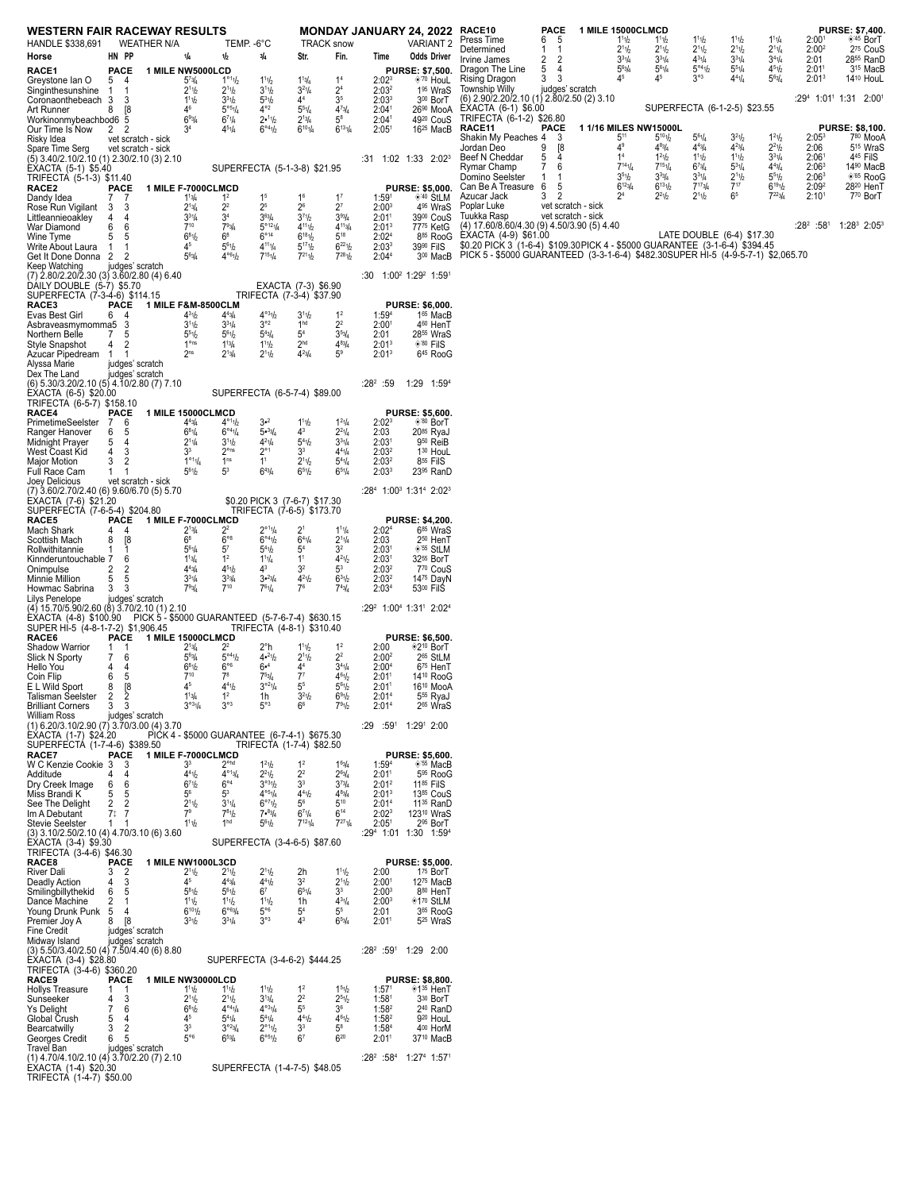| <b>WESTERN FAIR RACEWAY RESULTS</b><br>HANDLE \$338,691                                                             |                                            | WEATHER N/A        |                                                             | TEMP. - 6°C                                                |                                                            |                                                                              | <b>TRACK snow</b>                               |                                        | MONDAY JANUARY 24, 2022 RACE10<br><b>VARIANT 2</b>                     | Press Time<br>6                                                                                     | <b>PACE</b><br>- 5           | 1 MILE 15000CLMCD<br>$1^{11}h$                         | 11h                                                | 11b                                                      | $1^{11}h$                    | $1^{11}/4$                                      | 2:00 <sup>1</sup>                      | PURSE: \$7,400.<br>◈45 BorT                                           |
|---------------------------------------------------------------------------------------------------------------------|--------------------------------------------|--------------------|-------------------------------------------------------------|------------------------------------------------------------|------------------------------------------------------------|------------------------------------------------------------------------------|-------------------------------------------------|----------------------------------------|------------------------------------------------------------------------|-----------------------------------------------------------------------------------------------------|------------------------------|--------------------------------------------------------|----------------------------------------------------|----------------------------------------------------------|------------------------------|-------------------------------------------------|----------------------------------------|-----------------------------------------------------------------------|
| Horse                                                                                                               | HN PP                                      |                    | 1/4                                                         | 1/2                                                        | 3/4                                                        | Str.                                                                         | Fin.                                            | Time                                   | <b>Odds Driver</b>                                                     | Determined<br>$\mathbf{1}$<br>Irvine James<br>2                                                     | -1<br>2                      | 2 <sup>1</sup> 1/2<br>$3^{31/4}$                       | $2^{11}h$<br>$3^{31}/4$                            | $2^{11}h$<br>$4^{31}/4$                                  | $2^{11}/2$<br>$3^{31/4}$     | $2^{11}/4$<br>$3^{4^{1/4}}$                     | 2:00 <sup>2</sup><br>2:01              | 2 <sup>75</sup> CouS<br>28 <sup>55</sup> RanD                         |
| RACE1<br>Greystone Ian O                                                                                            | PACE<br>5 4                                |                    | 1 MILE NW5000LCD<br>$5^{7}3/4$                              | $1^{\circ 1}1/2$                                           | 111b                                                       | $1^{13}/4$                                                                   | 1 <sup>4</sup>                                  | 2:02 <sup>3</sup>                      | <b>PURSE: \$7,500.</b><br>◈ <sup>'70</sup> HouL                        | Dragon The Line<br>5<br>Rising Dragon<br>3                                                          | 4<br>3                       | $5^{6}$ <sup>3</sup> / <sub>4</sub><br>45              | $5^{61}/4$<br>45                                   | $5^{\circ 4}$ <sup>1</sup> / <sub>2</sub><br>$3^{\circ}$ | $5^{51}/4$<br>$4^{41}/4$     | $4^{51}h$<br>$5^{63}/4$                         | 2:01 <sup>1</sup><br>2:01 <sup>3</sup> | 3 <sup>15</sup> MacB<br>14 <sup>10</sup> HouL                         |
| Singinthesunshine 1                                                                                                 | -1                                         |                    | $2^{11}/2$                                                  | $2^{11}/2$                                                 | 3 <sup>1</sup> 1b                                          | $3^{21}/4$                                                                   | 2 <sup>4</sup>                                  | 2:03 <sup>2</sup>                      | 1 <sup>95</sup> WraS                                                   | Township Willy<br>(6) 2.90/2.20/2.10 (1) 2.80/2.50 (2) 3.10                                         | judges' scratch              |                                                        |                                                    |                                                          |                              |                                                 |                                        | :294 1:01 <sup>1</sup> 1:31 2:001                                     |
| Coronaonthebeach 3<br>Art Runner                                                                                    | 3<br>8<br>$^{8}$                           |                    | $1^{11}h$<br>4 <sup>6</sup>                                 | $3^{31}h$<br>$5^{\circ 5}$ <sup>1</sup> / <sub>4</sub>     | $\frac{5^{31}h}{4^{\circ 2}}$                              | 4 <sup>4</sup><br>$5^{51}/4$                                                 | 3 <sup>5</sup><br>$4^{7}3/4$                    | 2:03 <sup>3</sup><br>2:04 <sup>1</sup> | 300 BorT<br>26 <sup>90</sup> MooA                                      | EXACTA (6-1) \$6.00                                                                                 |                              |                                                        |                                                    |                                                          | SUPERFECTA (6-1-2-5) \$23.55 |                                                 |                                        |                                                                       |
| Workinonmybeachbod6 5<br>Our Time Is Now                                                                            | 2 2                                        |                    | $69\frac{3}{4}$<br>3 <sup>4</sup>                           | $6^{71}/4$<br>$4^{51}/4$                                   | 2•11/2<br>$6^{\circ 4}$ <sup>1</sup> / <sub>2</sub>        | $2^{13}/4$<br>$6^{101}/4$                                                    | $5^8$<br>$6^{131}/4$                            | 2:04 <sup>1</sup><br>2:05 <sup>1</sup> | 49 <sup>20</sup> CouS<br>16 <sup>25</sup> MacB                         | TRIFECTA (6-1-2) \$26.80<br>RACE11                                                                  | PACE                         |                                                        | 1 1/16 MILES NW15000L                              |                                                          |                              |                                                 |                                        | <b>PURSE: \$8,100.</b>                                                |
| Risky Idea                                                                                                          |                                            | vet scratch - sick |                                                             |                                                            |                                                            |                                                                              |                                                 |                                        |                                                                        | Shakin My Peaches 4 3<br>Jordan Deo<br>9                                                            | [8                           | $5^{11}$<br>4 <sup>9</sup>                             | $5^{10}\%$<br>$4^{8}$ <sup>3</sup> / <sub>4</sub>  | $5^{61}/4$<br>$4^{4}$ <sub>3</sub> / <sub>4</sub>        | $3^{21}/2$<br>$4^{23}/4$     | $1^{21}/2$<br>$2^2$ <sup>1</sup> / <sub>2</sub> | 2:05 <sup>3</sup><br>2:06              | 780 MooA<br>5 <sup>15</sup> WraS                                      |
| Spare Time Serg<br>(5) 3.40/2.10/2.10 (1) 2.30/2.10 (3) 2.10                                                        | vet scratch - sick                         |                    |                                                             |                                                            |                                                            |                                                                              |                                                 |                                        | :31 1:02 1:33 2:02 <sup>3</sup>                                        | Beef N Cheddar<br>5                                                                                 | 4                            | 1 <sup>4</sup>                                         | $1^21h$                                            | 111b                                                     | $1^{11}h$                    | $3^{31/4}$                                      | 2:06 <sup>1</sup>                      | 4 <sup>45</sup> FilS                                                  |
| EXACTA (5-1) \$5.40<br>TRIFECTA (5-1-3) \$11.40                                                                     |                                            |                    |                                                             | SUPERFECTA (5-1-3-8) \$21.95                               |                                                            |                                                                              |                                                 |                                        |                                                                        | Rymar Champ<br>7<br>Domino Seelster<br>-1                                                           | 6<br>$\mathbf 1$             | $7^{14}$ 1/4<br>3 <sup>5</sup> 1/2                     | $7^{15}1/4$<br>$3^{3}$ <sup>3</sup> / <sub>4</sub> | $6^{73}/4$<br>$3^{31}/4$                                 | $5^{31}/4$<br>$2^{11}h$      | $4^{43}/4$<br>$5^{51}h$                         | 2:06 <sup>3</sup><br>2:06 <sup>3</sup> | 14 <sup>90</sup> MacB<br><sup>65</sup> RooG                           |
| RACE2<br>Dandy Idea                                                                                                 | <b>PACE</b><br>77                          |                    | 1 MILE F-7000CLMCD<br>$1^{13}/4$                            | $1^2$                                                      | 1 <sup>5</sup>                                             | 1 <sup>6</sup>                                                               | $1^7$                                           | 1:59 <sup>1</sup>                      | <b>PURSE: \$5,000.</b><br>$*$ ' <sup>40</sup> StLM                     | Can Be A Treasure 6<br>3<br>Azucar Jack                                                             | 5<br>$\overline{\mathbf{c}}$ | $6^{12}$ <sup>3</sup> / <sub>4</sub><br>2 <sup>4</sup> | $6^{13}$ <sup>1</sup> / <sub>2</sub><br>$2^{21}/2$ | $7^{17}$ 3/4<br>$2^{11}h$                                | $7^{17}$<br>6 <sup>5</sup>   | $6^{19}1/2$<br>$7^{223/4}$                      | 2:09 <sup>2</sup><br>2:10 <sup>1</sup> | 28 <sup>20</sup> HenT<br>770 BorT                                     |
| Rose Run Vigilant 3 3                                                                                               |                                            |                    | $2^{13}/4$                                                  | 2 <sup>2</sup>                                             | 2 <sup>5</sup>                                             | $2^6$                                                                        | $2^7$                                           | 2:00 <sup>3</sup>                      | 4 <sup>95</sup> WraS                                                   | Poplar Luke                                                                                         | vet scratch - sick           |                                                        |                                                    |                                                          |                              |                                                 |                                        |                                                                       |
| Littleannieoakley<br>War Diamond                                                                                    | 4<br>4<br>6<br>6                           |                    | $3^{31}/4$<br>$7^{10}$                                      | 3 <sup>4</sup><br>$7^{93/4}$                               | $3^{6}$ <sup>4</sup><br>$5^{\circ 12}1/4$                  | 3 <sup>7</sup> 1/2<br>$4^{11}1h$                                             | $3^{93}/4$<br>$4^{11}3/4$                       | 2:01 <sup>1</sup><br>2:01 <sup>3</sup> | 3900 CouS<br>77 <sup>75</sup> KetG                                     | Tuukka Rasp<br>(4) 17.60/8.60/4.30 (9) 4.50/3.90 (5) 4.40                                           | vet scratch - sick           |                                                        |                                                    |                                                          |                              |                                                 |                                        | :28 <sup>2</sup> :58 <sup>1</sup> 1:28 <sup>3</sup> 2:05 <sup>3</sup> |
| Wine Tyme<br>Write About Laura                                                                                      | 5<br>5<br>$\mathbf{1}$<br>-1               |                    | $6^{81}/2$<br>45                                            | $6^8$<br>$5^{61}h$                                         | $6^{\circ}14$<br>$4^{11}1/4$                               | $6^{18}$ <sup>1</sup> / <sub>2</sub><br>$5^{17}$ <sup>1</sup> / <sub>2</sub> | $5^{18}$<br>$6^{221}/2$                         | 2:02 <sup>4</sup><br>2:03 <sup>3</sup> | 885 RooG<br>39 <sup>90</sup> FilS                                      | ÈXACTA (4-9) \$61.00<br>\$0.20 PICK 3 (1-6-4) \$109.30 PICK 4 - \$5000 GUARANTEE (3-1-6-4) \$394.45 |                              |                                                        |                                                    |                                                          |                              |                                                 |                                        |                                                                       |
| Get It Done Donna 2 2                                                                                               |                                            |                    | $5^{6}_{4}$                                                 | $4^{06}$ <sup>1</sup> / <sub>2</sub>                       | $7^{15}$ 1/4                                               | $7^{21}1h$                                                                   | $7^{28}1/2$                                     | 2:04 <sup>4</sup>                      | 3 <sup>00</sup> MacB                                                   | PICK 5 - \$5000 GUARANTEED (3-3-1-6-4) \$482.30SUPER HI-5 (4-9-5-7-1) \$2,065.70                    |                              |                                                        |                                                    |                                                          |                              |                                                 |                                        |                                                                       |
| Keep Watching<br>(7) 2.80/2.20/2.30 (3) 3.60/2.80 (4) 6.40                                                          | judges' scratch                            |                    |                                                             |                                                            |                                                            |                                                                              |                                                 |                                        | :30 $1:00^2$ 1:29 <sup>2</sup> 1:59 <sup>1</sup>                       |                                                                                                     |                              |                                                        |                                                    |                                                          |                              |                                                 |                                        |                                                                       |
| DAILY DOUBLE (5-7) \$5.70<br>SUPERFECTA (7-3-4-6) \$114.15                                                          |                                            |                    |                                                             |                                                            | TRIFECTA (7-3-4) \$37.90                                   | EXACTA (7-3) \$6.90                                                          |                                                 |                                        |                                                                        |                                                                                                     |                              |                                                        |                                                    |                                                          |                              |                                                 |                                        |                                                                       |
| RACE3<br>Evas Best Girl                                                                                             | PACE<br>64                                 |                    | 1 MILE F&M-8500CLM<br>$4^3$ <sup>1</sup> / <sub>2</sub>     | $4^{4}3/4$                                                 | $4^{\circ 3}$ <sup>1</sup> / <sub>2</sub>                  | 3 <sup>1</sup> 1/2                                                           | 1 <sup>2</sup>                                  | 1:59 <sup>4</sup>                      | <b>PURSE: \$6,000.</b><br>165 MacB                                     |                                                                                                     |                              |                                                        |                                                    |                                                          |                              |                                                 |                                        |                                                                       |
| Asbraveasmymomma5 3                                                                                                 |                                            |                    | 3 <sup>1</sup> 1/2                                          | $3^{31}/4$                                                 | $3^{\circ 2}$                                              | 1 <sup>hd</sup>                                                              | 2 <sup>2</sup>                                  | 2:00 <sup>1</sup>                      | 460 HenT                                                               |                                                                                                     |                              |                                                        |                                                    |                                                          |                              |                                                 |                                        |                                                                       |
| Northern Belle<br><b>Style Snapshot</b>                                                                             | $7^{\circ}$<br>5<br>2<br>4                 |                    | $5^{51}h$<br>1 <sup>ons</sup>                               | $5^{61}h$<br>$1^{13}/4$                                    | $5^{43}/4$<br>111b                                         | 5 <sup>4</sup><br>2 <sup>hd</sup>                                            | $3^{53}/4$<br>$4^{8}3/4$                        | 2:01<br>2:01 <sup>3</sup>              | 28 <sup>55</sup> WraS<br>$*^{80}$ Fils                                 |                                                                                                     |                              |                                                        |                                                    |                                                          |                              |                                                 |                                        |                                                                       |
| Azucar Pipedream 1<br>Alyssa Marie                                                                                  | $\overline{1}$<br>judges' scratch          |                    | 2 <sup>ns</sup>                                             | $2^{13}/4$                                                 | $2^{11}h$                                                  | $4^{23}/_{4}$                                                                | 5 <sup>9</sup>                                  | 2:01 <sup>3</sup>                      | 645 RooG                                                               |                                                                                                     |                              |                                                        |                                                    |                                                          |                              |                                                 |                                        |                                                                       |
| Dex The Land                                                                                                        | judges' scratch                            |                    |                                                             |                                                            |                                                            |                                                                              |                                                 |                                        |                                                                        |                                                                                                     |                              |                                                        |                                                    |                                                          |                              |                                                 |                                        |                                                                       |
| (6) 5.30/3.20/2.10 (5) 4.10/2.80 (7) 7.10<br>EXACTA (6-5) \$20.00                                                   |                                            |                    |                                                             | SUPERFECTA (6-5-7-4) \$89.00                               |                                                            |                                                                              |                                                 | $:28^2:59$                             | 1:29 1:594                                                             |                                                                                                     |                              |                                                        |                                                    |                                                          |                              |                                                 |                                        |                                                                       |
| TRIFECTA (6-5-7) \$158.10<br>RACE4                                                                                  | <b>PACE</b>                                |                    | 1 MILE 15000CLMCD                                           |                                                            |                                                            |                                                                              |                                                 |                                        | <b>PURSE: \$5,600.</b>                                                 |                                                                                                     |                              |                                                        |                                                    |                                                          |                              |                                                 |                                        |                                                                       |
| PrimetimeSeelster<br>Ranger Hanover                                                                                 | $7^{\circ}$<br>6<br>6<br>- 5               |                    | $4^{43}/4$<br>$6^{81}/4$                                    | $4^{\circ 1}1/2$<br>$6^{\circ 4}$ <sup>1/4</sup>           | $3 - 2$<br>$5 \cdot \frac{3}{4}$                           | $1^{11}h$<br>$4^3$                                                           | $1^{21}/4$<br>$2^2$ <sup>1</sup> / <sub>4</sub> | 2:02 <sup>3</sup><br>2:03              | $*80$ BorT<br>2085 RyaJ                                                |                                                                                                     |                              |                                                        |                                                    |                                                          |                              |                                                 |                                        |                                                                       |
| Midnight Prayer                                                                                                     | 5<br>- 4                                   |                    | $2^{11}/4$                                                  | 3 <sup>1</sup> 1/2                                         | $4^{21}/4$                                                 | $5^{4}$ <sup>1</sup> / <sub>2</sub>                                          | $3^{31}/4$                                      | 2:03 <sup>1</sup>                      | 9 <sup>50</sup> ReiB                                                   |                                                                                                     |                              |                                                        |                                                    |                                                          |                              |                                                 |                                        |                                                                       |
| West Coast Kid<br>Major Motion                                                                                      | 4<br>3<br>3<br>2                           |                    | 3 <sup>3</sup><br>$1^{\circ 1}$ <sup>1</sup> / <sub>4</sub> | $2^{\circ}$ ns<br>1 <sup>ns</sup>                          | $2^{\circ}1$<br>1 <sup>1</sup>                             | 3 <sup>3</sup><br>2 <sup>1</sup> 1/2                                         | $4^{41}/4$<br>$5^{41}/4$                        | 2:03 <sup>2</sup><br>2:03 <sup>2</sup> | 130 HouL<br>855 FilS                                                   |                                                                                                     |                              |                                                        |                                                    |                                                          |                              |                                                 |                                        |                                                                       |
| Full Race Cam<br>Joey Delicious                                                                                     | $\mathbf{1}$<br>-1<br>vet scratch - sick   |                    | $5^{6}1/2$                                                  | 5 <sup>3</sup>                                             | $6^{4}$ <sup>3</sup> / <sub>4</sub>                        | 651/2                                                                        | $6^{51}/4$                                      | 2:03 <sup>3</sup>                      | 23 <sup>95</sup> RanD                                                  |                                                                                                     |                              |                                                        |                                                    |                                                          |                              |                                                 |                                        |                                                                       |
| (7) 3.60/2.70/2.40 (6) 9.60/6.70 (5) 5.70                                                                           |                                            |                    |                                                             |                                                            |                                                            |                                                                              |                                                 |                                        | :28 <sup>4</sup> 1:00 <sup>3</sup> 1:31 <sup>4</sup> 2:02 <sup>3</sup> |                                                                                                     |                              |                                                        |                                                    |                                                          |                              |                                                 |                                        |                                                                       |
| EXACTA (7-6) \$21.20<br>SUPERFECTA (7-6-5-4) \$204.80                                                               |                                            |                    |                                                             |                                                            | \$0.20 PICK 3 (7-6-7) \$17.30<br>TRIFECTA (7-6-5) \$173.70 |                                                                              |                                                 |                                        |                                                                        |                                                                                                     |                              |                                                        |                                                    |                                                          |                              |                                                 |                                        |                                                                       |
| RACE5<br>Mach Shark                                                                                                 | $\overline{4}$<br>4                        |                    | PACE 1 MILE F-7000CLMCD<br>$2^{13}/4$                       | 2 <sup>2</sup>                                             | $2^{\circ 1}$ 1/4                                          | 2 <sup>1</sup>                                                               | $1^{11}/4$                                      | 2:02 <sup>4</sup>                      | <b>PURSE: \$4,200.</b><br>6 <sup>85</sup> WraS                         |                                                                                                     |                              |                                                        |                                                    |                                                          |                              |                                                 |                                        |                                                                       |
| Scottish Mach<br>Rollwithitannie                                                                                    | 8<br>[8<br>1<br>-1                         |                    | $6^8$<br>$5^{6}$ <sup>1</sup> / <sub>4</sub>                | $6^{\circ 8}$<br>5 <sup>7</sup>                            | $6^{\circ 4}$ <sup>1</sup> / <sub>2</sub><br>$5^{4}$ 1/2   | $6^{41}/4$<br>5 <sup>4</sup>                                                 | $2^{11}/4$<br>3 <sup>2</sup>                    | 2:03<br>2:03 <sup>1</sup>              | 250 HenT<br>◈'55 StLM                                                  |                                                                                                     |                              |                                                        |                                                    |                                                          |                              |                                                 |                                        |                                                                       |
| Kinnderuntouchable 7                                                                                                | 6                                          |                    | $1^{13}/4$<br>$4^{43}/4$                                    | 1 <sup>2</sup><br>$4^{51}h$                                | $1^{11}/4$<br>$4^3$                                        | 1 <sup>1</sup><br>3 <sup>2</sup>                                             | $4^{21}/2$<br>$5^3$                             | 2:03 <sup>1</sup>                      | 3255 BorT<br>770 CouS                                                  |                                                                                                     |                              |                                                        |                                                    |                                                          |                              |                                                 |                                        |                                                                       |
| Onimpulse<br>Minnie Million                                                                                         | 2<br>2<br>5<br>5                           |                    | $3^{31/4}$                                                  | $3^{3}_{4}$                                                | 3.23/4                                                     | $4^{21}/2$                                                                   | $6^{31}h$                                       | 2:03 <sup>2</sup><br>2:03 <sup>2</sup> | 1475 DayN                                                              |                                                                                                     |                              |                                                        |                                                    |                                                          |                              |                                                 |                                        |                                                                       |
| Howmac Sabrina<br>Lilys Penelope                                                                                    | 3<br>3<br>judges' scratch                  |                    | $7^9\frac{3}{4}$                                            | $7^{10}$                                                   | $7^{61}/4$                                                 | 7 <sup>6</sup>                                                               | $7^{43}$                                        | 2:03 <sup>4</sup>                      | 53 <sup>00</sup> FilS                                                  |                                                                                                     |                              |                                                        |                                                    |                                                          |                              |                                                 |                                        |                                                                       |
| (4) 15.70/5.90/2.60 (8) 3.70/2.10 (1) 2.10<br>EXACTA (4-8) \$100.90 PICK 5 - \$5000 GUARANTEED (5-7-6-7-4) \$630.15 |                                            |                    |                                                             |                                                            |                                                            |                                                                              |                                                 |                                        | :29 <sup>2</sup> 1:00 <sup>4</sup> 1:31 <sup>1</sup> 2:02 <sup>4</sup> |                                                                                                     |                              |                                                        |                                                    |                                                          |                              |                                                 |                                        |                                                                       |
| SUPER HI-5 (4-8-1-7-2) \$1,906.45<br>RACE6                                                                          |                                            |                    |                                                             |                                                            | TRIFECTA (4-8-1) \$310.40                                  |                                                                              |                                                 |                                        |                                                                        |                                                                                                     |                              |                                                        |                                                    |                                                          |                              |                                                 |                                        |                                                                       |
| <b>Shadow Warrior</b>                                                                                               | <b>PACE</b><br>1<br>-1                     |                    | 1 MILE 15000CLMCD<br>$2^{13}/4$                             | $2^2$                                                      | 2°h                                                        | $1^{11}h$                                                                    | 1 <sup>2</sup>                                  | 2:00                                   | <b>PURSE: \$6,500.</b><br>◈2 <sup>10</sup> BorT                        |                                                                                                     |                              |                                                        |                                                    |                                                          |                              |                                                 |                                        |                                                                       |
| Slick N Sporty<br>Hello You                                                                                         | 7<br>6<br>4<br>Δ                           |                    | $5^{63}/4$<br>$6^{8}$ <sup>1</sup> / <sub>2</sub>           | $5^{\circ 4}$ <sup>1</sup> / <sub>2</sub><br>$6^{\circ 6}$ | $4•^{21}/2$<br>$6•^{4}$                                    | $2^{11}h$<br>4 <sup>4</sup>                                                  | 2 <sup>2</sup><br>$3^{41}/4$                    | 2:00 <sup>2</sup><br>2:00 <sup>4</sup> | 2 <sup>65</sup> StLM<br>6 <sup>75</sup> HenT                           |                                                                                                     |                              |                                                        |                                                    |                                                          |                              |                                                 |                                        |                                                                       |
| Coin Flip<br>E L Wild Sport                                                                                         | 6<br>5<br>8<br>[8                          |                    | $7^{10}$<br>45                                              | 7 <sup>8</sup><br>$4^{41}h$                                | $7^{53}/4$<br>$3°^{21}/4$                                  | 7 <sup>7</sup><br>5 <sup>5</sup>                                             | $4^{61}/_{2}$<br>$5^{61}h$                      | 2:01 <sup>1</sup><br>2:01 <sup>1</sup> | 14 <sup>10</sup> RooG<br>16 <sup>10</sup> MooA                         |                                                                                                     |                              |                                                        |                                                    |                                                          |                              |                                                 |                                        |                                                                       |
| Talisman Seelster                                                                                                   | 3                                          |                    | $1^{13}/4$<br>$3^{031}/4$                                   | $3^{\circ 3}$                                              | 1h<br>$5^{\circ}3$                                         | 3 <sup>2</sup> 1/2<br>6 <sup>6</sup>                                         | 691/2                                           | 2:01 <sup>4</sup>                      | 5 <sup>55</sup> RyaJ                                                   |                                                                                                     |                              |                                                        |                                                    |                                                          |                              |                                                 |                                        |                                                                       |
| <b>Brilliant Corners</b><br>William Ross                                                                            | $\overline{\mathbf{3}}$<br>judges' scratch |                    |                                                             |                                                            |                                                            |                                                                              | 791/2                                           | 2:01 <sup>4</sup>                      | 2 <sup>65</sup> WraS                                                   |                                                                                                     |                              |                                                        |                                                    |                                                          |                              |                                                 |                                        |                                                                       |
| $(1)$ 6.20/3.10/2.90 $(7)$ 3.70/3.00 $(4)$ 3.70<br>EXACTA (1-7) \$24.20                                             |                                            |                    |                                                             | PICK 4 - \$5000 GUARANTEE (6-7-4-1) \$675.30               |                                                            |                                                                              |                                                 | $:59^{1}$<br>:29                       | 1:291 2:00                                                             |                                                                                                     |                              |                                                        |                                                    |                                                          |                              |                                                 |                                        |                                                                       |
| SUPERFECTA (1-7-4-6) \$389.50<br>RACE7                                                                              | <b>PACE</b>                                |                    | <b>1 MILE F-7000CLMCD</b>                                   |                                                            | TRIFECTA (1-7-4) \$82.50                                   |                                                                              |                                                 |                                        | <b>PURSE: \$5,600.</b>                                                 |                                                                                                     |                              |                                                        |                                                    |                                                          |                              |                                                 |                                        |                                                                       |
| W C Kenzie Cookie 3<br>Additude                                                                                     | 3<br>4<br>4                                |                    | 3 <sup>3</sup><br>$4^{41}h$                                 | 2 <sup>ohd</sup><br>$4^{\circ 13}/4$                       | $1^2$ <sup>1</sup> / <sub>2</sub><br>$2^{21}h$             | 1 <sup>2</sup><br>2 <sup>2</sup>                                             | $1^{63}/4$<br>$2^{63/4}$                        | 1:594<br>2:01 <sup>1</sup>             | <sup>155</sup> MacB<br>5 <sup>95</sup> RooG                            |                                                                                                     |                              |                                                        |                                                    |                                                          |                              |                                                 |                                        |                                                                       |
| Dry Creek Image                                                                                                     | 6<br>6                                     |                    | 6 <sup>7</sup> 1/2                                          | $6^{\circ 4}$                                              | 3°31/2<br>$4^{\circ 5}$ <sup>1</sup> / <sub>4</sub>        | 3 <sup>3</sup>                                                               | $3^{7_{3/4}}$                                   | 2:01 <sup>2</sup>                      | 11 <sup>85</sup> FilS                                                  |                                                                                                     |                              |                                                        |                                                    |                                                          |                              |                                                 |                                        |                                                                       |
| Miss Brandi K<br>See The Delight                                                                                    | 5<br>5<br>2<br>2                           |                    | $5^6$<br>2 <sup>1</sup> 1/2                                 | 5 <sup>3</sup><br>$3^{11}/4$                               | 6°71b                                                      | $4^{41}h$<br>5 <sup>6</sup>                                                  | $4^{8}3/4$<br>$5^{10}$                          | 2:01 <sup>3</sup><br>2:01 <sup>4</sup> | 1385 CouS<br>11 <sup>35</sup> RanD                                     |                                                                                                     |                              |                                                        |                                                    |                                                          |                              |                                                 |                                        |                                                                       |
| Im A Debutant<br><b>Stevie Seelster</b>                                                                             | 7 <sup>†</sup><br>-7<br>1                  |                    | 7 <sup>9</sup><br>$1^{11}1/2$                               | $7^{81}h$<br>1 <sup>hd</sup>                               | 7.83/4<br>$5^{6}1/2$                                       | $6^{71}/4$<br>$7^{12}$ 1/ <sub>4</sub>                                       | $6^{14}$<br>$7^{27}1/4$                         | 2:02 <sup>3</sup><br>2:05 <sup>1</sup> | 123 <sup>10</sup> WraS<br>2 <sup>95</sup> BorT                         |                                                                                                     |                              |                                                        |                                                    |                                                          |                              |                                                 |                                        |                                                                       |
| (3) 3.10/2.50/2.10 (4) 4.70/3.10 (6) 3.60<br>EXACTA (3-4) \$9.30                                                    |                                            |                    |                                                             | SUPERFECTA (3-4-6-5) \$87.60                               |                                                            |                                                                              |                                                 |                                        | :294 1:01 1:30 1:594                                                   |                                                                                                     |                              |                                                        |                                                    |                                                          |                              |                                                 |                                        |                                                                       |
| TRIFECTA (3-4-6) \$46.30                                                                                            |                                            |                    |                                                             |                                                            |                                                            |                                                                              |                                                 |                                        |                                                                        |                                                                                                     |                              |                                                        |                                                    |                                                          |                              |                                                 |                                        |                                                                       |
| RACE8<br><b>River Dali</b>                                                                                          | <b>PACE</b><br>3<br>$\overline{2}$         |                    | 1 MILE NW1000L3CD<br>2 <sup>1</sup> 1/2                     | 2 <sup>1</sup> 1/2                                         | 2 <sup>1</sup> 1b                                          | 2h                                                                           | $1^{11}$                                        | 2:00                                   | <b>PURSE: \$5,000.</b><br>1 <sup>75</sup> BorT                         |                                                                                                     |                              |                                                        |                                                    |                                                          |                              |                                                 |                                        |                                                                       |
| Deadly Action<br>Smilingbillythekid                                                                                 | 3<br>4<br>6<br>-5                          |                    | 45<br>$5^{81}h$                                             | $4^{4}3/4$<br>$5^{61}h$                                    | $4^{4}$ <sup>1</sup> / <sub>2</sub><br>6 <sup>7</sup>      | 3 <sup>2</sup><br>$6^{51}/4$                                                 | $2^{11}/2$<br>3 <sup>3</sup>                    | 2:00 <sup>1</sup><br>$2:00^{3}$        | 1275 MacB<br>880 HenT                                                  |                                                                                                     |                              |                                                        |                                                    |                                                          |                              |                                                 |                                        |                                                                       |
| Dance Machine                                                                                                       | $\overline{2}$<br>-1<br>- 5<br>4           |                    | $1^{11}h$<br>$6^{10}1/2$                                    | $1^{11}h$<br>6°63/4                                        | $1^{11}h$<br>$5^{\circ 6}$                                 | 1h<br>5 <sup>4</sup>                                                         | $4^{31}/4$<br>5 <sup>5</sup>                    | 2:00 <sup>3</sup><br>2:01              | ◈1 <sup>70</sup> StLM<br>3 <sup>65</sup> RooG                          |                                                                                                     |                              |                                                        |                                                    |                                                          |                              |                                                 |                                        |                                                                       |
| Young Drunk Punk<br>Premier Joy A                                                                                   | [8]<br>8                                   |                    | $3^{31}h$                                                   | $3^{31}/4$                                                 | $3^{\circ 3}$                                              | 4 <sup>3</sup>                                                               | $6^{53}/4$                                      | 2:01 <sup>1</sup>                      | 5 <sup>25</sup> WraS                                                   |                                                                                                     |                              |                                                        |                                                    |                                                          |                              |                                                 |                                        |                                                                       |
| Fine Credit<br>Midway Island                                                                                        | judges' scratch<br>judges' scratch         |                    |                                                             |                                                            |                                                            |                                                                              |                                                 |                                        |                                                                        |                                                                                                     |                              |                                                        |                                                    |                                                          |                              |                                                 |                                        |                                                                       |
| (3) 5.50/3.40/2.50 (4) 7.50/4.40 (6) 8.80<br>EXACTA (3-4) \$28.80                                                   |                                            |                    |                                                             | SUPERFECTA (3-4-6-2) \$444.25                              |                                                            |                                                                              |                                                 |                                        | $:28^2:59^1$ 1:29 2:00                                                 |                                                                                                     |                              |                                                        |                                                    |                                                          |                              |                                                 |                                        |                                                                       |
| TRIFECTA (3-4-6) \$360.20                                                                                           |                                            |                    |                                                             |                                                            |                                                            |                                                                              |                                                 |                                        |                                                                        |                                                                                                     |                              |                                                        |                                                    |                                                          |                              |                                                 |                                        |                                                                       |
| RACE9<br>Hollys Treasure                                                                                            | <b>PACE</b><br>-1                          |                    | 1 MILE NW30000LCD<br>$1^{11}h$                              | $1^{11}h$                                                  | 111b                                                       | 1 <sup>2</sup>                                                               | 1 <sup>5</sup> 1/2                              | 1:57 <sup>1</sup>                      | <b>PURSE: \$8,800.</b><br>◈1 <sup>35</sup> HenT                        |                                                                                                     |                              |                                                        |                                                    |                                                          |                              |                                                 |                                        |                                                                       |
| Sunseeker<br><b>Ys Delight</b>                                                                                      | 3<br>4<br>$\overline{7}$<br>6              |                    | $2^{11}/2$<br>$6^{81}h$                                     | $2^{11}/2$<br>$4^{\circ 4}$ <sup>1</sup> / <sub>4</sub>    | $3^{13}/4$<br>$4^{\circ 3}1/4$                             | 2 <sup>2</sup><br>5 <sup>5</sup>                                             | $2^{51}/2$<br>3 <sup>6</sup>                    | 1:58 <sup>1</sup><br>1:58 <sup>2</sup> | 330 BorT<br>2 <sup>40</sup> RanD                                       |                                                                                                     |                              |                                                        |                                                    |                                                          |                              |                                                 |                                        |                                                                       |
| Global Crush<br>Bearcatwilly                                                                                        | 5<br>Δ<br>3<br>$\overline{2}$              |                    | 45<br>3 <sup>3</sup>                                        | $5^{4}$ <sup>1</sup> / <sub>4</sub><br>3°23/4              | $5^{4}$ 1/4<br>$2^{\circ 1}1/2$                            | $4^{41}h$<br>3 <sup>3</sup>                                                  | $4^{61}h$<br>$5^8$                              | 1:58 <sup>2</sup><br>1:58 <sup>4</sup> | 920 HouL<br>400 HorM                                                   |                                                                                                     |                              |                                                        |                                                    |                                                          |                              |                                                 |                                        |                                                                       |
| Georges Credit                                                                                                      | 6<br>-5                                    |                    | 5°6                                                         | $6^{53}/4$                                                 | 6°51/2                                                     | 6 <sup>7</sup>                                                               | $6^{20}$                                        | 2:01 <sup>1</sup>                      | 37 <sup>10</sup> MacB                                                  |                                                                                                     |                              |                                                        |                                                    |                                                          |                              |                                                 |                                        |                                                                       |
| Travel Ban<br>(1) 4.70/4.10/2.10 (4) 3.70/2.20 (7) 2.10                                                             | judges' scratch                            |                    |                                                             |                                                            |                                                            |                                                                              |                                                 |                                        | $:28^2$ :58 <sup>4</sup> 1:27 <sup>4</sup> 1:57 <sup>1</sup>           |                                                                                                     |                              |                                                        |                                                    |                                                          |                              |                                                 |                                        |                                                                       |
| EXACTA (1-4) \$20.30<br>TRIFECTA (1-4-7) \$50.00                                                                    |                                            |                    |                                                             | SUPERFECTA (1-4-7-5) \$48.05                               |                                                            |                                                                              |                                                 |                                        |                                                                        |                                                                                                     |                              |                                                        |                                                    |                                                          |                              |                                                 |                                        |                                                                       |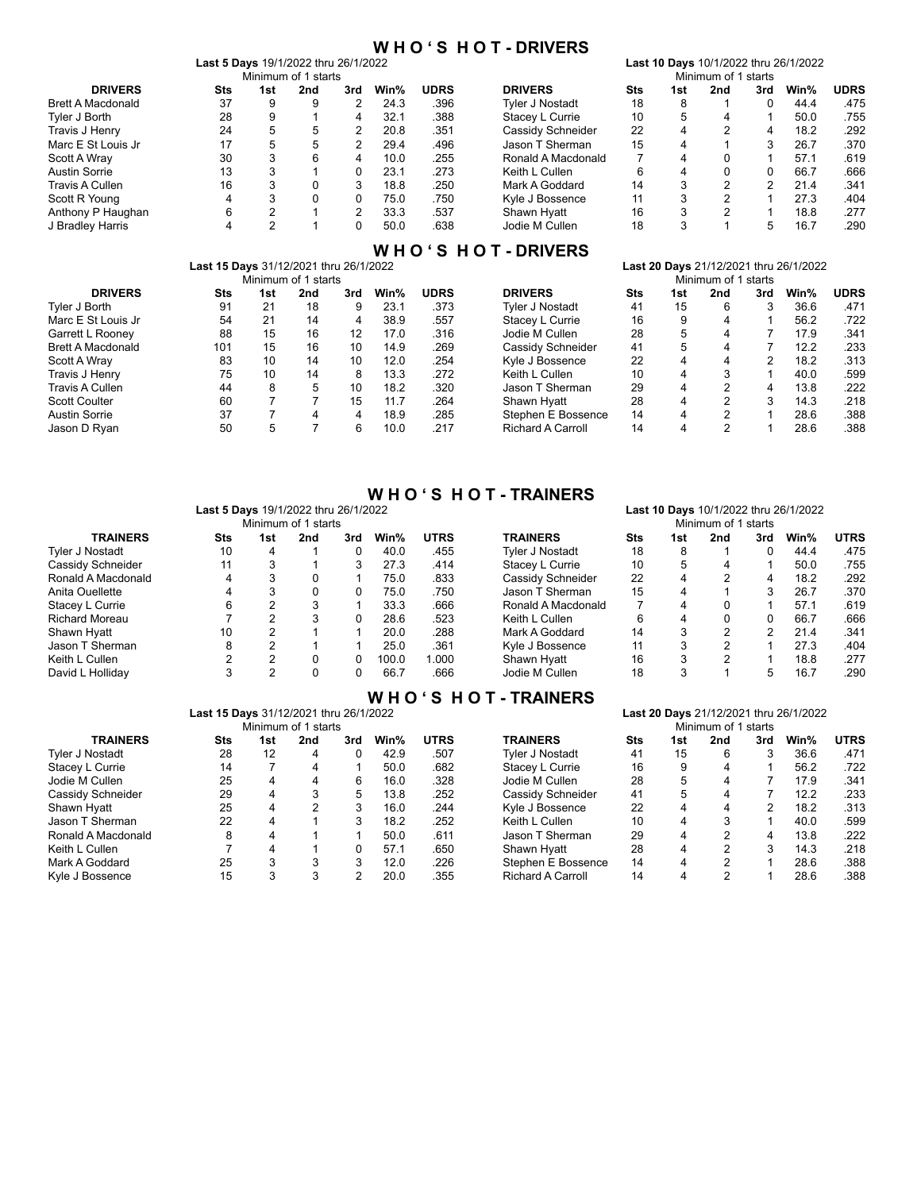### **W H O ' S H O T - DRIVERS**

|                          | <b>Last 5 Davs 19/1/2022 thru 26/1/2022</b> |     |                     |     |      |             |                    |     |     |                     |     | Last 10 Days 10/1/2022 thru 26/1/2022 |             |
|--------------------------|---------------------------------------------|-----|---------------------|-----|------|-------------|--------------------|-----|-----|---------------------|-----|---------------------------------------|-------------|
|                          |                                             |     | Minimum of 1 starts |     |      |             |                    |     |     | Minimum of 1 starts |     |                                       |             |
| <b>DRIVERS</b>           | Sts                                         | 1st | 2nd                 | 3rd | Win% | <b>UDRS</b> | <b>DRIVERS</b>     | Sts | 1st | 2nd                 | 3rd | Win%                                  | <b>UDRS</b> |
| <b>Brett A Macdonald</b> | 37                                          | 9   | 9                   | 2   | 24.3 | .396        | Tvler J Nostadt    | 18  | 8   |                     |     | 44.4                                  | .475        |
| Tyler J Borth            | 28                                          | 9   |                     | 4   | 32.1 | .388        | Stacey L Currie    | 10  | 5   | 4                   |     | 50.0                                  | .755        |
| Travis J Henry           | 24                                          | 5.  | 5                   | 2   | 20.8 | .351        | Cassidy Schneider  | 22  | 4   | 2                   | 4   | 18.2                                  | .292        |
| Marc E St Louis Jr       | 17                                          | 5   | 5                   | 2   | 29.4 | .496        | Jason T Sherman    | 15  | 4   |                     |     | 26.7                                  | .370        |
| Scott A Wray             | 30                                          |     | 6                   | 4   | 10.0 | .255        | Ronald A Macdonald |     | 4   |                     |     | 57.1                                  | .619        |
| <b>Austin Sorrie</b>     | 13                                          | 3   |                     |     | 23.1 | .273        | Keith L Cullen     | 6   | 4   | 0                   |     | 66.7                                  | .666        |
| Travis A Cullen          | 16                                          | 3   | 0                   | 3   | 18.8 | .250        | Mark A Goddard     | 14  | 3   | າ                   | 2   | 21.4                                  | .341        |
| Scott R Young            | 4                                           | З   | 0                   | 0   | 75.0 | .750        | Kyle J Bossence    | 11  | 3   | 2                   |     | 27.3                                  | .404        |
| Anthony P Haughan        | 6                                           | 2   |                     | 2   | 33.3 | .537        | Shawn Hyatt        | 16  | 3   | 2                   |     | 18.8                                  | .277        |
| J Bradley Harris         |                                             |     |                     |     | 50.0 | .638        | Jodie M Cullen     | 18  | 3   |                     |     | 16.7                                  | .290        |

### **W H O ' S H O T - DRIVERS**

|                          | <b>Last 15 Days</b> 31/12/2021 thru 26/1/2022 |     |                     |     |      |             |                          |            |     |                     |     | <b>Last 20 Days</b> 21/12/2021 thru 26/1/2022 |             |
|--------------------------|-----------------------------------------------|-----|---------------------|-----|------|-------------|--------------------------|------------|-----|---------------------|-----|-----------------------------------------------|-------------|
|                          |                                               |     | Minimum of 1 starts |     |      |             |                          |            |     | Minimum of 1 starts |     |                                               |             |
| <b>DRIVERS</b>           | Sts                                           | 1st | 2nd                 | 3rd | Win% | <b>UDRS</b> | <b>DRIVERS</b>           | <b>Sts</b> | 1st | 2nd                 | 3rd | Win%                                          | <b>UDRS</b> |
| Tvler J Borth            | 91                                            | 21  | 18                  | 9   | 23.1 | .373        | Tvler J Nostadt          | 41         | 15  | 6                   |     | 36.6                                          | .471        |
| Marc E St Louis Jr       | 54                                            | 21  | 14                  | 4   | 38.9 | .557        | Stacey L Currie          | 16         | 9   | 4                   |     | 56.2                                          | .722        |
| Garrett L Rooney         | 88                                            | 15  | 16                  | 12  | 17.0 | .316        | Jodie M Cullen           | 28         | 5   | 4                   |     | 17.9                                          | .341        |
| <b>Brett A Macdonald</b> | 101                                           | 15  | 16                  | 10  | 14.9 | .269        | Cassidy Schneider        | 41         | 5   | 4                   |     | 12.2                                          | .233        |
| Scott A Wray             | 83                                            | 10  | 14                  | 10  | 12.0 | .254        | Kyle J Bossence          | 22         | 4   | 4                   |     | 18.2                                          | .313        |
| Travis J Henry           | 75                                            | 10  | 14                  | 8   | 13.3 | .272        | Keith L Cullen           | 10         | 4   | 3                   |     | 40.0                                          | .599        |
| Travis A Cullen          | 44                                            | 8   | 5                   | 10  | 18.2 | .320        | Jason T Sherman          | 29         | 4   | 2                   | 4   | 13.8                                          | .222        |
| <b>Scott Coulter</b>     | 60                                            |     |                     | 15  | 11.7 | .264        | Shawn Hyatt              | 28         | 4   | 2                   |     | 14.3                                          | .218        |
| <b>Austin Sorrie</b>     | 37                                            |     | 4                   | 4   | 18.9 | .285        | Stephen E Bossence       | 14         | 4   | 2                   |     | 28.6                                          | .388        |
| Jason D Ryan             | 50                                            | 5   |                     | 6   | 10.0 | 217         | <b>Richard A Carroll</b> | 14         | 4   | າ                   |     | 28.6                                          | .388        |

|  |  | <b>WHO'S HOT-TRAINERS</b> |
|--|--|---------------------------|
|--|--|---------------------------|

|                        | Last 5 Days 19/1/2022 thru 26/1/2022 |     |                     |     |       |             |                    |     |     | Last 10 Days 10/1/2022 thru 26/1/2022 |     |      |             |
|------------------------|--------------------------------------|-----|---------------------|-----|-------|-------------|--------------------|-----|-----|---------------------------------------|-----|------|-------------|
|                        |                                      |     | Minimum of 1 starts |     |       |             |                    |     |     | Minimum of 1 starts                   |     |      |             |
| <b>TRAINERS</b>        | Sts                                  | 1st | 2nd                 | 3rd | Win%  | <b>UTRS</b> | <b>TRAINERS</b>    | Sts | 1st | 2nd                                   | 3rd | Win% | <b>UTRS</b> |
| <b>Tyler J Nostadt</b> | 10                                   | 4   |                     |     | 40.0  | .455        | Tvler J Nostadt    | 18  | 8   |                                       | 0   | 44.4 | .475        |
| Cassidy Schneider      | 11                                   | 3   |                     |     | 27.3  | .414        | Stacey L Currie    | 10  | 5   | 4                                     |     | 50.0 | 755         |
| Ronald A Macdonald     | 4                                    |     | 0                   |     | 75.0  | .833        | Cassidy Schneider  | 22  | 4   |                                       | 4   | 18.2 | .292        |
| Anita Ouellette        | 4                                    | з   | 0                   | 0   | 75.0  | .750        | Jason T Sherman    | 15  | 4   |                                       |     | 26.7 | .370        |
| Stacey L Currie        | 6                                    | 2   | 3                   |     | 33.3  | .666        | Ronald A Macdonald |     | 4   |                                       |     | 57.1 | .619        |
| <b>Richard Moreau</b>  |                                      | ົ   | 3                   |     | 28.6  | .523        | Keith L Cullen     | 6   | 4   |                                       | 0   | 66.7 | .666        |
| Shawn Hyatt            | 10                                   | 2   |                     |     | 20.0  | .288        | Mark A Goddard     | 14  | 3   | 2                                     | າ   | 21.4 | .341        |
| Jason T Sherman        | 8                                    | 2   |                     |     | 25.0  | .361        | Kyle J Bossence    | 11  | 3   |                                       |     | 27.3 | .404        |
| Keith L Cullen         |                                      | 2   | 0                   | 0   | 100.0 | 1.000       | Shawn Hyatt        | 16  | 3   | 2                                     |     | 18.8 | .277        |
| David L Holliday       | 3                                    | 2   | 0                   | 0   | 66.7  | .666        | Jodie M Cullen     | 18  | 3   |                                       | 5   | 16.7 | .290        |

### **W H O ' S H O T - TRAINERS**

|                    | <b>Last 15 Davs</b> 31/12/2021 thru 26/1/2022 |                     |     |     |      |             |                          |            |     |                     |     | <b>Last 20 Davs</b> 21/12/2021 thru 26/1/2022 |             |
|--------------------|-----------------------------------------------|---------------------|-----|-----|------|-------------|--------------------------|------------|-----|---------------------|-----|-----------------------------------------------|-------------|
|                    |                                               | Minimum of 1 starts |     |     |      |             |                          |            |     | Minimum of 1 starts |     |                                               |             |
| <b>TRAINERS</b>    | Sts                                           | 1st                 | 2nd | 3rd | Win% | <b>UTRS</b> | <b>TRAINERS</b>          | <b>Sts</b> | 1st | 2nd                 | 3rd | Win%                                          | <b>UTRS</b> |
| Tvler J Nostadt    | 28                                            | 12                  | 4   | 0   | 42.9 | .507        | Tvler J Nostadt          | 41         | 15  | 6                   |     | 36.6                                          | .471        |
| Stacey L Currie    | 14                                            |                     | 4   |     | 50.0 | .682        | Stacey L Currie          | 16         | 9   | 4                   |     | 56.2                                          | .722        |
| Jodie M Cullen     | 25                                            | 4                   | 4   | 6   | 16.0 | .328        | Jodie M Cullen           | 28         | 5.  | 4                   |     | 17.9                                          | .341        |
| Cassidy Schneider  | 29                                            | 4                   | 3   | 5   | 13.8 | .252        | Cassidy Schneider        | 41         | 5   | 4                   |     | 12.2                                          | .233        |
| Shawn Hyatt        | 25                                            | 4                   | 2   | 3   | 16.0 | .244        | Kyle J Bossence          | 22         | 4   | 4                   |     | 18.2                                          | .313        |
| Jason T Sherman    | 22                                            | 4                   |     | 3   | 18.2 | .252        | Keith L Cullen           | 10         | 4   | 3                   |     | 40.0                                          | .599        |
| Ronald A Macdonald | 8                                             | 4                   |     |     | 50.0 | .611        | Jason T Sherman          | 29         | 4   | 2                   | 4   | 13.8                                          | .222        |
| Keith L Cullen     |                                               | 4                   |     | 0   | 57.1 | .650        | Shawn Hyatt              | 28         | 4   | 2                   |     | 14.3                                          | .218        |
| Mark A Goddard     | 25                                            | 3                   | 3   | 3   | 12.0 | .226        | Stephen E Bossence       | 14         | 4   | າ                   |     | 28.6                                          | .388        |
| Kyle J Bossence    | 15                                            | 3                   | 3   | ◠   | 20.0 | .355        | <b>Richard A Carroll</b> | 14         | 4   | າ                   |     | 28.6                                          | .388        |